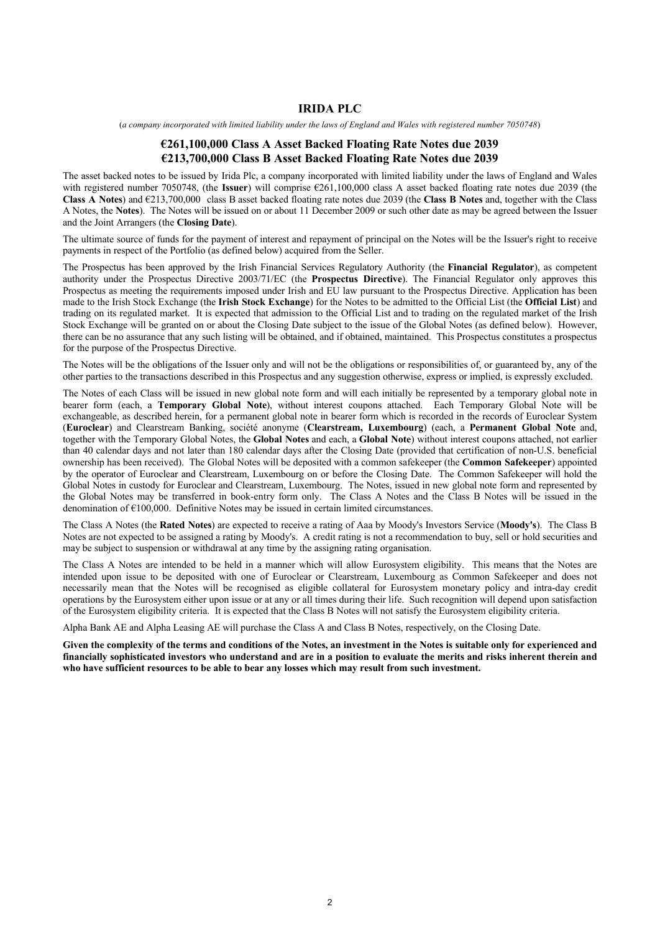#### **IRIDA PLC**

(*a company incorporated with limited liability under the laws of England and Wales with registered number 7050748*)

#### **€261,100,000 Class A Asset Backed Floating Rate Notes due 2039 €213,700,000 Class B Asset Backed Floating Rate Notes due 2039**

The asset backed notes to be issued by Irida Plc, a company incorporated with limited liability under the laws of England and Wales with registered number 7050748, (the **Issuer**) will comprise €261,100,000 class A asset backed floating rate notes due 2039 (the **Class A Notes**) and €213,700,000 class B asset backed floating rate notes due 2039 (the **Class B Notes** and, together with the Class A Notes, the **Notes**). The Notes will be issued on or about 11 December 2009 or such other date as may be agreed between the Issuer and the Joint Arrangers (the **Closing Date**).

The ultimate source of funds for the payment of interest and repayment of principal on the Notes will be the Issuer's right to receive payments in respect of the Portfolio (as defined below) acquired from the Seller.

The Prospectus has been approved by the Irish Financial Services Regulatory Authority (the **Financial Regulator**), as competent authority under the Prospectus Directive 2003/71/EC (the **Prospectus Directive**). The Financial Regulator only approves this Prospectus as meeting the requirements imposed under Irish and EU law pursuant to the Prospectus Directive. Application has been made to the Irish Stock Exchange (the **Irish Stock Exchange**) for the Notes to be admitted to the Official List (the **Official List**) and trading on its regulated market. It is expected that admission to the Official List and to trading on the regulated market of the Irish Stock Exchange will be granted on or about the Closing Date subject to the issue of the Global Notes (as defined below). However, there can be no assurance that any such listing will be obtained, and if obtained, maintained. This Prospectus constitutes a prospectus for the purpose of the Prospectus Directive.

The Notes will be the obligations of the Issuer only and will not be the obligations or responsibilities of, or guaranteed by, any of the other parties to the transactions described in this Prospectus and any suggestion otherwise, express or implied, is expressly excluded.

The Notes of each Class will be issued in new global note form and will each initially be represented by a temporary global note in bearer form (each, a **Temporary Global Note**), without interest coupons attached. Each Temporary Global Note will be exchangeable, as described herein, for a permanent global note in bearer form which is recorded in the records of Euroclear System (**Euroclear**) and Clearstream Banking, société anonyme (**Clearstream, Luxembourg**) (each, a **Permanent Global Note** and, together with the Temporary Global Notes, the **Global Notes** and each, a **Global Note**) without interest coupons attached, not earlier than 40 calendar days and not later than 180 calendar days after the Closing Date (provided that certification of non-U.S. beneficial ownership has been received). The Global Notes will be deposited with a common safekeeper (the **Common Safekeeper**) appointed by the operator of Euroclear and Clearstream, Luxembourg on or before the Closing Date. The Common Safekeeper will hold the Global Notes in custody for Euroclear and Clearstream, Luxembourg. The Notes, issued in new global note form and represented by the Global Notes may be transferred in book-entry form only. The Class A Notes and the Class B Notes will be issued in the denomination of €100,000. Definitive Notes may be issued in certain limited circumstances.

The Class A Notes (the **Rated Notes**) are expected to receive a rating of Aaa by Moody's Investors Service (**Moody's**). The Class B Notes are not expected to be assigned a rating by Moody's. A credit rating is not a recommendation to buy, sell or hold securities and may be subject to suspension or withdrawal at any time by the assigning rating organisation.

The Class A Notes are intended to be held in a manner which will allow Eurosystem eligibility. This means that the Notes are intended upon issue to be deposited with one of Euroclear or Clearstream, Luxembourg as Common Safekeeper and does not necessarily mean that the Notes will be recognised as eligible collateral for Eurosystem monetary policy and intra-day credit operations by the Eurosystem either upon issue or at any or all times during their life. Such recognition will depend upon satisfaction of the Eurosystem eligibility criteria. It is expected that the Class B Notes will not satisfy the Eurosystem eligibility criteria.

Alpha Bank AE and Alpha Leasing AE will purchase the Class A and Class B Notes, respectively, on the Closing Date.

**Given the complexity of the terms and conditions of the Notes, an investment in the Notes is suitable only for experienced and financially sophisticated investors who understand and are in a position to evaluate the merits and risks inherent therein and who have sufficient resources to be able to bear any losses which may result from such investment.**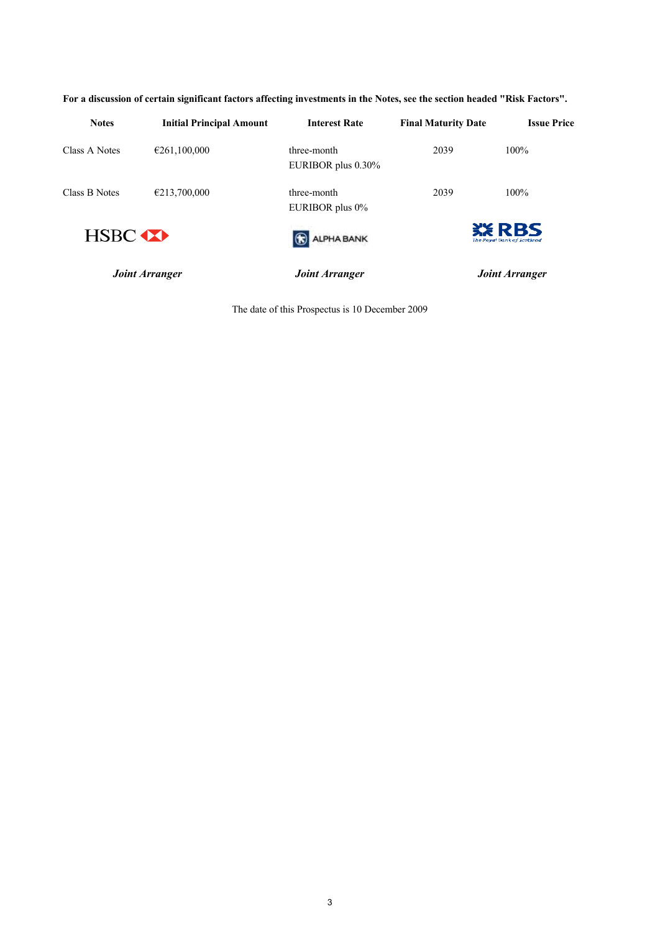| <b>Notes</b>  | <b>Initial Principal Amount</b> | <b>Interest Rate</b>              | <b>Final Maturity Date</b> | <b>Issue Price</b>                          |
|---------------|---------------------------------|-----------------------------------|----------------------------|---------------------------------------------|
| Class A Notes | €261,100,000                    | three-month<br>EURIBOR plus 0.30% | 2039                       | $100\%$                                     |
| Class B Notes | €213,700,000                    | three-month<br>EURIBOR plus 0%    | 2039                       | $100\%$                                     |
| <b>HSBC</b>   |                                 | ALPHA BANK                        |                            | <b>XX RBS</b><br>The Povel Dank of Scotland |
|               | <b>Joint Arranger</b>           | Joint Arranger                    |                            | <b>Joint Arranger</b>                       |

**For a discussion of certain significant factors affecting investments in the Notes, see the section headed "Risk Factors".**

The date of this Prospectus is 10 December 2009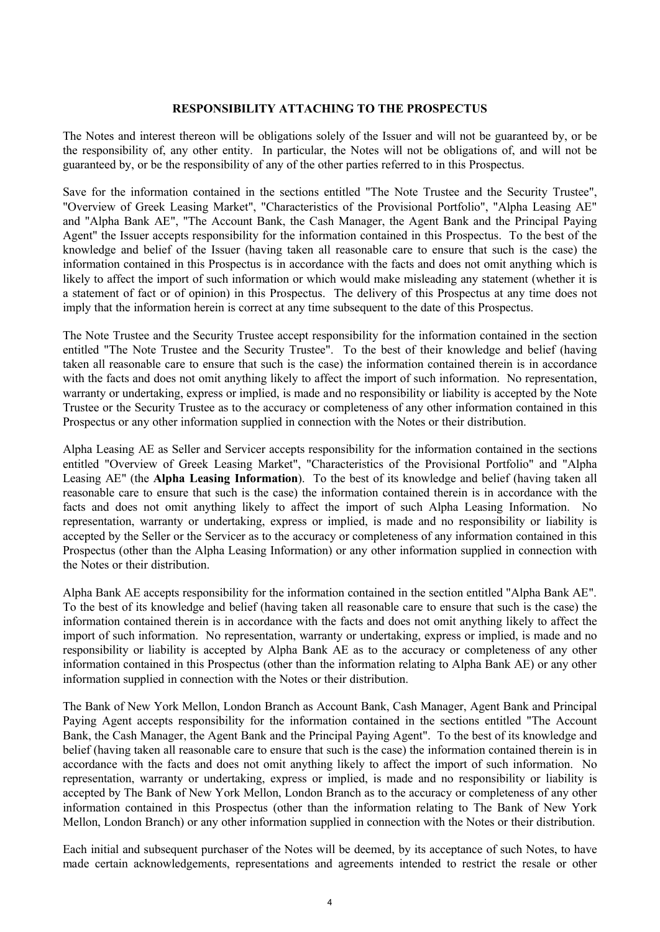### **RESPONSIBILITY ATTACHING TO THE PROSPECTUS**

The Notes and interest thereon will be obligations solely of the Issuer and will not be guaranteed by, or be the responsibility of, any other entity. In particular, the Notes will not be obligations of, and will not be guaranteed by, or be the responsibility of any of the other parties referred to in this Prospectus.

Save for the information contained in the sections entitled "The Note Trustee and the Security Trustee", "Overview of Greek Leasing Market", "Characteristics of the Provisional Portfolio", "Alpha Leasing AE" and "Alpha Bank AE", "The Account Bank, the Cash Manager, the Agent Bank and the Principal Paying Agent" the Issuer accepts responsibility for the information contained in this Prospectus. To the best of the knowledge and belief of the Issuer (having taken all reasonable care to ensure that such is the case) the information contained in this Prospectus is in accordance with the facts and does not omit anything which is likely to affect the import of such information or which would make misleading any statement (whether it is a statement of fact or of opinion) in this Prospectus. The delivery of this Prospectus at any time does not imply that the information herein is correct at any time subsequent to the date of this Prospectus.

The Note Trustee and the Security Trustee accept responsibility for the information contained in the section entitled "The Note Trustee and the Security Trustee". To the best of their knowledge and belief (having taken all reasonable care to ensure that such is the case) the information contained therein is in accordance with the facts and does not omit anything likely to affect the import of such information. No representation, warranty or undertaking, express or implied, is made and no responsibility or liability is accepted by the Note Trustee or the Security Trustee as to the accuracy or completeness of any other information contained in this Prospectus or any other information supplied in connection with the Notes or their distribution.

Alpha Leasing AE as Seller and Servicer accepts responsibility for the information contained in the sections entitled "Overview of Greek Leasing Market", "Characteristics of the Provisional Portfolio" and "Alpha Leasing AE" (the **Alpha Leasing Information**). To the best of its knowledge and belief (having taken all reasonable care to ensure that such is the case) the information contained therein is in accordance with the facts and does not omit anything likely to affect the import of such Alpha Leasing Information. No representation, warranty or undertaking, express or implied, is made and no responsibility or liability is accepted by the Seller or the Servicer as to the accuracy or completeness of any information contained in this Prospectus (other than the Alpha Leasing Information) or any other information supplied in connection with the Notes or their distribution.

Alpha Bank AE accepts responsibility for the information contained in the section entitled "Alpha Bank AE". To the best of its knowledge and belief (having taken all reasonable care to ensure that such is the case) the information contained therein is in accordance with the facts and does not omit anything likely to affect the import of such information. No representation, warranty or undertaking, express or implied, is made and no responsibility or liability is accepted by Alpha Bank AE as to the accuracy or completeness of any other information contained in this Prospectus (other than the information relating to Alpha Bank AE) or any other information supplied in connection with the Notes or their distribution.

The Bank of New York Mellon, London Branch as Account Bank, Cash Manager, Agent Bank and Principal Paying Agent accepts responsibility for the information contained in the sections entitled "The Account Bank, the Cash Manager, the Agent Bank and the Principal Paying Agent". To the best of its knowledge and belief (having taken all reasonable care to ensure that such is the case) the information contained therein is in accordance with the facts and does not omit anything likely to affect the import of such information. No representation, warranty or undertaking, express or implied, is made and no responsibility or liability is accepted by The Bank of New York Mellon, London Branch as to the accuracy or completeness of any other information contained in this Prospectus (other than the information relating to The Bank of New York Mellon, London Branch) or any other information supplied in connection with the Notes or their distribution.

Each initial and subsequent purchaser of the Notes will be deemed, by its acceptance of such Notes, to have made certain acknowledgements, representations and agreements intended to restrict the resale or other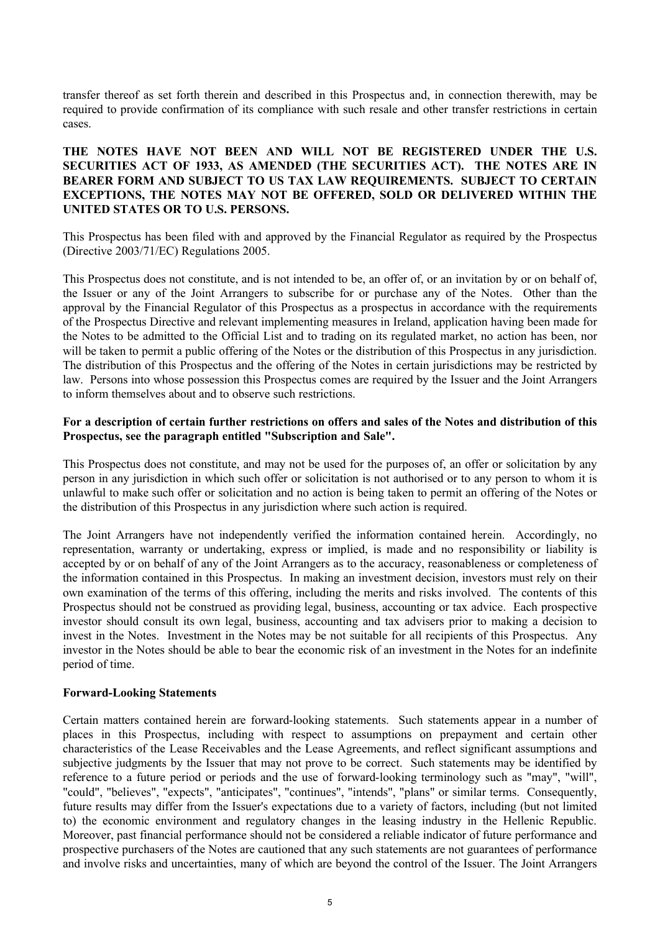transfer thereof as set forth therein and described in this Prospectus and, in connection therewith, may be required to provide confirmation of its compliance with such resale and other transfer restrictions in certain cases.

### **THE NOTES HAVE NOT BEEN AND WILL NOT BE REGISTERED UNDER THE U.S. SECURITIES ACT OF 1933, AS AMENDED (THE SECURITIES ACT). THE NOTES ARE IN BEARER FORM AND SUBJECT TO US TAX LAW REQUIREMENTS. SUBJECT TO CERTAIN EXCEPTIONS, THE NOTES MAY NOT BE OFFERED, SOLD OR DELIVERED WITHIN THE UNITED STATES OR TO U.S. PERSONS.**

This Prospectus has been filed with and approved by the Financial Regulator as required by the Prospectus (Directive 2003/71/EC) Regulations 2005.

This Prospectus does not constitute, and is not intended to be, an offer of, or an invitation by or on behalf of, the Issuer or any of the Joint Arrangers to subscribe for or purchase any of the Notes. Other than the approval by the Financial Regulator of this Prospectus as a prospectus in accordance with the requirements of the Prospectus Directive and relevant implementing measures in Ireland, application having been made for the Notes to be admitted to the Official List and to trading on its regulated market, no action has been, nor will be taken to permit a public offering of the Notes or the distribution of this Prospectus in any jurisdiction. The distribution of this Prospectus and the offering of the Notes in certain jurisdictions may be restricted by law. Persons into whose possession this Prospectus comes are required by the Issuer and the Joint Arrangers to inform themselves about and to observe such restrictions.

### **For a description of certain further restrictions on offers and sales of the Notes and distribution of this Prospectus, see the paragraph entitled "Subscription and Sale".**

This Prospectus does not constitute, and may not be used for the purposes of, an offer or solicitation by any person in any jurisdiction in which such offer or solicitation is not authorised or to any person to whom it is unlawful to make such offer or solicitation and no action is being taken to permit an offering of the Notes or the distribution of this Prospectus in any jurisdiction where such action is required.

The Joint Arrangers have not independently verified the information contained herein. Accordingly, no representation, warranty or undertaking, express or implied, is made and no responsibility or liability is accepted by or on behalf of any of the Joint Arrangers as to the accuracy, reasonableness or completeness of the information contained in this Prospectus. In making an investment decision, investors must rely on their own examination of the terms of this offering, including the merits and risks involved. The contents of this Prospectus should not be construed as providing legal, business, accounting or tax advice. Each prospective investor should consult its own legal, business, accounting and tax advisers prior to making a decision to invest in the Notes. Investment in the Notes may be not suitable for all recipients of this Prospectus. Any investor in the Notes should be able to bear the economic risk of an investment in the Notes for an indefinite period of time.

### **Forward-Looking Statements**

Certain matters contained herein are forward-looking statements. Such statements appear in a number of places in this Prospectus, including with respect to assumptions on prepayment and certain other characteristics of the Lease Receivables and the Lease Agreements, and reflect significant assumptions and subjective judgments by the Issuer that may not prove to be correct. Such statements may be identified by reference to a future period or periods and the use of forward-looking terminology such as "may", "will", "could", "believes", "expects", "anticipates", "continues", "intends", "plans" or similar terms. Consequently, future results may differ from the Issuer's expectations due to a variety of factors, including (but not limited to) the economic environment and regulatory changes in the leasing industry in the Hellenic Republic. Moreover, past financial performance should not be considered a reliable indicator of future performance and prospective purchasers of the Notes are cautioned that any such statements are not guarantees of performance and involve risks and uncertainties, many of which are beyond the control of the Issuer. The Joint Arrangers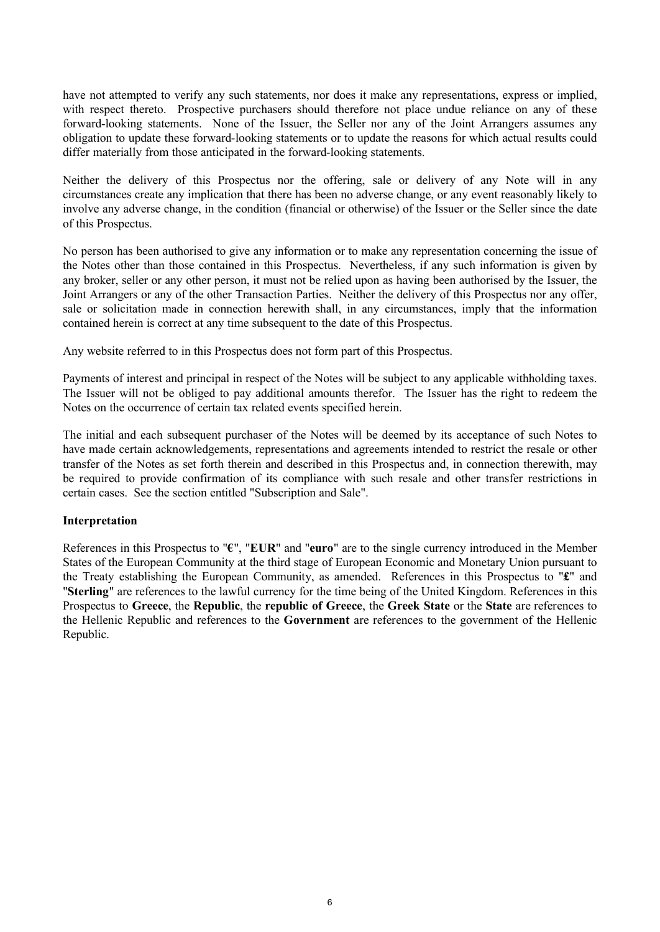have not attempted to verify any such statements, nor does it make any representations, express or implied, with respect thereto. Prospective purchasers should therefore not place undue reliance on any of these forward-looking statements. None of the Issuer, the Seller nor any of the Joint Arrangers assumes any obligation to update these forward-looking statements or to update the reasons for which actual results could differ materially from those anticipated in the forward-looking statements.

Neither the delivery of this Prospectus nor the offering, sale or delivery of any Note will in any circumstances create any implication that there has been no adverse change, or any event reasonably likely to involve any adverse change, in the condition (financial or otherwise) of the Issuer or the Seller since the date of this Prospectus.

No person has been authorised to give any information or to make any representation concerning the issue of the Notes other than those contained in this Prospectus. Nevertheless, if any such information is given by any broker, seller or any other person, it must not be relied upon as having been authorised by the Issuer, the Joint Arrangers or any of the other Transaction Parties. Neither the delivery of this Prospectus nor any offer, sale or solicitation made in connection herewith shall, in any circumstances, imply that the information contained herein is correct at any time subsequent to the date of this Prospectus.

Any website referred to in this Prospectus does not form part of this Prospectus.

Payments of interest and principal in respect of the Notes will be subject to any applicable withholding taxes. The Issuer will not be obliged to pay additional amounts therefor. The Issuer has the right to redeem the Notes on the occurrence of certain tax related events specified herein.

The initial and each subsequent purchaser of the Notes will be deemed by its acceptance of such Notes to have made certain acknowledgements, representations and agreements intended to restrict the resale or other transfer of the Notes as set forth therein and described in this Prospectus and, in connection therewith, may be required to provide confirmation of its compliance with such resale and other transfer restrictions in certain cases. See the section entitled "Subscription and Sale".

### **Interpretation**

References in this Prospectus to "**€**", "**EUR**" and "**euro**" are to the single currency introduced in the Member States of the European Community at the third stage of European Economic and Monetary Union pursuant to the Treaty establishing the European Community, as amended. References in this Prospectus to "**£**" and "**Sterling**" are references to the lawful currency for the time being of the United Kingdom. References in this Prospectus to **Greece**, the **Republic**, the **republic of Greece**, the **Greek State** or the **State** are references to the Hellenic Republic and references to the **Government** are references to the government of the Hellenic Republic.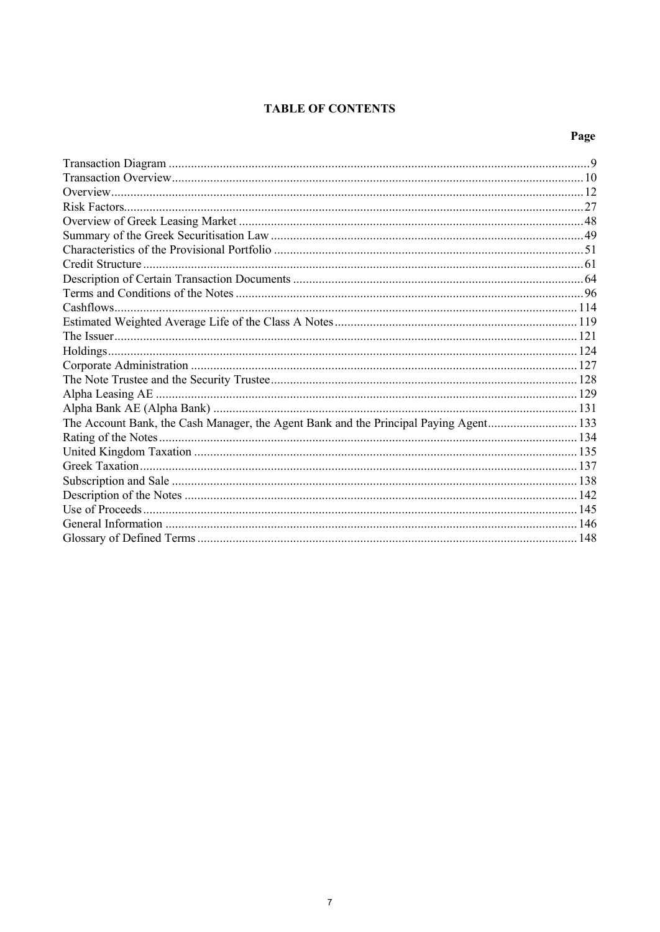# **TABLE OF CONTENTS**

# Page

| The Account Bank, the Cash Manager, the Agent Bank and the Principal Paying Agent133 |  |
|--------------------------------------------------------------------------------------|--|
|                                                                                      |  |
|                                                                                      |  |
|                                                                                      |  |
|                                                                                      |  |
|                                                                                      |  |
|                                                                                      |  |
|                                                                                      |  |
|                                                                                      |  |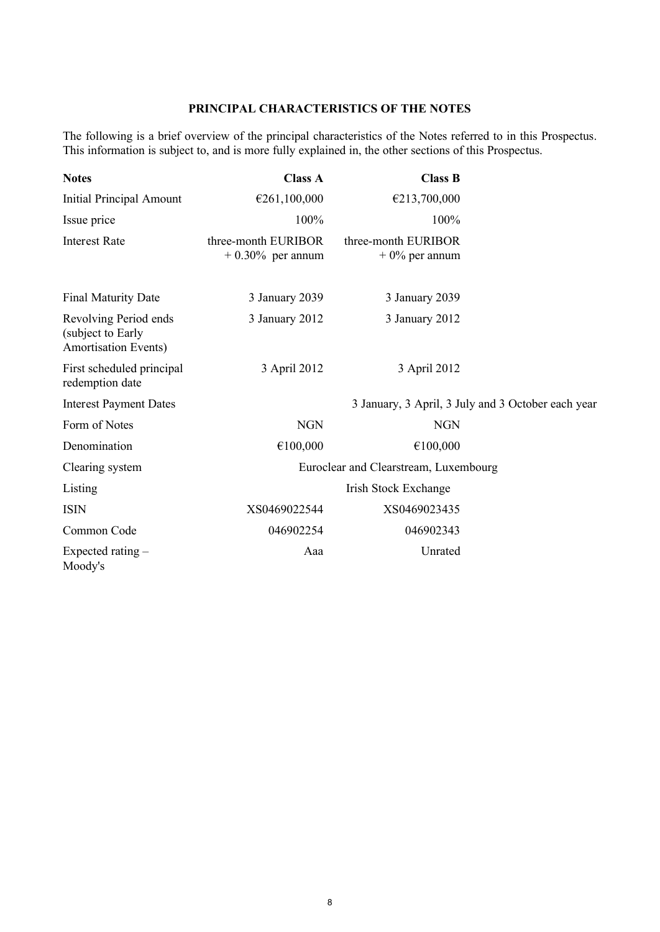## **PRINCIPAL CHARACTERISTICS OF THE NOTES**

The following is a brief overview of the principal characteristics of the Notes referred to in this Prospectus. This information is subject to, and is more fully explained in, the other sections of this Prospectus.

| <b>Notes</b>                                                              | <b>Class A</b>                             | <b>Class B</b>                                     |  |
|---------------------------------------------------------------------------|--------------------------------------------|----------------------------------------------------|--|
| <b>Initial Principal Amount</b>                                           | €261,100,000                               | €213,700,000                                       |  |
| Issue price                                                               | 100%                                       | 100%                                               |  |
| <b>Interest Rate</b>                                                      | three-month EURIBOR<br>$+0.30\%$ per annum | three-month EURIBOR<br>$+0\%$ per annum            |  |
| <b>Final Maturity Date</b>                                                | 3 January 2039                             | 3 January 2039                                     |  |
| Revolving Period ends<br>(subject to Early<br><b>Amortisation Events)</b> | 3 January 2012                             | 3 January 2012                                     |  |
| First scheduled principal<br>redemption date                              | 3 April 2012                               | 3 April 2012                                       |  |
| <b>Interest Payment Dates</b>                                             |                                            | 3 January, 3 April, 3 July and 3 October each year |  |
| Form of Notes                                                             | <b>NGN</b>                                 | <b>NGN</b>                                         |  |
| Denomination                                                              | €100,000                                   | €100,000                                           |  |
| Clearing system                                                           |                                            | Euroclear and Clearstream, Luxembourg              |  |
| Listing                                                                   |                                            | <b>Irish Stock Exchange</b>                        |  |
| <b>ISIN</b>                                                               | XS0469022544                               | XS0469023435                                       |  |
| Common Code                                                               | 046902254                                  | 046902343                                          |  |
| Expected rating $-$<br>Moody's                                            | Aaa                                        | Unrated                                            |  |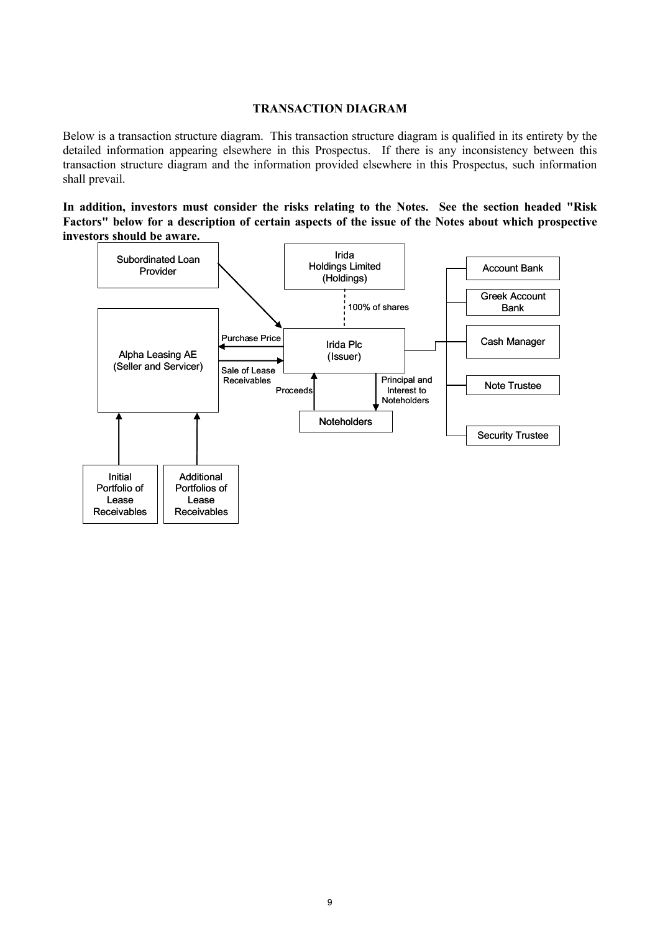### **TRANSACTION DIAGRAM**

Below is a transaction structure diagram. This transaction structure diagram is qualified in its entirety by the detailed information appearing elsewhere in this Prospectus. If there is any inconsistency between this transaction structure diagram and the information provided elsewhere in this Prospectus, such information shall prevail.

**In addition, investors must consider the risks relating to the Notes. See the section headed "Risk Factors" below for a description of certain aspects of the issue of the Notes about which prospective investors should be aware.**

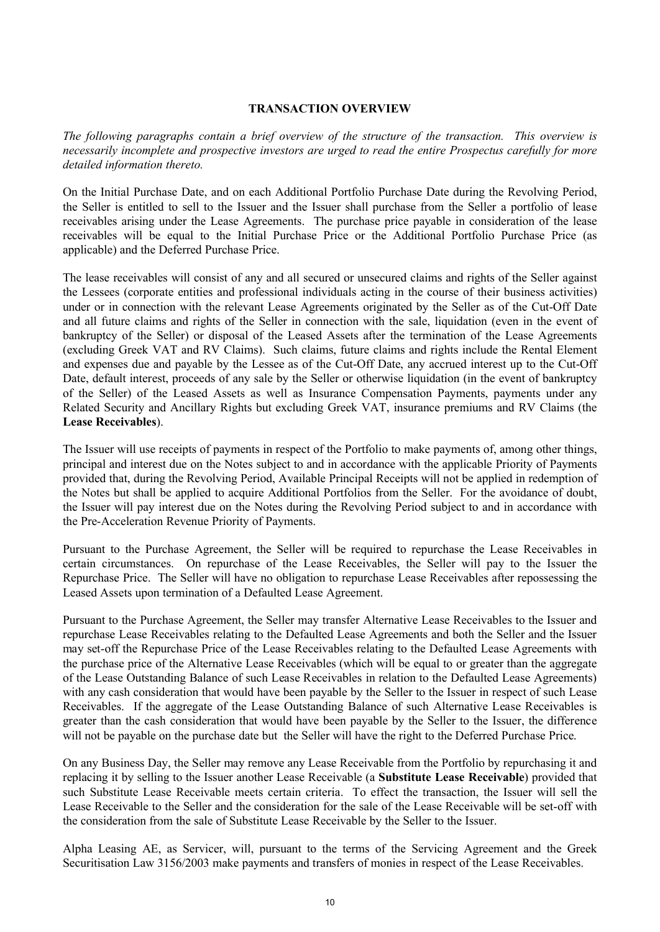### **TRANSACTION OVERVIEW**

*The following paragraphs contain a brief overview of the structure of the transaction. This overview is necessarily incomplete and prospective investors are urged to read the entire Prospectus carefully for more detailed information thereto.*

On the Initial Purchase Date, and on each Additional Portfolio Purchase Date during the Revolving Period, the Seller is entitled to sell to the Issuer and the Issuer shall purchase from the Seller a portfolio of lease receivables arising under the Lease Agreements. The purchase price payable in consideration of the lease receivables will be equal to the Initial Purchase Price or the Additional Portfolio Purchase Price (as applicable) and the Deferred Purchase Price.

The lease receivables will consist of any and all secured or unsecured claims and rights of the Seller against the Lessees (corporate entities and professional individuals acting in the course of their business activities) under or in connection with the relevant Lease Agreements originated by the Seller as of the Cut-Off Date and all future claims and rights of the Seller in connection with the sale, liquidation (even in the event of bankruptcy of the Seller) or disposal of the Leased Assets after the termination of the Lease Agreements (excluding Greek VAT and RV Claims). Such claims, future claims and rights include the Rental Element and expenses due and payable by the Lessee as of the Cut-Off Date, any accrued interest up to the Cut-Off Date, default interest, proceeds of any sale by the Seller or otherwise liquidation (in the event of bankruptcy of the Seller) of the Leased Assets as well as Insurance Compensation Payments, payments under any Related Security and Ancillary Rights but excluding Greek VAT, insurance premiums and RV Claims (the **Lease Receivables**).

The Issuer will use receipts of payments in respect of the Portfolio to make payments of, among other things, principal and interest due on the Notes subject to and in accordance with the applicable Priority of Payments provided that, during the Revolving Period, Available Principal Receipts will not be applied in redemption of the Notes but shall be applied to acquire Additional Portfolios from the Seller. For the avoidance of doubt, the Issuer will pay interest due on the Notes during the Revolving Period subject to and in accordance with the Pre-Acceleration Revenue Priority of Payments.

Pursuant to the Purchase Agreement, the Seller will be required to repurchase the Lease Receivables in certain circumstances. On repurchase of the Lease Receivables, the Seller will pay to the Issuer the Repurchase Price. The Seller will have no obligation to repurchase Lease Receivables after repossessing the Leased Assets upon termination of a Defaulted Lease Agreement.

Pursuant to the Purchase Agreement, the Seller may transfer Alternative Lease Receivables to the Issuer and repurchase Lease Receivables relating to the Defaulted Lease Agreements and both the Seller and the Issuer may set-off the Repurchase Price of the Lease Receivables relating to the Defaulted Lease Agreements with the purchase price of the Alternative Lease Receivables (which will be equal to or greater than the aggregate of the Lease Outstanding Balance of such Lease Receivables in relation to the Defaulted Lease Agreements) with any cash consideration that would have been payable by the Seller to the Issuer in respect of such Lease Receivables. If the aggregate of the Lease Outstanding Balance of such Alternative Lease Receivables is greater than the cash consideration that would have been payable by the Seller to the Issuer, the difference will not be payable on the purchase date but the Seller will have the right to the Deferred Purchase Price.

On any Business Day, the Seller may remove any Lease Receivable from the Portfolio by repurchasing it and replacing it by selling to the Issuer another Lease Receivable (a **Substitute Lease Receivable**) provided that such Substitute Lease Receivable meets certain criteria. To effect the transaction, the Issuer will sell the Lease Receivable to the Seller and the consideration for the sale of the Lease Receivable will be set-off with the consideration from the sale of Substitute Lease Receivable by the Seller to the Issuer.

Alpha Leasing AE, as Servicer, will, pursuant to the terms of the Servicing Agreement and the Greek Securitisation Law 3156/2003 make payments and transfers of monies in respect of the Lease Receivables.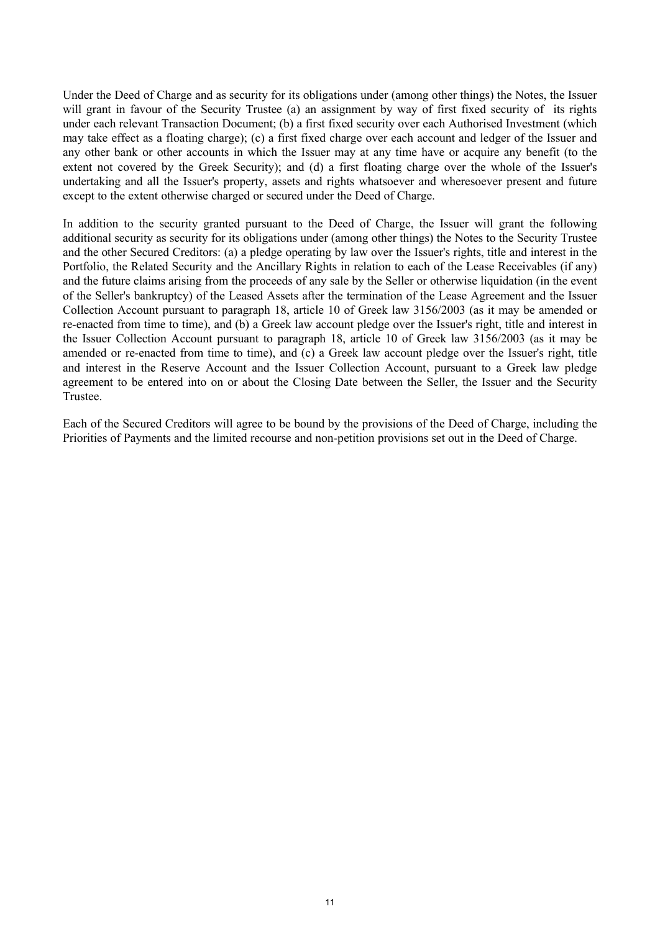Under the Deed of Charge and as security for its obligations under (among other things) the Notes, the Issuer will grant in favour of the Security Trustee (a) an assignment by way of first fixed security of its rights under each relevant Transaction Document; (b) a first fixed security over each Authorised Investment (which may take effect as a floating charge); (c) a first fixed charge over each account and ledger of the Issuer and any other bank or other accounts in which the Issuer may at any time have or acquire any benefit (to the extent not covered by the Greek Security); and (d) a first floating charge over the whole of the Issuer's undertaking and all the Issuer's property, assets and rights whatsoever and wheresoever present and future except to the extent otherwise charged or secured under the Deed of Charge.

In addition to the security granted pursuant to the Deed of Charge, the Issuer will grant the following additional security as security for its obligations under (among other things) the Notes to the Security Trustee and the other Secured Creditors: (a) a pledge operating by law over the Issuer's rights, title and interest in the Portfolio, the Related Security and the Ancillary Rights in relation to each of the Lease Receivables (if any) and the future claims arising from the proceeds of any sale by the Seller or otherwise liquidation (in the event of the Seller's bankruptcy) of the Leased Assets after the termination of the Lease Agreement and the Issuer Collection Account pursuant to paragraph 18, article 10 of Greek law 3156/2003 (as it may be amended or re-enacted from time to time), and (b) a Greek law account pledge over the Issuer's right, title and interest in the Issuer Collection Account pursuant to paragraph 18, article 10 of Greek law 3156/2003 (as it may be amended or re-enacted from time to time), and (c) a Greek law account pledge over the Issuer's right, title and interest in the Reserve Account and the Issuer Collection Account, pursuant to a Greek law pledge agreement to be entered into on or about the Closing Date between the Seller, the Issuer and the Security Trustee.

Each of the Secured Creditors will agree to be bound by the provisions of the Deed of Charge, including the Priorities of Payments and the limited recourse and non-petition provisions set out in the Deed of Charge.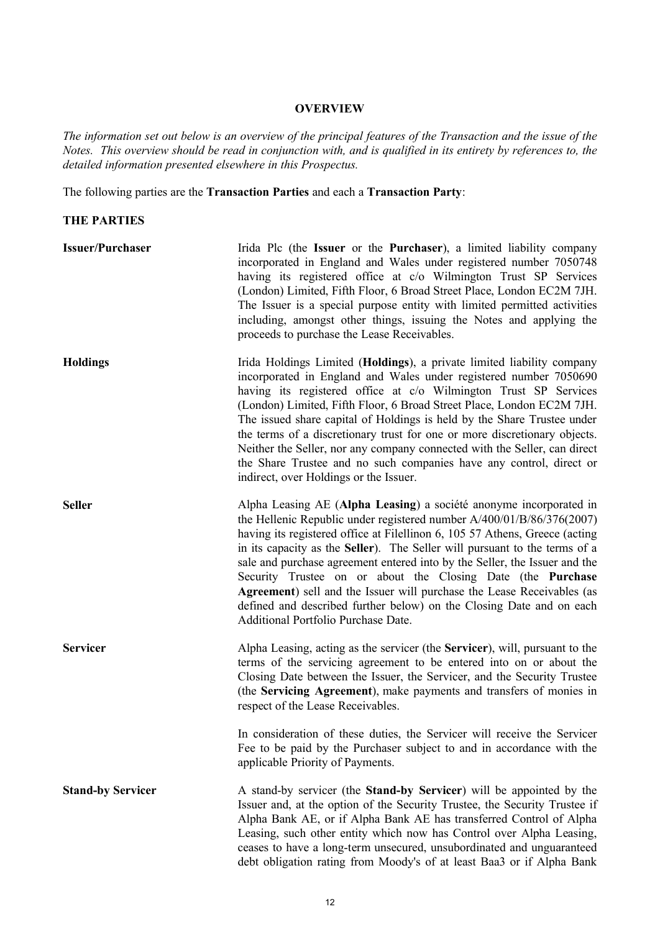### **OVERVIEW**

*The information set out below is an overview of the principal features of the Transaction and the issue of the Notes. This overview should be read in conjunction with, and is qualified in its entirety by references to, the detailed information presented elsewhere in this Prospectus.*

The following parties are the **Transaction Parties** and each a **Transaction Party**:

### **THE PARTIES**

| <b>Issuer/Purchaser</b>  | Irida Plc (the Issuer or the Purchaser), a limited liability company<br>incorporated in England and Wales under registered number 7050748<br>having its registered office at c/o Wilmington Trust SP Services<br>(London) Limited, Fifth Floor, 6 Broad Street Place, London EC2M 7JH.<br>The Issuer is a special purpose entity with limited permitted activities<br>including, amongst other things, issuing the Notes and applying the<br>proceeds to purchase the Lease Receivables.                                                                                                                                                         |
|--------------------------|--------------------------------------------------------------------------------------------------------------------------------------------------------------------------------------------------------------------------------------------------------------------------------------------------------------------------------------------------------------------------------------------------------------------------------------------------------------------------------------------------------------------------------------------------------------------------------------------------------------------------------------------------|
| <b>Holdings</b>          | Irida Holdings Limited (Holdings), a private limited liability company<br>incorporated in England and Wales under registered number 7050690<br>having its registered office at c/o Wilmington Trust SP Services<br>(London) Limited, Fifth Floor, 6 Broad Street Place, London EC2M 7JH.<br>The issued share capital of Holdings is held by the Share Trustee under<br>the terms of a discretionary trust for one or more discretionary objects.<br>Neither the Seller, nor any company connected with the Seller, can direct<br>the Share Trustee and no such companies have any control, direct or<br>indirect, over Holdings or the Issuer.   |
| <b>Seller</b>            | Alpha Leasing AE (Alpha Leasing) a société anonyme incorporated in<br>the Hellenic Republic under registered number $A/400/01/B/86/376(2007)$<br>having its registered office at Filellinon 6, 105 57 Athens, Greece (acting<br>in its capacity as the Seller). The Seller will pursuant to the terms of a<br>sale and purchase agreement entered into by the Seller, the Issuer and the<br>Security Trustee on or about the Closing Date (the Purchase<br>Agreement) sell and the Issuer will purchase the Lease Receivables (as<br>defined and described further below) on the Closing Date and on each<br>Additional Portfolio Purchase Date. |
| <b>Servicer</b>          | Alpha Leasing, acting as the servicer (the Servicer), will, pursuant to the<br>terms of the servicing agreement to be entered into on or about the<br>Closing Date between the Issuer, the Servicer, and the Security Trustee<br>(the Servicing Agreement), make payments and transfers of monies in<br>respect of the Lease Receivables.                                                                                                                                                                                                                                                                                                        |
|                          | In consideration of these duties, the Servicer will receive the Servicer<br>Fee to be paid by the Purchaser subject to and in accordance with the<br>applicable Priority of Payments.                                                                                                                                                                                                                                                                                                                                                                                                                                                            |
| <b>Stand-by Servicer</b> | A stand-by servicer (the <b>Stand-by Servicer</b> ) will be appointed by the<br>Issuer and, at the option of the Security Trustee, the Security Trustee if<br>Alpha Bank AE, or if Alpha Bank AE has transferred Control of Alpha<br>Leasing, such other entity which now has Control over Alpha Leasing,<br>ceases to have a long-term unsecured, unsubordinated and unguaranteed<br>debt obligation rating from Moody's of at least Baa3 or if Alpha Bank                                                                                                                                                                                      |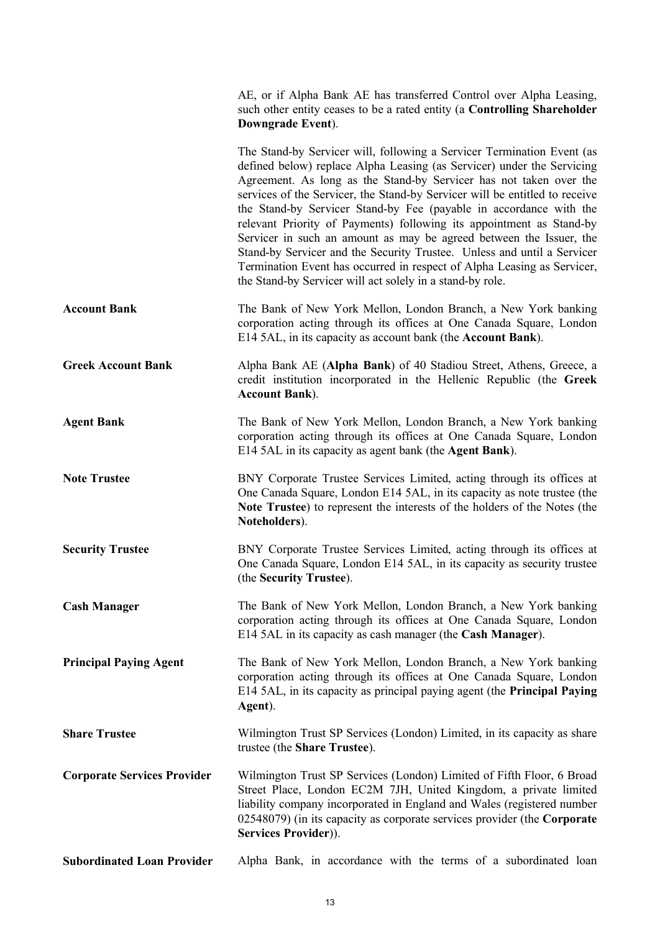|                                    | AE, or if Alpha Bank AE has transferred Control over Alpha Leasing,<br>such other entity ceases to be a rated entity (a Controlling Shareholder<br>Downgrade Event).                                                                                                                                                                                                                                                                                                                                                                                                                                                                                                                                                                          |
|------------------------------------|-----------------------------------------------------------------------------------------------------------------------------------------------------------------------------------------------------------------------------------------------------------------------------------------------------------------------------------------------------------------------------------------------------------------------------------------------------------------------------------------------------------------------------------------------------------------------------------------------------------------------------------------------------------------------------------------------------------------------------------------------|
|                                    | The Stand-by Servicer will, following a Servicer Termination Event (as<br>defined below) replace Alpha Leasing (as Servicer) under the Servicing<br>Agreement. As long as the Stand-by Servicer has not taken over the<br>services of the Servicer, the Stand-by Servicer will be entitled to receive<br>the Stand-by Servicer Stand-by Fee (payable in accordance with the<br>relevant Priority of Payments) following its appointment as Stand-by<br>Servicer in such an amount as may be agreed between the Issuer, the<br>Stand-by Servicer and the Security Trustee. Unless and until a Servicer<br>Termination Event has occurred in respect of Alpha Leasing as Servicer,<br>the Stand-by Servicer will act solely in a stand-by role. |
| <b>Account Bank</b>                | The Bank of New York Mellon, London Branch, a New York banking<br>corporation acting through its offices at One Canada Square, London<br>E14 5AL, in its capacity as account bank (the Account Bank).                                                                                                                                                                                                                                                                                                                                                                                                                                                                                                                                         |
| <b>Greek Account Bank</b>          | Alpha Bank AE (Alpha Bank) of 40 Stadiou Street, Athens, Greece, a<br>credit institution incorporated in the Hellenic Republic (the Greek<br><b>Account Bank</b> ).                                                                                                                                                                                                                                                                                                                                                                                                                                                                                                                                                                           |
| <b>Agent Bank</b>                  | The Bank of New York Mellon, London Branch, a New York banking<br>corporation acting through its offices at One Canada Square, London<br>E14 5AL in its capacity as agent bank (the <b>Agent Bank</b> ).                                                                                                                                                                                                                                                                                                                                                                                                                                                                                                                                      |
| <b>Note Trustee</b>                | BNY Corporate Trustee Services Limited, acting through its offices at<br>One Canada Square, London E14 5AL, in its capacity as note trustee (the<br>Note Trustee) to represent the interests of the holders of the Notes (the<br>Noteholders).                                                                                                                                                                                                                                                                                                                                                                                                                                                                                                |
| <b>Security Trustee</b>            | BNY Corporate Trustee Services Limited, acting through its offices at<br>One Canada Square, London E14 5AL, in its capacity as security trustee<br>(the Security Trustee).                                                                                                                                                                                                                                                                                                                                                                                                                                                                                                                                                                    |
| <b>Cash Manager</b>                | The Bank of New York Mellon, London Branch, a New York banking<br>corporation acting through its offices at One Canada Square, London<br>E14 5AL in its capacity as cash manager (the Cash Manager).                                                                                                                                                                                                                                                                                                                                                                                                                                                                                                                                          |
| <b>Principal Paying Agent</b>      | The Bank of New York Mellon, London Branch, a New York banking<br>corporation acting through its offices at One Canada Square, London<br>E14 5AL, in its capacity as principal paying agent (the Principal Paying<br>Agent).                                                                                                                                                                                                                                                                                                                                                                                                                                                                                                                  |
| <b>Share Trustee</b>               | Wilmington Trust SP Services (London) Limited, in its capacity as share<br>trustee (the Share Trustee).                                                                                                                                                                                                                                                                                                                                                                                                                                                                                                                                                                                                                                       |
| <b>Corporate Services Provider</b> | Wilmington Trust SP Services (London) Limited of Fifth Floor, 6 Broad<br>Street Place, London EC2M 7JH, United Kingdom, a private limited<br>liability company incorporated in England and Wales (registered number<br>02548079) (in its capacity as corporate services provider (the Corporate<br>Services Provider)).                                                                                                                                                                                                                                                                                                                                                                                                                       |
| <b>Subordinated Loan Provider</b>  | Alpha Bank, in accordance with the terms of a subordinated loan                                                                                                                                                                                                                                                                                                                                                                                                                                                                                                                                                                                                                                                                               |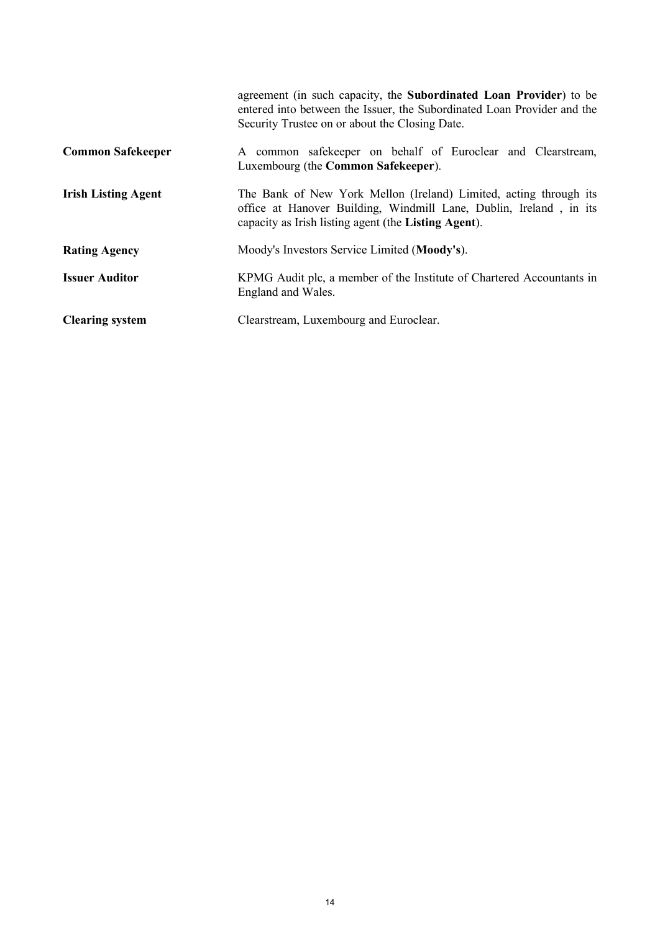|                            | agreement (in such capacity, the Subordinated Loan Provider) to be<br>entered into between the Issuer, the Subordinated Loan Provider and the<br>Security Trustee on or about the Closing Date. |
|----------------------------|-------------------------------------------------------------------------------------------------------------------------------------------------------------------------------------------------|
| <b>Common Safekeeper</b>   | A common safekeeper on behalf of Euroclear and Clearstream,<br>Luxembourg (the Common Safekeeper).                                                                                              |
| <b>Irish Listing Agent</b> | The Bank of New York Mellon (Ireland) Limited, acting through its<br>office at Hanover Building, Windmill Lane, Dublin, Ireland, in its<br>capacity as Irish listing agent (the Listing Agent). |
| <b>Rating Agency</b>       | Moody's Investors Service Limited (Moody's).                                                                                                                                                    |
| <b>Issuer Auditor</b>      | KPMG Audit plc, a member of the Institute of Chartered Accountants in<br>England and Wales.                                                                                                     |
| <b>Clearing system</b>     | Clearstream, Luxembourg and Euroclear.                                                                                                                                                          |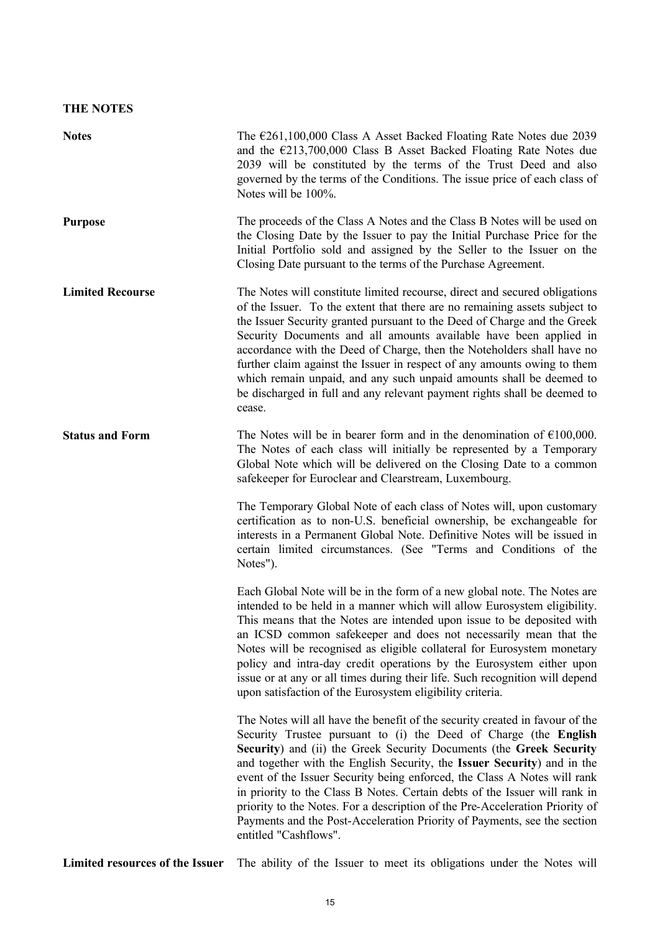## **THE NOTES**

| <b>Notes</b>            | The $\epsilon$ 261,100,000 Class A Asset Backed Floating Rate Notes due 2039<br>and the $\epsilon$ 213,700,000 Class B Asset Backed Floating Rate Notes due<br>2039 will be constituted by the terms of the Trust Deed and also<br>governed by the terms of the Conditions. The issue price of each class of<br>Notes will be 100%.                                                                                                                                                                                                                                                                                                               |
|-------------------------|---------------------------------------------------------------------------------------------------------------------------------------------------------------------------------------------------------------------------------------------------------------------------------------------------------------------------------------------------------------------------------------------------------------------------------------------------------------------------------------------------------------------------------------------------------------------------------------------------------------------------------------------------|
| <b>Purpose</b>          | The proceeds of the Class A Notes and the Class B Notes will be used on<br>the Closing Date by the Issuer to pay the Initial Purchase Price for the<br>Initial Portfolio sold and assigned by the Seller to the Issuer on the<br>Closing Date pursuant to the terms of the Purchase Agreement.                                                                                                                                                                                                                                                                                                                                                    |
| <b>Limited Recourse</b> | The Notes will constitute limited recourse, direct and secured obligations<br>of the Issuer. To the extent that there are no remaining assets subject to<br>the Issuer Security granted pursuant to the Deed of Charge and the Greek<br>Security Documents and all amounts available have been applied in<br>accordance with the Deed of Charge, then the Noteholders shall have no<br>further claim against the Issuer in respect of any amounts owing to them<br>which remain unpaid, and any such unpaid amounts shall be deemed to<br>be discharged in full and any relevant payment rights shall be deemed to<br>cease.                      |
| <b>Status and Form</b>  | The Notes will be in bearer form and in the denomination of $\epsilon$ 100,000.<br>The Notes of each class will initially be represented by a Temporary<br>Global Note which will be delivered on the Closing Date to a common<br>safekeeper for Euroclear and Clearstream, Luxembourg.                                                                                                                                                                                                                                                                                                                                                           |
|                         | The Temporary Global Note of each class of Notes will, upon customary<br>certification as to non-U.S. beneficial ownership, be exchangeable for<br>interests in a Permanent Global Note. Definitive Notes will be issued in<br>certain limited circumstances. (See "Terms and Conditions of the<br>Notes").                                                                                                                                                                                                                                                                                                                                       |
|                         | Each Global Note will be in the form of a new global note. The Notes are<br>intended to be held in a manner which will allow Eurosystem eligibility.<br>This means that the Notes are intended upon issue to be deposited with<br>an ICSD common safekeeper and does not necessarily mean that the<br>Notes will be recognised as eligible collateral for Eurosystem monetary<br>policy and intra-day credit operations by the Eurosystem either upon<br>issue or at any or all times during their life. Such recognition will depend<br>upon satisfaction of the Eurosystem eligibility criteria.                                                |
|                         | The Notes will all have the benefit of the security created in favour of the<br>Security Trustee pursuant to (i) the Deed of Charge (the English<br>Security) and (ii) the Greek Security Documents (the Greek Security<br>and together with the English Security, the Issuer Security) and in the<br>event of the Issuer Security being enforced, the Class A Notes will rank<br>in priority to the Class B Notes. Certain debts of the Issuer will rank in<br>priority to the Notes. For a description of the Pre-Acceleration Priority of<br>Payments and the Post-Acceleration Priority of Payments, see the section<br>entitled "Cashflows". |

**Limited resources of the Issuer** The ability of the Issuer to meet its obligations under the Notes will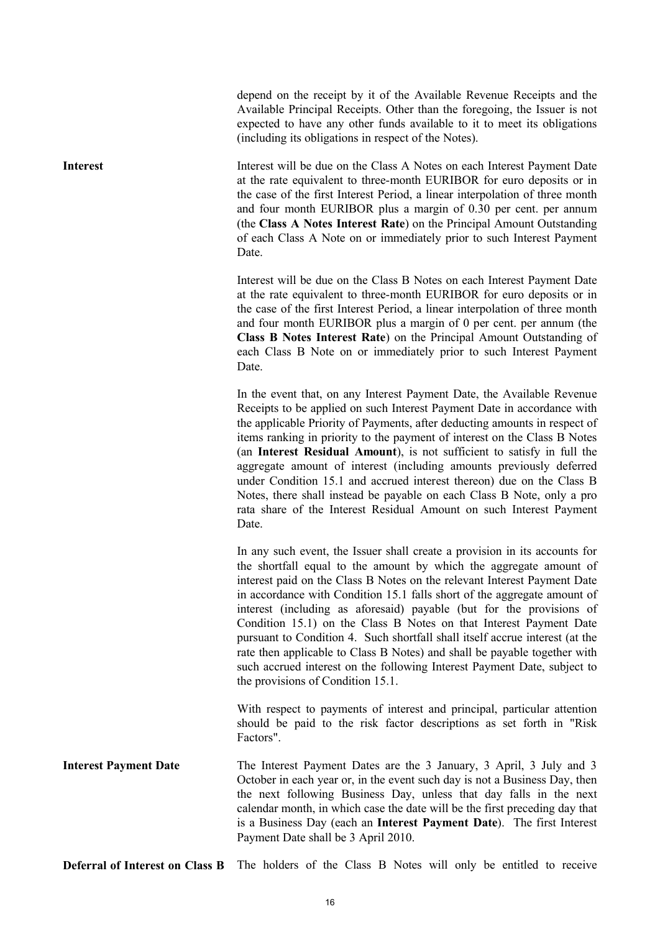depend on the receipt by it of the Available Revenue Receipts and the Available Principal Receipts. Other than the foregoing, the Issuer is not expected to have any other funds available to it to meet its obligations (including its obligations in respect of the Notes).

**Interest** Interest Will be due on the Class A Notes on each Interest Payment Date at the rate equivalent to three-month EURIBOR for euro deposits or in the case of the first Interest Period, a linear interpolation of three month and four month EURIBOR plus a margin of 0.30 per cent. per annum (the **Class A Notes Interest Rate**) on the Principal Amount Outstanding of each Class A Note on or immediately prior to such Interest Payment **Date** 

> Interest will be due on the Class B Notes on each Interest Payment Date at the rate equivalent to three-month EURIBOR for euro deposits or in the case of the first Interest Period, a linear interpolation of three month and four month EURIBOR plus a margin of 0 per cent. per annum (the **Class B Notes Interest Rate**) on the Principal Amount Outstanding of each Class B Note on or immediately prior to such Interest Payment Date.

> In the event that, on any Interest Payment Date, the Available Revenue Receipts to be applied on such Interest Payment Date in accordance with the applicable Priority of Payments, after deducting amounts in respect of items ranking in priority to the payment of interest on the Class B Notes (an **Interest Residual Amount**), is not sufficient to satisfy in full the aggregate amount of interest (including amounts previously deferred under Condition 15.1 and accrued interest thereon) due on the Class B Notes, there shall instead be payable on each Class B Note, only a pro rata share of the Interest Residual Amount on such Interest Payment Date.

> In any such event, the Issuer shall create a provision in its accounts for the shortfall equal to the amount by which the aggregate amount of interest paid on the Class B Notes on the relevant Interest Payment Date in accordance with Condition 15.1 falls short of the aggregate amount of interest (including as aforesaid) payable (but for the provisions of Condition 15.1) on the Class B Notes on that Interest Payment Date pursuant to Condition 4. Such shortfall shall itself accrue interest (at the rate then applicable to Class B Notes) and shall be payable together with such accrued interest on the following Interest Payment Date, subject to the provisions of Condition 15.1.

> With respect to payments of interest and principal, particular attention should be paid to the risk factor descriptions as set forth in "Risk Factors".

**Interest Payment Date** The Interest Payment Dates are the 3 January, 3 April, 3 July and 3 October in each year or, in the event such day is not a Business Day, then the next following Business Day, unless that day falls in the next calendar month, in which case the date will be the first preceding day that is a Business Day (each an **Interest Payment Date**). The first Interest Payment Date shall be 3 April 2010.

**Deferral of Interest on Class B** The holders of the Class B Notes will only be entitled to receive

16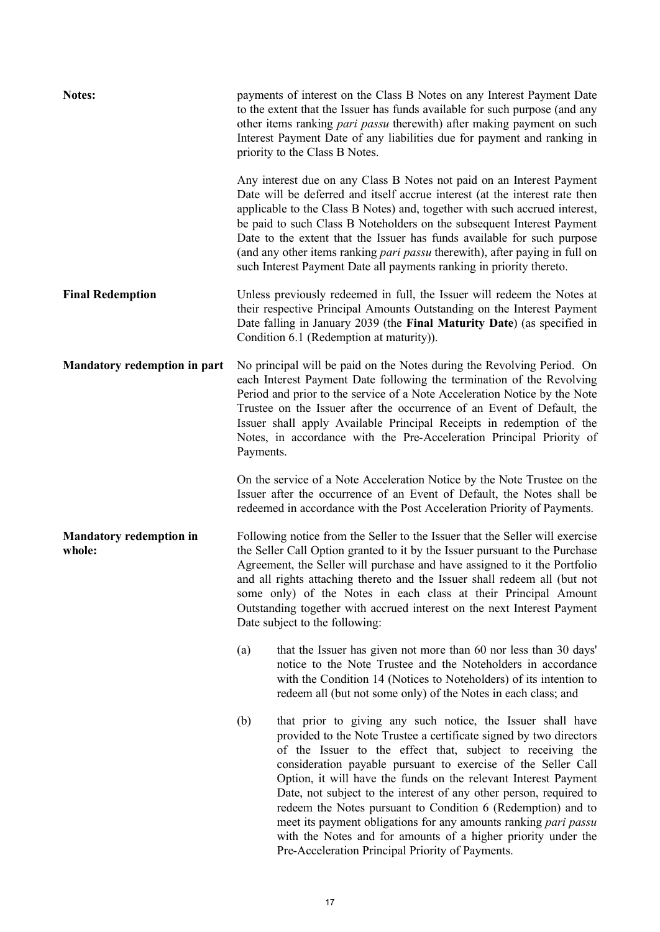| <b>Notes:</b>                            | payments of interest on the Class B Notes on any Interest Payment Date<br>to the extent that the Issuer has funds available for such purpose (and any<br>other items ranking <i>pari passu</i> therewith) after making payment on such<br>Interest Payment Date of any liabilities due for payment and ranking in<br>priority to the Class B Notes.                                                                                                                                                                                                                                                                                                                             |
|------------------------------------------|---------------------------------------------------------------------------------------------------------------------------------------------------------------------------------------------------------------------------------------------------------------------------------------------------------------------------------------------------------------------------------------------------------------------------------------------------------------------------------------------------------------------------------------------------------------------------------------------------------------------------------------------------------------------------------|
|                                          | Any interest due on any Class B Notes not paid on an Interest Payment<br>Date will be deferred and itself accrue interest (at the interest rate then<br>applicable to the Class B Notes) and, together with such accrued interest,<br>be paid to such Class B Noteholders on the subsequent Interest Payment<br>Date to the extent that the Issuer has funds available for such purpose<br>(and any other items ranking <i>pari passu</i> therewith), after paying in full on<br>such Interest Payment Date all payments ranking in priority thereto.                                                                                                                           |
| <b>Final Redemption</b>                  | Unless previously redeemed in full, the Issuer will redeem the Notes at<br>their respective Principal Amounts Outstanding on the Interest Payment<br>Date falling in January 2039 (the Final Maturity Date) (as specified in<br>Condition 6.1 (Redemption at maturity)).                                                                                                                                                                                                                                                                                                                                                                                                        |
| Mandatory redemption in part             | No principal will be paid on the Notes during the Revolving Period. On<br>each Interest Payment Date following the termination of the Revolving<br>Period and prior to the service of a Note Acceleration Notice by the Note<br>Trustee on the Issuer after the occurrence of an Event of Default, the<br>Issuer shall apply Available Principal Receipts in redemption of the<br>Notes, in accordance with the Pre-Acceleration Principal Priority of<br>Payments.                                                                                                                                                                                                             |
|                                          | On the service of a Note Acceleration Notice by the Note Trustee on the<br>Issuer after the occurrence of an Event of Default, the Notes shall be<br>redeemed in accordance with the Post Acceleration Priority of Payments.                                                                                                                                                                                                                                                                                                                                                                                                                                                    |
| <b>Mandatory redemption in</b><br>whole: | Following notice from the Seller to the Issuer that the Seller will exercise<br>the Seller Call Option granted to it by the Issuer pursuant to the Purchase<br>Agreement, the Seller will purchase and have assigned to it the Portfolio<br>and all rights attaching thereto and the Issuer shall redeem all (but not<br>some only) of the Notes in each class at their Principal Amount<br>Outstanding together with accrued interest on the next Interest Payment<br>Date subject to the following:                                                                                                                                                                           |
|                                          | that the Issuer has given not more than 60 nor less than 30 days'<br>(a)<br>notice to the Note Trustee and the Noteholders in accordance<br>with the Condition 14 (Notices to Noteholders) of its intention to<br>redeem all (but not some only) of the Notes in each class; and                                                                                                                                                                                                                                                                                                                                                                                                |
|                                          | that prior to giving any such notice, the Issuer shall have<br>(b)<br>provided to the Note Trustee a certificate signed by two directors<br>of the Issuer to the effect that, subject to receiving the<br>consideration payable pursuant to exercise of the Seller Call<br>Option, it will have the funds on the relevant Interest Payment<br>Date, not subject to the interest of any other person, required to<br>redeem the Notes pursuant to Condition 6 (Redemption) and to<br>meet its payment obligations for any amounts ranking <i>pari passu</i><br>with the Notes and for amounts of a higher priority under the<br>Pre-Acceleration Principal Priority of Payments. |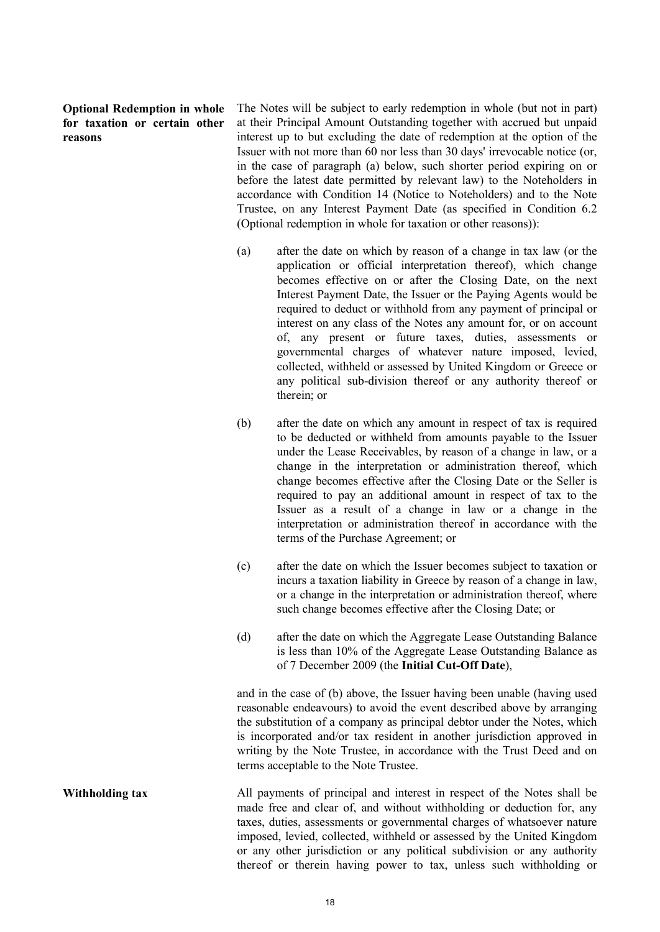**Optional Redemption in whole for taxation or certain other reasons**

The Notes will be subject to early redemption in whole (but not in part) at their Principal Amount Outstanding together with accrued but unpaid interest up to but excluding the date of redemption at the option of the Issuer with not more than 60 nor less than 30 days' irrevocable notice (or, in the case of paragraph (a) below, such shorter period expiring on or before the latest date permitted by relevant law) to the Noteholders in accordance with Condition 14 (Notice to Noteholders) and to the Note Trustee, on any Interest Payment Date (as specified in Condition 6.2 (Optional redemption in whole for taxation or other reasons)):

- (a) after the date on which by reason of a change in tax law (or the application or official interpretation thereof), which change becomes effective on or after the Closing Date, on the next Interest Payment Date, the Issuer or the Paying Agents would be required to deduct or withhold from any payment of principal or interest on any class of the Notes any amount for, or on account of, any present or future taxes, duties, assessments or governmental charges of whatever nature imposed, levied, collected, withheld or assessed by United Kingdom or Greece or any political sub-division thereof or any authority thereof or therein; or
- (b) after the date on which any amount in respect of tax is required to be deducted or withheld from amounts payable to the Issuer under the Lease Receivables, by reason of a change in law, or a change in the interpretation or administration thereof, which change becomes effective after the Closing Date or the Seller is required to pay an additional amount in respect of tax to the Issuer as a result of a change in law or a change in the interpretation or administration thereof in accordance with the terms of the Purchase Agreement; or
- (c) after the date on which the Issuer becomes subject to taxation or incurs a taxation liability in Greece by reason of a change in law, or a change in the interpretation or administration thereof, where such change becomes effective after the Closing Date; or
- (d) after the date on which the Aggregate Lease Outstanding Balance is less than 10% of the Aggregate Lease Outstanding Balance as of 7 December 2009 (the **Initial Cut-Off Date**),

and in the case of (b) above, the Issuer having been unable (having used reasonable endeavours) to avoid the event described above by arranging the substitution of a company as principal debtor under the Notes, which is incorporated and/or tax resident in another jurisdiction approved in writing by the Note Trustee, in accordance with the Trust Deed and on terms acceptable to the Note Trustee.

**Withholding tax** All payments of principal and interest in respect of the Notes shall be made free and clear of, and without withholding or deduction for, any taxes, duties, assessments or governmental charges of whatsoever nature imposed, levied, collected, withheld or assessed by the United Kingdom or any other jurisdiction or any political subdivision or any authority thereof or therein having power to tax, unless such withholding or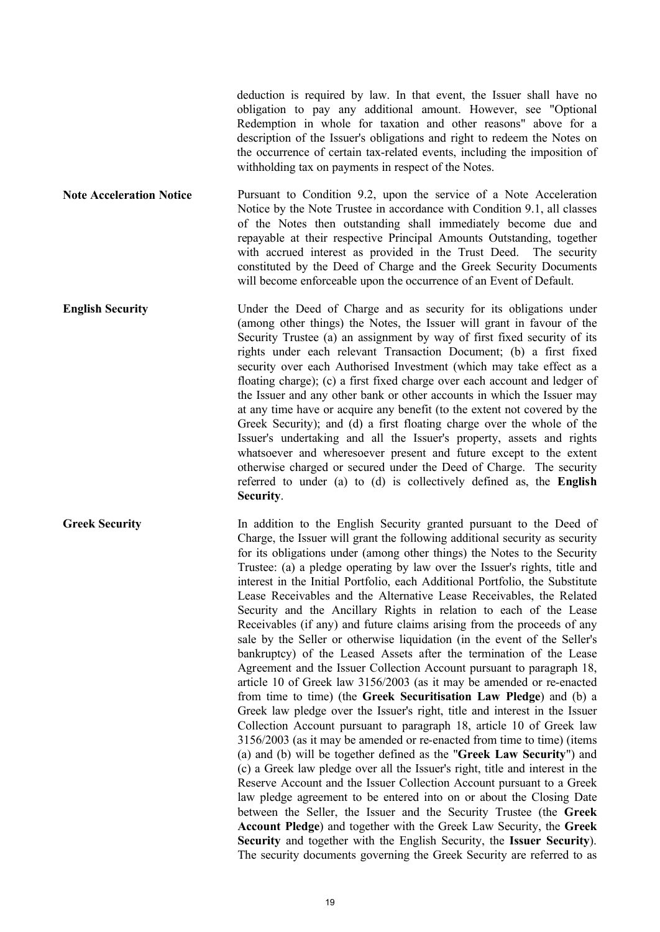deduction is required by law. In that event, the Issuer shall have no obligation to pay any additional amount. However, see "Optional Redemption in whole for taxation and other reasons" above for a description of the Issuer's obligations and right to redeem the Notes on the occurrence of certain tax-related events, including the imposition of withholding tax on payments in respect of the Notes.

**Note Acceleration Notice** Pursuant to Condition 9.2, upon the service of a Note Acceleration Notice by the Note Trustee in accordance with Condition 9.1, all classes of the Notes then outstanding shall immediately become due and repayable at their respective Principal Amounts Outstanding, together with accrued interest as provided in the Trust Deed. The security constituted by the Deed of Charge and the Greek Security Documents will become enforceable upon the occurrence of an Event of Default.

**English Security** Under the Deed of Charge and as security for its obligations under (among other things) the Notes, the Issuer will grant in favour of the Security Trustee (a) an assignment by way of first fixed security of its rights under each relevant Transaction Document; (b) a first fixed security over each Authorised Investment (which may take effect as a floating charge); (c) a first fixed charge over each account and ledger of the Issuer and any other bank or other accounts in which the Issuer may at any time have or acquire any benefit (to the extent not covered by the Greek Security); and (d) a first floating charge over the whole of the Issuer's undertaking and all the Issuer's property, assets and rights whatsoever and wheresoever present and future except to the extent otherwise charged or secured under the Deed of Charge. The security referred to under (a) to (d) is collectively defined as, the **English Security**.

Greek Security In addition to the English Security granted pursuant to the Deed of Charge, the Issuer will grant the following additional security as security for its obligations under (among other things) the Notes to the Security Trustee: (a) a pledge operating by law over the Issuer's rights, title and interest in the Initial Portfolio, each Additional Portfolio, the Substitute Lease Receivables and the Alternative Lease Receivables, the Related Security and the Ancillary Rights in relation to each of the Lease Receivables (if any) and future claims arising from the proceeds of any sale by the Seller or otherwise liquidation (in the event of the Seller's bankruptcy) of the Leased Assets after the termination of the Lease Agreement and the Issuer Collection Account pursuant to paragraph 18, article 10 of Greek law 3156/2003 (as it may be amended or re-enacted from time to time) (the **Greek Securitisation Law Pledge**) and (b) a Greek law pledge over the Issuer's right, title and interest in the Issuer Collection Account pursuant to paragraph 18, article 10 of Greek law 3156/2003 (as it may be amended or re-enacted from time to time) (items (a) and (b) will be together defined as the "**Greek Law Security**") and (c) a Greek law pledge over all the Issuer's right, title and interest in the Reserve Account and the Issuer Collection Account pursuant to a Greek law pledge agreement to be entered into on or about the Closing Date between the Seller, the Issuer and the Security Trustee (the **Greek Account Pledge**) and together with the Greek Law Security, the **Greek Security** and together with the English Security, the **Issuer Security**). The security documents governing the Greek Security are referred to as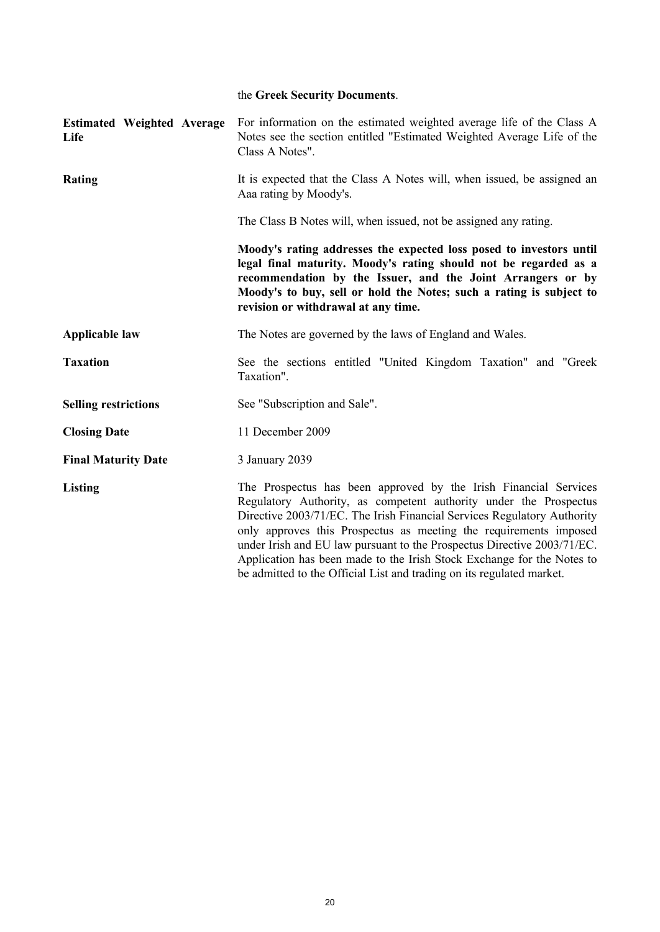|                                           | the Greek Security Documents.                                                                                                                                                                                                                                                                                                                                                                                                                                                                                       |
|-------------------------------------------|---------------------------------------------------------------------------------------------------------------------------------------------------------------------------------------------------------------------------------------------------------------------------------------------------------------------------------------------------------------------------------------------------------------------------------------------------------------------------------------------------------------------|
| <b>Estimated Weighted Average</b><br>Life | For information on the estimated weighted average life of the Class A<br>Notes see the section entitled "Estimated Weighted Average Life of the<br>Class A Notes".                                                                                                                                                                                                                                                                                                                                                  |
| <b>Rating</b>                             | It is expected that the Class A Notes will, when issued, be assigned an<br>Aaa rating by Moody's.                                                                                                                                                                                                                                                                                                                                                                                                                   |
|                                           | The Class B Notes will, when issued, not be assigned any rating.                                                                                                                                                                                                                                                                                                                                                                                                                                                    |
|                                           | Moody's rating addresses the expected loss posed to investors until<br>legal final maturity. Moody's rating should not be regarded as a<br>recommendation by the Issuer, and the Joint Arrangers or by<br>Moody's to buy, sell or hold the Notes; such a rating is subject to<br>revision or withdrawal at any time.                                                                                                                                                                                                |
| <b>Applicable law</b>                     | The Notes are governed by the laws of England and Wales.                                                                                                                                                                                                                                                                                                                                                                                                                                                            |
| <b>Taxation</b>                           | See the sections entitled "United Kingdom Taxation" and "Greek<br>Taxation".                                                                                                                                                                                                                                                                                                                                                                                                                                        |
| <b>Selling restrictions</b>               | See "Subscription and Sale".                                                                                                                                                                                                                                                                                                                                                                                                                                                                                        |
| <b>Closing Date</b>                       | 11 December 2009                                                                                                                                                                                                                                                                                                                                                                                                                                                                                                    |
| <b>Final Maturity Date</b>                | 3 January 2039                                                                                                                                                                                                                                                                                                                                                                                                                                                                                                      |
| <b>Listing</b>                            | The Prospectus has been approved by the Irish Financial Services<br>Regulatory Authority, as competent authority under the Prospectus<br>Directive 2003/71/EC. The Irish Financial Services Regulatory Authority<br>only approves this Prospectus as meeting the requirements imposed<br>under Irish and EU law pursuant to the Prospectus Directive 2003/71/EC.<br>Application has been made to the Irish Stock Exchange for the Notes to<br>be admitted to the Official List and trading on its regulated market. |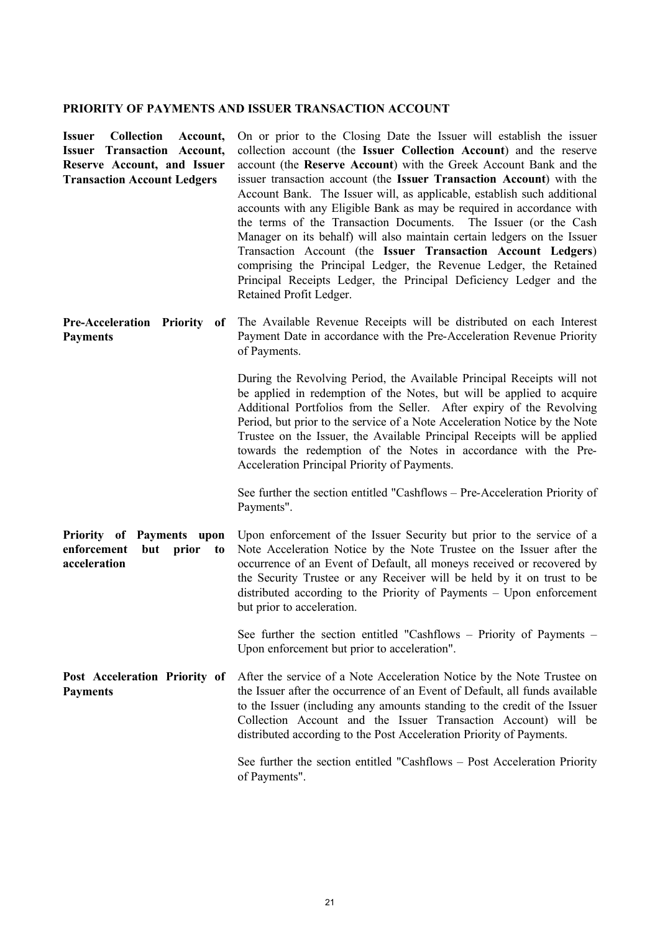# **PRIORITY OF PAYMENTS AND ISSUER TRANSACTION ACCOUNT**

| Collection Account,<br><b>Issuer</b><br><b>Transaction Account,</b><br>Issuer<br>Reserve Account, and Issuer<br><b>Transaction Account Ledgers</b> | On or prior to the Closing Date the Issuer will establish the issuer<br>collection account (the Issuer Collection Account) and the reserve<br>account (the Reserve Account) with the Greek Account Bank and the<br>issuer transaction account (the Issuer Transaction Account) with the<br>Account Bank. The Issuer will, as applicable, establish such additional<br>accounts with any Eligible Bank as may be required in accordance with<br>the terms of the Transaction Documents. The Issuer (or the Cash<br>Manager on its behalf) will also maintain certain ledgers on the Issuer<br>Transaction Account (the Issuer Transaction Account Ledgers)<br>comprising the Principal Ledger, the Revenue Ledger, the Retained<br>Principal Receipts Ledger, the Principal Deficiency Ledger and the<br>Retained Profit Ledger. |
|----------------------------------------------------------------------------------------------------------------------------------------------------|---------------------------------------------------------------------------------------------------------------------------------------------------------------------------------------------------------------------------------------------------------------------------------------------------------------------------------------------------------------------------------------------------------------------------------------------------------------------------------------------------------------------------------------------------------------------------------------------------------------------------------------------------------------------------------------------------------------------------------------------------------------------------------------------------------------------------------|
| <b>Pre-Acceleration Priority</b><br>of<br><b>Payments</b>                                                                                          | The Available Revenue Receipts will be distributed on each Interest<br>Payment Date in accordance with the Pre-Acceleration Revenue Priority<br>of Payments.                                                                                                                                                                                                                                                                                                                                                                                                                                                                                                                                                                                                                                                                    |
|                                                                                                                                                    | During the Revolving Period, the Available Principal Receipts will not<br>be applied in redemption of the Notes, but will be applied to acquire<br>Additional Portfolios from the Seller. After expiry of the Revolving<br>Period, but prior to the service of a Note Acceleration Notice by the Note<br>Trustee on the Issuer, the Available Principal Receipts will be applied<br>towards the redemption of the Notes in accordance with the Pre-<br>Acceleration Principal Priority of Payments.                                                                                                                                                                                                                                                                                                                             |
|                                                                                                                                                    | See further the section entitled "Cashflows – Pre-Acceleration Priority of<br>Payments".                                                                                                                                                                                                                                                                                                                                                                                                                                                                                                                                                                                                                                                                                                                                        |
| Priority of Payments upon<br>enforcement<br>but<br>prior<br>to<br>acceleration                                                                     | Upon enforcement of the Issuer Security but prior to the service of a<br>Note Acceleration Notice by the Note Trustee on the Issuer after the<br>occurrence of an Event of Default, all moneys received or recovered by<br>the Security Trustee or any Receiver will be held by it on trust to be<br>distributed according to the Priority of Payments - Upon enforcement<br>but prior to acceleration.                                                                                                                                                                                                                                                                                                                                                                                                                         |
|                                                                                                                                                    | See further the section entitled "Cashflows – Priority of Payments –<br>Upon enforcement but prior to acceleration".                                                                                                                                                                                                                                                                                                                                                                                                                                                                                                                                                                                                                                                                                                            |
| Post Acceleration Priority of<br><b>Payments</b>                                                                                                   | After the service of a Note Acceleration Notice by the Note Trustee on<br>the Issuer after the occurrence of an Event of Default, all funds available<br>to the Issuer (including any amounts standing to the credit of the Issuer<br>Collection Account and the Issuer Transaction Account) will be<br>distributed according to the Post Acceleration Priority of Payments.                                                                                                                                                                                                                                                                                                                                                                                                                                                    |
|                                                                                                                                                    | See further the section entitled "Cashflows – Post Acceleration Priority<br>of Payments".                                                                                                                                                                                                                                                                                                                                                                                                                                                                                                                                                                                                                                                                                                                                       |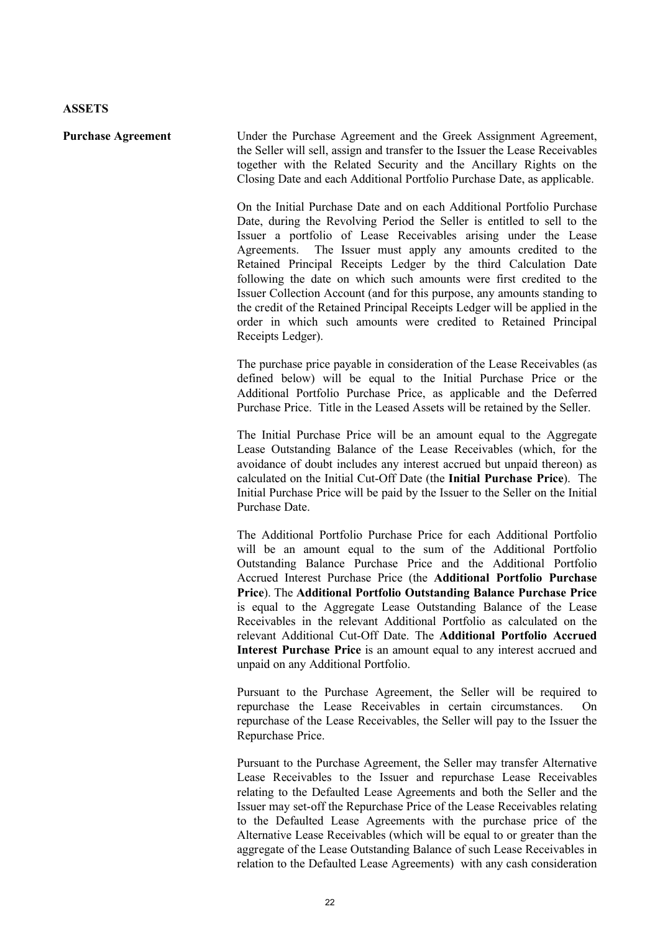**Purchase Agreement** Under the Purchase Agreement and the Greek Assignment Agreement, the Seller will sell, assign and transfer to the Issuer the Lease Receivables together with the Related Security and the Ancillary Rights on the Closing Date and each Additional Portfolio Purchase Date, as applicable.

> On the Initial Purchase Date and on each Additional Portfolio Purchase Date, during the Revolving Period the Seller is entitled to sell to the Issuer a portfolio of Lease Receivables arising under the Lease Agreements. The Issuer must apply any amounts credited to the Retained Principal Receipts Ledger by the third Calculation Date following the date on which such amounts were first credited to the Issuer Collection Account (and for this purpose, any amounts standing to the credit of the Retained Principal Receipts Ledger will be applied in the order in which such amounts were credited to Retained Principal Receipts Ledger).

> The purchase price payable in consideration of the Lease Receivables (as defined below) will be equal to the Initial Purchase Price or the Additional Portfolio Purchase Price, as applicable and the Deferred Purchase Price. Title in the Leased Assets will be retained by the Seller.

> The Initial Purchase Price will be an amount equal to the Aggregate Lease Outstanding Balance of the Lease Receivables (which, for the avoidance of doubt includes any interest accrued but unpaid thereon) as calculated on the Initial Cut-Off Date (the **Initial Purchase Price**). The Initial Purchase Price will be paid by the Issuer to the Seller on the Initial Purchase Date.

> The Additional Portfolio Purchase Price for each Additional Portfolio will be an amount equal to the sum of the Additional Portfolio Outstanding Balance Purchase Price and the Additional Portfolio Accrued Interest Purchase Price (the **Additional Portfolio Purchase Price**). The **Additional Portfolio Outstanding Balance Purchase Price** is equal to the Aggregate Lease Outstanding Balance of the Lease Receivables in the relevant Additional Portfolio as calculated on the relevant Additional Cut-Off Date. The **Additional Portfolio Accrued Interest Purchase Price** is an amount equal to any interest accrued and unpaid on any Additional Portfolio.

> Pursuant to the Purchase Agreement, the Seller will be required to repurchase the Lease Receivables in certain circumstances. On repurchase of the Lease Receivables, the Seller will pay to the Issuer the Repurchase Price.

> Pursuant to the Purchase Agreement, the Seller may transfer Alternative Lease Receivables to the Issuer and repurchase Lease Receivables relating to the Defaulted Lease Agreements and both the Seller and the Issuer may set-off the Repurchase Price of the Lease Receivables relating to the Defaulted Lease Agreements with the purchase price of the Alternative Lease Receivables (which will be equal to or greater than the aggregate of the Lease Outstanding Balance of such Lease Receivables in relation to the Defaulted Lease Agreements) with any cash consideration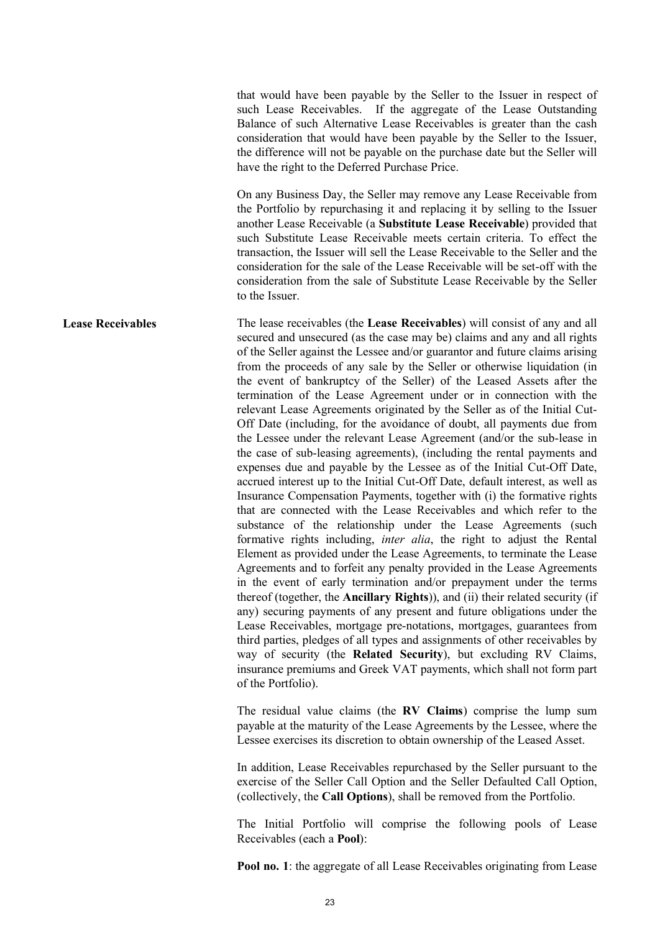that would have been payable by the Seller to the Issuer in respect of such Lease Receivables. If the aggregate of the Lease Outstanding Balance of such Alternative Lease Receivables is greater than the cash consideration that would have been payable by the Seller to the Issuer, the difference will not be payable on the purchase date but the Seller will have the right to the Deferred Purchase Price.

On any Business Day, the Seller may remove any Lease Receivable from the Portfolio by repurchasing it and replacing it by selling to the Issuer another Lease Receivable (a **Substitute Lease Receivable**) provided that such Substitute Lease Receivable meets certain criteria. To effect the transaction, the Issuer will sell the Lease Receivable to the Seller and the consideration for the sale of the Lease Receivable will be set-off with the consideration from the sale of Substitute Lease Receivable by the Seller to the Issuer.

**Lease Receivables** The lease receivables (the **Lease Receivables**) will consist of any and all secured and unsecured (as the case may be) claims and any and all rights of the Seller against the Lessee and/or guarantor and future claims arising from the proceeds of any sale by the Seller or otherwise liquidation (in the event of bankruptcy of the Seller) of the Leased Assets after the termination of the Lease Agreement under or in connection with the relevant Lease Agreements originated by the Seller as of the Initial Cut-Off Date (including, for the avoidance of doubt, all payments due from the Lessee under the relevant Lease Agreement (and/or the sub-lease in the case of sub-leasing agreements), (including the rental payments and expenses due and payable by the Lessee as of the Initial Cut-Off Date, accrued interest up to the Initial Cut-Off Date, default interest, as well as Insurance Compensation Payments, together with (i) the formative rights that are connected with the Lease Receivables and which refer to the substance of the relationship under the Lease Agreements (such formative rights including, *inter alia*, the right to adjust the Rental Element as provided under the Lease Agreements, to terminate the Lease Agreements and to forfeit any penalty provided in the Lease Agreements in the event of early termination and/or prepayment under the terms thereof (together, the **Ancillary Rights**)), and (ii) their related security (if any) securing payments of any present and future obligations under the Lease Receivables, mortgage pre-notations, mortgages, guarantees from third parties, pledges of all types and assignments of other receivables by way of security (the **Related Security**), but excluding RV Claims, insurance premiums and Greek VAT payments, which shall not form part of the Portfolio).

> The residual value claims (the **RV Claims**) comprise the lump sum payable at the maturity of the Lease Agreements by the Lessee, where the Lessee exercises its discretion to obtain ownership of the Leased Asset.

> In addition, Lease Receivables repurchased by the Seller pursuant to the exercise of the Seller Call Option and the Seller Defaulted Call Option, (collectively, the **Call Options**), shall be removed from the Portfolio.

> The Initial Portfolio will comprise the following pools of Lease Receivables (each a **Pool**):

> **Pool no. 1**: the aggregate of all Lease Receivables originating from Lease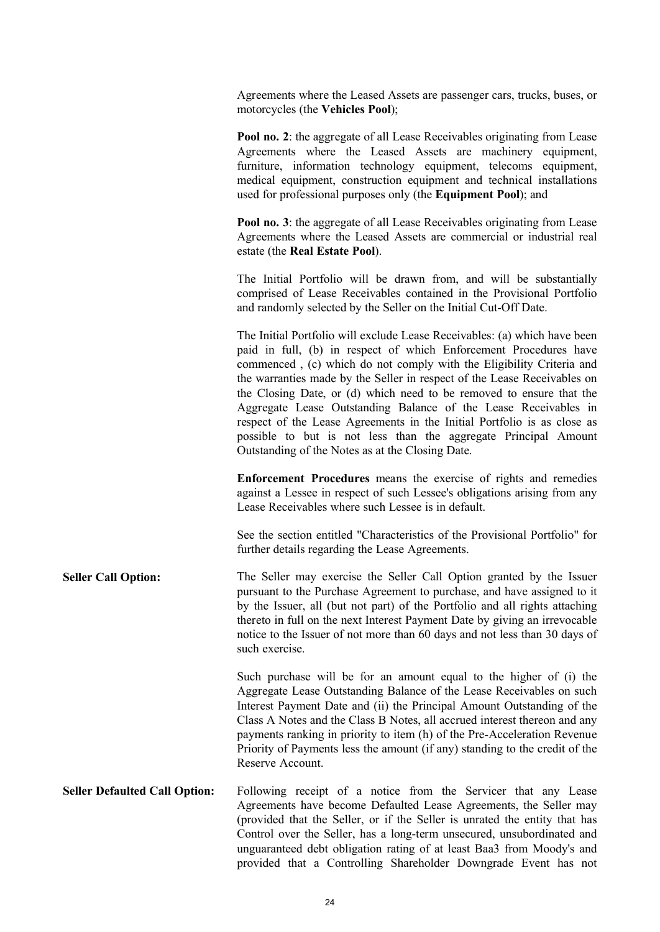Agreements where the Leased Assets are passenger cars, trucks, buses, or motorcycles (the **Vehicles Pool**);

**Pool no. 2**: the aggregate of all Lease Receivables originating from Lease Agreements where the Leased Assets are machinery equipment, furniture, information technology equipment, telecoms equipment, medical equipment, construction equipment and technical installations used for professional purposes only (the **Equipment Pool**); and

**Pool no. 3**: the aggregate of all Lease Receivables originating from Lease Agreements where the Leased Assets are commercial or industrial real estate (the **Real Estate Pool**).

The Initial Portfolio will be drawn from, and will be substantially comprised of Lease Receivables contained in the Provisional Portfolio and randomly selected by the Seller on the Initial Cut-Off Date.

The Initial Portfolio will exclude Lease Receivables: (a) which have been paid in full, (b) in respect of which Enforcement Procedures have commenced , (c) which do not comply with the Eligibility Criteria and the warranties made by the Seller in respect of the Lease Receivables on the Closing Date, or (d) which need to be removed to ensure that the Aggregate Lease Outstanding Balance of the Lease Receivables in respect of the Lease Agreements in the Initial Portfolio is as close as possible to but is not less than the aggregate Principal Amount Outstanding of the Notes as at the Closing Date.

**Enforcement Procedures** means the exercise of rights and remedies against a Lessee in respect of such Lessee's obligations arising from any Lease Receivables where such Lessee is in default.

See the section entitled "Characteristics of the Provisional Portfolio" for further details regarding the Lease Agreements.

Seller Call Option: The Seller may exercise the Seller Call Option granted by the Issuer pursuant to the Purchase Agreement to purchase, and have assigned to it by the Issuer, all (but not part) of the Portfolio and all rights attaching thereto in full on the next Interest Payment Date by giving an irrevocable notice to the Issuer of not more than 60 days and not less than 30 days of such exercise.

> Such purchase will be for an amount equal to the higher of (i) the Aggregate Lease Outstanding Balance of the Lease Receivables on such Interest Payment Date and (ii) the Principal Amount Outstanding of the Class A Notes and the Class B Notes, all accrued interest thereon and any payments ranking in priority to item (h) of the Pre-Acceleration Revenue Priority of Payments less the amount (if any) standing to the credit of the Reserve Account.

**Seller Defaulted Call Option:** Following receipt of a notice from the Servicer that any Lease Agreements have become Defaulted Lease Agreements, the Seller may (provided that the Seller, or if the Seller is unrated the entity that has Control over the Seller, has a long-term unsecured, unsubordinated and unguaranteed debt obligation rating of at least Baa3 from Moody's and provided that a Controlling Shareholder Downgrade Event has not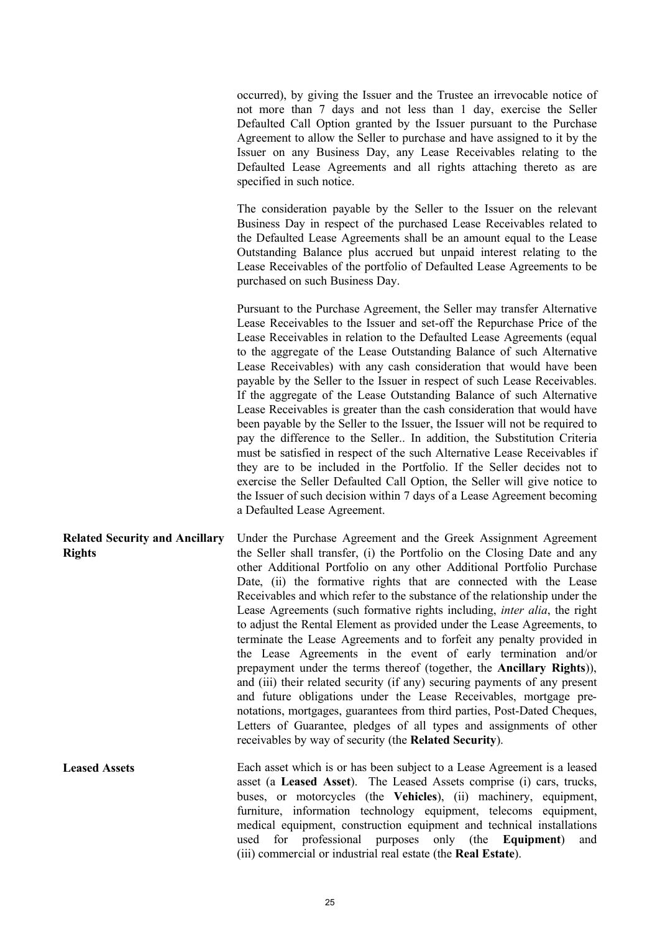occurred), by giving the Issuer and the Trustee an irrevocable notice of not more than 7 days and not less than 1 day, exercise the Seller Defaulted Call Option granted by the Issuer pursuant to the Purchase Agreement to allow the Seller to purchase and have assigned to it by the Issuer on any Business Day, any Lease Receivables relating to the Defaulted Lease Agreements and all rights attaching thereto as are specified in such notice.

The consideration payable by the Seller to the Issuer on the relevant Business Day in respect of the purchased Lease Receivables related to the Defaulted Lease Agreements shall be an amount equal to the Lease Outstanding Balance plus accrued but unpaid interest relating to the Lease Receivables of the portfolio of Defaulted Lease Agreements to be purchased on such Business Day.

Pursuant to the Purchase Agreement, the Seller may transfer Alternative Lease Receivables to the Issuer and set-off the Repurchase Price of the Lease Receivables in relation to the Defaulted Lease Agreements (equal to the aggregate of the Lease Outstanding Balance of such Alternative Lease Receivables) with any cash consideration that would have been payable by the Seller to the Issuer in respect of such Lease Receivables. If the aggregate of the Lease Outstanding Balance of such Alternative Lease Receivables is greater than the cash consideration that would have been payable by the Seller to the Issuer, the Issuer will not be required to pay the difference to the Seller.. In addition, the Substitution Criteria must be satisfied in respect of the such Alternative Lease Receivables if they are to be included in the Portfolio. If the Seller decides not to exercise the Seller Defaulted Call Option, the Seller will give notice to the Issuer of such decision within 7 days of a Lease Agreement becoming a Defaulted Lease Agreement.

**Related Security and Ancillary Rights** Under the Purchase Agreement and the Greek Assignment Agreement the Seller shall transfer, (i) the Portfolio on the Closing Date and any other Additional Portfolio on any other Additional Portfolio Purchase Date, (ii) the formative rights that are connected with the Lease Receivables and which refer to the substance of the relationship under the Lease Agreements (such formative rights including, *inter alia*, the right to adjust the Rental Element as provided under the Lease Agreements, to terminate the Lease Agreements and to forfeit any penalty provided in the Lease Agreements in the event of early termination and/or prepayment under the terms thereof (together, the **Ancillary Rights**)), and (iii) their related security (if any) securing payments of any present and future obligations under the Lease Receivables, mortgage prenotations, mortgages, guarantees from third parties, Post-Dated Cheques, Letters of Guarantee, pledges of all types and assignments of other receivables by way of security (the **Related Security**).

**Leased Assets** Each asset which is or has been subject to a Lease Agreement is a leased asset (a **Leased Asset**). The Leased Assets comprise (i) cars, trucks, buses, or motorcycles (the **Vehicles**), (ii) machinery, equipment, furniture, information technology equipment, telecoms equipment, medical equipment, construction equipment and technical installations used for professional purposes only (the **Equipment**) and (iii) commercial or industrial real estate (the **Real Estate**).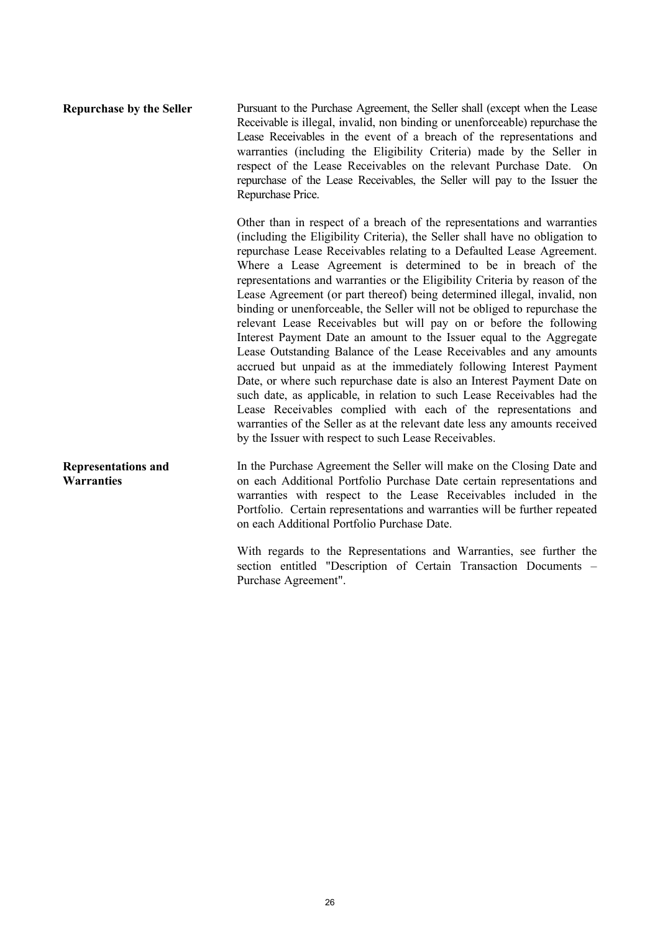**Repurchase by the Seller** Pursuant to the Purchase Agreement, the Seller shall (except when the Lease Receivable is illegal, invalid, non binding or unenforceable) repurchase the Lease Receivables in the event of a breach of the representations and warranties (including the Eligibility Criteria) made by the Seller in respect of the Lease Receivables on the relevant Purchase Date. On repurchase of the Lease Receivables, the Seller will pay to the Issuer the Repurchase Price.

> Other than in respect of a breach of the representations and warranties (including the Eligibility Criteria), the Seller shall have no obligation to repurchase Lease Receivables relating to a Defaulted Lease Agreement. Where a Lease Agreement is determined to be in breach of the representations and warranties or the Eligibility Criteria by reason of the Lease Agreement (or part thereof) being determined illegal, invalid, non binding or unenforceable, the Seller will not be obliged to repurchase the relevant Lease Receivables but will pay on or before the following Interest Payment Date an amount to the Issuer equal to the Aggregate Lease Outstanding Balance of the Lease Receivables and any amounts accrued but unpaid as at the immediately following Interest Payment Date, or where such repurchase date is also an Interest Payment Date on such date, as applicable, in relation to such Lease Receivables had the Lease Receivables complied with each of the representations and warranties of the Seller as at the relevant date less any amounts received by the Issuer with respect to such Lease Receivables.

**Representations and Warranties**  In the Purchase Agreement the Seller will make on the Closing Date and on each Additional Portfolio Purchase Date certain representations and warranties with respect to the Lease Receivables included in the Portfolio. Certain representations and warranties will be further repeated on each Additional Portfolio Purchase Date.

> With regards to the Representations and Warranties, see further the section entitled "Description of Certain Transaction Documents – Purchase Agreement".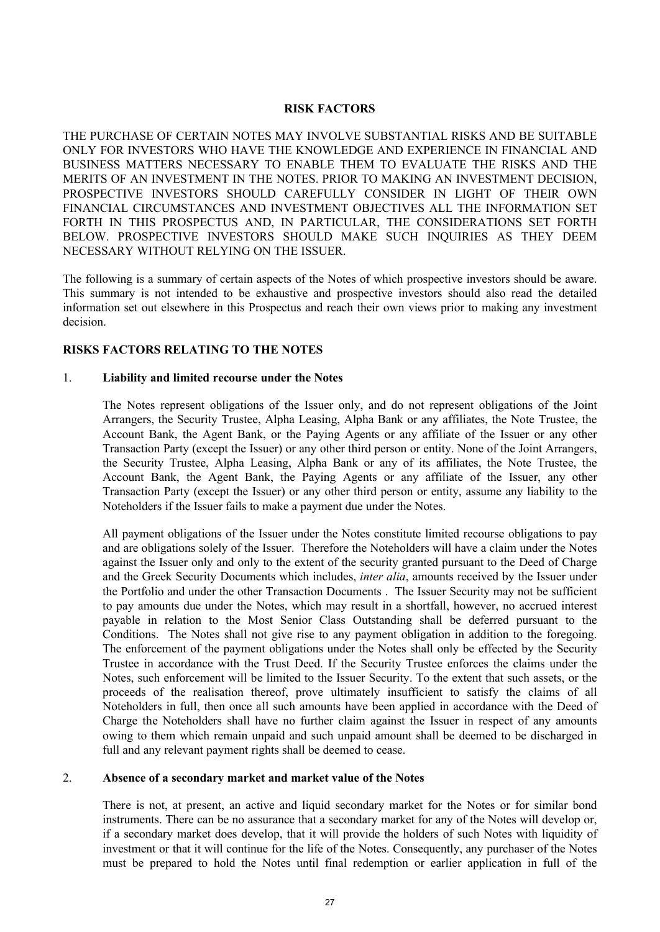### **RISK FACTORS**

THE PURCHASE OF CERTAIN NOTES MAY INVOLVE SUBSTANTIAL RISKS AND BE SUITABLE ONLY FOR INVESTORS WHO HAVE THE KNOWLEDGE AND EXPERIENCE IN FINANCIAL AND BUSINESS MATTERS NECESSARY TO ENABLE THEM TO EVALUATE THE RISKS AND THE MERITS OF AN INVESTMENT IN THE NOTES. PRIOR TO MAKING AN INVESTMENT DECISION, PROSPECTIVE INVESTORS SHOULD CAREFULLY CONSIDER IN LIGHT OF THEIR OWN FINANCIAL CIRCUMSTANCES AND INVESTMENT OBJECTIVES ALL THE INFORMATION SET FORTH IN THIS PROSPECTUS AND, IN PARTICULAR, THE CONSIDERATIONS SET FORTH BELOW. PROSPECTIVE INVESTORS SHOULD MAKE SUCH INQUIRIES AS THEY DEEM NECESSARY WITHOUT RELYING ON THE ISSUER.

The following is a summary of certain aspects of the Notes of which prospective investors should be aware. This summary is not intended to be exhaustive and prospective investors should also read the detailed information set out elsewhere in this Prospectus and reach their own views prior to making any investment decision.

### **RISKS FACTORS RELATING TO THE NOTES**

### 1. **Liability and limited recourse under the Notes**

The Notes represent obligations of the Issuer only, and do not represent obligations of the Joint Arrangers, the Security Trustee, Alpha Leasing, Alpha Bank or any affiliates, the Note Trustee, the Account Bank, the Agent Bank, or the Paying Agents or any affiliate of the Issuer or any other Transaction Party (except the Issuer) or any other third person or entity. None of the Joint Arrangers, the Security Trustee, Alpha Leasing, Alpha Bank or any of its affiliates, the Note Trustee, the Account Bank, the Agent Bank, the Paying Agents or any affiliate of the Issuer, any other Transaction Party (except the Issuer) or any other third person or entity, assume any liability to the Noteholders if the Issuer fails to make a payment due under the Notes.

All payment obligations of the Issuer under the Notes constitute limited recourse obligations to pay and are obligations solely of the Issuer. Therefore the Noteholders will have a claim under the Notes against the Issuer only and only to the extent of the security granted pursuant to the Deed of Charge and the Greek Security Documents which includes, *inter alia*, amounts received by the Issuer under the Portfolio and under the other Transaction Documents . The Issuer Security may not be sufficient to pay amounts due under the Notes, which may result in a shortfall, however, no accrued interest payable in relation to the Most Senior Class Outstanding shall be deferred pursuant to the Conditions. The Notes shall not give rise to any payment obligation in addition to the foregoing. The enforcement of the payment obligations under the Notes shall only be effected by the Security Trustee in accordance with the Trust Deed. If the Security Trustee enforces the claims under the Notes, such enforcement will be limited to the Issuer Security. To the extent that such assets, or the proceeds of the realisation thereof, prove ultimately insufficient to satisfy the claims of all Noteholders in full, then once all such amounts have been applied in accordance with the Deed of Charge the Noteholders shall have no further claim against the Issuer in respect of any amounts owing to them which remain unpaid and such unpaid amount shall be deemed to be discharged in full and any relevant payment rights shall be deemed to cease.

### 2. **Absence of a secondary market and market value of the Notes**

There is not, at present, an active and liquid secondary market for the Notes or for similar bond instruments. There can be no assurance that a secondary market for any of the Notes will develop or, if a secondary market does develop, that it will provide the holders of such Notes with liquidity of investment or that it will continue for the life of the Notes. Consequently, any purchaser of the Notes must be prepared to hold the Notes until final redemption or earlier application in full of the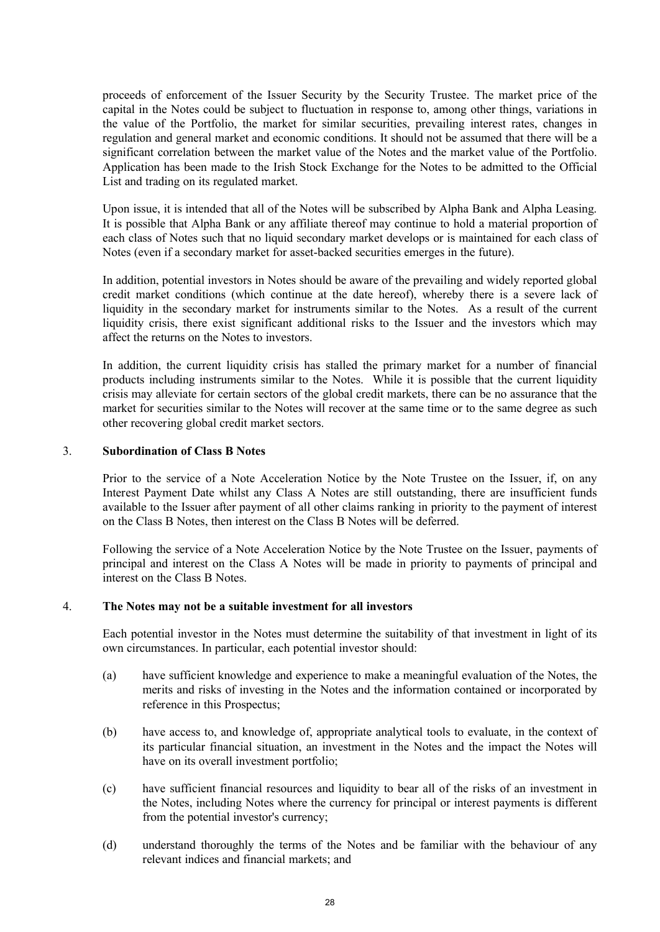proceeds of enforcement of the Issuer Security by the Security Trustee. The market price of the capital in the Notes could be subject to fluctuation in response to, among other things, variations in the value of the Portfolio, the market for similar securities, prevailing interest rates, changes in regulation and general market and economic conditions. It should not be assumed that there will be a significant correlation between the market value of the Notes and the market value of the Portfolio. Application has been made to the Irish Stock Exchange for the Notes to be admitted to the Official List and trading on its regulated market.

Upon issue, it is intended that all of the Notes will be subscribed by Alpha Bank and Alpha Leasing. It is possible that Alpha Bank or any affiliate thereof may continue to hold a material proportion of each class of Notes such that no liquid secondary market develops or is maintained for each class of Notes (even if a secondary market for asset-backed securities emerges in the future).

In addition, potential investors in Notes should be aware of the prevailing and widely reported global credit market conditions (which continue at the date hereof), whereby there is a severe lack of liquidity in the secondary market for instruments similar to the Notes. As a result of the current liquidity crisis, there exist significant additional risks to the Issuer and the investors which may affect the returns on the Notes to investors.

In addition, the current liquidity crisis has stalled the primary market for a number of financial products including instruments similar to the Notes. While it is possible that the current liquidity crisis may alleviate for certain sectors of the global credit markets, there can be no assurance that the market for securities similar to the Notes will recover at the same time or to the same degree as such other recovering global credit market sectors.

### 3. **Subordination of Class B Notes**

Prior to the service of a Note Acceleration Notice by the Note Trustee on the Issuer, if, on any Interest Payment Date whilst any Class A Notes are still outstanding, there are insufficient funds available to the Issuer after payment of all other claims ranking in priority to the payment of interest on the Class B Notes, then interest on the Class B Notes will be deferred.

Following the service of a Note Acceleration Notice by the Note Trustee on the Issuer, payments of principal and interest on the Class A Notes will be made in priority to payments of principal and interest on the Class B Notes.

### 4. **The Notes may not be a suitable investment for all investors**

Each potential investor in the Notes must determine the suitability of that investment in light of its own circumstances. In particular, each potential investor should:

- (a) have sufficient knowledge and experience to make a meaningful evaluation of the Notes, the merits and risks of investing in the Notes and the information contained or incorporated by reference in this Prospectus;
- (b) have access to, and knowledge of, appropriate analytical tools to evaluate, in the context of its particular financial situation, an investment in the Notes and the impact the Notes will have on its overall investment portfolio;
- (c) have sufficient financial resources and liquidity to bear all of the risks of an investment in the Notes, including Notes where the currency for principal or interest payments is different from the potential investor's currency;
- (d) understand thoroughly the terms of the Notes and be familiar with the behaviour of any relevant indices and financial markets; and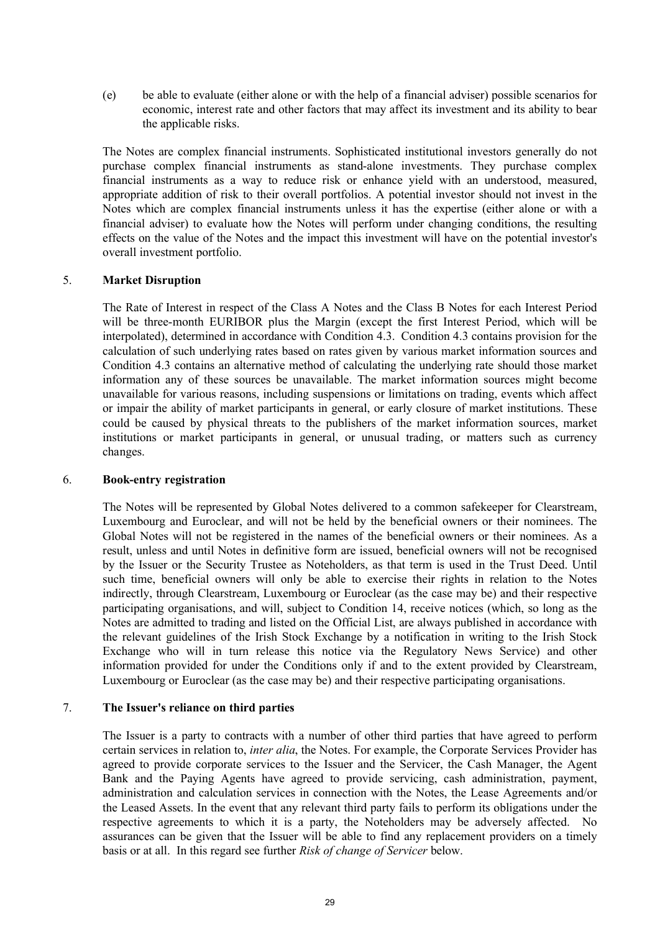(e) be able to evaluate (either alone or with the help of a financial adviser) possible scenarios for economic, interest rate and other factors that may affect its investment and its ability to bear the applicable risks.

The Notes are complex financial instruments. Sophisticated institutional investors generally do not purchase complex financial instruments as stand-alone investments. They purchase complex financial instruments as a way to reduce risk or enhance yield with an understood, measured, appropriate addition of risk to their overall portfolios. A potential investor should not invest in the Notes which are complex financial instruments unless it has the expertise (either alone or with a financial adviser) to evaluate how the Notes will perform under changing conditions, the resulting effects on the value of the Notes and the impact this investment will have on the potential investor's overall investment portfolio.

### 5. **Market Disruption**

The Rate of Interest in respect of the Class A Notes and the Class B Notes for each Interest Period will be three-month EURIBOR plus the Margin (except the first Interest Period, which will be interpolated), determined in accordance with Condition 4.3. Condition 4.3 contains provision for the calculation of such underlying rates based on rates given by various market information sources and Condition 4.3 contains an alternative method of calculating the underlying rate should those market information any of these sources be unavailable. The market information sources might become unavailable for various reasons, including suspensions or limitations on trading, events which affect or impair the ability of market participants in general, or early closure of market institutions. These could be caused by physical threats to the publishers of the market information sources, market institutions or market participants in general, or unusual trading, or matters such as currency changes.

#### 6. **Book-entry registration**

The Notes will be represented by Global Notes delivered to a common safekeeper for Clearstream, Luxembourg and Euroclear, and will not be held by the beneficial owners or their nominees. The Global Notes will not be registered in the names of the beneficial owners or their nominees. As a result, unless and until Notes in definitive form are issued, beneficial owners will not be recognised by the Issuer or the Security Trustee as Noteholders, as that term is used in the Trust Deed. Until such time, beneficial owners will only be able to exercise their rights in relation to the Notes indirectly, through Clearstream, Luxembourg or Euroclear (as the case may be) and their respective participating organisations, and will, subject to Condition 14, receive notices (which, so long as the Notes are admitted to trading and listed on the Official List, are always published in accordance with the relevant guidelines of the Irish Stock Exchange by a notification in writing to the Irish Stock Exchange who will in turn release this notice via the Regulatory News Service) and other information provided for under the Conditions only if and to the extent provided by Clearstream, Luxembourg or Euroclear (as the case may be) and their respective participating organisations.

### 7. **The Issuer's reliance on third parties**

The Issuer is a party to contracts with a number of other third parties that have agreed to perform certain services in relation to, *inter alia*, the Notes. For example, the Corporate Services Provider has agreed to provide corporate services to the Issuer and the Servicer, the Cash Manager, the Agent Bank and the Paying Agents have agreed to provide servicing, cash administration, payment, administration and calculation services in connection with the Notes, the Lease Agreements and/or the Leased Assets. In the event that any relevant third party fails to perform its obligations under the respective agreements to which it is a party, the Noteholders may be adversely affected. No assurances can be given that the Issuer will be able to find any replacement providers on a timely basis or at all. In this regard see further *Risk of change of Servicer* below.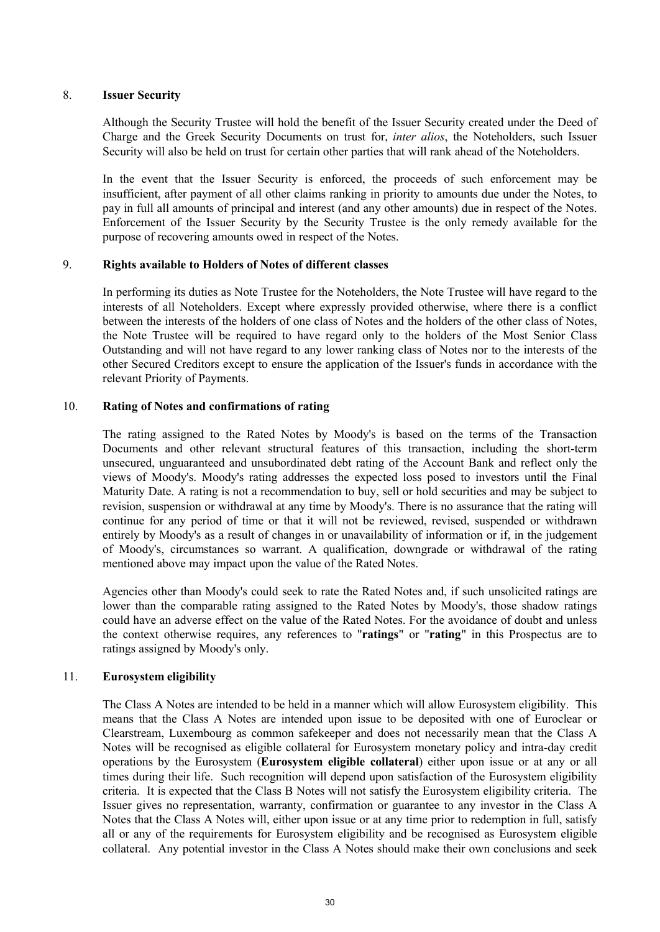### 8. **Issuer Security**

Although the Security Trustee will hold the benefit of the Issuer Security created under the Deed of Charge and the Greek Security Documents on trust for, *inter alios*, the Noteholders, such Issuer Security will also be held on trust for certain other parties that will rank ahead of the Noteholders.

In the event that the Issuer Security is enforced, the proceeds of such enforcement may be insufficient, after payment of all other claims ranking in priority to amounts due under the Notes, to pay in full all amounts of principal and interest (and any other amounts) due in respect of the Notes. Enforcement of the Issuer Security by the Security Trustee is the only remedy available for the purpose of recovering amounts owed in respect of the Notes.

### 9. **Rights available to Holders of Notes of different classes**

In performing its duties as Note Trustee for the Noteholders, the Note Trustee will have regard to the interests of all Noteholders. Except where expressly provided otherwise, where there is a conflict between the interests of the holders of one class of Notes and the holders of the other class of Notes, the Note Trustee will be required to have regard only to the holders of the Most Senior Class Outstanding and will not have regard to any lower ranking class of Notes nor to the interests of the other Secured Creditors except to ensure the application of the Issuer's funds in accordance with the relevant Priority of Payments.

### 10. **Rating of Notes and confirmations of rating**

The rating assigned to the Rated Notes by Moody's is based on the terms of the Transaction Documents and other relevant structural features of this transaction, including the short-term unsecured, unguaranteed and unsubordinated debt rating of the Account Bank and reflect only the views of Moody's. Moody's rating addresses the expected loss posed to investors until the Final Maturity Date. A rating is not a recommendation to buy, sell or hold securities and may be subject to revision, suspension or withdrawal at any time by Moody's. There is no assurance that the rating will continue for any period of time or that it will not be reviewed, revised, suspended or withdrawn entirely by Moody's as a result of changes in or unavailability of information or if, in the judgement of Moody's, circumstances so warrant. A qualification, downgrade or withdrawal of the rating mentioned above may impact upon the value of the Rated Notes.

Agencies other than Moody's could seek to rate the Rated Notes and, if such unsolicited ratings are lower than the comparable rating assigned to the Rated Notes by Moody's, those shadow ratings could have an adverse effect on the value of the Rated Notes. For the avoidance of doubt and unless the context otherwise requires, any references to "**ratings**" or "**rating**" in this Prospectus are to ratings assigned by Moody's only.

### 11. **Eurosystem eligibility**

The Class A Notes are intended to be held in a manner which will allow Eurosystem eligibility. This means that the Class A Notes are intended upon issue to be deposited with one of Euroclear or Clearstream, Luxembourg as common safekeeper and does not necessarily mean that the Class A Notes will be recognised as eligible collateral for Eurosystem monetary policy and intra-day credit operations by the Eurosystem (**Eurosystem eligible collateral**) either upon issue or at any or all times during their life. Such recognition will depend upon satisfaction of the Eurosystem eligibility criteria. It is expected that the Class B Notes will not satisfy the Eurosystem eligibility criteria. The Issuer gives no representation, warranty, confirmation or guarantee to any investor in the Class A Notes that the Class A Notes will, either upon issue or at any time prior to redemption in full, satisfy all or any of the requirements for Eurosystem eligibility and be recognised as Eurosystem eligible collateral. Any potential investor in the Class A Notes should make their own conclusions and seek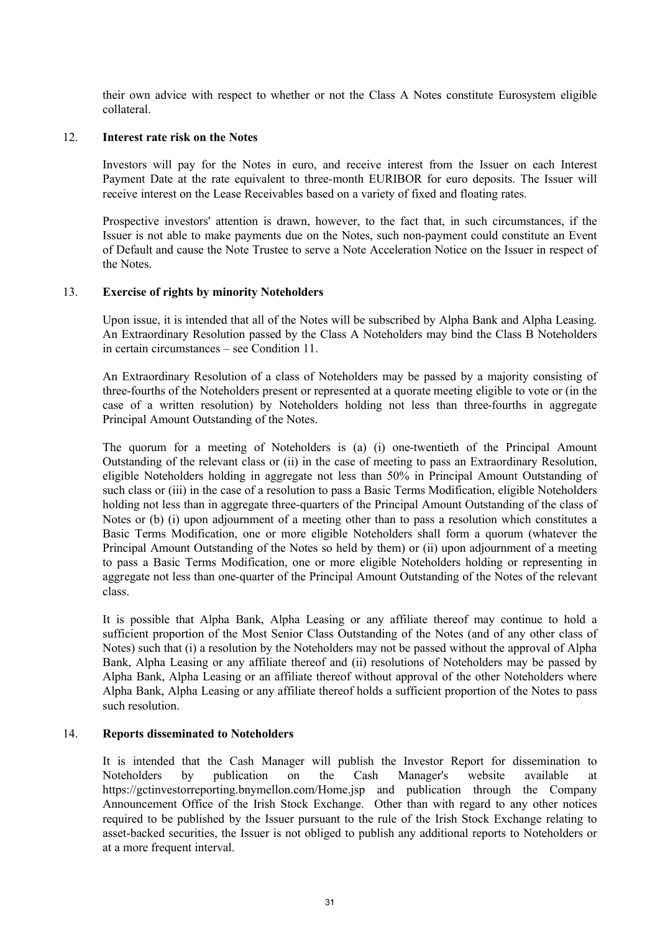their own advice with respect to whether or not the Class A Notes constitute Eurosystem eligible collateral.

### 12. **Interest rate risk on the Notes**

Investors will pay for the Notes in euro, and receive interest from the Issuer on each Interest Payment Date at the rate equivalent to three-month EURIBOR for euro deposits. The Issuer will receive interest on the Lease Receivables based on a variety of fixed and floating rates.

Prospective investors' attention is drawn, however, to the fact that, in such circumstances, if the Issuer is not able to make payments due on the Notes, such non-payment could constitute an Event of Default and cause the Note Trustee to serve a Note Acceleration Notice on the Issuer in respect of the Notes.

### 13. **Exercise of rights by minority Noteholders**

Upon issue, it is intended that all of the Notes will be subscribed by Alpha Bank and Alpha Leasing. An Extraordinary Resolution passed by the Class A Noteholders may bind the Class B Noteholders in certain circumstances – see Condition 11.

An Extraordinary Resolution of a class of Noteholders may be passed by a majority consisting of three-fourths of the Noteholders present or represented at a quorate meeting eligible to vote or (in the case of a written resolution) by Noteholders holding not less than three-fourths in aggregate Principal Amount Outstanding of the Notes.

The quorum for a meeting of Noteholders is (a) (i) one-twentieth of the Principal Amount Outstanding of the relevant class or (ii) in the case of meeting to pass an Extraordinary Resolution, eligible Noteholders holding in aggregate not less than 50% in Principal Amount Outstanding of such class or (iii) in the case of a resolution to pass a Basic Terms Modification, eligible Noteholders holding not less than in aggregate three-quarters of the Principal Amount Outstanding of the class of Notes or (b) (i) upon adjournment of a meeting other than to pass a resolution which constitutes a Basic Terms Modification, one or more eligible Noteholders shall form a quorum (whatever the Principal Amount Outstanding of the Notes so held by them) or (ii) upon adjournment of a meeting to pass a Basic Terms Modification, one or more eligible Noteholders holding or representing in aggregate not less than one-quarter of the Principal Amount Outstanding of the Notes of the relevant class.

It is possible that Alpha Bank, Alpha Leasing or any affiliate thereof may continue to hold a sufficient proportion of the Most Senior Class Outstanding of the Notes (and of any other class of Notes) such that (i) a resolution by the Noteholders may not be passed without the approval of Alpha Bank, Alpha Leasing or any affiliate thereof and (ii) resolutions of Noteholders may be passed by Alpha Bank, Alpha Leasing or an affiliate thereof without approval of the other Noteholders where Alpha Bank, Alpha Leasing or any affiliate thereof holds a sufficient proportion of the Notes to pass such resolution.

### 14. **Reports disseminated to Noteholders**

It is intended that the Cash Manager will publish the Investor Report for dissemination to Noteholders by publication on the Cash Manager's website available at <https://gctinvestorreporting.bnymellon.com/Home.jsp> and publication through the Company Announcement Office of the Irish Stock Exchange. Other than with regard to any other notices required to be published by the Issuer pursuant to the rule of the Irish Stock Exchange relating to asset-backed securities, the Issuer is not obliged to publish any additional reports to Noteholders or at a more frequent interval.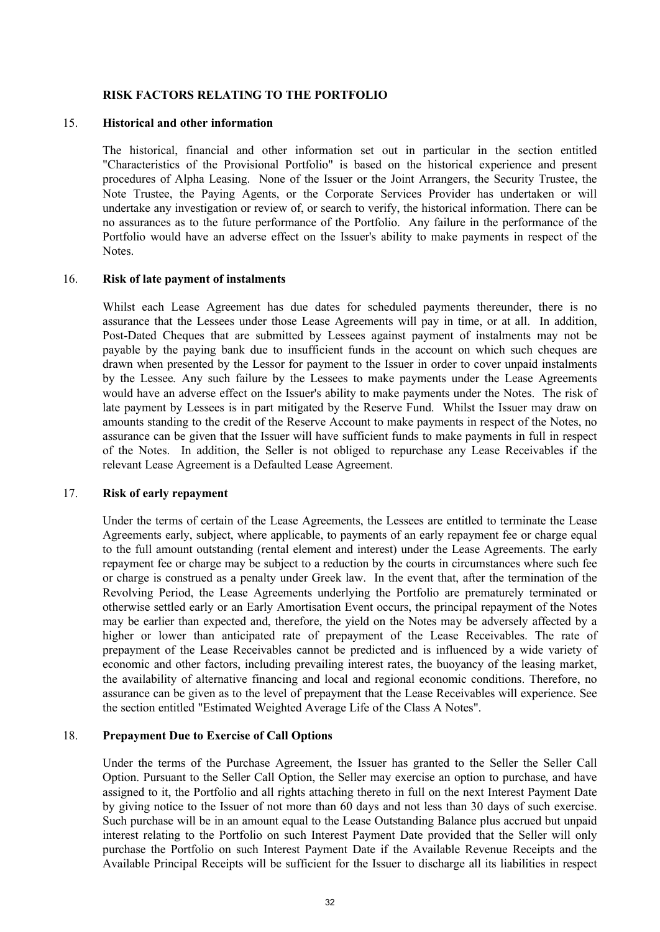### **RISK FACTORS RELATING TO THE PORTFOLIO**

### 15. **Historical and other information**

The historical, financial and other information set out in particular in the section entitled "Characteristics of the Provisional Portfolio" is based on the historical experience and present procedures of Alpha Leasing. None of the Issuer or the Joint Arrangers, the Security Trustee, the Note Trustee, the Paying Agents, or the Corporate Services Provider has undertaken or will undertake any investigation or review of, or search to verify, the historical information. There can be no assurances as to the future performance of the Portfolio. Any failure in the performance of the Portfolio would have an adverse effect on the Issuer's ability to make payments in respect of the Notes.

### 16. **Risk of late payment of instalments**

Whilst each Lease Agreement has due dates for scheduled payments thereunder, there is no assurance that the Lessees under those Lease Agreements will pay in time, or at all. In addition, Post-Dated Cheques that are submitted by Lessees against payment of instalments may not be payable by the paying bank due to insufficient funds in the account on which such cheques are drawn when presented by the Lessor for payment to the Issuer in order to cover unpaid instalments by the Lessee. Any such failure by the Lessees to make payments under the Lease Agreements would have an adverse effect on the Issuer's ability to make payments under the Notes. The risk of late payment by Lessees is in part mitigated by the Reserve Fund. Whilst the Issuer may draw on amounts standing to the credit of the Reserve Account to make payments in respect of the Notes, no assurance can be given that the Issuer will have sufficient funds to make payments in full in respect of the Notes. In addition, the Seller is not obliged to repurchase any Lease Receivables if the relevant Lease Agreement is a Defaulted Lease Agreement.

#### 17. **Risk of early repayment**

Under the terms of certain of the Lease Agreements, the Lessees are entitled to terminate the Lease Agreements early, subject, where applicable, to payments of an early repayment fee or charge equal to the full amount outstanding (rental element and interest) under the Lease Agreements. The early repayment fee or charge may be subject to a reduction by the courts in circumstances where such fee or charge is construed as a penalty under Greek law. In the event that, after the termination of the Revolving Period, the Lease Agreements underlying the Portfolio are prematurely terminated or otherwise settled early or an Early Amortisation Event occurs, the principal repayment of the Notes may be earlier than expected and, therefore, the yield on the Notes may be adversely affected by a higher or lower than anticipated rate of prepayment of the Lease Receivables. The rate of prepayment of the Lease Receivables cannot be predicted and is influenced by a wide variety of economic and other factors, including prevailing interest rates, the buoyancy of the leasing market, the availability of alternative financing and local and regional economic conditions. Therefore, no assurance can be given as to the level of prepayment that the Lease Receivables will experience. See the section entitled "Estimated Weighted Average Life of the Class A Notes".

### 18. **Prepayment Due to Exercise of Call Options**

Under the terms of the Purchase Agreement, the Issuer has granted to the Seller the Seller Call Option. Pursuant to the Seller Call Option, the Seller may exercise an option to purchase, and have assigned to it, the Portfolio and all rights attaching thereto in full on the next Interest Payment Date by giving notice to the Issuer of not more than 60 days and not less than 30 days of such exercise. Such purchase will be in an amount equal to the Lease Outstanding Balance plus accrued but unpaid interest relating to the Portfolio on such Interest Payment Date provided that the Seller will only purchase the Portfolio on such Interest Payment Date if the Available Revenue Receipts and the Available Principal Receipts will be sufficient for the Issuer to discharge all its liabilities in respect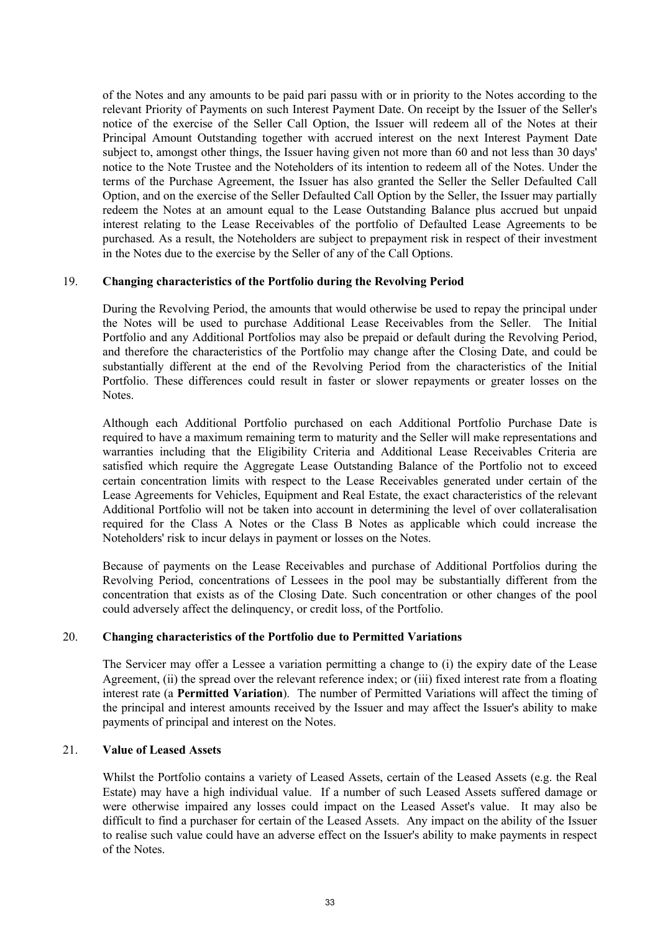of the Notes and any amounts to be paid pari passu with or in priority to the Notes according to the relevant Priority of Payments on such Interest Payment Date. On receipt by the Issuer of the Seller's notice of the exercise of the Seller Call Option, the Issuer will redeem all of the Notes at their Principal Amount Outstanding together with accrued interest on the next Interest Payment Date subject to, amongst other things, the Issuer having given not more than 60 and not less than 30 days' notice to the Note Trustee and the Noteholders of its intention to redeem all of the Notes. Under the terms of the Purchase Agreement, the Issuer has also granted the Seller the Seller Defaulted Call Option, and on the exercise of the Seller Defaulted Call Option by the Seller, the Issuer may partially redeem the Notes at an amount equal to the Lease Outstanding Balance plus accrued but unpaid interest relating to the Lease Receivables of the portfolio of Defaulted Lease Agreements to be purchased. As a result, the Noteholders are subject to prepayment risk in respect of their investment in the Notes due to the exercise by the Seller of any of the Call Options.

### 19. **Changing characteristics of the Portfolio during the Revolving Period**

During the Revolving Period, the amounts that would otherwise be used to repay the principal under the Notes will be used to purchase Additional Lease Receivables from the Seller. The Initial Portfolio and any Additional Portfolios may also be prepaid or default during the Revolving Period, and therefore the characteristics of the Portfolio may change after the Closing Date, and could be substantially different at the end of the Revolving Period from the characteristics of the Initial Portfolio. These differences could result in faster or slower repayments or greater losses on the **Notes**.

Although each Additional Portfolio purchased on each Additional Portfolio Purchase Date is required to have a maximum remaining term to maturity and the Seller will make representations and warranties including that the Eligibility Criteria and Additional Lease Receivables Criteria are satisfied which require the Aggregate Lease Outstanding Balance of the Portfolio not to exceed certain concentration limits with respect to the Lease Receivables generated under certain of the Lease Agreements for Vehicles, Equipment and Real Estate, the exact characteristics of the relevant Additional Portfolio will not be taken into account in determining the level of over collateralisation required for the Class A Notes or the Class B Notes as applicable which could increase the Noteholders' risk to incur delays in payment or losses on the Notes.

Because of payments on the Lease Receivables and purchase of Additional Portfolios during the Revolving Period, concentrations of Lessees in the pool may be substantially different from the concentration that exists as of the Closing Date. Such concentration or other changes of the pool could adversely affect the delinquency, or credit loss, of the Portfolio.

### 20. **Changing characteristics of the Portfolio due to Permitted Variations**

The Servicer may offer a Lessee a variation permitting a change to (i) the expiry date of the Lease Agreement, (ii) the spread over the relevant reference index; or (iii) fixed interest rate from a floating interest rate (a **Permitted Variation**). The number of Permitted Variations will affect the timing of the principal and interest amounts received by the Issuer and may affect the Issuer's ability to make payments of principal and interest on the Notes.

### 21. **Value of Leased Assets**

Whilst the Portfolio contains a variety of Leased Assets, certain of the Leased Assets (e.g. the Real Estate) may have a high individual value. If a number of such Leased Assets suffered damage or were otherwise impaired any losses could impact on the Leased Asset's value. It may also be difficult to find a purchaser for certain of the Leased Assets. Any impact on the ability of the Issuer to realise such value could have an adverse effect on the Issuer's ability to make payments in respect of the Notes.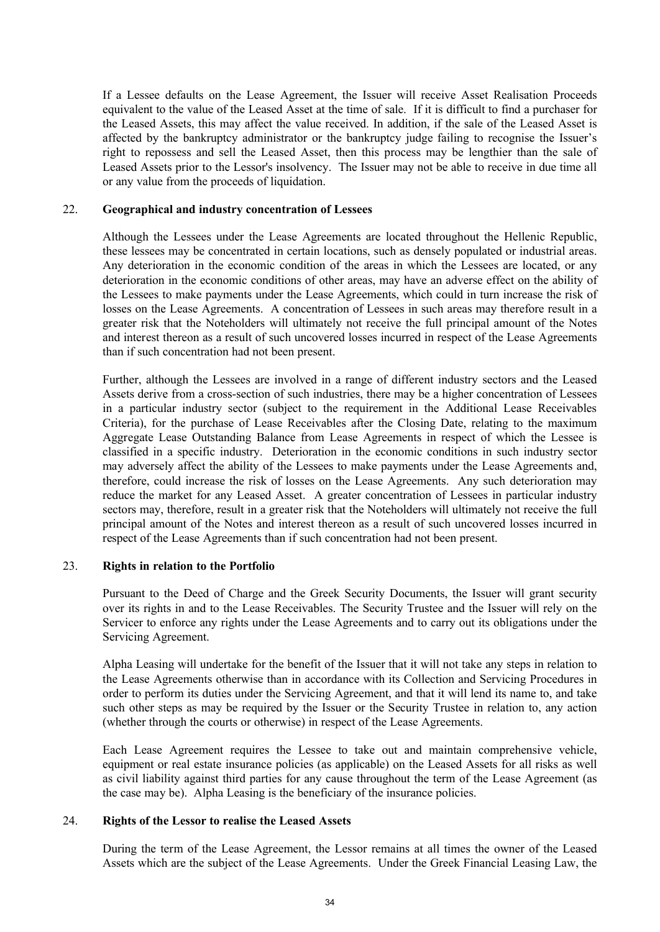If a Lessee defaults on the Lease Agreement, the Issuer will receive Asset Realisation Proceeds equivalent to the value of the Leased Asset at the time of sale. If it is difficult to find a purchaser for the Leased Assets, this may affect the value received. In addition, if the sale of the Leased Asset is affected by the bankruptcy administrator or the bankruptcy judge failing to recognise the Issuer's right to repossess and sell the Leased Asset, then this process may be lengthier than the sale of Leased Assets prior to the Lessor's insolvency. The Issuer may not be able to receive in due time all or any value from the proceeds of liquidation.

### 22. **Geographical and industry concentration of Lessees**

Although the Lessees under the Lease Agreements are located throughout the Hellenic Republic, these lessees may be concentrated in certain locations, such as densely populated or industrial areas. Any deterioration in the economic condition of the areas in which the Lessees are located, or any deterioration in the economic conditions of other areas, may have an adverse effect on the ability of the Lessees to make payments under the Lease Agreements, which could in turn increase the risk of losses on the Lease Agreements. A concentration of Lessees in such areas may therefore result in a greater risk that the Noteholders will ultimately not receive the full principal amount of the Notes and interest thereon as a result of such uncovered losses incurred in respect of the Lease Agreements than if such concentration had not been present.

Further, although the Lessees are involved in a range of different industry sectors and the Leased Assets derive from a cross-section of such industries, there may be a higher concentration of Lessees in a particular industry sector (subject to the requirement in the Additional Lease Receivables Criteria), for the purchase of Lease Receivables after the Closing Date, relating to the maximum Aggregate Lease Outstanding Balance from Lease Agreements in respect of which the Lessee is classified in a specific industry. Deterioration in the economic conditions in such industry sector may adversely affect the ability of the Lessees to make payments under the Lease Agreements and, therefore, could increase the risk of losses on the Lease Agreements. Any such deterioration may reduce the market for any Leased Asset. A greater concentration of Lessees in particular industry sectors may, therefore, result in a greater risk that the Noteholders will ultimately not receive the full principal amount of the Notes and interest thereon as a result of such uncovered losses incurred in respect of the Lease Agreements than if such concentration had not been present.

### 23. **Rights in relation to the Portfolio**

Pursuant to the Deed of Charge and the Greek Security Documents, the Issuer will grant security over its rights in and to the Lease Receivables. The Security Trustee and the Issuer will rely on the Servicer to enforce any rights under the Lease Agreements and to carry out its obligations under the Servicing Agreement.

Alpha Leasing will undertake for the benefit of the Issuer that it will not take any steps in relation to the Lease Agreements otherwise than in accordance with its Collection and Servicing Procedures in order to perform its duties under the Servicing Agreement, and that it will lend its name to, and take such other steps as may be required by the Issuer or the Security Trustee in relation to, any action (whether through the courts or otherwise) in respect of the Lease Agreements.

Each Lease Agreement requires the Lessee to take out and maintain comprehensive vehicle, equipment or real estate insurance policies (as applicable) on the Leased Assets for all risks as well as civil liability against third parties for any cause throughout the term of the Lease Agreement (as the case may be). Alpha Leasing is the beneficiary of the insurance policies.

### 24. **Rights of the Lessor to realise the Leased Assets**

During the term of the Lease Agreement, the Lessor remains at all times the owner of the Leased Assets which are the subject of the Lease Agreements. Under the Greek Financial Leasing Law, the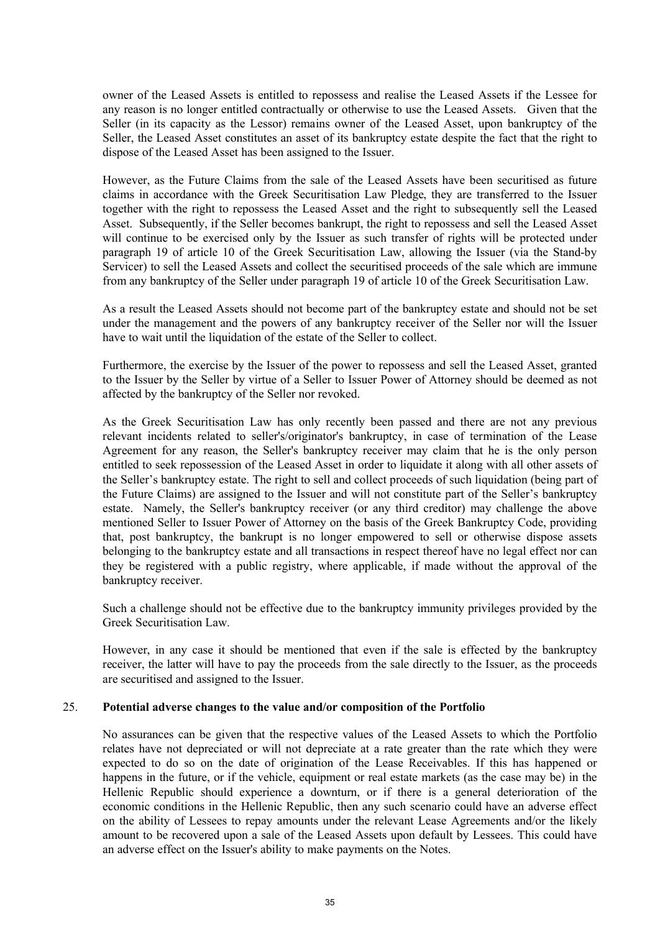owner of the Leased Assets is entitled to repossess and realise the Leased Assets if the Lessee for any reason is no longer entitled contractually or otherwise to use the Leased Assets. Given that the Seller (in its capacity as the Lessor) remains owner of the Leased Asset, upon bankruptcy of the Seller, the Leased Asset constitutes an asset of its bankruptcy estate despite the fact that the right to dispose of the Leased Asset has been assigned to the Issuer.

However, as the Future Claims from the sale of the Leased Assets have been securitised as future claims in accordance with the Greek Securitisation Law Pledge, they are transferred to the Issuer together with the right to repossess the Leased Asset and the right to subsequently sell the Leased Asset. Subsequently, if the Seller becomes bankrupt, the right to repossess and sell the Leased Asset will continue to be exercised only by the Issuer as such transfer of rights will be protected under paragraph 19 of article 10 of the Greek Securitisation Law, allowing the Issuer (via the Stand-by Servicer) to sell the Leased Assets and collect the securitised proceeds of the sale which are immune from any bankruptcy of the Seller under paragraph 19 of article 10 of the Greek Securitisation Law.

As a result the Leased Assets should not become part of the bankruptcy estate and should not be set under the management and the powers of any bankruptcy receiver of the Seller nor will the Issuer have to wait until the liquidation of the estate of the Seller to collect.

Furthermore, the exercise by the Issuer of the power to repossess and sell the Leased Asset, granted to the Issuer by the Seller by virtue of a Seller to Issuer Power of Attorney should be deemed as not affected by the bankruptcy of the Seller nor revoked.

As the Greek Securitisation Law has only recently been passed and there are not any previous relevant incidents related to seller's/originator's bankruptcy, in case of termination of the Lease Agreement for any reason, the Seller's bankruptcy receiver may claim that he is the only person entitled to seek repossession of the Leased Asset in order to liquidate it along with all other assets of the Seller's bankruptcy estate. The right to sell and collect proceeds of such liquidation (being part of the Future Claims) are assigned to the Issuer and will not constitute part of the Seller's bankruptcy estate. Namely, the Seller's bankruptcy receiver (or any third creditor) may challenge the above mentioned Seller to Issuer Power of Attorney on the basis of the Greek Bankruptcy Code, providing that, post bankruptcy, the bankrupt is no longer empowered to sell or otherwise dispose assets belonging to the bankruptcy estate and all transactions in respect thereof have no legal effect nor can they be registered with a public registry, where applicable, if made without the approval of the bankruptcy receiver.

Such a challenge should not be effective due to the bankruptcy immunity privileges provided by the Greek Securitisation Law.

However, in any case it should be mentioned that even if the sale is effected by the bankruptcy receiver, the latter will have to pay the proceeds from the sale directly to the Issuer, as the proceeds are securitised and assigned to the Issuer.

#### 25. **Potential adverse changes to the value and/or composition of the Portfolio**

No assurances can be given that the respective values of the Leased Assets to which the Portfolio relates have not depreciated or will not depreciate at a rate greater than the rate which they were expected to do so on the date of origination of the Lease Receivables. If this has happened or happens in the future, or if the vehicle, equipment or real estate markets (as the case may be) in the Hellenic Republic should experience a downturn, or if there is a general deterioration of the economic conditions in the Hellenic Republic, then any such scenario could have an adverse effect on the ability of Lessees to repay amounts under the relevant Lease Agreements and/or the likely amount to be recovered upon a sale of the Leased Assets upon default by Lessees. This could have an adverse effect on the Issuer's ability to make payments on the Notes.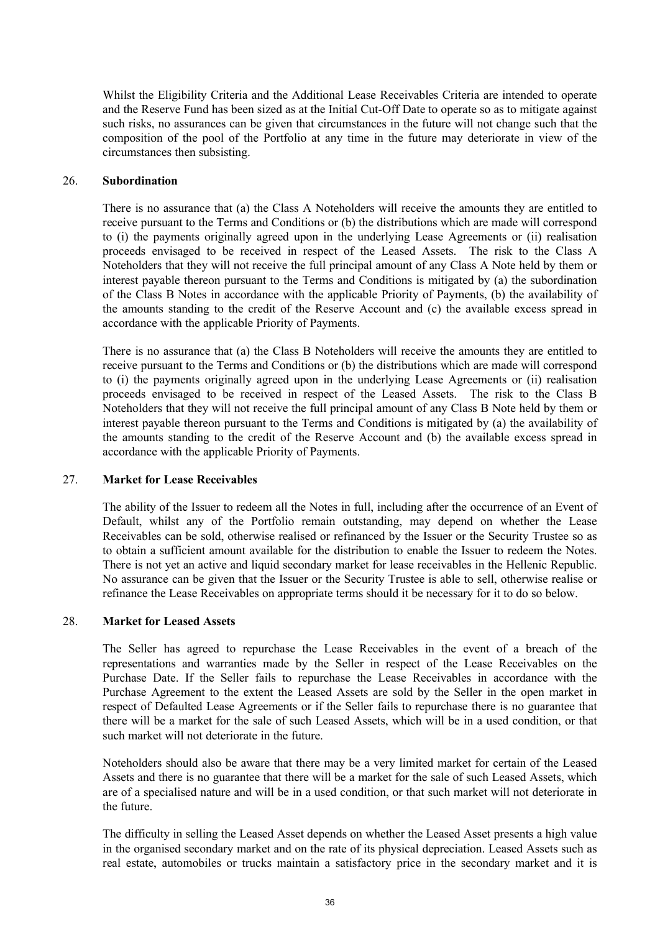Whilst the Eligibility Criteria and the Additional Lease Receivables Criteria are intended to operate and the Reserve Fund has been sized as at the Initial Cut-Off Date to operate so as to mitigate against such risks, no assurances can be given that circumstances in the future will not change such that the composition of the pool of the Portfolio at any time in the future may deteriorate in view of the circumstances then subsisting.

#### 26. **Subordination**

There is no assurance that (a) the Class A Noteholders will receive the amounts they are entitled to receive pursuant to the Terms and Conditions or (b) the distributions which are made will correspond to (i) the payments originally agreed upon in the underlying Lease Agreements or (ii) realisation proceeds envisaged to be received in respect of the Leased Assets. The risk to the Class A Noteholders that they will not receive the full principal amount of any Class A Note held by them or interest payable thereon pursuant to the Terms and Conditions is mitigated by (a) the subordination of the Class B Notes in accordance with the applicable Priority of Payments, (b) the availability of the amounts standing to the credit of the Reserve Account and (c) the available excess spread in accordance with the applicable Priority of Payments.

There is no assurance that (a) the Class B Noteholders will receive the amounts they are entitled to receive pursuant to the Terms and Conditions or (b) the distributions which are made will correspond to (i) the payments originally agreed upon in the underlying Lease Agreements or (ii) realisation proceeds envisaged to be received in respect of the Leased Assets. The risk to the Class B Noteholders that they will not receive the full principal amount of any Class B Note held by them or interest payable thereon pursuant to the Terms and Conditions is mitigated by (a) the availability of the amounts standing to the credit of the Reserve Account and (b) the available excess spread in accordance with the applicable Priority of Payments.

### 27. **Market for Lease Receivables**

The ability of the Issuer to redeem all the Notes in full, including after the occurrence of an Event of Default, whilst any of the Portfolio remain outstanding, may depend on whether the Lease Receivables can be sold, otherwise realised or refinanced by the Issuer or the Security Trustee so as to obtain a sufficient amount available for the distribution to enable the Issuer to redeem the Notes. There is not yet an active and liquid secondary market for lease receivables in the Hellenic Republic. No assurance can be given that the Issuer or the Security Trustee is able to sell, otherwise realise or refinance the Lease Receivables on appropriate terms should it be necessary for it to do so below.

### 28. **Market for Leased Assets**

The Seller has agreed to repurchase the Lease Receivables in the event of a breach of the representations and warranties made by the Seller in respect of the Lease Receivables on the Purchase Date. If the Seller fails to repurchase the Lease Receivables in accordance with the Purchase Agreement to the extent the Leased Assets are sold by the Seller in the open market in respect of Defaulted Lease Agreements or if the Seller fails to repurchase there is no guarantee that there will be a market for the sale of such Leased Assets, which will be in a used condition, or that such market will not deteriorate in the future.

Noteholders should also be aware that there may be a very limited market for certain of the Leased Assets and there is no guarantee that there will be a market for the sale of such Leased Assets, which are of a specialised nature and will be in a used condition, or that such market will not deteriorate in the future.

The difficulty in selling the Leased Asset depends on whether the Leased Asset presents a high value in the organised secondary market and on the rate of its physical depreciation. Leased Assets such as real estate, automobiles or trucks maintain a satisfactory price in the secondary market and it is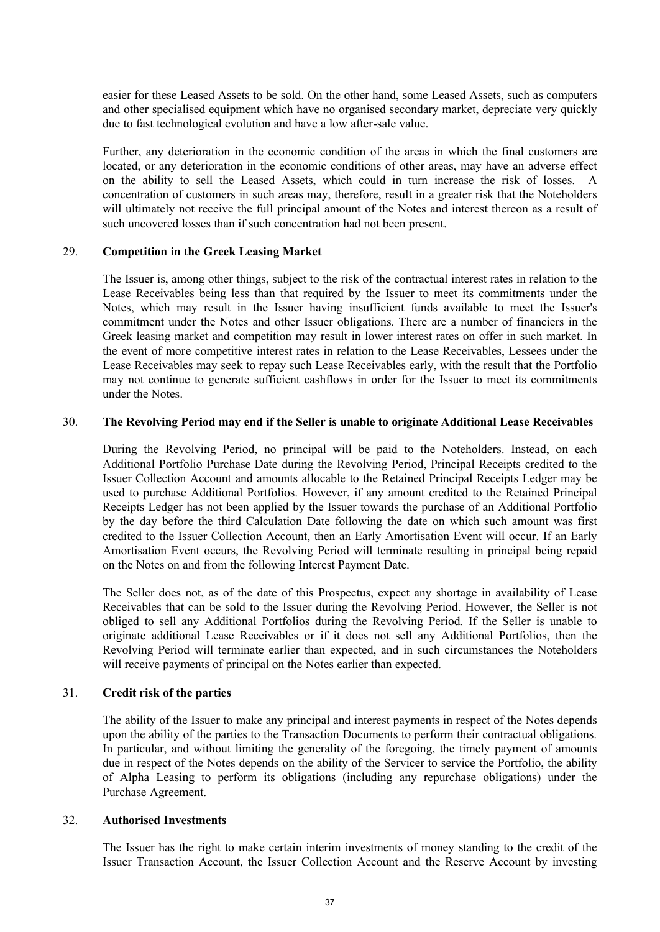easier for these Leased Assets to be sold. On the other hand, some Leased Assets, such as computers and other specialised equipment which have no organised secondary market, depreciate very quickly due to fast technological evolution and have a low after-sale value.

Further, any deterioration in the economic condition of the areas in which the final customers are located, or any deterioration in the economic conditions of other areas, may have an adverse effect on the ability to sell the Leased Assets, which could in turn increase the risk of losses. A concentration of customers in such areas may, therefore, result in a greater risk that the Noteholders will ultimately not receive the full principal amount of the Notes and interest thereon as a result of such uncovered losses than if such concentration had not been present.

### 29. **Competition in the Greek Leasing Market**

The Issuer is, among other things, subject to the risk of the contractual interest rates in relation to the Lease Receivables being less than that required by the Issuer to meet its commitments under the Notes, which may result in the Issuer having insufficient funds available to meet the Issuer's commitment under the Notes and other Issuer obligations. There are a number of financiers in the Greek leasing market and competition may result in lower interest rates on offer in such market. In the event of more competitive interest rates in relation to the Lease Receivables, Lessees under the Lease Receivables may seek to repay such Lease Receivables early, with the result that the Portfolio may not continue to generate sufficient cashflows in order for the Issuer to meet its commitments under the Notes.

### 30. **The Revolving Period may end if the Seller is unable to originate Additional Lease Receivables**

During the Revolving Period, no principal will be paid to the Noteholders. Instead, on each Additional Portfolio Purchase Date during the Revolving Period, Principal Receipts credited to the Issuer Collection Account and amounts allocable to the Retained Principal Receipts Ledger may be used to purchase Additional Portfolios. However, if any amount credited to the Retained Principal Receipts Ledger has not been applied by the Issuer towards the purchase of an Additional Portfolio by the day before the third Calculation Date following the date on which such amount was first credited to the Issuer Collection Account, then an Early Amortisation Event will occur. If an Early Amortisation Event occurs, the Revolving Period will terminate resulting in principal being repaid on the Notes on and from the following Interest Payment Date.

The Seller does not, as of the date of this Prospectus, expect any shortage in availability of Lease Receivables that can be sold to the Issuer during the Revolving Period. However, the Seller is not obliged to sell any Additional Portfolios during the Revolving Period. If the Seller is unable to originate additional Lease Receivables or if it does not sell any Additional Portfolios, then the Revolving Period will terminate earlier than expected, and in such circumstances the Noteholders will receive payments of principal on the Notes earlier than expected.

### 31. **Credit risk of the parties**

The ability of the Issuer to make any principal and interest payments in respect of the Notes depends upon the ability of the parties to the Transaction Documents to perform their contractual obligations. In particular, and without limiting the generality of the foregoing, the timely payment of amounts due in respect of the Notes depends on the ability of the Servicer to service the Portfolio, the ability of Alpha Leasing to perform its obligations (including any repurchase obligations) under the Purchase Agreement.

### 32. **Authorised Investments**

The Issuer has the right to make certain interim investments of money standing to the credit of the Issuer Transaction Account, the Issuer Collection Account and the Reserve Account by investing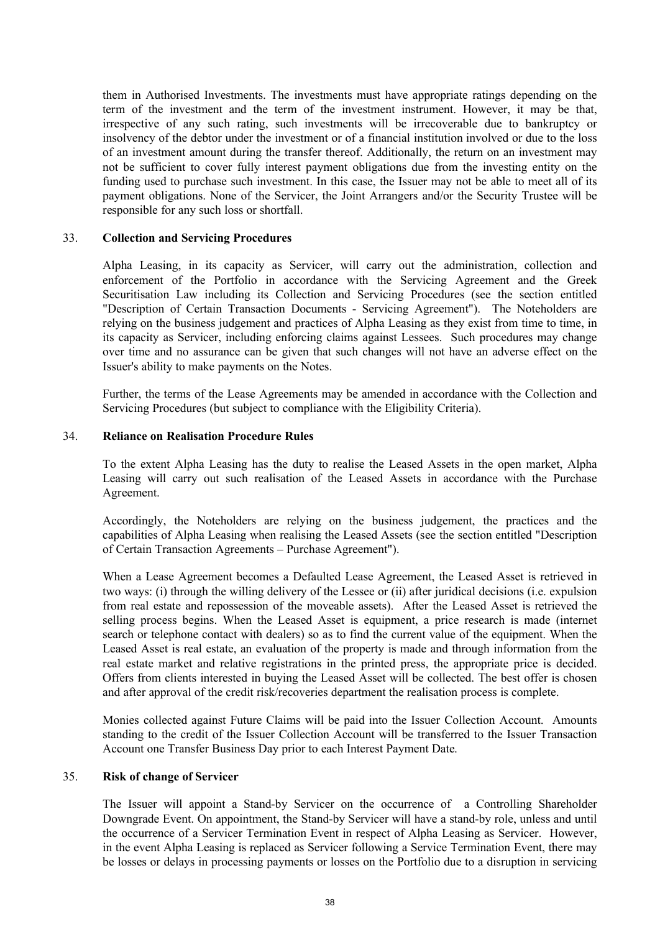them in Authorised Investments. The investments must have appropriate ratings depending on the term of the investment and the term of the investment instrument. However, it may be that, irrespective of any such rating, such investments will be irrecoverable due to bankruptcy or insolvency of the debtor under the investment or of a financial institution involved or due to the loss of an investment amount during the transfer thereof. Additionally, the return on an investment may not be sufficient to cover fully interest payment obligations due from the investing entity on the funding used to purchase such investment. In this case, the Issuer may not be able to meet all of its payment obligations. None of the Servicer, the Joint Arrangers and/or the Security Trustee will be responsible for any such loss or shortfall.

#### 33. **Collection and Servicing Procedures**

Alpha Leasing, in its capacity as Servicer, will carry out the administration, collection and enforcement of the Portfolio in accordance with the Servicing Agreement and the Greek Securitisation Law including its Collection and Servicing Procedures (see the section entitled "Description of Certain Transaction Documents - Servicing Agreement"). The Noteholders are relying on the business judgement and practices of Alpha Leasing as they exist from time to time, in its capacity as Servicer, including enforcing claims against Lessees. Such procedures may change over time and no assurance can be given that such changes will not have an adverse effect on the Issuer's ability to make payments on the Notes.

Further, the terms of the Lease Agreements may be amended in accordance with the Collection and Servicing Procedures (but subject to compliance with the Eligibility Criteria).

#### 34. **Reliance on Realisation Procedure Rules**

To the extent Alpha Leasing has the duty to realise the Leased Assets in the open market, Alpha Leasing will carry out such realisation of the Leased Assets in accordance with the Purchase Agreement.

Accordingly, the Noteholders are relying on the business judgement, the practices and the capabilities of Alpha Leasing when realising the Leased Assets (see the section entitled "Description of Certain Transaction Agreements – Purchase Agreement").

When a Lease Agreement becomes a Defaulted Lease Agreement, the Leased Asset is retrieved in two ways: (i) through the willing delivery of the Lessee or (ii) after juridical decisions (i.e. expulsion from real estate and repossession of the moveable assets). After the Leased Asset is retrieved the selling process begins. When the Leased Asset is equipment, a price research is made (internet search or telephone contact with dealers) so as to find the current value of the equipment. When the Leased Asset is real estate, an evaluation of the property is made and through information from the real estate market and relative registrations in the printed press, the appropriate price is decided. Offers from clients interested in buying the Leased Asset will be collected. The best offer is chosen and after approval of the credit risk/recoveries department the realisation process is complete.

Monies collected against Future Claims will be paid into the Issuer Collection Account. Amounts standing to the credit of the Issuer Collection Account will be transferred to the Issuer Transaction Account one Transfer Business Day prior to each Interest Payment Date.

#### 35. **Risk of change of Servicer**

The Issuer will appoint a Stand-by Servicer on the occurrence of a Controlling Shareholder Downgrade Event. On appointment, the Stand-by Servicer will have a stand-by role, unless and until the occurrence of a Servicer Termination Event in respect of Alpha Leasing as Servicer. However, in the event Alpha Leasing is replaced as Servicer following a Service Termination Event, there may be losses or delays in processing payments or losses on the Portfolio due to a disruption in servicing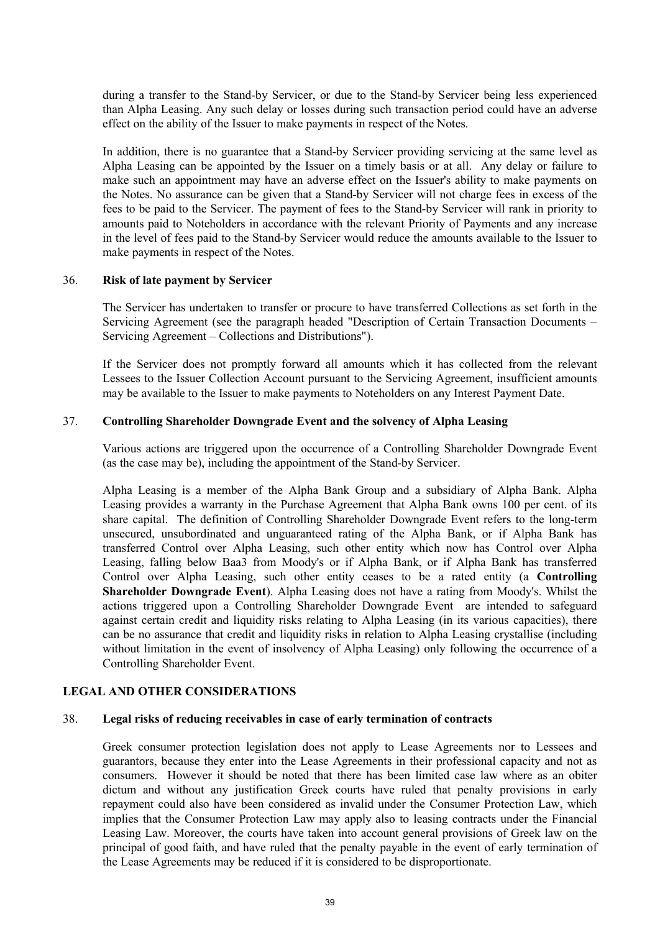during a transfer to the Stand-by Servicer, or due to the Stand-by Servicer being less experienced than Alpha Leasing. Any such delay or losses during such transaction period could have an adverse effect on the ability of the Issuer to make payments in respect of the Notes.

In addition, there is no guarantee that a Stand-by Servicer providing servicing at the same level as Alpha Leasing can be appointed by the Issuer on a timely basis or at all. Any delay or failure to make such an appointment may have an adverse effect on the Issuer's ability to make payments on the Notes. No assurance can be given that a Stand-by Servicer will not charge fees in excess of the fees to be paid to the Servicer. The payment of fees to the Stand-by Servicer will rank in priority to amounts paid to Noteholders in accordance with the relevant Priority of Payments and any increase in the level of fees paid to the Stand-by Servicer would reduce the amounts available to the Issuer to make payments in respect of the Notes.

#### 36. **Risk of late payment by Servicer**

The Servicer has undertaken to transfer or procure to have transferred Collections as set forth in the Servicing Agreement (see the paragraph headed "Description of Certain Transaction Documents – Servicing Agreement – Collections and Distributions").

If the Servicer does not promptly forward all amounts which it has collected from the relevant Lessees to the Issuer Collection Account pursuant to the Servicing Agreement, insufficient amounts may be available to the Issuer to make payments to Noteholders on any Interest Payment Date.

#### 37. **Controlling Shareholder Downgrade Event and the solvency of Alpha Leasing**

Various actions are triggered upon the occurrence of a Controlling Shareholder Downgrade Event (as the case may be), including the appointment of the Stand-by Servicer.

Alpha Leasing is a member of the Alpha Bank Group and a subsidiary of Alpha Bank. Alpha Leasing provides a warranty in the Purchase Agreement that Alpha Bank owns 100 per cent. of its share capital. The definition of Controlling Shareholder Downgrade Event refers to the long-term unsecured, unsubordinated and unguaranteed rating of the Alpha Bank, or if Alpha Bank has transferred Control over Alpha Leasing, such other entity which now has Control over Alpha Leasing, falling below Baa3 from Moody's or if Alpha Bank, or if Alpha Bank has transferred Control over Alpha Leasing, such other entity ceases to be a rated entity (a **Controlling Shareholder Downgrade Event**). Alpha Leasing does not have a rating from Moody's. Whilst the actions triggered upon a Controlling Shareholder Downgrade Event are intended to safeguard against certain credit and liquidity risks relating to Alpha Leasing (in its various capacities), there can be no assurance that credit and liquidity risks in relation to Alpha Leasing crystallise (including without limitation in the event of insolvency of Alpha Leasing) only following the occurrence of a Controlling Shareholder Event.

## **LEGAL AND OTHER CONSIDERATIONS**

#### 38. **Legal risks of reducing receivables in case of early termination of contracts**

Greek consumer protection legislation does not apply to Lease Agreements nor to Lessees and guarantors, because they enter into the Lease Agreements in their professional capacity and not as consumers. However it should be noted that there has been limited case law where as an obiter dictum and without any justification Greek courts have ruled that penalty provisions in early repayment could also have been considered as invalid under the Consumer Protection Law, which implies that the Consumer Protection Law may apply also to leasing contracts under the Financial Leasing Law. Moreover, the courts have taken into account general provisions of Greek law on the principal of good faith, and have ruled that the penalty payable in the event of early termination of the Lease Agreements may be reduced if it is considered to be disproportionate.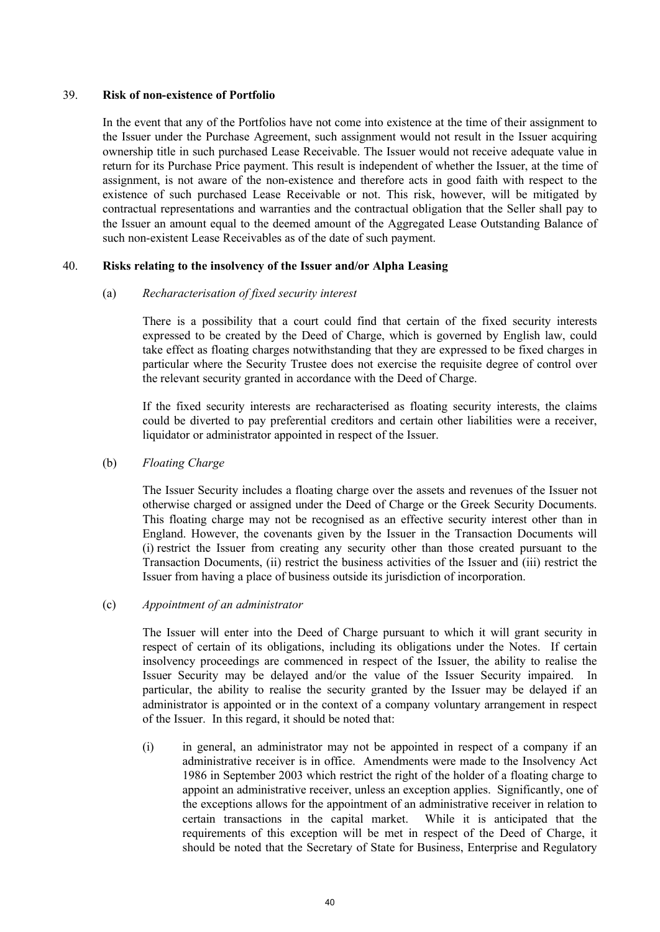#### 39. **Risk of non-existence of Portfolio**

In the event that any of the Portfolios have not come into existence at the time of their assignment to the Issuer under the Purchase Agreement, such assignment would not result in the Issuer acquiring ownership title in such purchased Lease Receivable. The Issuer would not receive adequate value in return for its Purchase Price payment. This result is independent of whether the Issuer, at the time of assignment, is not aware of the non-existence and therefore acts in good faith with respect to the existence of such purchased Lease Receivable or not. This risk, however, will be mitigated by contractual representations and warranties and the contractual obligation that the Seller shall pay to the Issuer an amount equal to the deemed amount of the Aggregated Lease Outstanding Balance of such non-existent Lease Receivables as of the date of such payment.

## 40. **Risks relating to the insolvency of the Issuer and/or Alpha Leasing**

#### (a) *Recharacterisation of fixed security interest*

There is a possibility that a court could find that certain of the fixed security interests expressed to be created by the Deed of Charge, which is governed by English law, could take effect as floating charges notwithstanding that they are expressed to be fixed charges in particular where the Security Trustee does not exercise the requisite degree of control over the relevant security granted in accordance with the Deed of Charge.

If the fixed security interests are recharacterised as floating security interests, the claims could be diverted to pay preferential creditors and certain other liabilities were a receiver, liquidator or administrator appointed in respect of the Issuer.

### (b) *Floating Charge*

The Issuer Security includes a floating charge over the assets and revenues of the Issuer not otherwise charged or assigned under the Deed of Charge or the Greek Security Documents. This floating charge may not be recognised as an effective security interest other than in England. However, the covenants given by the Issuer in the Transaction Documents will (i) restrict the Issuer from creating any security other than those created pursuant to the Transaction Documents, (ii) restrict the business activities of the Issuer and (iii) restrict the Issuer from having a place of business outside its jurisdiction of incorporation.

#### (c) *Appointment of an administrator*

The Issuer will enter into the Deed of Charge pursuant to which it will grant security in respect of certain of its obligations, including its obligations under the Notes. If certain insolvency proceedings are commenced in respect of the Issuer, the ability to realise the Issuer Security may be delayed and/or the value of the Issuer Security impaired. In particular, the ability to realise the security granted by the Issuer may be delayed if an administrator is appointed or in the context of a company voluntary arrangement in respect of the Issuer. In this regard, it should be noted that:

(i) in general, an administrator may not be appointed in respect of a company if an administrative receiver is in office. Amendments were made to the Insolvency Act 1986 in September 2003 which restrict the right of the holder of a floating charge to appoint an administrative receiver, unless an exception applies. Significantly, one of the exceptions allows for the appointment of an administrative receiver in relation to certain transactions in the capital market. While it is anticipated that the requirements of this exception will be met in respect of the Deed of Charge, it should be noted that the Secretary of State for Business, Enterprise and Regulatory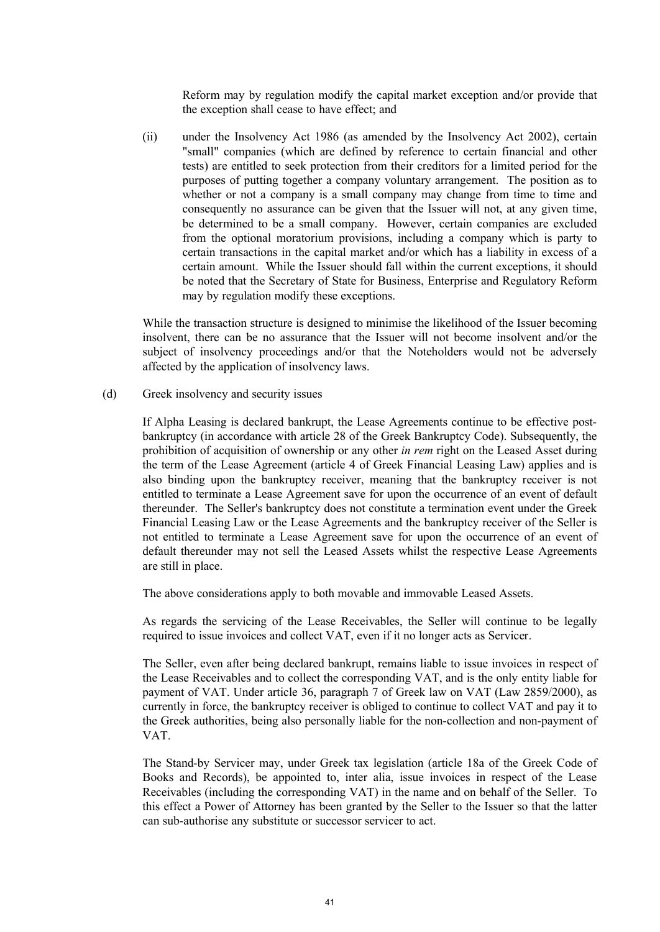Reform may by regulation modify the capital market exception and/or provide that the exception shall cease to have effect; and

(ii) under the Insolvency Act 1986 (as amended by the Insolvency Act 2002), certain "small" companies (which are defined by reference to certain financial and other tests) are entitled to seek protection from their creditors for a limited period for the purposes of putting together a company voluntary arrangement. The position as to whether or not a company is a small company may change from time to time and consequently no assurance can be given that the Issuer will not, at any given time, be determined to be a small company. However, certain companies are excluded from the optional moratorium provisions, including a company which is party to certain transactions in the capital market and/or which has a liability in excess of a certain amount. While the Issuer should fall within the current exceptions, it should be noted that the Secretary of State for Business, Enterprise and Regulatory Reform may by regulation modify these exceptions.

While the transaction structure is designed to minimise the likelihood of the Issuer becoming insolvent, there can be no assurance that the Issuer will not become insolvent and/or the subject of insolvency proceedings and/or that the Noteholders would not be adversely affected by the application of insolvency laws.

(d) Greek insolvency and security issues

If Alpha Leasing is declared bankrupt, the Lease Agreements continue to be effective postbankruptcy (in accordance with article 28 of the Greek Bankruptcy Code). Subsequently, the prohibition of acquisition of ownership or any other *in rem* right on the Leased Asset during the term of the Lease Agreement (article 4 of Greek Financial Leasing Law) applies and is also binding upon the bankruptcy receiver, meaning that the bankruptcy receiver is not entitled to terminate a Lease Agreement save for upon the occurrence of an event of default thereunder. The Seller's bankruptcy does not constitute a termination event under the Greek Financial Leasing Law or the Lease Agreements and the bankruptcy receiver of the Seller is not entitled to terminate a Lease Agreement save for upon the occurrence of an event of default thereunder may not sell the Leased Assets whilst the respective Lease Agreements are still in place.

The above considerations apply to both movable and immovable Leased Assets.

As regards the servicing of the Lease Receivables, the Seller will continue to be legally required to issue invoices and collect VAT, even if it no longer acts as Servicer.

The Seller, even after being declared bankrupt, remains liable to issue invoices in respect of the Lease Receivables and to collect the corresponding VAT, and is the only entity liable for payment of VAT. Under article 36, paragraph 7 of Greek law on VAT (Law 2859/2000), as currently in force, the bankruptcy receiver is obliged to continue to collect VAT and pay it to the Greek authorities, being also personally liable for the non-collection and non-payment of VAT.

The Stand-by Servicer may, under Greek tax legislation (article 18a of the Greek Code of Books and Records), be appointed to, inter alia, issue invoices in respect of the Lease Receivables (including the corresponding VAT) in the name and on behalf of the Seller. To this effect a Power of Attorney has been granted by the Seller to the Issuer so that the latter can sub-authorise any substitute or successor servicer to act.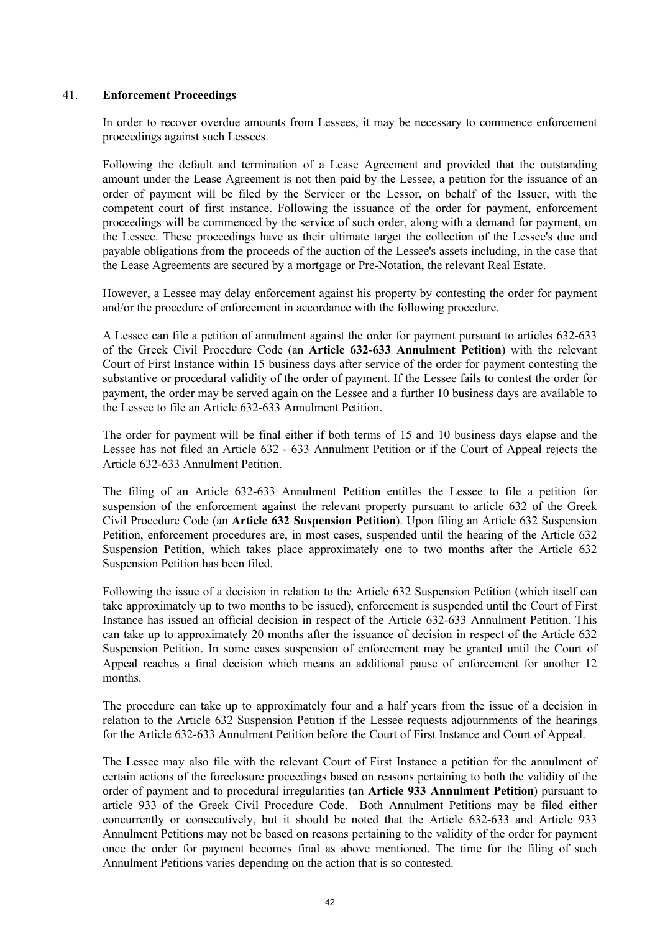## 41. **Enforcement Proceedings**

In order to recover overdue amounts from Lessees, it may be necessary to commence enforcement proceedings against such Lessees.

Following the default and termination of a Lease Agreement and provided that the outstanding amount under the Lease Agreement is not then paid by the Lessee, a petition for the issuance of an order of payment will be filed by the Servicer or the Lessor, on behalf of the Issuer, with the competent court of first instance. Following the issuance of the order for payment, enforcement proceedings will be commenced by the service of such order, along with a demand for payment, on the Lessee. These proceedings have as their ultimate target the collection of the Lessee's due and payable obligations from the proceeds of the auction of the Lessee's assets including, in the case that the Lease Agreements are secured by a mortgage or Pre-Notation, the relevant Real Estate.

However, a Lessee may delay enforcement against his property by contesting the order for payment and/or the procedure of enforcement in accordance with the following procedure.

A Lessee can file a petition of annulment against the order for payment pursuant to articles 632-633 of the Greek Civil Procedure Code (an **Article 632-633 Annulment Petition**) with the relevant Court of First Instance within 15 business days after service of the order for payment contesting the substantive or procedural validity of the order of payment. If the Lessee fails to contest the order for payment, the order may be served again on the Lessee and a further 10 business days are available to the Lessee to file an Article 632-633 Annulment Petition.

The order for payment will be final either if both terms of 15 and 10 business days elapse and the Lessee has not filed an Article 632 - 633 Annulment Petition or if the Court of Appeal rejects the Article 632-633 Annulment Petition.

The filing of an Article 632-633 Annulment Petition entitles the Lessee to file a petition for suspension of the enforcement against the relevant property pursuant to article 632 of the Greek Civil Procedure Code (an **Article 632 Suspension Petition**). Upon filing an Article 632 Suspension Petition, enforcement procedures are, in most cases, suspended until the hearing of the Article 632 Suspension Petition, which takes place approximately one to two months after the Article 632 Suspension Petition has been filed.

Following the issue of a decision in relation to the Article 632 Suspension Petition (which itself can take approximately up to two months to be issued), enforcement is suspended until the Court of First Instance has issued an official decision in respect of the Article 632-633 Annulment Petition. This can take up to approximately 20 months after the issuance of decision in respect of the Article 632 Suspension Petition. In some cases suspension of enforcement may be granted until the Court of Appeal reaches a final decision which means an additional pause of enforcement for another 12 months.

The procedure can take up to approximately four and a half years from the issue of a decision in relation to the Article 632 Suspension Petition if the Lessee requests adjournments of the hearings for the Article 632-633 Annulment Petition before the Court of First Instance and Court of Appeal.

The Lessee may also file with the relevant Court of First Instance a petition for the annulment of certain actions of the foreclosure proceedings based on reasons pertaining to both the validity of the order of payment and to procedural irregularities (an **Article 933 Annulment Petition**) pursuant to article 933 of the Greek Civil Procedure Code. Both Annulment Petitions may be filed either concurrently or consecutively, but it should be noted that the Article 632-633 and Article 933 Annulment Petitions may not be based on reasons pertaining to the validity of the order for payment once the order for payment becomes final as above mentioned. The time for the filing of such Annulment Petitions varies depending on the action that is so contested.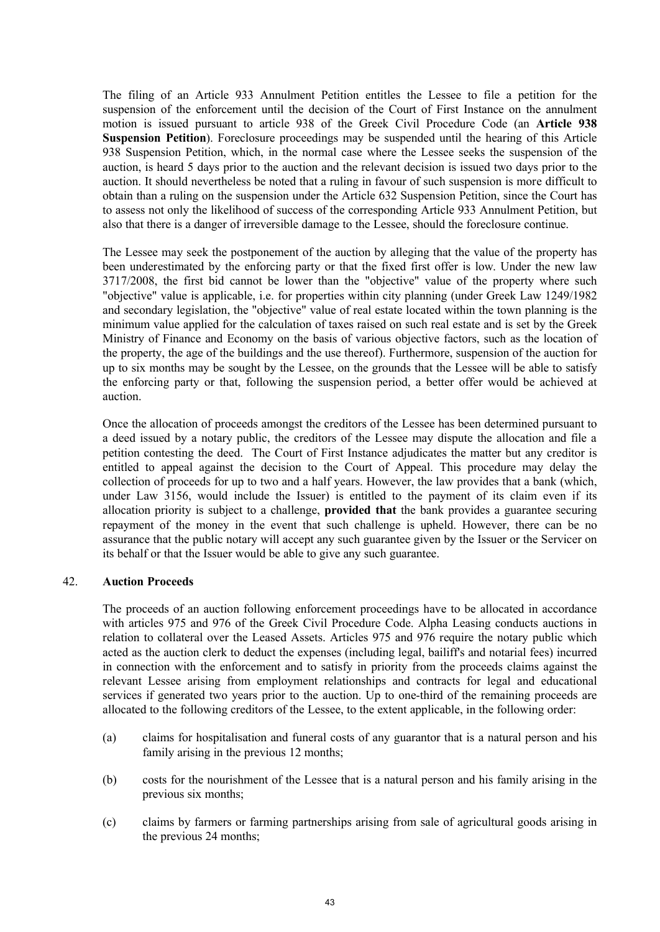The filing of an Article 933 Annulment Petition entitles the Lessee to file a petition for the suspension of the enforcement until the decision of the Court of First Instance on the annulment motion is issued pursuant to article 938 of the Greek Civil Procedure Code (an **Article 938 Suspension Petition**). Foreclosure proceedings may be suspended until the hearing of this Article 938 Suspension Petition, which, in the normal case where the Lessee seeks the suspension of the auction, is heard 5 days prior to the auction and the relevant decision is issued two days prior to the auction. It should nevertheless be noted that a ruling in favour of such suspension is more difficult to obtain than a ruling on the suspension under the Article 632 Suspension Petition, since the Court has to assess not only the likelihood of success of the corresponding Article 933 Annulment Petition, but also that there is a danger of irreversible damage to the Lessee, should the foreclosure continue.

The Lessee may seek the postponement of the auction by alleging that the value of the property has been underestimated by the enforcing party or that the fixed first offer is low. Under the new law 3717/2008, the first bid cannot be lower than the "objective" value of the property where such "objective" value is applicable, i.e. for properties within city planning (under Greek Law 1249/1982 and secondary legislation, the "objective" value of real estate located within the town planning is the minimum value applied for the calculation of taxes raised on such real estate and is set by the Greek Ministry of Finance and Economy on the basis of various objective factors, such as the location of the property, the age of the buildings and the use thereof). Furthermore, suspension of the auction for up to six months may be sought by the Lessee, on the grounds that the Lessee will be able to satisfy the enforcing party or that, following the suspension period, a better offer would be achieved at auction.

Once the allocation of proceeds amongst the creditors of the Lessee has been determined pursuant to a deed issued by a notary public, the creditors of the Lessee may dispute the allocation and file a petition contesting the deed. The Court of First Instance adjudicates the matter but any creditor is entitled to appeal against the decision to the Court of Appeal. This procedure may delay the collection of proceeds for up to two and a half years. However, the law provides that a bank (which, under Law 3156, would include the Issuer) is entitled to the payment of its claim even if its allocation priority is subject to a challenge, **provided that** the bank provides a guarantee securing repayment of the money in the event that such challenge is upheld. However, there can be no assurance that the public notary will accept any such guarantee given by the Issuer or the Servicer on its behalf or that the Issuer would be able to give any such guarantee.

## 42. **Auction Proceeds**

The proceeds of an auction following enforcement proceedings have to be allocated in accordance with articles 975 and 976 of the Greek Civil Procedure Code. Alpha Leasing conducts auctions in relation to collateral over the Leased Assets. Articles 975 and 976 require the notary public which acted as the auction clerk to deduct the expenses (including legal, bailiff's and notarial fees) incurred in connection with the enforcement and to satisfy in priority from the proceeds claims against the relevant Lessee arising from employment relationships and contracts for legal and educational services if generated two years prior to the auction. Up to one-third of the remaining proceeds are allocated to the following creditors of the Lessee, to the extent applicable, in the following order:

- (a) claims for hospitalisation and funeral costs of any guarantor that is a natural person and his family arising in the previous 12 months;
- (b) costs for the nourishment of the Lessee that is a natural person and his family arising in the previous six months;
- (c) claims by farmers or farming partnerships arising from sale of agricultural goods arising in the previous 24 months;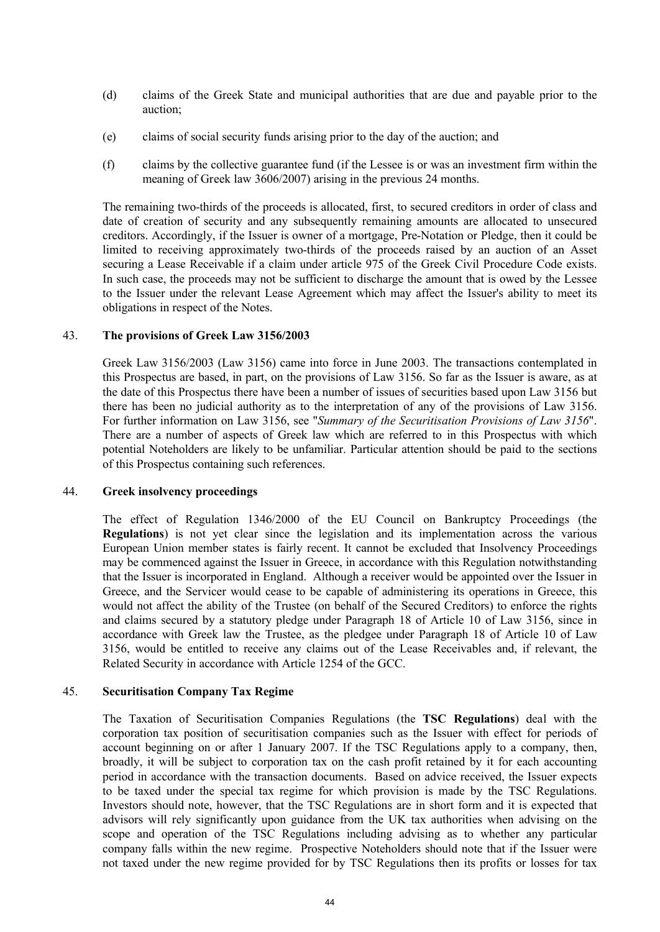- (d) claims of the Greek State and municipal authorities that are due and payable prior to the auction;
- (e) claims of social security funds arising prior to the day of the auction; and
- (f) claims by the collective guarantee fund (if the Lessee is or was an investment firm within the meaning of Greek law 3606/2007) arising in the previous 24 months.

The remaining two-thirds of the proceeds is allocated, first, to secured creditors in order of class and date of creation of security and any subsequently remaining amounts are allocated to unsecured creditors. Accordingly, if the Issuer is owner of a mortgage, Pre-Notation or Pledge, then it could be limited to receiving approximately two-thirds of the proceeds raised by an auction of an Asset securing a Lease Receivable if a claim under article 975 of the Greek Civil Procedure Code exists. In such case, the proceeds may not be sufficient to discharge the amount that is owed by the Lessee to the Issuer under the relevant Lease Agreement which may affect the Issuer's ability to meet its obligations in respect of the Notes.

#### 43. **The provisions of Greek Law 3156/2003**

Greek Law 3156/2003 (Law 3156) came into force in June 2003. The transactions contemplated in this Prospectus are based, in part, on the provisions of Law 3156. So far as the Issuer is aware, as at the date of this Prospectus there have been a number of issues of securities based upon Law 3156 but there has been no judicial authority as to the interpretation of any of the provisions of Law 3156. For further information on Law 3156, see "*Summary of the Securitisation Provisions of Law 3156*". There are a number of aspects of Greek law which are referred to in this Prospectus with which potential Noteholders are likely to be unfamiliar. Particular attention should be paid to the sections of this Prospectus containing such references.

#### 44. **Greek insolvency proceedings**

The effect of Regulation 1346/2000 of the EU Council on Bankruptcy Proceedings (the **Regulations**) is not yet clear since the legislation and its implementation across the various European Union member states is fairly recent. It cannot be excluded that Insolvency Proceedings may be commenced against the Issuer in Greece, in accordance with this Regulation notwithstanding that the Issuer is incorporated in England. Although a receiver would be appointed over the Issuer in Greece, and the Servicer would cease to be capable of administering its operations in Greece, this would not affect the ability of the Trustee (on behalf of the Secured Creditors) to enforce the rights and claims secured by a statutory pledge under Paragraph 18 of Article 10 of Law 3156, since in accordance with Greek law the Trustee, as the pledgee under Paragraph 18 of Article 10 of Law 3156, would be entitled to receive any claims out of the Lease Receivables and, if relevant, the Related Security in accordance with Article 1254 of the GCC.

## 45. **Securitisation Company Tax Regime**

The Taxation of Securitisation Companies Regulations (the **TSC Regulations**) deal with the corporation tax position of securitisation companies such as the Issuer with effect for periods of account beginning on or after 1 January 2007. If the TSC Regulations apply to a company, then, broadly, it will be subject to corporation tax on the cash profit retained by it for each accounting period in accordance with the transaction documents. Based on advice received, the Issuer expects to be taxed under the special tax regime for which provision is made by the TSC Regulations. Investors should note, however, that the TSC Regulations are in short form and it is expected that advisors will rely significantly upon guidance from the UK tax authorities when advising on the scope and operation of the TSC Regulations including advising as to whether any particular company falls within the new regime. Prospective Noteholders should note that if the Issuer were not taxed under the new regime provided for by TSC Regulations then its profits or losses for tax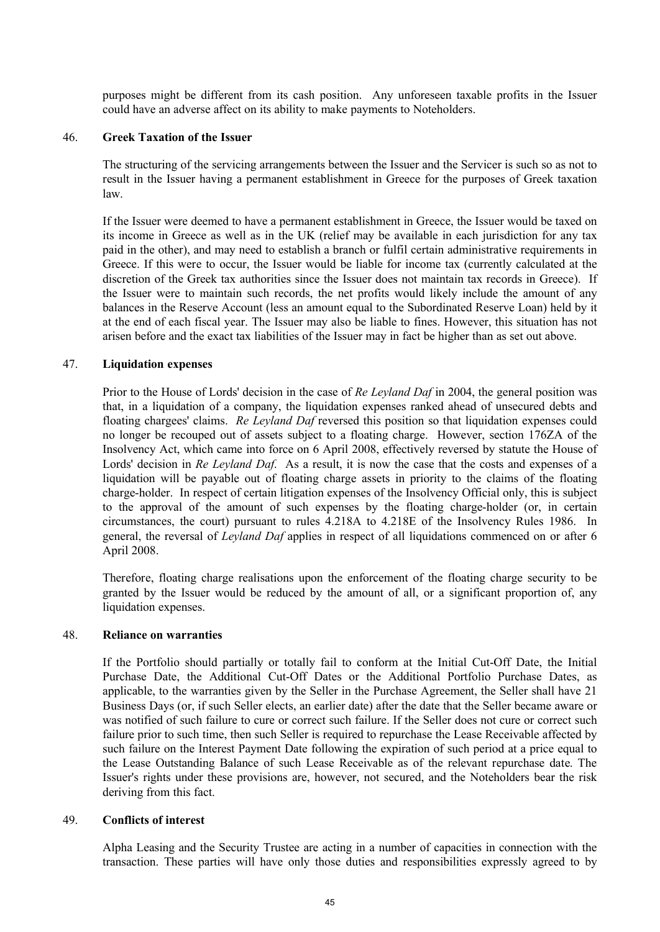purposes might be different from its cash position. Any unforeseen taxable profits in the Issuer could have an adverse affect on its ability to make payments to Noteholders.

#### 46. **Greek Taxation of the Issuer**

The structuring of the servicing arrangements between the Issuer and the Servicer is such so as not to result in the Issuer having a permanent establishment in Greece for the purposes of Greek taxation law.

If the Issuer were deemed to have a permanent establishment in Greece, the Issuer would be taxed on its income in Greece as well as in the UK (relief may be available in each jurisdiction for any tax paid in the other), and may need to establish a branch or fulfil certain administrative requirements in Greece. If this were to occur, the Issuer would be liable for income tax (currently calculated at the discretion of the Greek tax authorities since the Issuer does not maintain tax records in Greece). If the Issuer were to maintain such records, the net profits would likely include the amount of any balances in the Reserve Account (less an amount equal to the Subordinated Reserve Loan) held by it at the end of each fiscal year. The Issuer may also be liable to fines. However, this situation has not arisen before and the exact tax liabilities of the Issuer may in fact be higher than as set out above.

## 47. **Liquidation expenses**

Prior to the House of Lords' decision in the case of *Re Leyland Daf* in 2004, the general position was that, in a liquidation of a company, the liquidation expenses ranked ahead of unsecured debts and floating chargees' claims. *Re Leyland Daf* reversed this position so that liquidation expenses could no longer be recouped out of assets subject to a floating charge. However, section 176ZA of the Insolvency Act, which came into force on 6 April 2008, effectively reversed by statute the House of Lords' decision in *Re Leyland Daf*. As a result, it is now the case that the costs and expenses of a liquidation will be payable out of floating charge assets in priority to the claims of the floating charge-holder. In respect of certain litigation expenses of the Insolvency Official only, this is subject to the approval of the amount of such expenses by the floating charge-holder (or, in certain circumstances, the court) pursuant to rules 4.218A to 4.218E of the Insolvency Rules 1986. In general, the reversal of *Leyland Daf* applies in respect of all liquidations commenced on or after 6 April 2008.

Therefore, floating charge realisations upon the enforcement of the floating charge security to be granted by the Issuer would be reduced by the amount of all, or a significant proportion of, any liquidation expenses.

#### 48. **Reliance on warranties**

If the Portfolio should partially or totally fail to conform at the Initial Cut-Off Date, the Initial Purchase Date, the Additional Cut-Off Dates or the Additional Portfolio Purchase Dates, as applicable, to the warranties given by the Seller in the Purchase Agreement, the Seller shall have 21 Business Days (or, if such Seller elects, an earlier date) after the date that the Seller became aware or was notified of such failure to cure or correct such failure. If the Seller does not cure or correct such failure prior to such time, then such Seller is required to repurchase the Lease Receivable affected by such failure on the Interest Payment Date following the expiration of such period at a price equal to the Lease Outstanding Balance of such Lease Receivable as of the relevant repurchase date. The Issuer's rights under these provisions are, however, not secured, and the Noteholders bear the risk deriving from this fact.

#### 49. **Conflicts of interest**

Alpha Leasing and the Security Trustee are acting in a number of capacities in connection with the transaction. These parties will have only those duties and responsibilities expressly agreed to by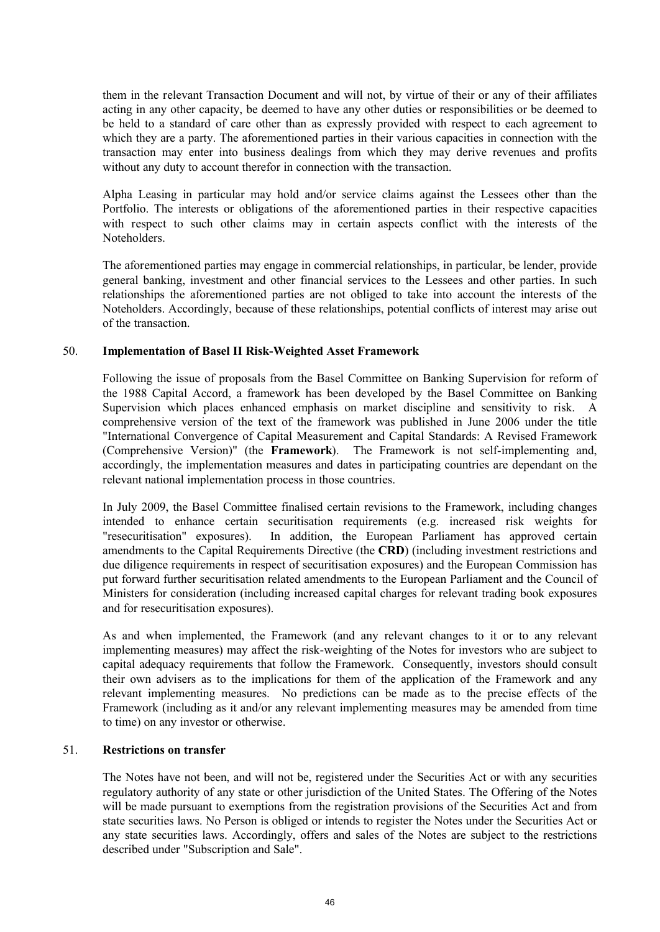them in the relevant Transaction Document and will not, by virtue of their or any of their affiliates acting in any other capacity, be deemed to have any other duties or responsibilities or be deemed to be held to a standard of care other than as expressly provided with respect to each agreement to which they are a party. The aforementioned parties in their various capacities in connection with the transaction may enter into business dealings from which they may derive revenues and profits without any duty to account therefor in connection with the transaction.

Alpha Leasing in particular may hold and/or service claims against the Lessees other than the Portfolio. The interests or obligations of the aforementioned parties in their respective capacities with respect to such other claims may in certain aspects conflict with the interests of the Noteholders.

The aforementioned parties may engage in commercial relationships, in particular, be lender, provide general banking, investment and other financial services to the Lessees and other parties. In such relationships the aforementioned parties are not obliged to take into account the interests of the Noteholders. Accordingly, because of these relationships, potential conflicts of interest may arise out of the transaction.

## 50. **Implementation of Basel II Risk-Weighted Asset Framework**

Following the issue of proposals from the Basel Committee on Banking Supervision for reform of the 1988 Capital Accord, a framework has been developed by the Basel Committee on Banking Supervision which places enhanced emphasis on market discipline and sensitivity to risk. A comprehensive version of the text of the framework was published in June 2006 under the title "International Convergence of Capital Measurement and Capital Standards: A Revised Framework (Comprehensive Version)" (the **Framework**). The Framework is not self-implementing and, accordingly, the implementation measures and dates in participating countries are dependant on the relevant national implementation process in those countries.

In July 2009, the Basel Committee finalised certain revisions to the Framework, including changes intended to enhance certain securitisation requirements (e.g. increased risk weights for "resecuritisation" exposures). In addition, the European Parliament has approved certain amendments to the Capital Requirements Directive (the **CRD**) (including investment restrictions and due diligence requirements in respect of securitisation exposures) and the European Commission has put forward further securitisation related amendments to the European Parliament and the Council of Ministers for consideration (including increased capital charges for relevant trading book exposures and for resecuritisation exposures).

As and when implemented, the Framework (and any relevant changes to it or to any relevant implementing measures) may affect the risk-weighting of the Notes for investors who are subject to capital adequacy requirements that follow the Framework. Consequently, investors should consult their own advisers as to the implications for them of the application of the Framework and any relevant implementing measures. No predictions can be made as to the precise effects of the Framework (including as it and/or any relevant implementing measures may be amended from time to time) on any investor or otherwise.

## 51. **Restrictions on transfer**

The Notes have not been, and will not be, registered under the Securities Act or with any securities regulatory authority of any state or other jurisdiction of the United States. The Offering of the Notes will be made pursuant to exemptions from the registration provisions of the Securities Act and from state securities laws. No Person is obliged or intends to register the Notes under the Securities Act or any state securities laws. Accordingly, offers and sales of the Notes are subject to the restrictions described under "Subscription and Sale".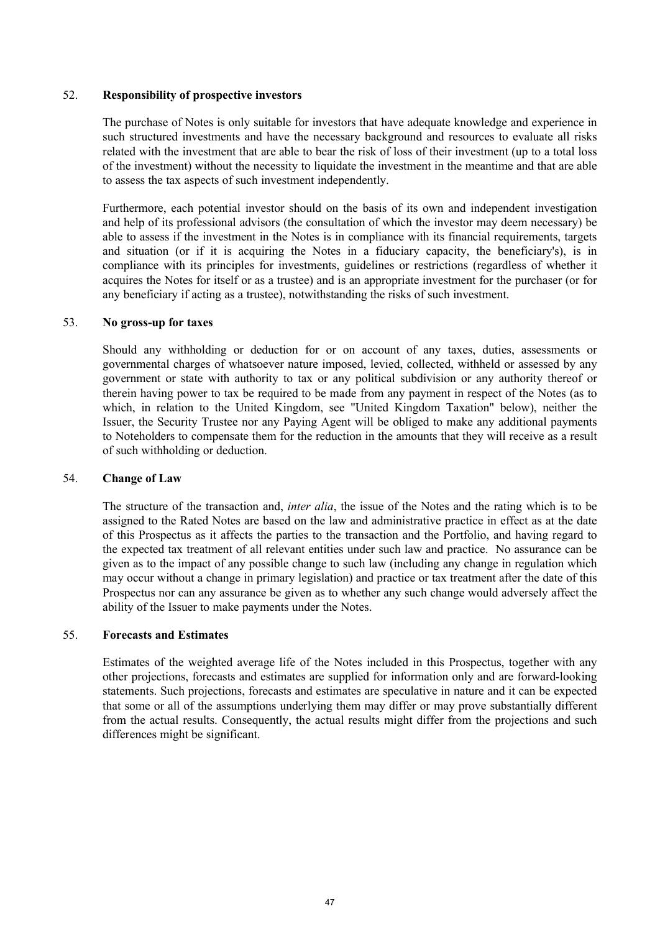## 52. **Responsibility of prospective investors**

The purchase of Notes is only suitable for investors that have adequate knowledge and experience in such structured investments and have the necessary background and resources to evaluate all risks related with the investment that are able to bear the risk of loss of their investment (up to a total loss of the investment) without the necessity to liquidate the investment in the meantime and that are able to assess the tax aspects of such investment independently.

Furthermore, each potential investor should on the basis of its own and independent investigation and help of its professional advisors (the consultation of which the investor may deem necessary) be able to assess if the investment in the Notes is in compliance with its financial requirements, targets and situation (or if it is acquiring the Notes in a fiduciary capacity, the beneficiary's), is in compliance with its principles for investments, guidelines or restrictions (regardless of whether it acquires the Notes for itself or as a trustee) and is an appropriate investment for the purchaser (or for any beneficiary if acting as a trustee), notwithstanding the risks of such investment.

## 53. **No gross-up for taxes**

Should any withholding or deduction for or on account of any taxes, duties, assessments or governmental charges of whatsoever nature imposed, levied, collected, withheld or assessed by any government or state with authority to tax or any political subdivision or any authority thereof or therein having power to tax be required to be made from any payment in respect of the Notes (as to which, in relation to the United Kingdom, see "United Kingdom Taxation" below), neither the Issuer, the Security Trustee nor any Paying Agent will be obliged to make any additional payments to Noteholders to compensate them for the reduction in the amounts that they will receive as a result of such withholding or deduction.

#### 54. **Change of Law**

The structure of the transaction and, *inter alia*, the issue of the Notes and the rating which is to be assigned to the Rated Notes are based on the law and administrative practice in effect as at the date of this Prospectus as it affects the parties to the transaction and the Portfolio, and having regard to the expected tax treatment of all relevant entities under such law and practice. No assurance can be given as to the impact of any possible change to such law (including any change in regulation which may occur without a change in primary legislation) and practice or tax treatment after the date of this Prospectus nor can any assurance be given as to whether any such change would adversely affect the ability of the Issuer to make payments under the Notes.

## 55. **Forecasts and Estimates**

Estimates of the weighted average life of the Notes included in this Prospectus, together with any other projections, forecasts and estimates are supplied for information only and are forward-looking statements. Such projections, forecasts and estimates are speculative in nature and it can be expected that some or all of the assumptions underlying them may differ or may prove substantially different from the actual results. Consequently, the actual results might differ from the projections and such differences might be significant.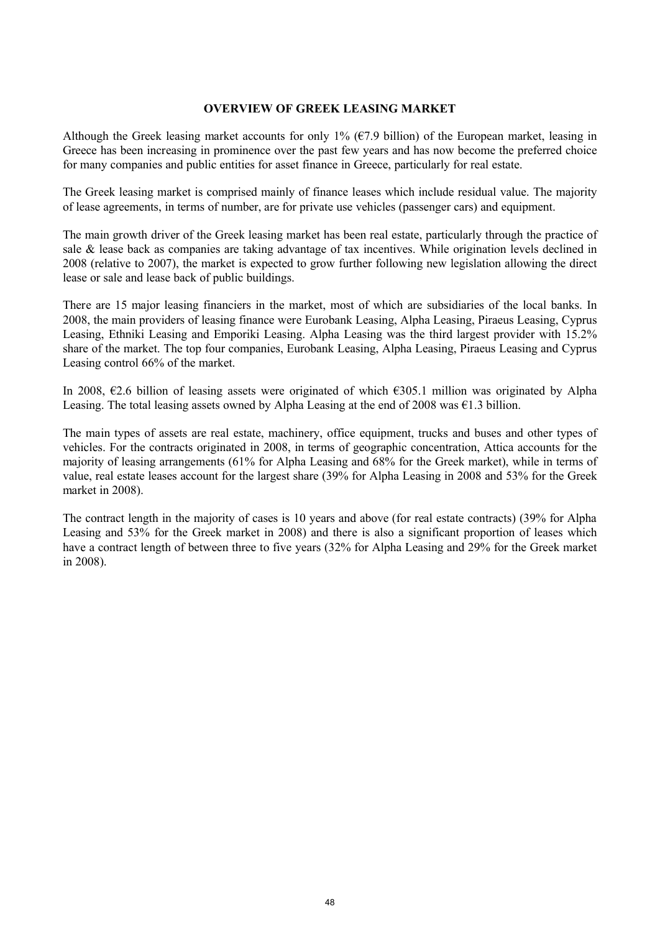## **OVERVIEW OF GREEK LEASING MARKET**

Although the Greek leasing market accounts for only 1% (€7.9 billion) of the European market, leasing in Greece has been increasing in prominence over the past few years and has now become the preferred choice for many companies and public entities for asset finance in Greece, particularly for real estate.

The Greek leasing market is comprised mainly of finance leases which include residual value. The majority of lease agreements, in terms of number, are for private use vehicles (passenger cars) and equipment.

The main growth driver of the Greek leasing market has been real estate, particularly through the practice of sale & lease back as companies are taking advantage of tax incentives. While origination levels declined in 2008 (relative to 2007), the market is expected to grow further following new legislation allowing the direct lease or sale and lease back of public buildings.

There are 15 major leasing financiers in the market, most of which are subsidiaries of the local banks. In 2008, the main providers of leasing finance were Eurobank Leasing, Alpha Leasing, Piraeus Leasing, Cyprus Leasing, Ethniki Leasing and Emporiki Leasing. Alpha Leasing was the third largest provider with 15.2% share of the market. The top four companies, Eurobank Leasing, Alpha Leasing, Piraeus Leasing and Cyprus Leasing control 66% of the market.

In 2008, €2.6 billion of leasing assets were originated of which €305.1 million was originated by Alpha Leasing. The total leasing assets owned by Alpha Leasing at the end of 2008 was  $\epsilon$ 1.3 billion.

The main types of assets are real estate, machinery, office equipment, trucks and buses and other types of vehicles. For the contracts originated in 2008, in terms of geographic concentration, Attica accounts for the majority of leasing arrangements (61% for Alpha Leasing and 68% for the Greek market), while in terms of value, real estate leases account for the largest share (39% for Alpha Leasing in 2008 and 53% for the Greek market in 2008).

The contract length in the majority of cases is 10 years and above (for real estate contracts) (39% for Alpha Leasing and 53% for the Greek market in 2008) and there is also a significant proportion of leases which have a contract length of between three to five years (32% for Alpha Leasing and 29% for the Greek market in 2008).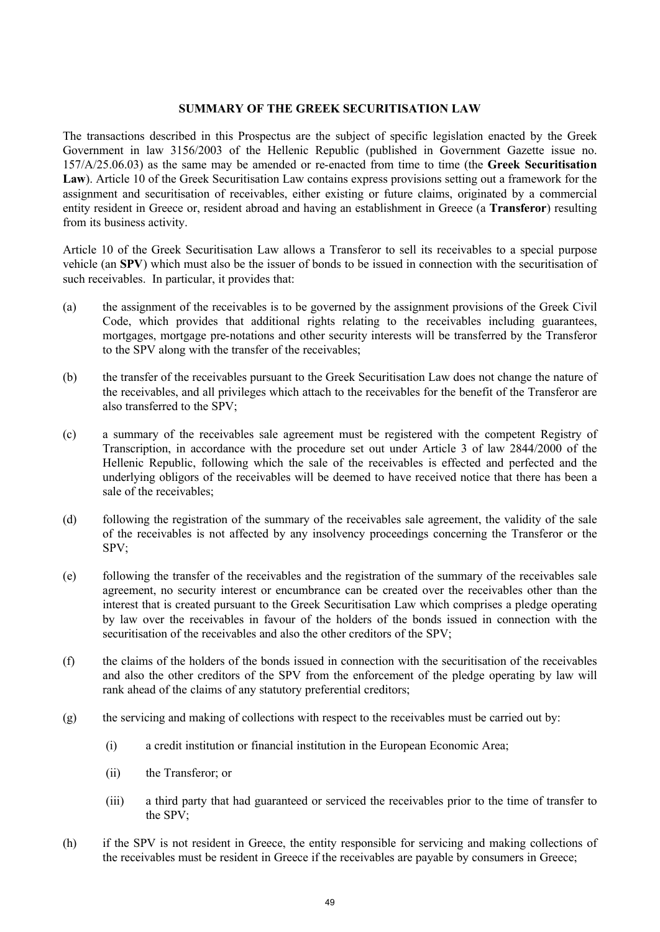### **SUMMARY OF THE GREEK SECURITISATION LAW**

The transactions described in this Prospectus are the subject of specific legislation enacted by the Greek Government in law 3156/2003 of the Hellenic Republic (published in Government Gazette issue no. 157/A/25.06.03) as the same may be amended or re-enacted from time to time (the **Greek Securitisation Law**). Article 10 of the Greek Securitisation Law contains express provisions setting out a framework for the assignment and securitisation of receivables, either existing or future claims, originated by a commercial entity resident in Greece or, resident abroad and having an establishment in Greece (a **Transferor**) resulting from its business activity.

Article 10 of the Greek Securitisation Law allows a Transferor to sell its receivables to a special purpose vehicle (an **SPV**) which must also be the issuer of bonds to be issued in connection with the securitisation of such receivables. In particular, it provides that:

- (a) the assignment of the receivables is to be governed by the assignment provisions of the Greek Civil Code, which provides that additional rights relating to the receivables including guarantees, mortgages, mortgage pre-notations and other security interests will be transferred by the Transferor to the SPV along with the transfer of the receivables;
- (b) the transfer of the receivables pursuant to the Greek Securitisation Law does not change the nature of the receivables, and all privileges which attach to the receivables for the benefit of the Transferor are also transferred to the SPV;
- (c) a summary of the receivables sale agreement must be registered with the competent Registry of Transcription, in accordance with the procedure set out under Article 3 of law 2844/2000 of the Hellenic Republic, following which the sale of the receivables is effected and perfected and the underlying obligors of the receivables will be deemed to have received notice that there has been a sale of the receivables;
- (d) following the registration of the summary of the receivables sale agreement, the validity of the sale of the receivables is not affected by any insolvency proceedings concerning the Transferor or the SPV;
- (e) following the transfer of the receivables and the registration of the summary of the receivables sale agreement, no security interest or encumbrance can be created over the receivables other than the interest that is created pursuant to the Greek Securitisation Law which comprises a pledge operating by law over the receivables in favour of the holders of the bonds issued in connection with the securitisation of the receivables and also the other creditors of the SPV;
- (f) the claims of the holders of the bonds issued in connection with the securitisation of the receivables and also the other creditors of the SPV from the enforcement of the pledge operating by law will rank ahead of the claims of any statutory preferential creditors;
- (g) the servicing and making of collections with respect to the receivables must be carried out by:
	- (i) a credit institution or financial institution in the European Economic Area;
	- (ii) the Transferor; or
	- (iii) a third party that had guaranteed or serviced the receivables prior to the time of transfer to the SPV;
- (h) if the SPV is not resident in Greece, the entity responsible for servicing and making collections of the receivables must be resident in Greece if the receivables are payable by consumers in Greece;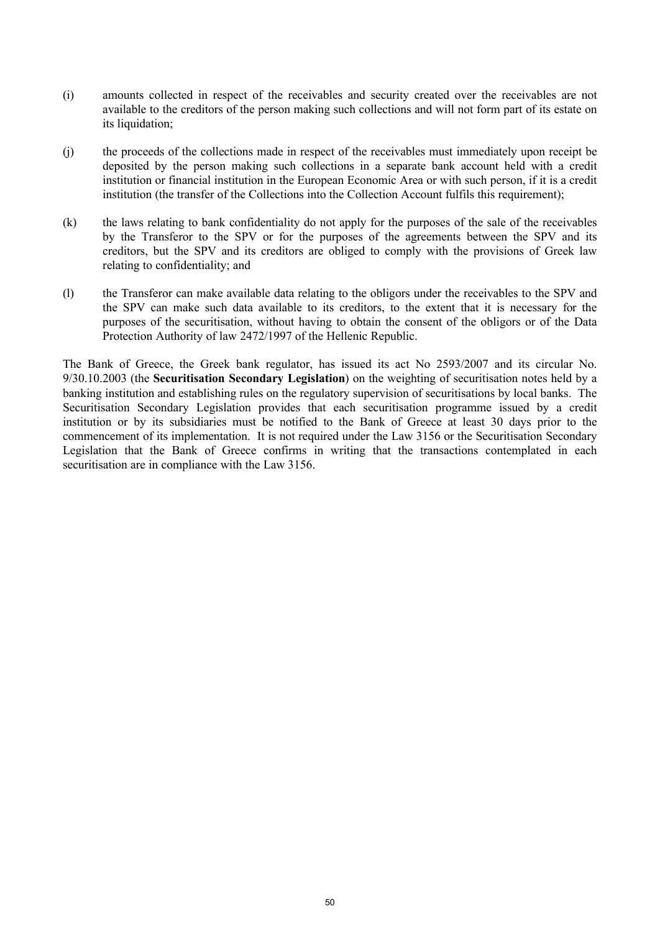- (i) amounts collected in respect of the receivables and security created over the receivables are not available to the creditors of the person making such collections and will not form part of its estate on its liquidation;
- (j) the proceeds of the collections made in respect of the receivables must immediately upon receipt be deposited by the person making such collections in a separate bank account held with a credit institution or financial institution in the European Economic Area or with such person, if it is a credit institution (the transfer of the Collections into the Collection Account fulfils this requirement);
- (k) the laws relating to bank confidentiality do not apply for the purposes of the sale of the receivables by the Transferor to the SPV or for the purposes of the agreements between the SPV and its creditors, but the SPV and its creditors are obliged to comply with the provisions of Greek law relating to confidentiality; and
- (l) the Transferor can make available data relating to the obligors under the receivables to the SPV and the SPV can make such data available to its creditors, to the extent that it is necessary for the purposes of the securitisation, without having to obtain the consent of the obligors or of the Data Protection Authority of law 2472/1997 of the Hellenic Republic.

The Bank of Greece, the Greek bank regulator, has issued its act No 2593/2007 and its circular No. 9/30.10.2003 (the **Securitisation Secondary Legislation**) on the weighting of securitisation notes held by a banking institution and establishing rules on the regulatory supervision of securitisations by local banks. The Securitisation Secondary Legislation provides that each securitisation programme issued by a credit institution or by its subsidiaries must be notified to the Bank of Greece at least 30 days prior to the commencement of its implementation. It is not required under the Law 3156 or the Securitisation Secondary Legislation that the Bank of Greece confirms in writing that the transactions contemplated in each securitisation are in compliance with the Law 3156.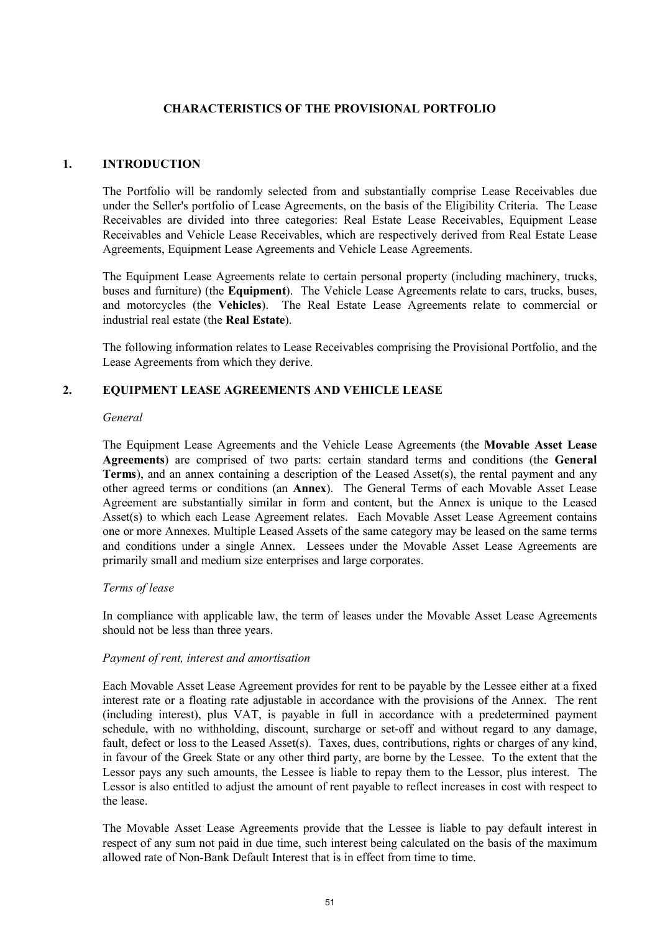## **CHARACTERISTICS OF THE PROVISIONAL PORTFOLIO**

### **1. INTRODUCTION**

The Portfolio will be randomly selected from and substantially comprise Lease Receivables due under the Seller's portfolio of Lease Agreements, on the basis of the Eligibility Criteria. The Lease Receivables are divided into three categories: Real Estate Lease Receivables, Equipment Lease Receivables and Vehicle Lease Receivables, which are respectively derived from Real Estate Lease Agreements, Equipment Lease Agreements and Vehicle Lease Agreements.

The Equipment Lease Agreements relate to certain personal property (including machinery, trucks, buses and furniture) (the **Equipment**). The Vehicle Lease Agreements relate to cars, trucks, buses, and motorcycles (the **Vehicles**). The Real Estate Lease Agreements relate to commercial or industrial real estate (the **Real Estate**).

The following information relates to Lease Receivables comprising the Provisional Portfolio, and the Lease Agreements from which they derive.

#### **2. EQUIPMENT LEASE AGREEMENTS AND VEHICLE LEASE**

#### *General*

The Equipment Lease Agreements and the Vehicle Lease Agreements (the **Movable Asset Lease Agreements**) are comprised of two parts: certain standard terms and conditions (the **General Terms**), and an annex containing a description of the Leased Asset(s), the rental payment and any other agreed terms or conditions (an **Annex**). The General Terms of each Movable Asset Lease Agreement are substantially similar in form and content, but the Annex is unique to the Leased Asset(s) to which each Lease Agreement relates. Each Movable Asset Lease Agreement contains one or more Annexes. Multiple Leased Assets of the same category may be leased on the same terms and conditions under a single Annex. Lessees under the Movable Asset Lease Agreements are primarily small and medium size enterprises and large corporates.

#### *Terms of lease*

In compliance with applicable law, the term of leases under the Movable Asset Lease Agreements should not be less than three years.

#### *Payment of rent, interest and amortisation*

Each Movable Asset Lease Agreement provides for rent to be payable by the Lessee either at a fixed interest rate or a floating rate adjustable in accordance with the provisions of the Annex. The rent (including interest), plus VAT, is payable in full in accordance with a predetermined payment schedule, with no withholding, discount, surcharge or set-off and without regard to any damage, fault, defect or loss to the Leased Asset(s). Taxes, dues, contributions, rights or charges of any kind, in favour of the Greek State or any other third party, are borne by the Lessee. To the extent that the Lessor pays any such amounts, the Lessee is liable to repay them to the Lessor, plus interest. The Lessor is also entitled to adjust the amount of rent payable to reflect increases in cost with respect to the lease.

The Movable Asset Lease Agreements provide that the Lessee is liable to pay default interest in respect of any sum not paid in due time, such interest being calculated on the basis of the maximum allowed rate of Non-Bank Default Interest that is in effect from time to time.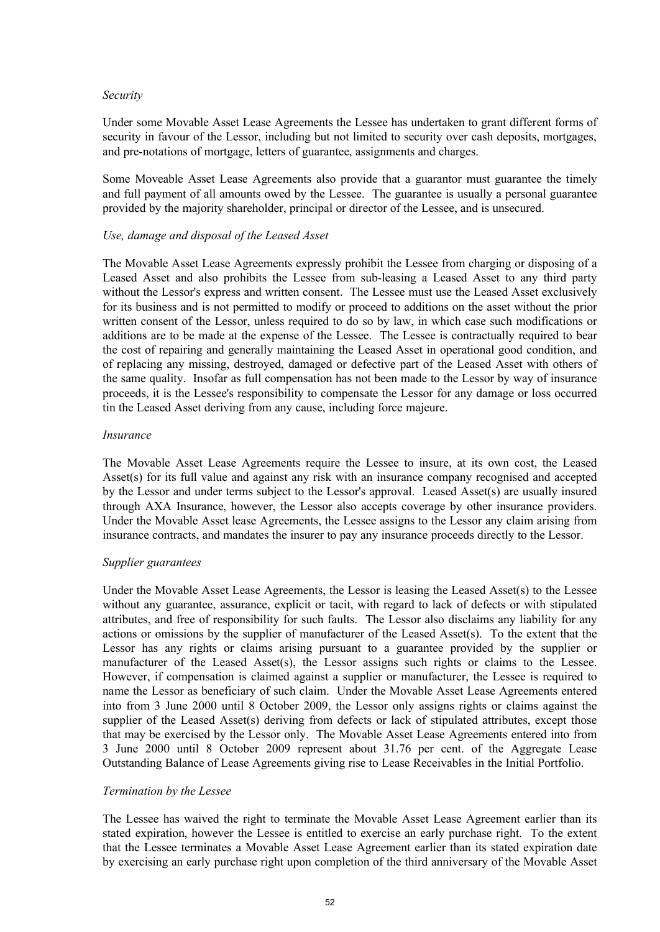#### *Security*

Under some Movable Asset Lease Agreements the Lessee has undertaken to grant different forms of security in favour of the Lessor, including but not limited to security over cash deposits, mortgages, and pre-notations of mortgage, letters of guarantee, assignments and charges.

Some Moveable Asset Lease Agreements also provide that a guarantor must guarantee the timely and full payment of all amounts owed by the Lessee. The guarantee is usually a personal guarantee provided by the majority shareholder, principal or director of the Lessee, and is unsecured.

## *Use, damage and disposal of the Leased Asset*

The Movable Asset Lease Agreements expressly prohibit the Lessee from charging or disposing of a Leased Asset and also prohibits the Lessee from sub-leasing a Leased Asset to any third party without the Lessor's express and written consent. The Lessee must use the Leased Asset exclusively for its business and is not permitted to modify or proceed to additions on the asset without the prior written consent of the Lessor, unless required to do so by law, in which case such modifications or additions are to be made at the expense of the Lessee. The Lessee is contractually required to bear the cost of repairing and generally maintaining the Leased Asset in operational good condition, and of replacing any missing, destroyed, damaged or defective part of the Leased Asset with others of the same quality. Insofar as full compensation has not been made to the Lessor by way of insurance proceeds, it is the Lessee's responsibility to compensate the Lessor for any damage or loss occurred tin the Leased Asset deriving from any cause, including force majeure.

#### *Insurance*

The Movable Asset Lease Agreements require the Lessee to insure, at its own cost, the Leased Asset(s) for its full value and against any risk with an insurance company recognised and accepted by the Lessor and under terms subject to the Lessor's approval. Leased Asset(s) are usually insured through AXA Insurance, however, the Lessor also accepts coverage by other insurance providers. Under the Movable Asset lease Agreements, the Lessee assigns to the Lessor any claim arising from insurance contracts, and mandates the insurer to pay any insurance proceeds directly to the Lessor.

## *Supplier guarantees*

Under the Movable Asset Lease Agreements, the Lessor is leasing the Leased Asset(s) to the Lessee without any guarantee, assurance, explicit or tacit, with regard to lack of defects or with stipulated attributes, and free of responsibility for such faults. The Lessor also disclaims any liability for any actions or omissions by the supplier of manufacturer of the Leased Asset(s). To the extent that the Lessor has any rights or claims arising pursuant to a guarantee provided by the supplier or manufacturer of the Leased Asset(s), the Lessor assigns such rights or claims to the Lessee. However, if compensation is claimed against a supplier or manufacturer, the Lessee is required to name the Lessor as beneficiary of such claim. Under the Movable Asset Lease Agreements entered into from 3 June 2000 until 8 October 2009, the Lessor only assigns rights or claims against the supplier of the Leased Asset(s) deriving from defects or lack of stipulated attributes, except those that may be exercised by the Lessor only. The Movable Asset Lease Agreements entered into from 3 June 2000 until 8 October 2009 represent about 31.76 per cent. of the Aggregate Lease Outstanding Balance of Lease Agreements giving rise to Lease Receivables in the Initial Portfolio.

## *Termination by the Lessee*

The Lessee has waived the right to terminate the Movable Asset Lease Agreement earlier than its stated expiration, however the Lessee is entitled to exercise an early purchase right. To the extent that the Lessee terminates a Movable Asset Lease Agreement earlier than its stated expiration date by exercising an early purchase right upon completion of the third anniversary of the Movable Asset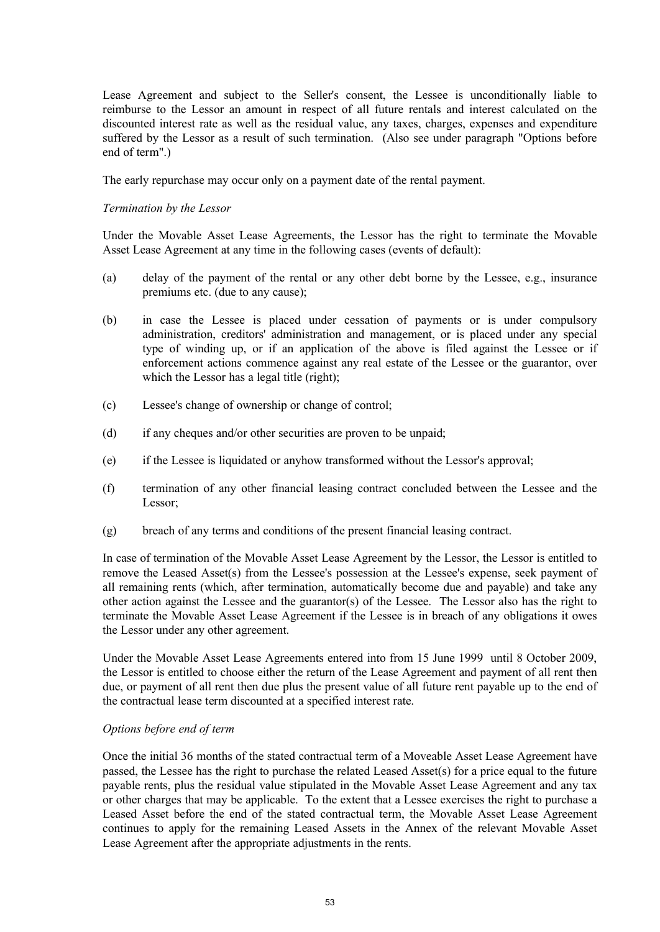Lease Agreement and subject to the Seller's consent, the Lessee is unconditionally liable to reimburse to the Lessor an amount in respect of all future rentals and interest calculated on the discounted interest rate as well as the residual value, any taxes, charges, expenses and expenditure suffered by the Lessor as a result of such termination. (Also see under paragraph "Options before end of term".)

The early repurchase may occur only on a payment date of the rental payment.

### *Termination by the Lessor*

Under the Movable Asset Lease Agreements, the Lessor has the right to terminate the Movable Asset Lease Agreement at any time in the following cases (events of default):

- (a) delay of the payment of the rental or any other debt borne by the Lessee, e.g., insurance premiums etc. (due to any cause);
- (b) in case the Lessee is placed under cessation of payments or is under compulsory administration, creditors' administration and management, or is placed under any special type of winding up, or if an application of the above is filed against the Lessee or if enforcement actions commence against any real estate of the Lessee or the guarantor, over which the Lessor has a legal title (right);
- (c) Lessee's change of ownership or change of control;
- (d) if any cheques and/or other securities are proven to be unpaid;
- (e) if the Lessee is liquidated or anyhow transformed without the Lessor's approval;
- (f) termination of any other financial leasing contract concluded between the Lessee and the Lessor;
- (g) breach of any terms and conditions of the present financial leasing contract.

In case of termination of the Movable Asset Lease Agreement by the Lessor, the Lessor is entitled to remove the Leased Asset(s) from the Lessee's possession at the Lessee's expense, seek payment of all remaining rents (which, after termination, automatically become due and payable) and take any other action against the Lessee and the guarantor(s) of the Lessee. The Lessor also has the right to terminate the Movable Asset Lease Agreement if the Lessee is in breach of any obligations it owes the Lessor under any other agreement.

Under the Movable Asset Lease Agreements entered into from 15 June 1999 until 8 October 2009, the Lessor is entitled to choose either the return of the Lease Agreement and payment of all rent then due, or payment of all rent then due plus the present value of all future rent payable up to the end of the contractual lease term discounted at a specified interest rate.

#### *Options before end of term*

Once the initial 36 months of the stated contractual term of a Moveable Asset Lease Agreement have passed, the Lessee has the right to purchase the related Leased Asset(s) for a price equal to the future payable rents, plus the residual value stipulated in the Movable Asset Lease Agreement and any tax or other charges that may be applicable. To the extent that a Lessee exercises the right to purchase a Leased Asset before the end of the stated contractual term, the Movable Asset Lease Agreement continues to apply for the remaining Leased Assets in the Annex of the relevant Movable Asset Lease Agreement after the appropriate adjustments in the rents.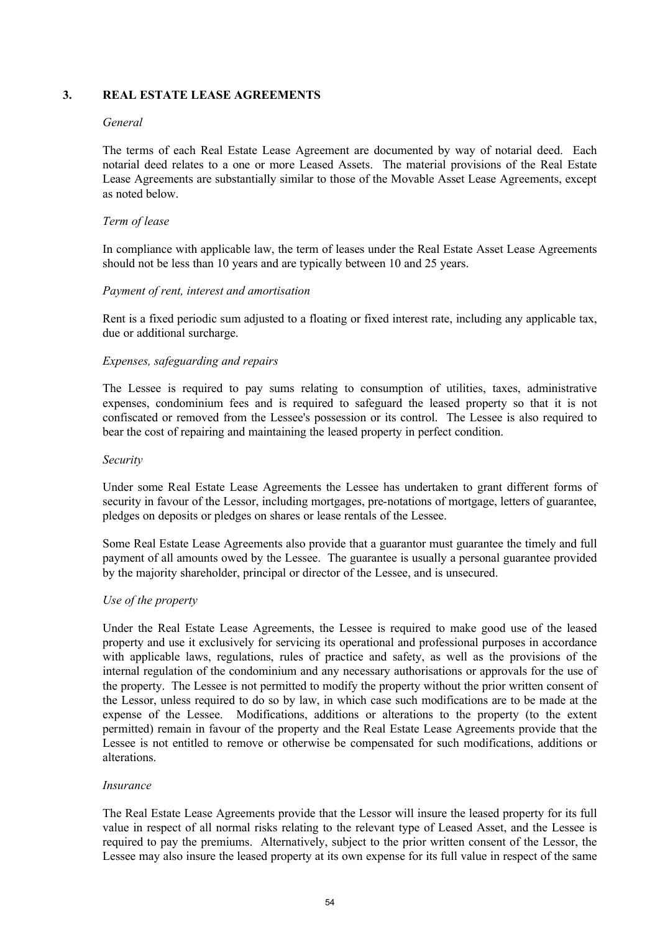## **3. REAL ESTATE LEASE AGREEMENTS**

#### *General*

The terms of each Real Estate Lease Agreement are documented by way of notarial deed. Each notarial deed relates to a one or more Leased Assets. The material provisions of the Real Estate Lease Agreements are substantially similar to those of the Movable Asset Lease Agreements, except as noted below.

### *Term of lease*

In compliance with applicable law, the term of leases under the Real Estate Asset Lease Agreements should not be less than 10 years and are typically between 10 and 25 years.

#### *Payment of rent, interest and amortisation*

Rent is a fixed periodic sum adjusted to a floating or fixed interest rate, including any applicable tax, due or additional surcharge.

## *Expenses, safeguarding and repairs*

The Lessee is required to pay sums relating to consumption of utilities, taxes, administrative expenses, condominium fees and is required to safeguard the leased property so that it is not confiscated or removed from the Lessee's possession or its control. The Lessee is also required to bear the cost of repairing and maintaining the leased property in perfect condition.

#### *Security*

Under some Real Estate Lease Agreements the Lessee has undertaken to grant different forms of security in favour of the Lessor, including mortgages, pre-notations of mortgage, letters of guarantee, pledges on deposits or pledges on shares or lease rentals of the Lessee.

Some Real Estate Lease Agreements also provide that a guarantor must guarantee the timely and full payment of all amounts owed by the Lessee. The guarantee is usually a personal guarantee provided by the majority shareholder, principal or director of the Lessee, and is unsecured.

## *Use of the property*

Under the Real Estate Lease Agreements, the Lessee is required to make good use of the leased property and use it exclusively for servicing its operational and professional purposes in accordance with applicable laws, regulations, rules of practice and safety, as well as the provisions of the internal regulation of the condominium and any necessary authorisations or approvals for the use of the property. The Lessee is not permitted to modify the property without the prior written consent of the Lessor, unless required to do so by law, in which case such modifications are to be made at the expense of the Lessee. Modifications, additions or alterations to the property (to the extent permitted) remain in favour of the property and the Real Estate Lease Agreements provide that the Lessee is not entitled to remove or otherwise be compensated for such modifications, additions or alterations.

## *Insurance*

The Real Estate Lease Agreements provide that the Lessor will insure the leased property for its full value in respect of all normal risks relating to the relevant type of Leased Asset, and the Lessee is required to pay the premiums. Alternatively, subject to the prior written consent of the Lessor, the Lessee may also insure the leased property at its own expense for its full value in respect of the same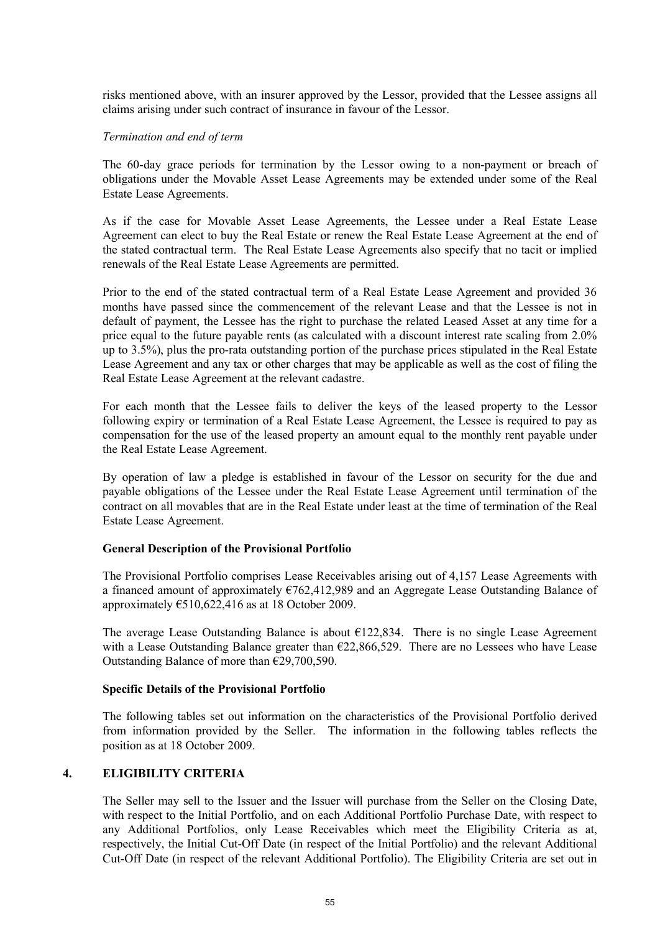risks mentioned above, with an insurer approved by the Lessor, provided that the Lessee assigns all claims arising under such contract of insurance in favour of the Lessor.

#### *Termination and end of term*

The 60-day grace periods for termination by the Lessor owing to a non-payment or breach of obligations under the Movable Asset Lease Agreements may be extended under some of the Real Estate Lease Agreements.

As if the case for Movable Asset Lease Agreements, the Lessee under a Real Estate Lease Agreement can elect to buy the Real Estate or renew the Real Estate Lease Agreement at the end of the stated contractual term. The Real Estate Lease Agreements also specify that no tacit or implied renewals of the Real Estate Lease Agreements are permitted.

Prior to the end of the stated contractual term of a Real Estate Lease Agreement and provided 36 months have passed since the commencement of the relevant Lease and that the Lessee is not in default of payment, the Lessee has the right to purchase the related Leased Asset at any time for a price equal to the future payable rents (as calculated with a discount interest rate scaling from 2.0% up to 3.5%), plus the pro-rata outstanding portion of the purchase prices stipulated in the Real Estate Lease Agreement and any tax or other charges that may be applicable as well as the cost of filing the Real Estate Lease Agreement at the relevant cadastre.

For each month that the Lessee fails to deliver the keys of the leased property to the Lessor following expiry or termination of a Real Estate Lease Agreement, the Lessee is required to pay as compensation for the use of the leased property an amount equal to the monthly rent payable under the Real Estate Lease Agreement.

By operation of law a pledge is established in favour of the Lessor on security for the due and payable obligations of the Lessee under the Real Estate Lease Agreement until termination of the contract on all movables that are in the Real Estate under least at the time of termination of the Real Estate Lease Agreement.

#### **General Description of the Provisional Portfolio**

The Provisional Portfolio comprises Lease Receivables arising out of 4,157 Lease Agreements with a financed amount of approximately €762,412,989 and an Aggregate Lease Outstanding Balance of approximately  $\text{\textsterling}510,622,416$  as at 18 October 2009.

The average Lease Outstanding Balance is about  $\epsilon$ 122,834. There is no single Lease Agreement with a Lease Outstanding Balance greater than €22,866,529. There are no Lessees who have Lease Outstanding Balance of more than €29,700,590.

#### **Specific Details of the Provisional Portfolio**

The following tables set out information on the characteristics of the Provisional Portfolio derived from information provided by the Seller. The information in the following tables reflects the position as at 18 October 2009.

#### **4. ELIGIBILITY CRITERIA**

The Seller may sell to the Issuer and the Issuer will purchase from the Seller on the Closing Date, with respect to the Initial Portfolio, and on each Additional Portfolio Purchase Date, with respect to any Additional Portfolios, only Lease Receivables which meet the Eligibility Criteria as at, respectively, the Initial Cut-Off Date (in respect of the Initial Portfolio) and the relevant Additional Cut-Off Date (in respect of the relevant Additional Portfolio). The Eligibility Criteria are set out in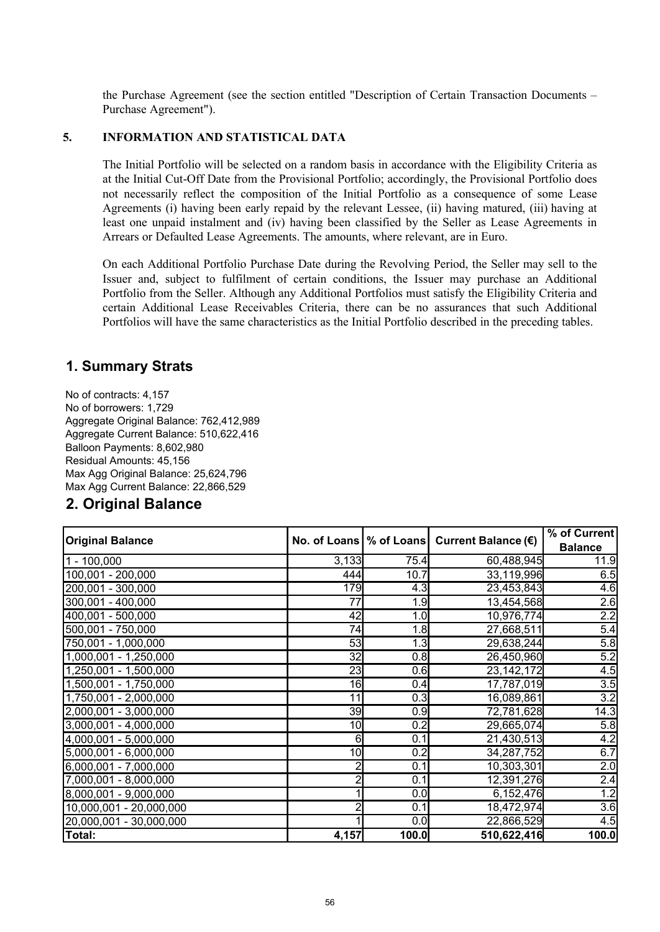the Purchase Agreement (see the section entitled "Description of Certain Transaction Documents – Purchase Agreement").

## **5. INFORMATION AND STATISTICAL DATA**

The Initial Portfolio will be selected on a random basis in accordance with the Eligibility Criteria as at the Initial Cut-Off Date from the Provisional Portfolio; accordingly, the Provisional Portfolio does not necessarily reflect the composition of the Initial Portfolio as a consequence of some Lease Agreements (i) having been early repaid by the relevant Lessee, (ii) having matured, (iii) having at least one unpaid instalment and (iv) having been classified by the Seller as Lease Agreements in Arrears or Defaulted Lease Agreements. The amounts, where relevant, are in Euro.

On each Additional Portfolio Purchase Date during the Revolving Period, the Seller may sell to the Issuer and, subject to fulfilment of certain conditions, the Issuer may purchase an Additional Portfolio from the Seller. Although any Additional Portfolios must satisfy the Eligibility Criteria and certain Additional Lease Receivables Criteria, there can be no assurances that such Additional Portfolios will have the same characteristics as the Initial Portfolio described in the preceding tables.

## **1. Summary Strats**

No of contracts: 4,157 No of borrowers: 1,729 Aggregate Original Balance: 762,412,989 Aggregate Current Balance: 510,622,416 Balloon Payments: 8,602,980 Residual Amounts: 45,156 Max Agg Original Balance: 25,624,796 Max Agg Current Balance: 22,866,529

## **2. Original Balance**

| <b>Original Balance</b> | No. of Loans   % of Loans |       | Current Balance (€) | % of Current   |
|-------------------------|---------------------------|-------|---------------------|----------------|
|                         |                           |       |                     | <b>Balance</b> |
| $1 - 100,000$           | 3,133                     | 75.4  | 60,488,945          | 11.9           |
| 100,001 - 200,000       | 444                       | 10.7  | 33,119,996          | 6.5            |
| $200,001 - 300,000$     | 179                       | 4.3   | 23,453,843          | 4.6            |
| 300,001 - 400,000       | $\overline{77}$           | 1.9   | 13,454,568          | 2.6            |
| 400,001 - 500,000       | 42                        | 1.0   | 10,976,774          | 2.2            |
| 500,001 - 750,000       | 74                        | 1.8   | 27,668,511          | 5.4            |
| 750,001 - 1,000,000     | 53                        | 1.3   | 29,638,244          | 5.8            |
| 1,000,001 - 1,250,000   | 32                        | 0.8   | 26,450,960          | 5.2            |
| 1,250,001 - 1,500,000   | $\overline{23}$           | 0.6   | 23, 142, 172        | 4.5            |
| 1,500,001 - 1,750,000   | 16                        | 0.4   | 17,787,019          | 3.5            |
| 1,750,001 - 2,000,000   | 11                        | 0.3   | 16,089,861          | 3.2            |
| $2,000,001 - 3,000,000$ | 39                        | 0.9   | 72,781,628          | 14.3           |
| 3,000,001 - 4,000,000   | 10                        | 0.2   | 29,665,074          | 5.8            |
| 4,000,001 - 5,000,000   | 6                         | 0.1   | 21,430,513          | 4.2            |
| $5,000,001 - 6,000,000$ | 10                        | 0.2   | 34,287,752          | 6.7            |
| $6,000,001 - 7,000,000$ |                           | 0.1   | 10,303,301          | 2.0            |
| 7,000,001 - 8,000,000   | $\overline{2}$            | 0.1   | 12,391,276          | 2.4            |
| 8,000,001 - 9,000,000   |                           | 0.0   | 6,152,476           | 1.2            |
| 10,000,001 - 20,000,000 |                           | 0.1   | 18,472,974          | 3.6            |
| 20,000,001 - 30,000,000 |                           | 0.0   | 22,866,529          | 4.5            |
| Total:                  | 4,157                     | 100.0 | 510,622,416         | 100.0          |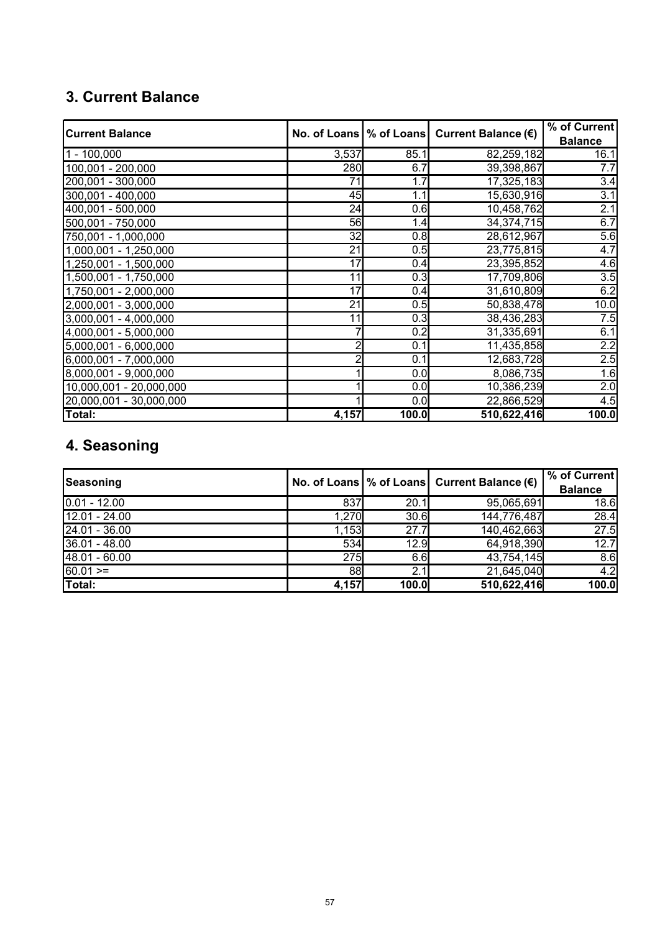## **3. Current Balance**

| <b>Current Balance</b>         | No. of Loans   % of Loans |       | Current Balance (€) | % of Current     |
|--------------------------------|---------------------------|-------|---------------------|------------------|
|                                |                           |       |                     | <b>Balance</b>   |
| $1 - 100,000$                  | 3,537                     | 85.1  | 82,259,182          | 16.1             |
| 100,001 - 200,000              | 280                       | 6.7   | 39,398,867          | 7.7              |
| 200,001 - 300,000              | $\overline{71}$           | 1.7   | 17,325,183          | 3.4              |
| 300,001 - 400,000              | 45                        | 1.1   | 15,630,916          | $\overline{3.1}$ |
| $\overline{400,001}$ - 500,000 | $\overline{24}$           | 0.6   | 10,458,762          | 2.1              |
| 500,001 - 750,000              | 56                        | 1.4   | 34,374,715          | 6.7              |
| 750,001 - 1,000,000            | 32                        | 0.8   | 28,612,967          | 5.6              |
| $1,000,001 - 1,250,000$        | 21                        | 0.5   | 23,775,815          | 4.7              |
| 1,250,001 - 1,500,000          | $\overline{17}$           | 0.4   | 23,395,852          | 4.6              |
| 1,500,001 - 1,750,000          | 11                        | 0.3   | 17,709,806          | 3.5              |
| 1,750,001 - 2,000,000          | 17                        | 0.4   | 31,610,809          | 6.2              |
| 2,000,001 - 3,000,000          | $\overline{21}$           | 0.5   | 50,838,478          | 10.0             |
| 3,000,001 - 4,000,000          | 11                        | 0.3   | 38,436,283          | 7.5              |
| 4,000,001 - 5,000,000          |                           | 0.2   | 31,335,691          | 6.1              |
| $5,000,001 - 6,000,000$        | 2                         | 0.1   | 11,435,858          | 2.2              |
| 6,000,001 - 7,000,000          |                           | 0.1   | 12,683,728          | 2.5              |
| $8,000,001 - 9,000,000$        |                           | 0.0   | 8,086,735           | 1.6              |
| 10,000,001 - 20,000,000        |                           | 0.0   | 10,386,239          | 2.0              |
| 20,000,001 - 30,000,000        |                           | 0.0   | 22,866,529          | 4.5              |
| Total:                         | 4,157                     | 100.0 | 510,622,416         | 100.0            |

## **4. Seasoning**

| Seasoning      |       |       | No. of Loans $\%$ of Loans Current Balance $(\epsilon)$ | % of Current<br><b>Balance</b> |
|----------------|-------|-------|---------------------------------------------------------|--------------------------------|
| $0.01 - 12.00$ | 837   | 20.1  | 95,065,691                                              | 18.6                           |
| 12.01 - 24.00  | 1,270 | 30.6  | 144,776,487                                             | 28.4                           |
| 24.01 - 36.00  | 1,153 | 27.7  | 140,462,663                                             | 27.5                           |
| 36.01 - 48.00  | 534   | 12.9  | 64,918,390                                              | 12.7                           |
| 48.01 - 60.00  | 275   | 6.6   | 43,754,145                                              | 8.6                            |
| $60.01 =$      | 88    | 2.1   | 21,645,040                                              | 4.2                            |
| Total:         | 4,157 | 100.0 | 510,622,416                                             | 100.0                          |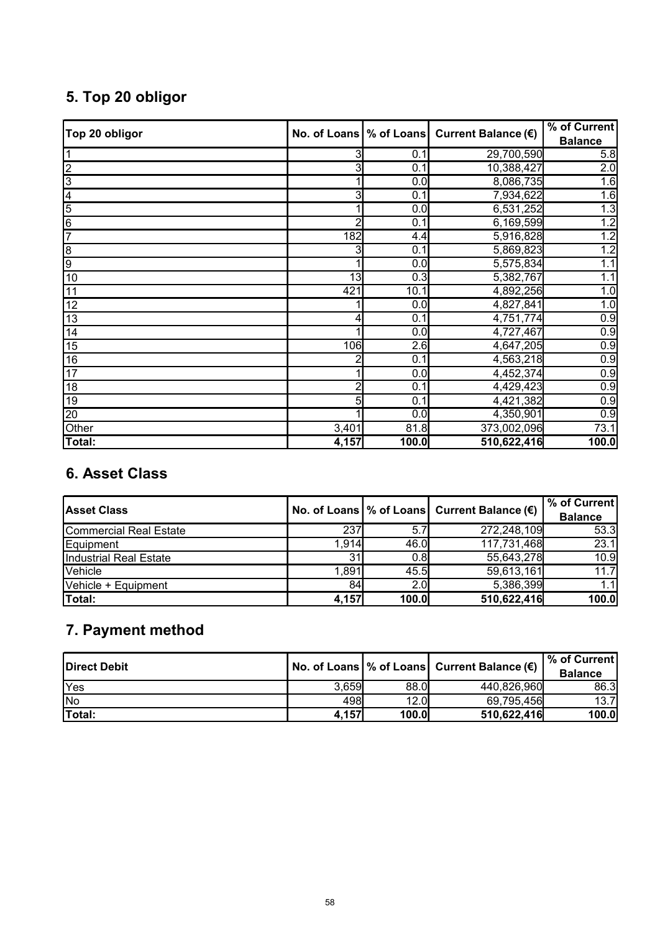# **5. Top 20 obligor**

| Top 20 obligor | No. of Loans | % of Loans       | Current Balance (€) | % of Current   |
|----------------|--------------|------------------|---------------------|----------------|
|                |              |                  |                     | <b>Balance</b> |
|                |              | 0.1              | 29,700,590          | 5.8            |
| $\overline{c}$ |              | 0.1              | 10,388,427          | 2.0            |
| 3              |              | 0.0              | 8,086,735           | 1.6            |
| 4              |              | 0.1              | 7,934,622           | 1.6            |
| 5              |              | $\overline{0.0}$ | 6,531,252           | 1.3            |
| $\overline{6}$ |              | 0.1              | 6,169,599           | 1.2            |
| $\overline{7}$ | 182          | 4.4              | 5,916,828           | 1.2            |
| $\overline{8}$ |              | 0.1              | 5,869,823           | 1.2            |
| 9              |              | 0.0              | 5,575,834           | 1.1            |
| 10             | 13           | 0.3              | 5,382,767           | 1.1            |
| 11             | 421          | 10.1             | 4,892,256           | 1.0            |
| 12             |              | 0.0              | 4,827,841           | 1.0            |
| 13             |              | 0.1              | 4,751,774           | 0.9            |
| 14             |              | 0.0              | 4,727,467           | 0.9            |
| 15             | 106          | 2.6              | 4,647,205           | 0.9            |
| 16             |              | 0.1              | 4,563,218           | 0.9            |
| 17             |              | 0.0              | 4,452,374           | 0.9            |
| 18             |              | 0.1              | 4,429,423           | 0.9            |
| 19             | 5            | 0.1              | 4,421,382           | 0.9            |
| 20             |              | 0.0              | 4,350,901           | 0.9            |
| Other          | 3,401        | 81.8             | 373,002,096         | 73.1           |
| Total:         | 4,157        | 100.0            | 510,622,416         | 100.0          |

## **6. Asset Class**

| <b>Asset Class</b>     |       |       | No. of Loans   % of Loans   Current Balance $(\epsilon)$ | % of Current<br><b>Balance</b> |
|------------------------|-------|-------|----------------------------------------------------------|--------------------------------|
| Commercial Real Estate | 237   | 5.7   | 272,248,109                                              | 53.3                           |
| Equipment              | 1,914 | 46.0  | 117,731,468                                              | 23.1                           |
| Industrial Real Estate | 31    | 0.8   | 55,643,278                                               | 10.9                           |
| Vehicle                | 1.891 | 45.5  | 59,613,161                                               | 11.7                           |
| Vehicle + Equipment    | 84    | 2.0   | 5,386,399                                                | 1.1                            |
| Total:                 | 4,157 | 100.0 | 510,622,416                                              | 100.0                          |

## **7. Payment method**

| Direct Debit  |       |       | No. of Loans   % of Loans   Current Balance (€) | <b>1% of Current</b><br><b>Balance</b> |
|---------------|-------|-------|-------------------------------------------------|----------------------------------------|
| Yes           | 3,659 | 88.0  | 440,826,960                                     | 86.3                                   |
| <b>INo</b>    | 498   | 12.0  | 69,795,456                                      | 13.7                                   |
| <b>Total:</b> | 4,157 | 100.0 | 510,622,416                                     | 100.0                                  |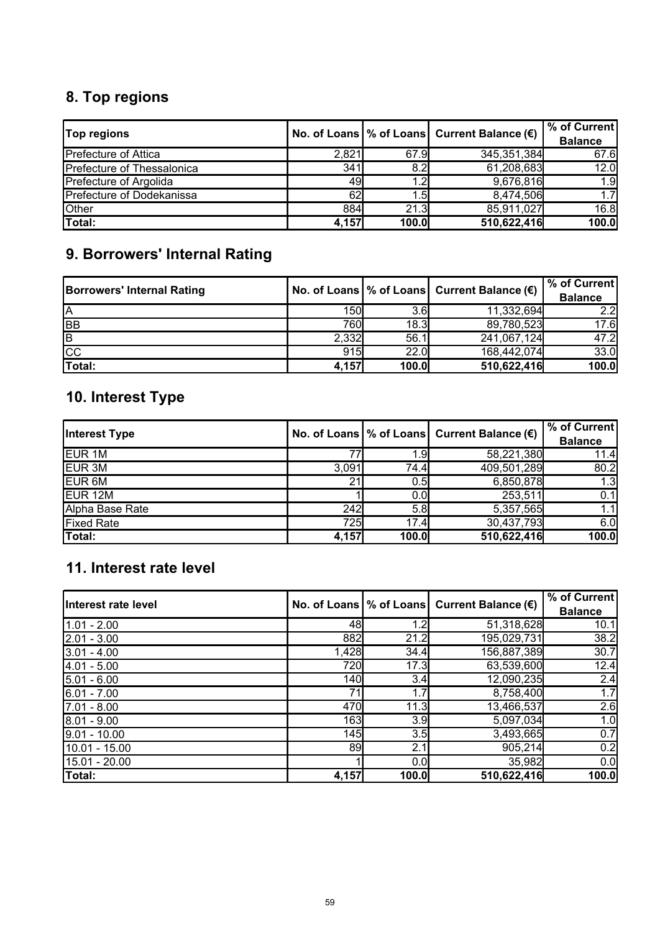# **8. Top regions**

| <b>Top regions</b>          |       |              | No. of Loans $\%$ of Loans Current Balance ( $\epsilon$ ) | % of Current<br><b>Balance</b> |
|-----------------------------|-------|--------------|-----------------------------------------------------------|--------------------------------|
| <b>Prefecture of Attica</b> | 2,821 | 67.9         | 345,351,384                                               | 67.6                           |
| Prefecture of Thessalonica  | 341   | 8.2          | 61,208,683                                                | 12.0                           |
| Prefecture of Argolida      | 491   | 1.2          | 9,676,816                                                 | 1.9                            |
| Prefecture of Dodekanissa   | 62    | .5           | 8,474,506                                                 | 1.7                            |
| Other                       | 884   | 21.3         | 85,911,027                                                | 16.8                           |
| Total:                      | 4,157 | <b>100.0</b> | 510,622,416                                               | 100.0                          |

## **9. Borrowers' Internal Rating**

| <b>Borrowers' Internal Rating</b> |            |       | No. of Loans   % of Loans   Current Balance $(\epsilon)$ | % of Current<br><b>Balance</b> |
|-----------------------------------|------------|-------|----------------------------------------------------------|--------------------------------|
| ΙA                                | <b>150</b> | 3.6   | 11,332,694                                               | 2.2 <sub>l</sub>               |
| <b>BB</b>                         | 760        | 18.3  | 89,780,523                                               | 17.6                           |
| <b>B</b>                          | 2,332      | 56.1  | 241,067,124                                              | 47.2                           |
| CC                                | 915        | 22.0  | 168,442,074                                              | 33.0                           |
| Total:                            | 4,157      | 100.0 | 510,622,416                                              | 100.0                          |

## **10. Interest Type**

| <b>Interest Type</b> |       |       | No. of Loans $\%$ of Loans Current Balance ( $\epsilon$ ) | $\sqrt{6}$ of Current<br><b>Balance</b> |
|----------------------|-------|-------|-----------------------------------------------------------|-----------------------------------------|
| <b>EUR 1M</b>        |       | 1.9   | 58,221,380                                                | 11.4                                    |
| EUR <sub>3M</sub>    | 3,091 | 74.4  | 409,501,289                                               | 80.2                                    |
| EUR <sub>6M</sub>    | 21    | 0.5   | 6,850,878                                                 | 1.3                                     |
| EUR <sub>12M</sub>   |       | 0.0   | 253,511                                                   | 0.1                                     |
| Alpha Base Rate      | 242   | 5.8   | 5,357,565                                                 | 1.1                                     |
| <b>Fixed Rate</b>    | 725   | 17.4  | 30,437,793                                                | 6.0                                     |
| Total:               | 4,157 | 100.0 | 510,622,416                                               | 100.0                                   |

## **11. Interest rate level**

| Interest rate level |       |       | No. of Loans $\%$ of Loans Current Balance $(\epsilon)$ | % of Current<br><b>Balance</b> |
|---------------------|-------|-------|---------------------------------------------------------|--------------------------------|
| $1.01 - 2.00$       | 48    | 1.2   | 51,318,628                                              | 10.1                           |
| $2.01 - 3.00$       | 882   | 21.2  | 195,029,731                                             | $\overline{38.2}$              |
| $3.01 - 4.00$       | 1,428 | 34.4  | 156,887,389                                             | 30.7                           |
| $4.01 - 5.00$       | 720   | 17.3  | 63,539,600                                              | 12.4                           |
| $5.01 - 6.00$       | 140   | 3.4   | 12,090,235                                              | 2.4                            |
| $6.01 - 7.00$       | 71    | 1.7   | 8,758,400                                               | 1.7                            |
| $7.01 - 8.00$       | 470   | 11.3  | 13,466,537                                              | 2.6                            |
| $8.01 - 9.00$       | 163   | 3.9   | 5,097,034                                               | 1.0                            |
| $9.01 - 10.00$      | 145   | 3.5   | 3,493,665                                               | 0.7                            |
| 10.01 - 15.00       | 89    | 2.1   | 905,214                                                 | 0.2                            |
| 15.01 - 20.00       |       | 0.0   | 35,982                                                  | 0.0                            |
| Total:              | 4,157 | 100.0 | 510,622,416                                             | 100.0                          |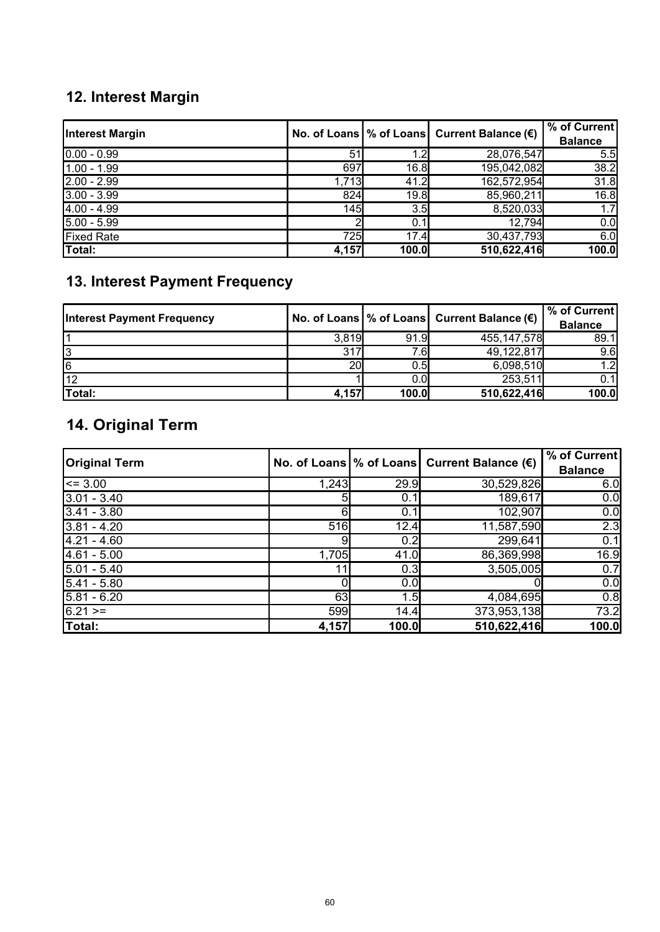# **12. Interest Margin**

| <b>Interest Margin</b> |       |       | No. of Loans $\%$ of Loans Current Balance $(\epsilon)$ | % of Current<br><b>Balance</b> |
|------------------------|-------|-------|---------------------------------------------------------|--------------------------------|
| $0.00 - 0.99$          | 51    | 1.2   | 28,076,547                                              | 5.5                            |
| $1.00 - 1.99$          | 697   | 16.8  | 195,042,082                                             | 38.2                           |
| $2.00 - 2.99$          | 1,713 | 41.2  | 162,572,954                                             | 31.8                           |
| $3.00 - 3.99$          | 824   | 19.8  | 85,960,211                                              | 16.8                           |
| $4.00 - 4.99$          | 145   | 3.5   | 8,520,033                                               | 1.7                            |
| $5.00 - 5.99$          |       | 0.1   | 12,794                                                  | 0.0                            |
| <b>Fixed Rate</b>      | 725   | 17.4  | 30,437,793                                              | 6.0                            |
| Total:                 | 4,157 | 100.0 | 510,622,416                                             | 100.0                          |

## **13. Interest Payment Frequency**

| <b>Interest Payment Frequency</b> |       |         | No. of Loans $\%$ of Loans Current Balance $(\epsilon)$ | % of Current<br><b>Balance</b> |
|-----------------------------------|-------|---------|---------------------------------------------------------|--------------------------------|
|                                   | 3,819 | 91.9    | 455, 147, 578                                           | 89.1                           |
| 3                                 | 317   | 7.61    | 49,122,817                                              | 9.6                            |
| 6                                 | 20    | $0.5\,$ | 6,098,510                                               | $\overline{2}$                 |
| 12                                |       | 0.0     | 253,511                                                 |                                |
| Total:                            | 4,157 | 100.0   | 510,622,416                                             | 100.0                          |

# **14. Original Term**

| <b>Original Term</b> |       |       | No. of Loans   % of Loans   Current Balance $(\epsilon)$ | % of Current   |
|----------------------|-------|-------|----------------------------------------------------------|----------------|
|                      |       |       |                                                          | <b>Balance</b> |
| $\leq$ 3.00          | 1,243 | 29.9  | 30,529,826                                               | 6.0            |
| $3.01 - 3.40$        | 51    | 0.1   | 189,617                                                  | 0.0            |
| $3.41 - 3.80$        | 61    | 0.1'  | 102,907                                                  | 0.0            |
| $3.81 - 4.20$        | 516   | 12.4  | 11,587,590                                               | 2.3            |
| $4.21 - 4.60$        | 9     | 0.2   | 299,641                                                  | 0.1            |
| $4.61 - 5.00$        | 1,705 | 41.0  | 86,369,998                                               | 16.9           |
| $5.01 - 5.40$        | 11.   | 0.3   | 3,505,005                                                | 0.7            |
| $5.41 - 5.80$        |       | 0.0   |                                                          | 0.0            |
| $5.81 - 6.20$        | 63    | 1.5   | 4,084,695                                                | 0.8            |
| $6.21 =$             | 599   | 14.4  | 373,953,138                                              | 73.2           |
| Total:               | 4,157 | 100.0 | 510,622,416                                              | 100.0          |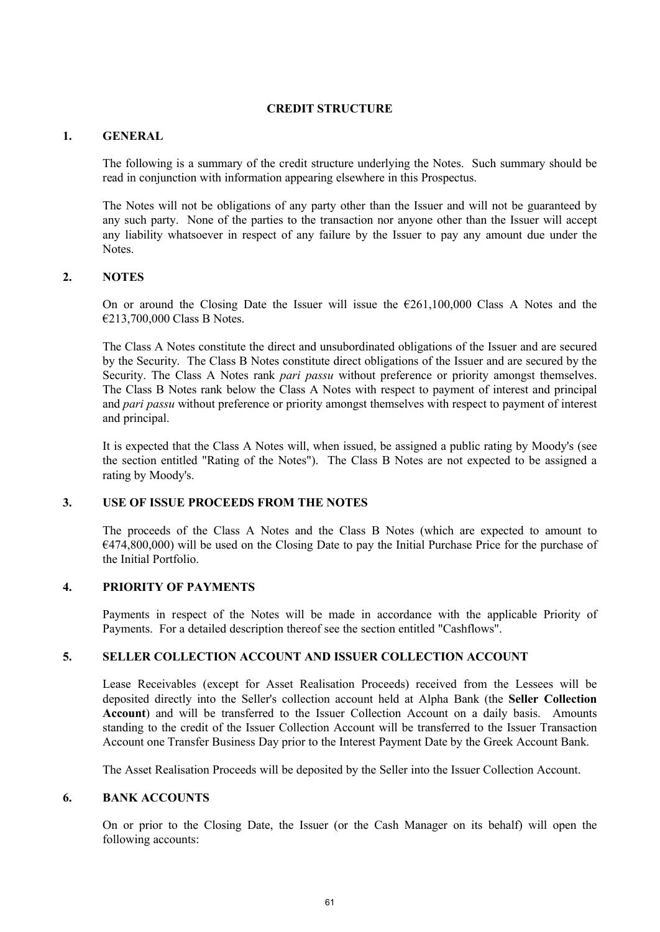## **CREDIT STRUCTURE**

## **1. GENERAL**

The following is a summary of the credit structure underlying the Notes. Such summary should be read in conjunction with information appearing elsewhere in this Prospectus.

The Notes will not be obligations of any party other than the Issuer and will not be guaranteed by any such party. None of the parties to the transaction nor anyone other than the Issuer will accept any liability whatsoever in respect of any failure by the Issuer to pay any amount due under the **Notes**.

## **2. NOTES**

On or around the Closing Date the Issuer will issue the  $E261,100,000$  Class A Notes and the €213,700,000 Class B Notes.

The Class A Notes constitute the direct and unsubordinated obligations of the Issuer and are secured by the Security. The Class B Notes constitute direct obligations of the Issuer and are secured by the Security. The Class A Notes rank *pari passu* without preference or priority amongst themselves. The Class B Notes rank below the Class A Notes with respect to payment of interest and principal and *pari passu* without preference or priority amongst themselves with respect to payment of interest and principal.

It is expected that the Class A Notes will, when issued, be assigned a public rating by Moody's (see the section entitled "Rating of the Notes"). The Class B Notes are not expected to be assigned a rating by Moody's.

## **3. USE OF ISSUE PROCEEDS FROM THE NOTES**

The proceeds of the Class A Notes and the Class B Notes (which are expected to amount to €474,800,000) will be used on the Closing Date to pay the Initial Purchase Price for the purchase of the Initial Portfolio.

## **4. PRIORITY OF PAYMENTS**

Payments in respect of the Notes will be made in accordance with the applicable Priority of Payments. For a detailed description thereof see the section entitled "Cashflows".

## **5. SELLER COLLECTION ACCOUNT AND ISSUER COLLECTION ACCOUNT**

Lease Receivables (except for Asset Realisation Proceeds) received from the Lessees will be deposited directly into the Seller's collection account held at Alpha Bank (the **Seller Collection Account**) and will be transferred to the Issuer Collection Account on a daily basis. Amounts standing to the credit of the Issuer Collection Account will be transferred to the Issuer Transaction Account one Transfer Business Day prior to the Interest Payment Date by the Greek Account Bank.

The Asset Realisation Proceeds will be deposited by the Seller into the Issuer Collection Account.

## **6. BANK ACCOUNTS**

On or prior to the Closing Date, the Issuer (or the Cash Manager on its behalf) will open the following accounts: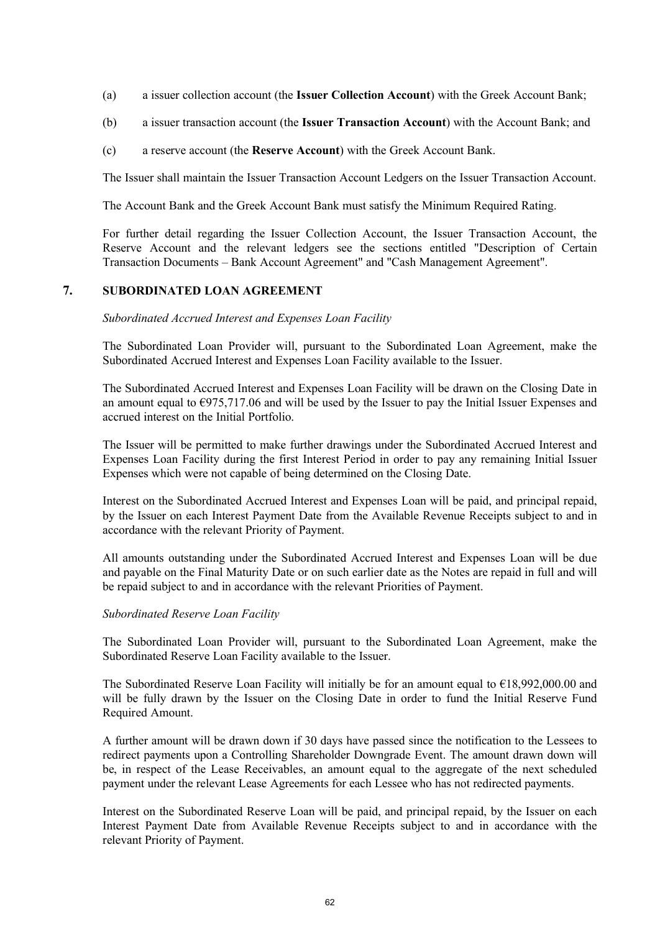- (a) a issuer collection account (the **Issuer Collection Account**) with the Greek Account Bank;
- (b) a issuer transaction account (the **Issuer Transaction Account**) with the Account Bank; and
- (c) a reserve account (the **Reserve Account**) with the Greek Account Bank.

The Issuer shall maintain the Issuer Transaction Account Ledgers on the Issuer Transaction Account.

The Account Bank and the Greek Account Bank must satisfy the Minimum Required Rating.

For further detail regarding the Issuer Collection Account, the Issuer Transaction Account, the Reserve Account and the relevant ledgers see the sections entitled "Description of Certain Transaction Documents – Bank Account Agreement" and "Cash Management Agreement".

#### **7. SUBORDINATED LOAN AGREEMENT**

#### *Subordinated Accrued Interest and Expenses Loan Facility*

The Subordinated Loan Provider will, pursuant to the Subordinated Loan Agreement, make the Subordinated Accrued Interest and Expenses Loan Facility available to the Issuer.

The Subordinated Accrued Interest and Expenses Loan Facility will be drawn on the Closing Date in an amount equal to  $\epsilon$ 975,717.06 and will be used by the Issuer to pay the Initial Issuer Expenses and accrued interest on the Initial Portfolio.

The Issuer will be permitted to make further drawings under the Subordinated Accrued Interest and Expenses Loan Facility during the first Interest Period in order to pay any remaining Initial Issuer Expenses which were not capable of being determined on the Closing Date.

Interest on the Subordinated Accrued Interest and Expenses Loan will be paid, and principal repaid, by the Issuer on each Interest Payment Date from the Available Revenue Receipts subject to and in accordance with the relevant Priority of Payment.

All amounts outstanding under the Subordinated Accrued Interest and Expenses Loan will be due and payable on the Final Maturity Date or on such earlier date as the Notes are repaid in full and will be repaid subject to and in accordance with the relevant Priorities of Payment.

#### *Subordinated Reserve Loan Facility*

The Subordinated Loan Provider will, pursuant to the Subordinated Loan Agreement, make the Subordinated Reserve Loan Facility available to the Issuer.

The Subordinated Reserve Loan Facility will initially be for an amount equal to  $\epsilon$ 18,992,000.00 and will be fully drawn by the Issuer on the Closing Date in order to fund the Initial Reserve Fund Required Amount.

A further amount will be drawn down if 30 days have passed since the notification to the Lessees to redirect payments upon a Controlling Shareholder Downgrade Event. The amount drawn down will be, in respect of the Lease Receivables, an amount equal to the aggregate of the next scheduled payment under the relevant Lease Agreements for each Lessee who has not redirected payments.

Interest on the Subordinated Reserve Loan will be paid, and principal repaid, by the Issuer on each Interest Payment Date from Available Revenue Receipts subject to and in accordance with the relevant Priority of Payment.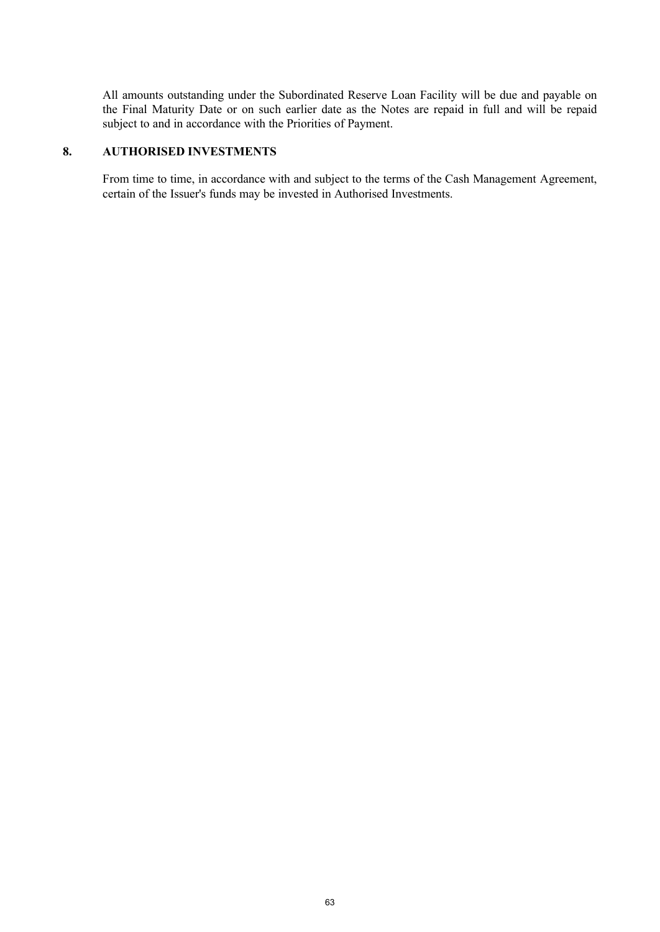All amounts outstanding under the Subordinated Reserve Loan Facility will be due and payable on the Final Maturity Date or on such earlier date as the Notes are repaid in full and will be repaid subject to and in accordance with the Priorities of Payment.

## **8. AUTHORISED INVESTMENTS**

From time to time, in accordance with and subject to the terms of the Cash Management Agreement, certain of the Issuer's funds may be invested in Authorised Investments.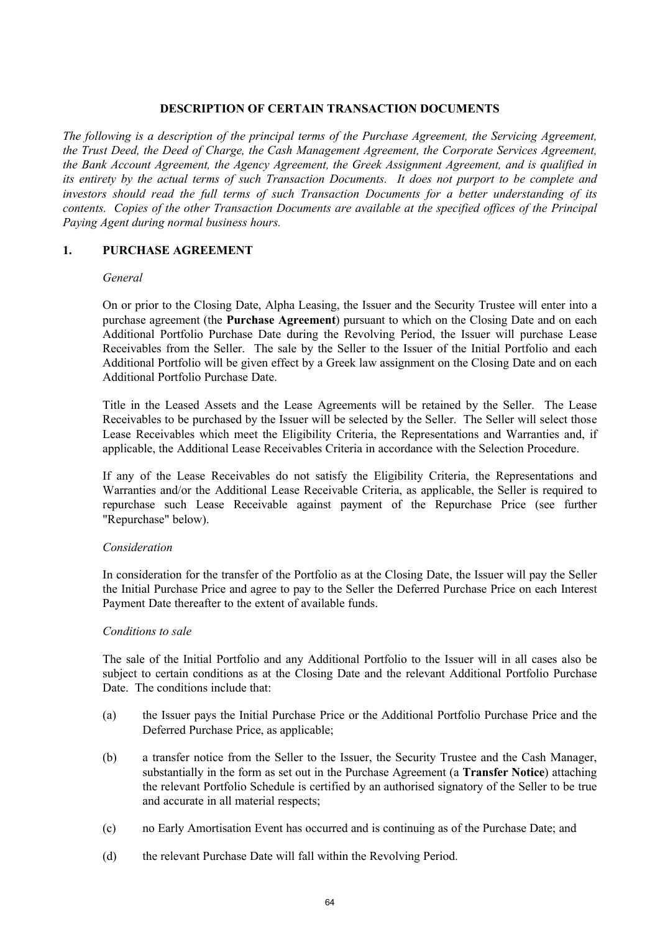## **DESCRIPTION OF CERTAIN TRANSACTION DOCUMENTS**

*The following is a description of the principal terms of the Purchase Agreement, the Servicing Agreement, the Trust Deed, the Deed of Charge, the Cash Management Agreement, the Corporate Services Agreement, the Bank Account Agreement, the Agency Agreement, the Greek Assignment Agreement, and is qualified in its entirety by the actual terms of such Transaction Documents. It does not purport to be complete and investors should read the full terms of such Transaction Documents for a better understanding of its contents. Copies of the other Transaction Documents are available at the specified offices of the Principal Paying Agent during normal business hours.*

## **1. PURCHASE AGREEMENT**

## *General*

On or prior to the Closing Date, Alpha Leasing, the Issuer and the Security Trustee will enter into a purchase agreement (the **Purchase Agreement**) pursuant to which on the Closing Date and on each Additional Portfolio Purchase Date during the Revolving Period, the Issuer will purchase Lease Receivables from the Seller. The sale by the Seller to the Issuer of the Initial Portfolio and each Additional Portfolio will be given effect by a Greek law assignment on the Closing Date and on each Additional Portfolio Purchase Date.

Title in the Leased Assets and the Lease Agreements will be retained by the Seller. The Lease Receivables to be purchased by the Issuer will be selected by the Seller. The Seller will select those Lease Receivables which meet the Eligibility Criteria, the Representations and Warranties and, if applicable, the Additional Lease Receivables Criteria in accordance with the Selection Procedure.

If any of the Lease Receivables do not satisfy the Eligibility Criteria, the Representations and Warranties and/or the Additional Lease Receivable Criteria, as applicable, the Seller is required to repurchase such Lease Receivable against payment of the Repurchase Price (see further "Repurchase" below).

## *Consideration*

In consideration for the transfer of the Portfolio as at the Closing Date, the Issuer will pay the Seller the Initial Purchase Price and agree to pay to the Seller the Deferred Purchase Price on each Interest Payment Date thereafter to the extent of available funds.

## *Conditions to sale*

The sale of the Initial Portfolio and any Additional Portfolio to the Issuer will in all cases also be subject to certain conditions as at the Closing Date and the relevant Additional Portfolio Purchase Date. The conditions include that:

- (a) the Issuer pays the Initial Purchase Price or the Additional Portfolio Purchase Price and the Deferred Purchase Price, as applicable;
- (b) a transfer notice from the Seller to the Issuer, the Security Trustee and the Cash Manager, substantially in the form as set out in the Purchase Agreement (a **Transfer Notice**) attaching the relevant Portfolio Schedule is certified by an authorised signatory of the Seller to be true and accurate in all material respects;
- (c) no Early Amortisation Event has occurred and is continuing as of the Purchase Date; and
- (d) the relevant Purchase Date will fall within the Revolving Period.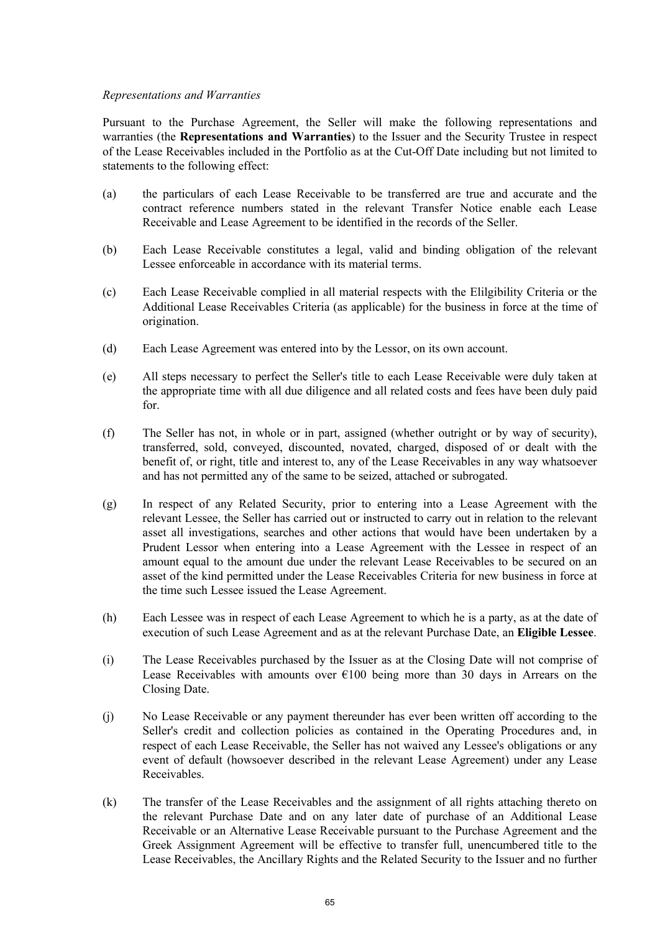## *Representations and Warranties*

Pursuant to the Purchase Agreement, the Seller will make the following representations and warranties (the **Representations and Warranties**) to the Issuer and the Security Trustee in respect of the Lease Receivables included in the Portfolio as at the Cut-Off Date including but not limited to statements to the following effect:

- (a) the particulars of each Lease Receivable to be transferred are true and accurate and the contract reference numbers stated in the relevant Transfer Notice enable each Lease Receivable and Lease Agreement to be identified in the records of the Seller.
- (b) Each Lease Receivable constitutes a legal, valid and binding obligation of the relevant Lessee enforceable in accordance with its material terms.
- (c) Each Lease Receivable complied in all material respects with the Elilgibility Criteria or the Additional Lease Receivables Criteria (as applicable) for the business in force at the time of origination.
- (d) Each Lease Agreement was entered into by the Lessor, on its own account.
- (e) All steps necessary to perfect the Seller's title to each Lease Receivable were duly taken at the appropriate time with all due diligence and all related costs and fees have been duly paid for.
- (f) The Seller has not, in whole or in part, assigned (whether outright or by way of security), transferred, sold, conveyed, discounted, novated, charged, disposed of or dealt with the benefit of, or right, title and interest to, any of the Lease Receivables in any way whatsoever and has not permitted any of the same to be seized, attached or subrogated.
- (g) In respect of any Related Security, prior to entering into a Lease Agreement with the relevant Lessee, the Seller has carried out or instructed to carry out in relation to the relevant asset all investigations, searches and other actions that would have been undertaken by a Prudent Lessor when entering into a Lease Agreement with the Lessee in respect of an amount equal to the amount due under the relevant Lease Receivables to be secured on an asset of the kind permitted under the Lease Receivables Criteria for new business in force at the time such Lessee issued the Lease Agreement.
- (h) Each Lessee was in respect of each Lease Agreement to which he is a party, as at the date of execution of such Lease Agreement and as at the relevant Purchase Date, an **Eligible Lessee**.
- (i) The Lease Receivables purchased by the Issuer as at the Closing Date will not comprise of Lease Receivables with amounts over  $E100$  being more than 30 days in Arrears on the Closing Date.
- (j) No Lease Receivable or any payment thereunder has ever been written off according to the Seller's credit and collection policies as contained in the Operating Procedures and, in respect of each Lease Receivable, the Seller has not waived any Lessee's obligations or any event of default (howsoever described in the relevant Lease Agreement) under any Lease Receivables.
- (k) The transfer of the Lease Receivables and the assignment of all rights attaching thereto on the relevant Purchase Date and on any later date of purchase of an Additional Lease Receivable or an Alternative Lease Receivable pursuant to the Purchase Agreement and the Greek Assignment Agreement will be effective to transfer full, unencumbered title to the Lease Receivables, the Ancillary Rights and the Related Security to the Issuer and no further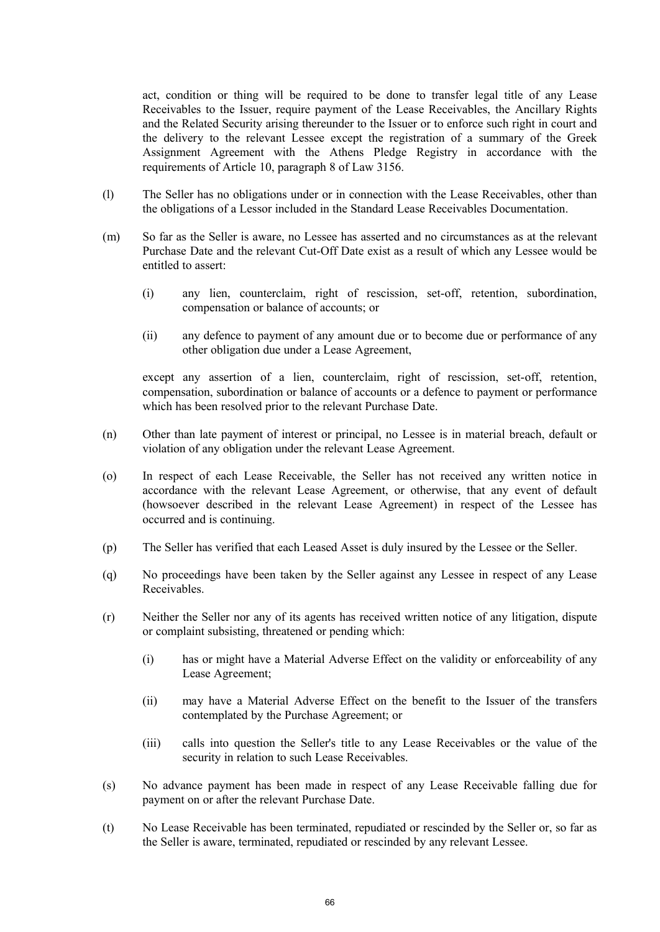act, condition or thing will be required to be done to transfer legal title of any Lease Receivables to the Issuer, require payment of the Lease Receivables, the Ancillary Rights and the Related Security arising thereunder to the Issuer or to enforce such right in court and the delivery to the relevant Lessee except the registration of a summary of the Greek Assignment Agreement with the Athens Pledge Registry in accordance with the requirements of Article 10, paragraph 8 of Law 3156.

- (l) The Seller has no obligations under or in connection with the Lease Receivables, other than the obligations of a Lessor included in the Standard Lease Receivables Documentation.
- (m) So far as the Seller is aware, no Lessee has asserted and no circumstances as at the relevant Purchase Date and the relevant Cut-Off Date exist as a result of which any Lessee would be entitled to assert:
	- (i) any lien, counterclaim, right of rescission, set-off, retention, subordination, compensation or balance of accounts; or
	- (ii) any defence to payment of any amount due or to become due or performance of any other obligation due under a Lease Agreement,

except any assertion of a lien, counterclaim, right of rescission, set-off, retention, compensation, subordination or balance of accounts or a defence to payment or performance which has been resolved prior to the relevant Purchase Date.

- (n) Other than late payment of interest or principal, no Lessee is in material breach, default or violation of any obligation under the relevant Lease Agreement.
- (o) In respect of each Lease Receivable, the Seller has not received any written notice in accordance with the relevant Lease Agreement, or otherwise, that any event of default (howsoever described in the relevant Lease Agreement) in respect of the Lessee has occurred and is continuing.
- (p) The Seller has verified that each Leased Asset is duly insured by the Lessee or the Seller.
- (q) No proceedings have been taken by the Seller against any Lessee in respect of any Lease Receivables.
- (r) Neither the Seller nor any of its agents has received written notice of any litigation, dispute or complaint subsisting, threatened or pending which:
	- (i) has or might have a Material Adverse Effect on the validity or enforceability of any Lease Agreement;
	- (ii) may have a Material Adverse Effect on the benefit to the Issuer of the transfers contemplated by the Purchase Agreement; or
	- (iii) calls into question the Seller's title to any Lease Receivables or the value of the security in relation to such Lease Receivables.
- (s) No advance payment has been made in respect of any Lease Receivable falling due for payment on or after the relevant Purchase Date.
- (t) No Lease Receivable has been terminated, repudiated or rescinded by the Seller or, so far as the Seller is aware, terminated, repudiated or rescinded by any relevant Lessee.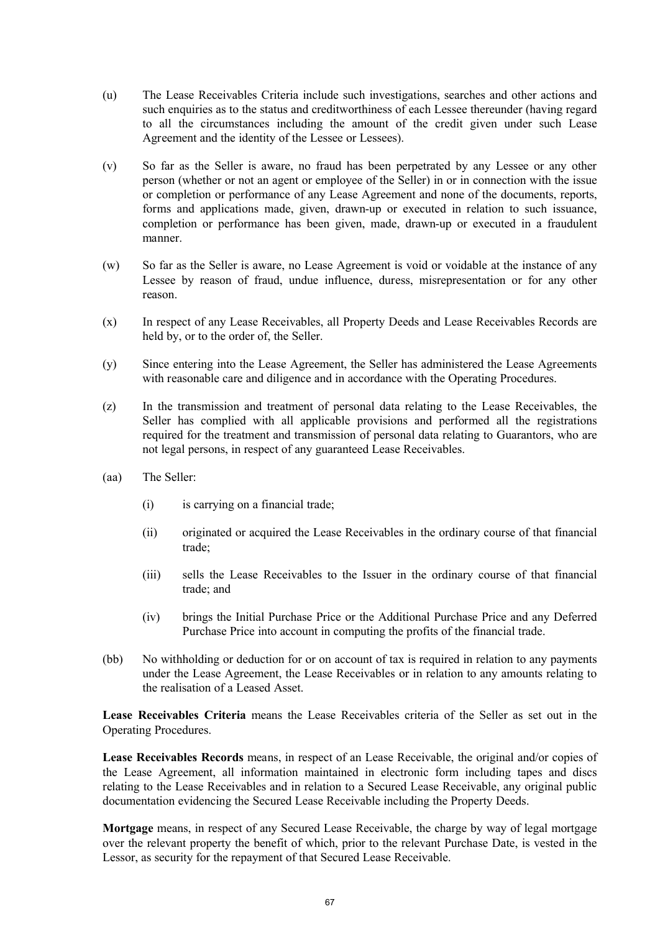- (u) The Lease Receivables Criteria include such investigations, searches and other actions and such enquiries as to the status and creditworthiness of each Lessee thereunder (having regard to all the circumstances including the amount of the credit given under such Lease Agreement and the identity of the Lessee or Lessees).
- (v) So far as the Seller is aware, no fraud has been perpetrated by any Lessee or any other person (whether or not an agent or employee of the Seller) in or in connection with the issue or completion or performance of any Lease Agreement and none of the documents, reports, forms and applications made, given, drawn-up or executed in relation to such issuance, completion or performance has been given, made, drawn-up or executed in a fraudulent manner.
- (w) So far as the Seller is aware, no Lease Agreement is void or voidable at the instance of any Lessee by reason of fraud, undue influence, duress, misrepresentation or for any other reason.
- (x) In respect of any Lease Receivables, all Property Deeds and Lease Receivables Records are held by, or to the order of, the Seller.
- (y) Since entering into the Lease Agreement, the Seller has administered the Lease Agreements with reasonable care and diligence and in accordance with the Operating Procedures.
- (z) In the transmission and treatment of personal data relating to the Lease Receivables, the Seller has complied with all applicable provisions and performed all the registrations required for the treatment and transmission of personal data relating to Guarantors, who are not legal persons, in respect of any guaranteed Lease Receivables.
- (aa) The Seller:
	- (i) is carrying on a financial trade;
	- (ii) originated or acquired the Lease Receivables in the ordinary course of that financial trade;
	- (iii) sells the Lease Receivables to the Issuer in the ordinary course of that financial trade; and
	- (iv) brings the Initial Purchase Price or the Additional Purchase Price and any Deferred Purchase Price into account in computing the profits of the financial trade.
- (bb) No withholding or deduction for or on account of tax is required in relation to any payments under the Lease Agreement, the Lease Receivables or in relation to any amounts relating to the realisation of a Leased Asset.

**Lease Receivables Criteria** means the Lease Receivables criteria of the Seller as set out in the Operating Procedures.

**Lease Receivables Records** means, in respect of an Lease Receivable, the original and/or copies of the Lease Agreement, all information maintained in electronic form including tapes and discs relating to the Lease Receivables and in relation to a Secured Lease Receivable, any original public documentation evidencing the Secured Lease Receivable including the Property Deeds.

**Mortgage** means, in respect of any Secured Lease Receivable, the charge by way of legal mortgage over the relevant property the benefit of which, prior to the relevant Purchase Date, is vested in the Lessor, as security for the repayment of that Secured Lease Receivable.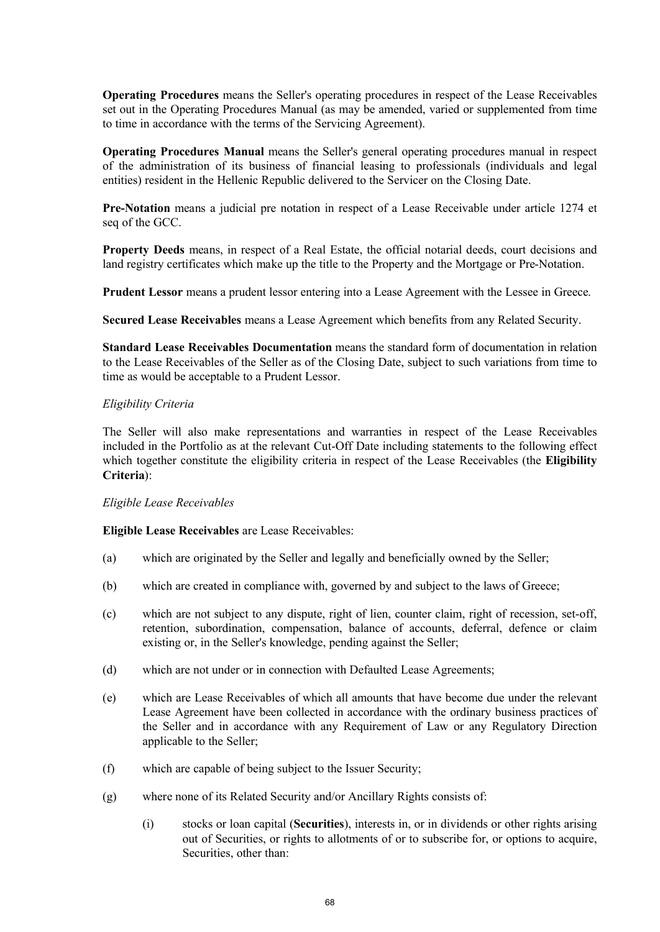**Operating Procedures** means the Seller's operating procedures in respect of the Lease Receivables set out in the Operating Procedures Manual (as may be amended, varied or supplemented from time to time in accordance with the terms of the Servicing Agreement).

**Operating Procedures Manual** means the Seller's general operating procedures manual in respect of the administration of its business of financial leasing to professionals (individuals and legal entities) resident in the Hellenic Republic delivered to the Servicer on the Closing Date.

**Pre-Notation** means a judicial pre notation in respect of a Lease Receivable under article 1274 et seq of the GCC.

**Property Deeds** means, in respect of a Real Estate, the official notarial deeds, court decisions and land registry certificates which make up the title to the Property and the Mortgage or Pre-Notation.

**Prudent Lessor** means a prudent lessor entering into a Lease Agreement with the Lessee in Greece.

**Secured Lease Receivables** means a Lease Agreement which benefits from any Related Security.

**Standard Lease Receivables Documentation** means the standard form of documentation in relation to the Lease Receivables of the Seller as of the Closing Date, subject to such variations from time to time as would be acceptable to a Prudent Lessor.

## *Eligibility Criteria*

The Seller will also make representations and warranties in respect of the Lease Receivables included in the Portfolio as at the relevant Cut-Off Date including statements to the following effect which together constitute the eligibility criteria in respect of the Lease Receivables (the **Eligibility Criteria**):

## *Eligible Lease Receivables*

**Eligible Lease Receivables** are Lease Receivables:

- (a) which are originated by the Seller and legally and beneficially owned by the Seller;
- (b) which are created in compliance with, governed by and subject to the laws of Greece;
- (c) which are not subject to any dispute, right of lien, counter claim, right of recession, set-off, retention, subordination, compensation, balance of accounts, deferral, defence or claim existing or, in the Seller's knowledge, pending against the Seller;
- (d) which are not under or in connection with Defaulted Lease Agreements;
- (e) which are Lease Receivables of which all amounts that have become due under the relevant Lease Agreement have been collected in accordance with the ordinary business practices of the Seller and in accordance with any Requirement of Law or any Regulatory Direction applicable to the Seller;
- (f) which are capable of being subject to the Issuer Security;
- (g) where none of its Related Security and/or Ancillary Rights consists of:
	- (i) stocks or loan capital (**Securities**), interests in, or in dividends or other rights arising out of Securities, or rights to allotments of or to subscribe for, or options to acquire, Securities, other than: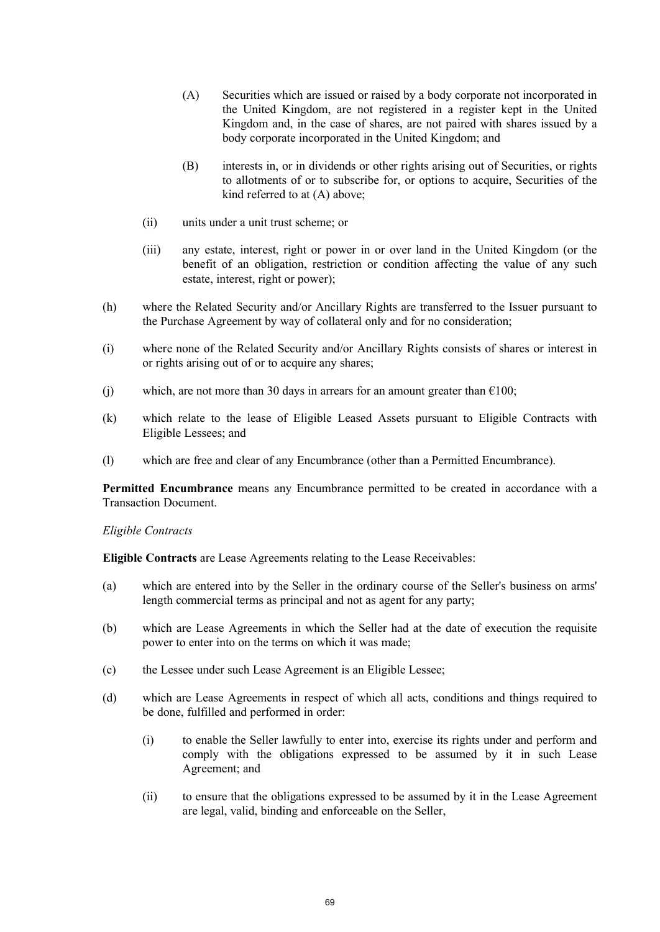- (A) Securities which are issued or raised by a body corporate not incorporated in the United Kingdom, are not registered in a register kept in the United Kingdom and, in the case of shares, are not paired with shares issued by a body corporate incorporated in the United Kingdom; and
- (B) interests in, or in dividends or other rights arising out of Securities, or rights to allotments of or to subscribe for, or options to acquire, Securities of the kind referred to at (A) above;
- (ii) units under a unit trust scheme; or
- (iii) any estate, interest, right or power in or over land in the United Kingdom (or the benefit of an obligation, restriction or condition affecting the value of any such estate, interest, right or power);
- (h) where the Related Security and/or Ancillary Rights are transferred to the Issuer pursuant to the Purchase Agreement by way of collateral only and for no consideration;
- (i) where none of the Related Security and/or Ancillary Rights consists of shares or interest in or rights arising out of or to acquire any shares;
- (i) which, are not more than 30 days in arrears for an amount greater than  $\epsilon$ 100;
- (k) which relate to the lease of Eligible Leased Assets pursuant to Eligible Contracts with Eligible Lessees; and
- (l) which are free and clear of any Encumbrance (other than a Permitted Encumbrance).

**Permitted Encumbrance** means any Encumbrance permitted to be created in accordance with a Transaction Document.

#### *Eligible Contracts*

**Eligible Contracts** are Lease Agreements relating to the Lease Receivables:

- (a) which are entered into by the Seller in the ordinary course of the Seller's business on arms' length commercial terms as principal and not as agent for any party;
- (b) which are Lease Agreements in which the Seller had at the date of execution the requisite power to enter into on the terms on which it was made;
- (c) the Lessee under such Lease Agreement is an Eligible Lessee;
- (d) which are Lease Agreements in respect of which all acts, conditions and things required to be done, fulfilled and performed in order:
	- (i) to enable the Seller lawfully to enter into, exercise its rights under and perform and comply with the obligations expressed to be assumed by it in such Lease Agreement; and
	- (ii) to ensure that the obligations expressed to be assumed by it in the Lease Agreement are legal, valid, binding and enforceable on the Seller,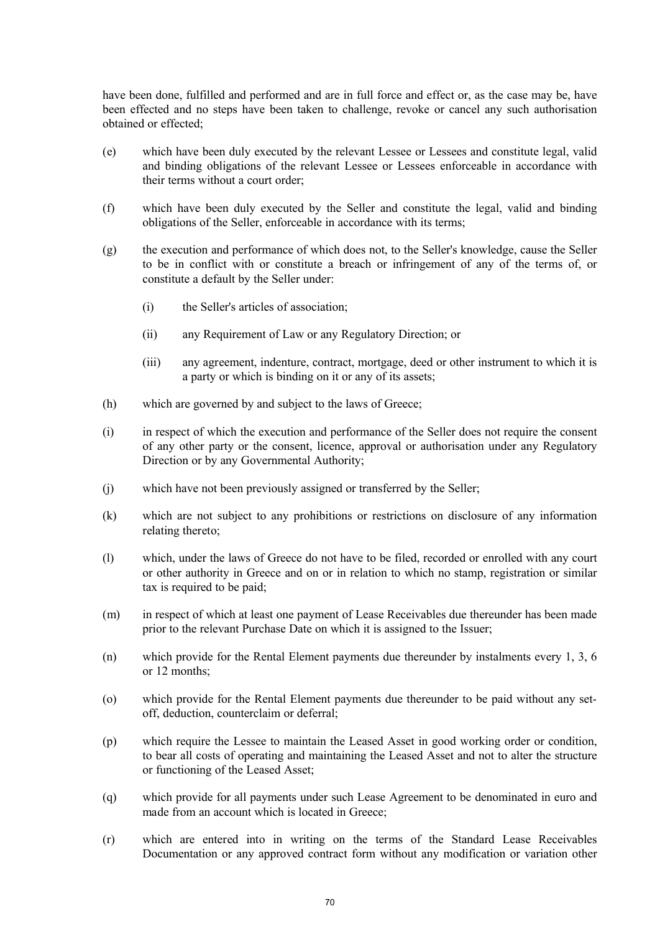have been done, fulfilled and performed and are in full force and effect or, as the case may be, have been effected and no steps have been taken to challenge, revoke or cancel any such authorisation obtained or effected;

- (e) which have been duly executed by the relevant Lessee or Lessees and constitute legal, valid and binding obligations of the relevant Lessee or Lessees enforceable in accordance with their terms without a court order;
- (f) which have been duly executed by the Seller and constitute the legal, valid and binding obligations of the Seller, enforceable in accordance with its terms;
- (g) the execution and performance of which does not, to the Seller's knowledge, cause the Seller to be in conflict with or constitute a breach or infringement of any of the terms of, or constitute a default by the Seller under:
	- (i) the Seller's articles of association;
	- (ii) any Requirement of Law or any Regulatory Direction; or
	- (iii) any agreement, indenture, contract, mortgage, deed or other instrument to which it is a party or which is binding on it or any of its assets;
- (h) which are governed by and subject to the laws of Greece;
- (i) in respect of which the execution and performance of the Seller does not require the consent of any other party or the consent, licence, approval or authorisation under any Regulatory Direction or by any Governmental Authority;
- (j) which have not been previously assigned or transferred by the Seller;
- (k) which are not subject to any prohibitions or restrictions on disclosure of any information relating thereto;
- (l) which, under the laws of Greece do not have to be filed, recorded or enrolled with any court or other authority in Greece and on or in relation to which no stamp, registration or similar tax is required to be paid;
- (m) in respect of which at least one payment of Lease Receivables due thereunder has been made prior to the relevant Purchase Date on which it is assigned to the Issuer;
- (n) which provide for the Rental Element payments due thereunder by instalments every 1, 3, 6 or 12 months;
- (o) which provide for the Rental Element payments due thereunder to be paid without any setoff, deduction, counterclaim or deferral;
- (p) which require the Lessee to maintain the Leased Asset in good working order or condition, to bear all costs of operating and maintaining the Leased Asset and not to alter the structure or functioning of the Leased Asset;
- (q) which provide for all payments under such Lease Agreement to be denominated in euro and made from an account which is located in Greece;
- (r) which are entered into in writing on the terms of the Standard Lease Receivables Documentation or any approved contract form without any modification or variation other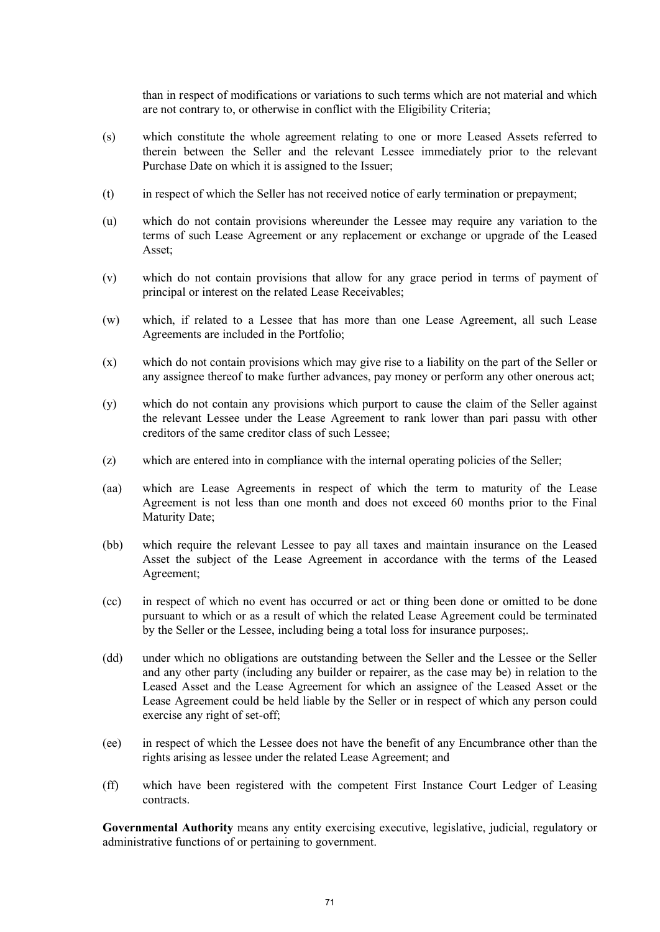than in respect of modifications or variations to such terms which are not material and which are not contrary to, or otherwise in conflict with the Eligibility Criteria;

- (s) which constitute the whole agreement relating to one or more Leased Assets referred to therein between the Seller and the relevant Lessee immediately prior to the relevant Purchase Date on which it is assigned to the Issuer;
- (t) in respect of which the Seller has not received notice of early termination or prepayment;
- (u) which do not contain provisions whereunder the Lessee may require any variation to the terms of such Lease Agreement or any replacement or exchange or upgrade of the Leased Asset;
- (v) which do not contain provisions that allow for any grace period in terms of payment of principal or interest on the related Lease Receivables;
- (w) which, if related to a Lessee that has more than one Lease Agreement, all such Lease Agreements are included in the Portfolio;
- (x) which do not contain provisions which may give rise to a liability on the part of the Seller or any assignee thereof to make further advances, pay money or perform any other onerous act;
- (y) which do not contain any provisions which purport to cause the claim of the Seller against the relevant Lessee under the Lease Agreement to rank lower than pari passu with other creditors of the same creditor class of such Lessee;
- (z) which are entered into in compliance with the internal operating policies of the Seller;
- (aa) which are Lease Agreements in respect of which the term to maturity of the Lease Agreement is not less than one month and does not exceed 60 months prior to the Final Maturity Date;
- (bb) which require the relevant Lessee to pay all taxes and maintain insurance on the Leased Asset the subject of the Lease Agreement in accordance with the terms of the Leased Agreement;
- (cc) in respect of which no event has occurred or act or thing been done or omitted to be done pursuant to which or as a result of which the related Lease Agreement could be terminated by the Seller or the Lessee, including being a total loss for insurance purposes;.
- (dd) under which no obligations are outstanding between the Seller and the Lessee or the Seller and any other party (including any builder or repairer, as the case may be) in relation to the Leased Asset and the Lease Agreement for which an assignee of the Leased Asset or the Lease Agreement could be held liable by the Seller or in respect of which any person could exercise any right of set-off;
- (ee) in respect of which the Lessee does not have the benefit of any Encumbrance other than the rights arising as lessee under the related Lease Agreement; and
- (ff) which have been registered with the competent First Instance Court Ledger of Leasing contracts.

**Governmental Authority** means any entity exercising executive, legislative, judicial, regulatory or administrative functions of or pertaining to government.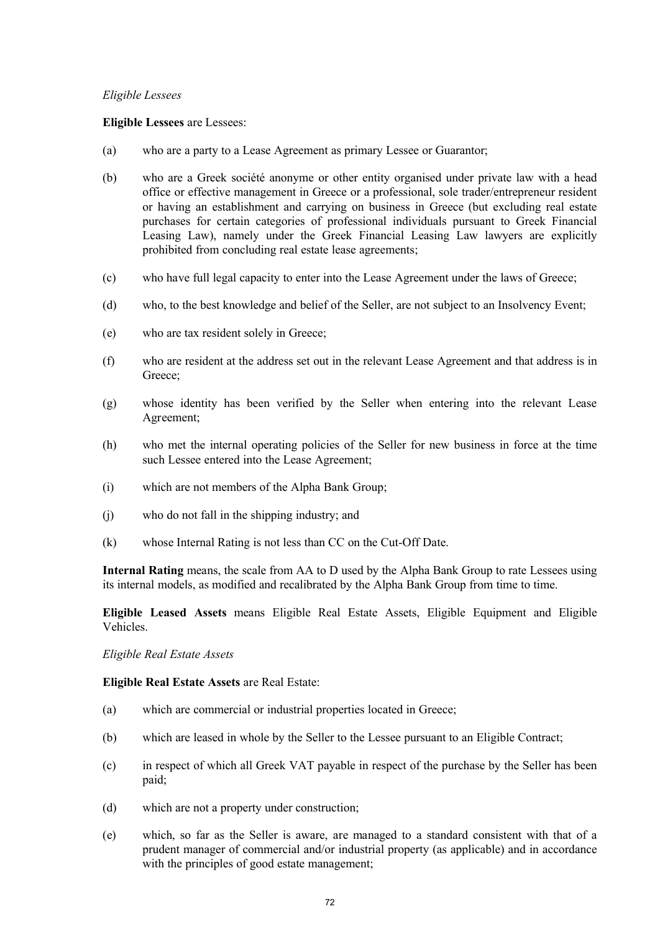## *Eligible Lessees*

## **Eligible Lessees** are Lessees:

- (a) who are a party to a Lease Agreement as primary Lessee or Guarantor;
- (b) who are a Greek société anonyme or other entity organised under private law with a head office or effective management in Greece or a professional, sole trader/entrepreneur resident or having an establishment and carrying on business in Greece (but excluding real estate purchases for certain categories of professional individuals pursuant to Greek Financial Leasing Law), namely under the Greek Financial Leasing Law lawyers are explicitly prohibited from concluding real estate lease agreements;
- (c) who have full legal capacity to enter into the Lease Agreement under the laws of Greece;
- (d) who, to the best knowledge and belief of the Seller, are not subject to an Insolvency Event;
- (e) who are tax resident solely in Greece;
- (f) who are resident at the address set out in the relevant Lease Agreement and that address is in Greece;
- (g) whose identity has been verified by the Seller when entering into the relevant Lease Agreement;
- (h) who met the internal operating policies of the Seller for new business in force at the time such Lessee entered into the Lease Agreement;
- (i) which are not members of the Alpha Bank Group;
- (j) who do not fall in the shipping industry; and
- (k) whose Internal Rating is not less than CC on the Cut-Off Date.

**Internal Rating** means, the scale from AA to D used by the Alpha Bank Group to rate Lessees using its internal models, as modified and recalibrated by the Alpha Bank Group from time to time.

**Eligible Leased Assets** means Eligible Real Estate Assets, Eligible Equipment and Eligible Vehicles.

*Eligible Real Estate Assets* 

**Eligible Real Estate Assets** are Real Estate:

- (a) which are commercial or industrial properties located in Greece;
- (b) which are leased in whole by the Seller to the Lessee pursuant to an Eligible Contract;
- (c) in respect of which all Greek VAT payable in respect of the purchase by the Seller has been paid;
- (d) which are not a property under construction;
- (e) which, so far as the Seller is aware, are managed to a standard consistent with that of a prudent manager of commercial and/or industrial property (as applicable) and in accordance with the principles of good estate management;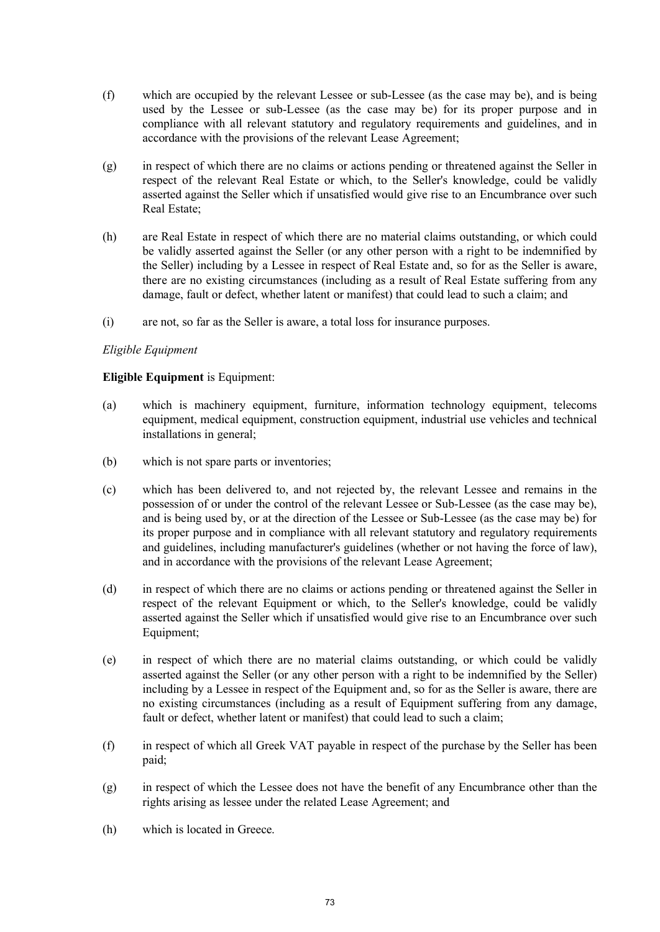- (f) which are occupied by the relevant Lessee or sub-Lessee (as the case may be), and is being used by the Lessee or sub-Lessee (as the case may be) for its proper purpose and in compliance with all relevant statutory and regulatory requirements and guidelines, and in accordance with the provisions of the relevant Lease Agreement;
- (g) in respect of which there are no claims or actions pending or threatened against the Seller in respect of the relevant Real Estate or which, to the Seller's knowledge, could be validly asserted against the Seller which if unsatisfied would give rise to an Encumbrance over such Real Estate;
- (h) are Real Estate in respect of which there are no material claims outstanding, or which could be validly asserted against the Seller (or any other person with a right to be indemnified by the Seller) including by a Lessee in respect of Real Estate and, so for as the Seller is aware, there are no existing circumstances (including as a result of Real Estate suffering from any damage, fault or defect, whether latent or manifest) that could lead to such a claim; and
- (i) are not, so far as the Seller is aware, a total loss for insurance purposes.

## *Eligible Equipment*

## **Eligible Equipment** is Equipment:

- (a) which is machinery equipment, furniture, information technology equipment, telecoms equipment, medical equipment, construction equipment, industrial use vehicles and technical installations in general;
- (b) which is not spare parts or inventories;
- (c) which has been delivered to, and not rejected by, the relevant Lessee and remains in the possession of or under the control of the relevant Lessee or Sub-Lessee (as the case may be), and is being used by, or at the direction of the Lessee or Sub-Lessee (as the case may be) for its proper purpose and in compliance with all relevant statutory and regulatory requirements and guidelines, including manufacturer's guidelines (whether or not having the force of law), and in accordance with the provisions of the relevant Lease Agreement;
- (d) in respect of which there are no claims or actions pending or threatened against the Seller in respect of the relevant Equipment or which, to the Seller's knowledge, could be validly asserted against the Seller which if unsatisfied would give rise to an Encumbrance over such Equipment;
- (e) in respect of which there are no material claims outstanding, or which could be validly asserted against the Seller (or any other person with a right to be indemnified by the Seller) including by a Lessee in respect of the Equipment and, so for as the Seller is aware, there are no existing circumstances (including as a result of Equipment suffering from any damage, fault or defect, whether latent or manifest) that could lead to such a claim;
- (f) in respect of which all Greek VAT payable in respect of the purchase by the Seller has been paid;
- (g) in respect of which the Lessee does not have the benefit of any Encumbrance other than the rights arising as lessee under the related Lease Agreement; and
- (h) which is located in Greece.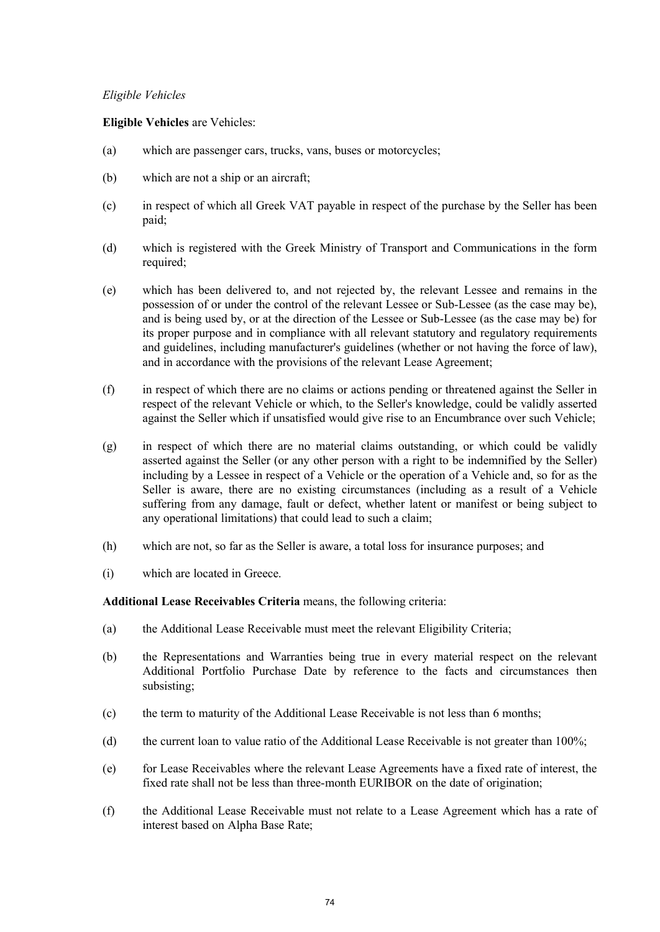# *Eligible Vehicles*

# **Eligible Vehicles** are Vehicles:

- (a) which are passenger cars, trucks, vans, buses or motorcycles;
- (b) which are not a ship or an aircraft;
- (c) in respect of which all Greek VAT payable in respect of the purchase by the Seller has been paid;
- (d) which is registered with the Greek Ministry of Transport and Communications in the form required;
- (e) which has been delivered to, and not rejected by, the relevant Lessee and remains in the possession of or under the control of the relevant Lessee or Sub-Lessee (as the case may be), and is being used by, or at the direction of the Lessee or Sub-Lessee (as the case may be) for its proper purpose and in compliance with all relevant statutory and regulatory requirements and guidelines, including manufacturer's guidelines (whether or not having the force of law), and in accordance with the provisions of the relevant Lease Agreement;
- (f) in respect of which there are no claims or actions pending or threatened against the Seller in respect of the relevant Vehicle or which, to the Seller's knowledge, could be validly asserted against the Seller which if unsatisfied would give rise to an Encumbrance over such Vehicle;
- (g) in respect of which there are no material claims outstanding, or which could be validly asserted against the Seller (or any other person with a right to be indemnified by the Seller) including by a Lessee in respect of a Vehicle or the operation of a Vehicle and, so for as the Seller is aware, there are no existing circumstances (including as a result of a Vehicle suffering from any damage, fault or defect, whether latent or manifest or being subject to any operational limitations) that could lead to such a claim;
- (h) which are not, so far as the Seller is aware, a total loss for insurance purposes; and
- (i) which are located in Greece.

**Additional Lease Receivables Criteria** means, the following criteria:

- (a) the Additional Lease Receivable must meet the relevant Eligibility Criteria;
- (b) the Representations and Warranties being true in every material respect on the relevant Additional Portfolio Purchase Date by reference to the facts and circumstances then subsisting;
- (c) the term to maturity of the Additional Lease Receivable is not less than 6 months;
- (d) the current loan to value ratio of the Additional Lease Receivable is not greater than 100%;
- (e) for Lease Receivables where the relevant Lease Agreements have a fixed rate of interest, the fixed rate shall not be less than three-month EURIBOR on the date of origination;
- (f) the Additional Lease Receivable must not relate to a Lease Agreement which has a rate of interest based on Alpha Base Rate;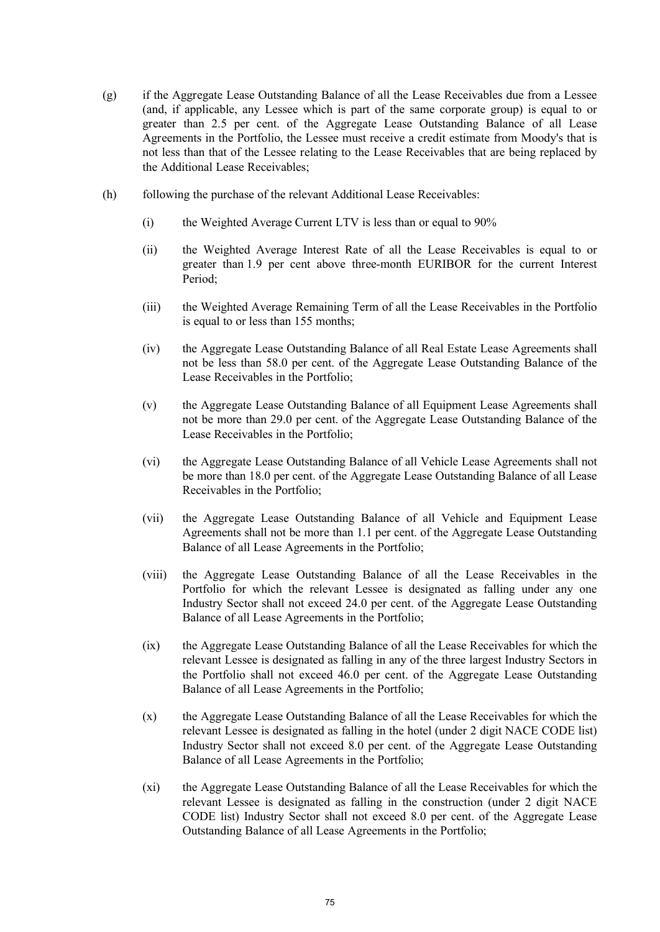- (g) if the Aggregate Lease Outstanding Balance of all the Lease Receivables due from a Lessee (and, if applicable, any Lessee which is part of the same corporate group) is equal to or greater than 2.5 per cent. of the Aggregate Lease Outstanding Balance of all Lease Agreements in the Portfolio, the Lessee must receive a credit estimate from Moody's that is not less than that of the Lessee relating to the Lease Receivables that are being replaced by the Additional Lease Receivables;
- (h) following the purchase of the relevant Additional Lease Receivables:
	- (i) the Weighted Average Current LTV is less than or equal to 90%
	- (ii) the Weighted Average Interest Rate of all the Lease Receivables is equal to or greater than 1.9 per cent above three-month EURIBOR for the current Interest Period;
	- (iii) the Weighted Average Remaining Term of all the Lease Receivables in the Portfolio is equal to or less than 155 months;
	- (iv) the Aggregate Lease Outstanding Balance of all Real Estate Lease Agreements shall not be less than 58.0 per cent. of the Aggregate Lease Outstanding Balance of the Lease Receivables in the Portfolio;
	- (v) the Aggregate Lease Outstanding Balance of all Equipment Lease Agreements shall not be more than 29.0 per cent. of the Aggregate Lease Outstanding Balance of the Lease Receivables in the Portfolio;
	- (vi) the Aggregate Lease Outstanding Balance of all Vehicle Lease Agreements shall not be more than 18.0 per cent. of the Aggregate Lease Outstanding Balance of all Lease Receivables in the Portfolio;
	- (vii) the Aggregate Lease Outstanding Balance of all Vehicle and Equipment Lease Agreements shall not be more than 1.1 per cent. of the Aggregate Lease Outstanding Balance of all Lease Agreements in the Portfolio;
	- (viii) the Aggregate Lease Outstanding Balance of all the Lease Receivables in the Portfolio for which the relevant Lessee is designated as falling under any one Industry Sector shall not exceed 24.0 per cent. of the Aggregate Lease Outstanding Balance of all Lease Agreements in the Portfolio;
	- (ix) the Aggregate Lease Outstanding Balance of all the Lease Receivables for which the relevant Lessee is designated as falling in any of the three largest Industry Sectors in the Portfolio shall not exceed 46.0 per cent. of the Aggregate Lease Outstanding Balance of all Lease Agreements in the Portfolio;
	- (x) the Aggregate Lease Outstanding Balance of all the Lease Receivables for which the relevant Lessee is designated as falling in the hotel (under 2 digit NACE CODE list) Industry Sector shall not exceed 8.0 per cent. of the Aggregate Lease Outstanding Balance of all Lease Agreements in the Portfolio;
	- (xi) the Aggregate Lease Outstanding Balance of all the Lease Receivables for which the relevant Lessee is designated as falling in the construction (under 2 digit NACE CODE list) Industry Sector shall not exceed 8.0 per cent. of the Aggregate Lease Outstanding Balance of all Lease Agreements in the Portfolio;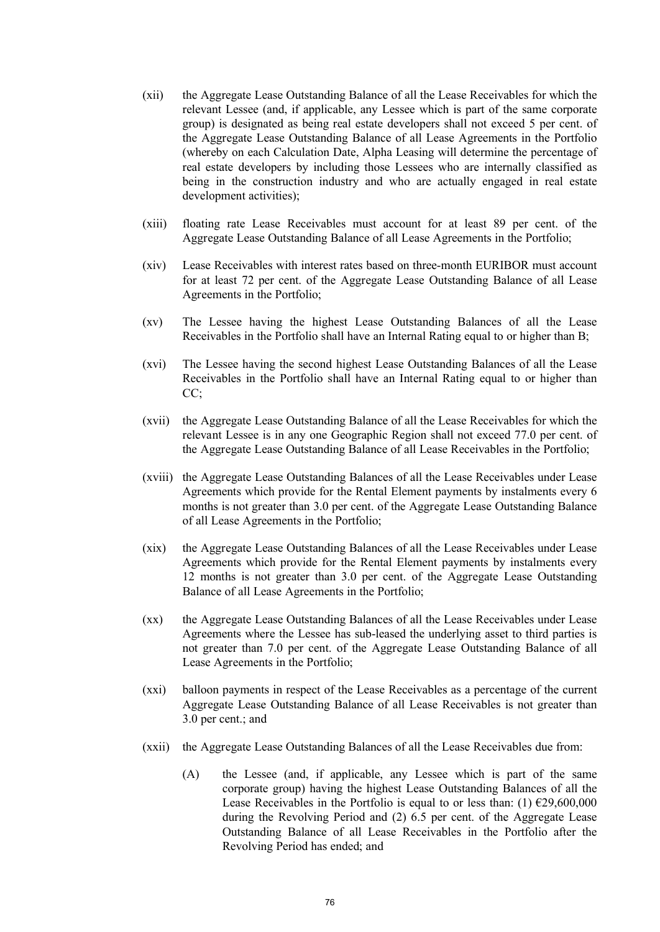- (xii) the Aggregate Lease Outstanding Balance of all the Lease Receivables for which the relevant Lessee (and, if applicable, any Lessee which is part of the same corporate group) is designated as being real estate developers shall not exceed 5 per cent. of the Aggregate Lease Outstanding Balance of all Lease Agreements in the Portfolio (whereby on each Calculation Date, Alpha Leasing will determine the percentage of real estate developers by including those Lessees who are internally classified as being in the construction industry and who are actually engaged in real estate development activities);
- (xiii) floating rate Lease Receivables must account for at least 89 per cent. of the Aggregate Lease Outstanding Balance of all Lease Agreements in the Portfolio;
- (xiv) Lease Receivables with interest rates based on three-month EURIBOR must account for at least 72 per cent. of the Aggregate Lease Outstanding Balance of all Lease Agreements in the Portfolio;
- (xv) The Lessee having the highest Lease Outstanding Balances of all the Lease Receivables in the Portfolio shall have an Internal Rating equal to or higher than B;
- (xvi) The Lessee having the second highest Lease Outstanding Balances of all the Lease Receivables in the Portfolio shall have an Internal Rating equal to or higher than CC:
- (xvii) the Aggregate Lease Outstanding Balance of all the Lease Receivables for which the relevant Lessee is in any one Geographic Region shall not exceed 77.0 per cent. of the Aggregate Lease Outstanding Balance of all Lease Receivables in the Portfolio;
- (xviii) the Aggregate Lease Outstanding Balances of all the Lease Receivables under Lease Agreements which provide for the Rental Element payments by instalments every 6 months is not greater than 3.0 per cent. of the Aggregate Lease Outstanding Balance of all Lease Agreements in the Portfolio;
- (xix) the Aggregate Lease Outstanding Balances of all the Lease Receivables under Lease Agreements which provide for the Rental Element payments by instalments every 12 months is not greater than 3.0 per cent. of the Aggregate Lease Outstanding Balance of all Lease Agreements in the Portfolio;
- (xx) the Aggregate Lease Outstanding Balances of all the Lease Receivables under Lease Agreements where the Lessee has sub-leased the underlying asset to third parties is not greater than 7.0 per cent. of the Aggregate Lease Outstanding Balance of all Lease Agreements in the Portfolio;
- (xxi) balloon payments in respect of the Lease Receivables as a percentage of the current Aggregate Lease Outstanding Balance of all Lease Receivables is not greater than 3.0 per cent.; and
- (xxii) the Aggregate Lease Outstanding Balances of all the Lease Receivables due from:
	- (A) the Lessee (and, if applicable, any Lessee which is part of the same corporate group) having the highest Lease Outstanding Balances of all the Lease Receivables in the Portfolio is equal to or less than: (1)  $\epsilon$ 29,600,000 during the Revolving Period and (2) 6.5 per cent. of the Aggregate Lease Outstanding Balance of all Lease Receivables in the Portfolio after the Revolving Period has ended; and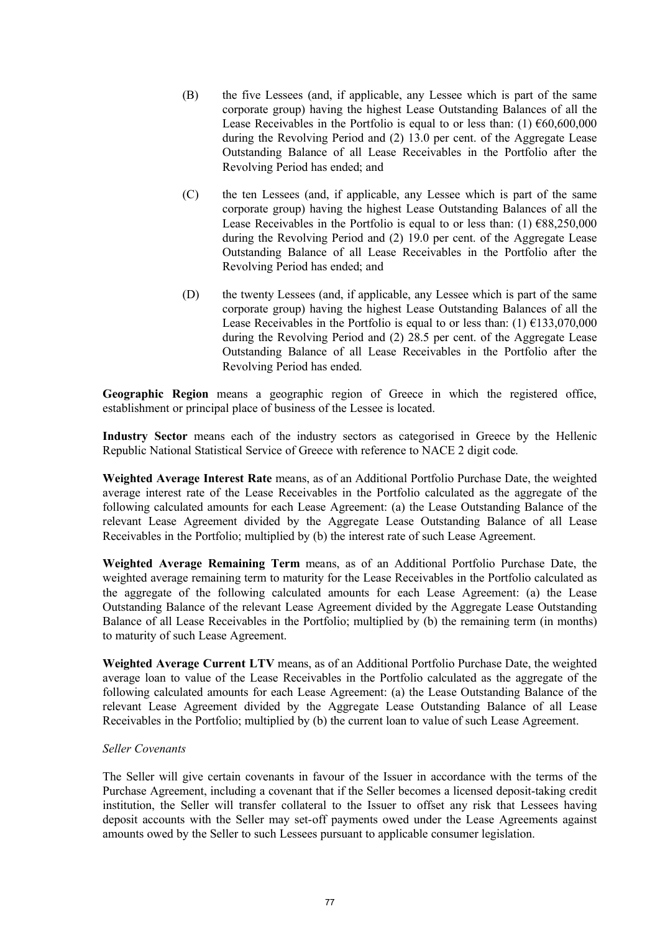- (B) the five Lessees (and, if applicable, any Lessee which is part of the same corporate group) having the highest Lease Outstanding Balances of all the Lease Receivables in the Portfolio is equal to or less than: (1)  $\epsilon$ 60,600,000 during the Revolving Period and (2) 13.0 per cent. of the Aggregate Lease Outstanding Balance of all Lease Receivables in the Portfolio after the Revolving Period has ended; and
- (C) the ten Lessees (and, if applicable, any Lessee which is part of the same corporate group) having the highest Lease Outstanding Balances of all the Lease Receivables in the Portfolio is equal to or less than: (1)  $\epsilon$ 88,250,000 during the Revolving Period and (2) 19.0 per cent. of the Aggregate Lease Outstanding Balance of all Lease Receivables in the Portfolio after the Revolving Period has ended; and
- (D) the twenty Lessees (and, if applicable, any Lessee which is part of the same corporate group) having the highest Lease Outstanding Balances of all the Lease Receivables in the Portfolio is equal to or less than: (1)  $\epsilon$ 133,070,000 during the Revolving Period and (2) 28.5 per cent. of the Aggregate Lease Outstanding Balance of all Lease Receivables in the Portfolio after the Revolving Period has ended.

**Geographic Region** means a geographic region of Greece in which the registered office, establishment or principal place of business of the Lessee is located.

**Industry Sector** means each of the industry sectors as categorised in Greece by the Hellenic Republic National Statistical Service of Greece with reference to NACE 2 digit code.

**Weighted Average Interest Rate** means, as of an Additional Portfolio Purchase Date, the weighted average interest rate of the Lease Receivables in the Portfolio calculated as the aggregate of the following calculated amounts for each Lease Agreement: (a) the Lease Outstanding Balance of the relevant Lease Agreement divided by the Aggregate Lease Outstanding Balance of all Lease Receivables in the Portfolio; multiplied by (b) the interest rate of such Lease Agreement.

**Weighted Average Remaining Term** means, as of an Additional Portfolio Purchase Date, the weighted average remaining term to maturity for the Lease Receivables in the Portfolio calculated as the aggregate of the following calculated amounts for each Lease Agreement: (a) the Lease Outstanding Balance of the relevant Lease Agreement divided by the Aggregate Lease Outstanding Balance of all Lease Receivables in the Portfolio; multiplied by (b) the remaining term (in months) to maturity of such Lease Agreement.

**Weighted Average Current LTV** means, as of an Additional Portfolio Purchase Date, the weighted average loan to value of the Lease Receivables in the Portfolio calculated as the aggregate of the following calculated amounts for each Lease Agreement: (a) the Lease Outstanding Balance of the relevant Lease Agreement divided by the Aggregate Lease Outstanding Balance of all Lease Receivables in the Portfolio; multiplied by (b) the current loan to value of such Lease Agreement.

## *Seller Covenants*

The Seller will give certain covenants in favour of the Issuer in accordance with the terms of the Purchase Agreement, including a covenant that if the Seller becomes a licensed deposit-taking credit institution, the Seller will transfer collateral to the Issuer to offset any risk that Lessees having deposit accounts with the Seller may set-off payments owed under the Lease Agreements against amounts owed by the Seller to such Lessees pursuant to applicable consumer legislation.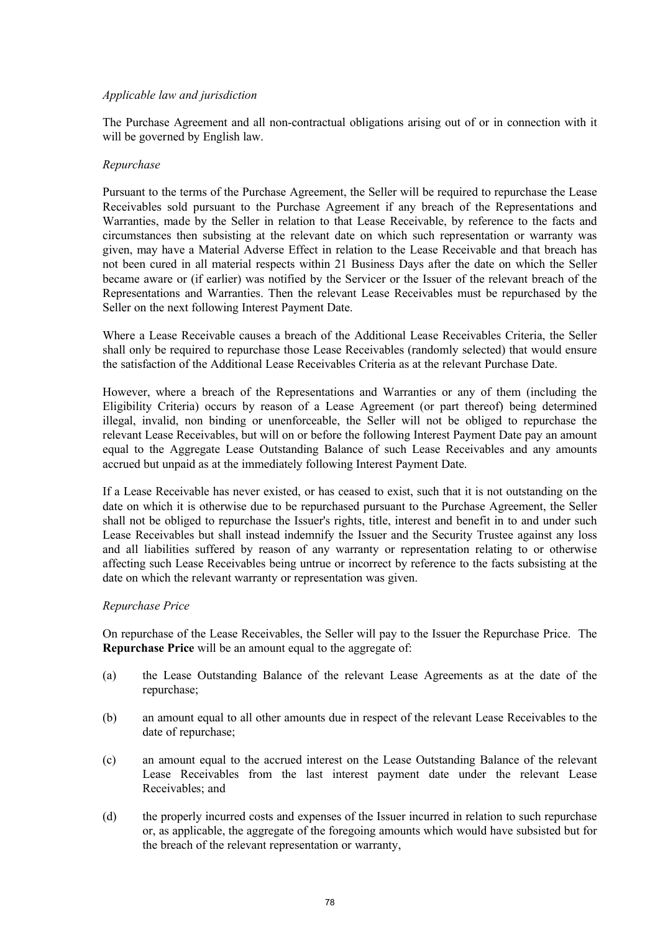# *Applicable law and jurisdiction*

The Purchase Agreement and all non-contractual obligations arising out of or in connection with it will be governed by English law.

# *Repurchase*

Pursuant to the terms of the Purchase Agreement, the Seller will be required to repurchase the Lease Receivables sold pursuant to the Purchase Agreement if any breach of the Representations and Warranties, made by the Seller in relation to that Lease Receivable, by reference to the facts and circumstances then subsisting at the relevant date on which such representation or warranty was given, may have a Material Adverse Effect in relation to the Lease Receivable and that breach has not been cured in all material respects within 21 Business Days after the date on which the Seller became aware or (if earlier) was notified by the Servicer or the Issuer of the relevant breach of the Representations and Warranties. Then the relevant Lease Receivables must be repurchased by the Seller on the next following Interest Payment Date.

Where a Lease Receivable causes a breach of the Additional Lease Receivables Criteria, the Seller shall only be required to repurchase those Lease Receivables (randomly selected) that would ensure the satisfaction of the Additional Lease Receivables Criteria as at the relevant Purchase Date.

However, where a breach of the Representations and Warranties or any of them (including the Eligibility Criteria) occurs by reason of a Lease Agreement (or part thereof) being determined illegal, invalid, non binding or unenforceable, the Seller will not be obliged to repurchase the relevant Lease Receivables, but will on or before the following Interest Payment Date pay an amount equal to the Aggregate Lease Outstanding Balance of such Lease Receivables and any amounts accrued but unpaid as at the immediately following Interest Payment Date.

If a Lease Receivable has never existed, or has ceased to exist, such that it is not outstanding on the date on which it is otherwise due to be repurchased pursuant to the Purchase Agreement, the Seller shall not be obliged to repurchase the Issuer's rights, title, interest and benefit in to and under such Lease Receivables but shall instead indemnify the Issuer and the Security Trustee against any loss and all liabilities suffered by reason of any warranty or representation relating to or otherwise affecting such Lease Receivables being untrue or incorrect by reference to the facts subsisting at the date on which the relevant warranty or representation was given.

## *Repurchase Price*

On repurchase of the Lease Receivables, the Seller will pay to the Issuer the Repurchase Price. The **Repurchase Price** will be an amount equal to the aggregate of:

- (a) the Lease Outstanding Balance of the relevant Lease Agreements as at the date of the repurchase;
- (b) an amount equal to all other amounts due in respect of the relevant Lease Receivables to the date of repurchase;
- (c) an amount equal to the accrued interest on the Lease Outstanding Balance of the relevant Lease Receivables from the last interest payment date under the relevant Lease Receivables; and
- (d) the properly incurred costs and expenses of the Issuer incurred in relation to such repurchase or, as applicable, the aggregate of the foregoing amounts which would have subsisted but for the breach of the relevant representation or warranty,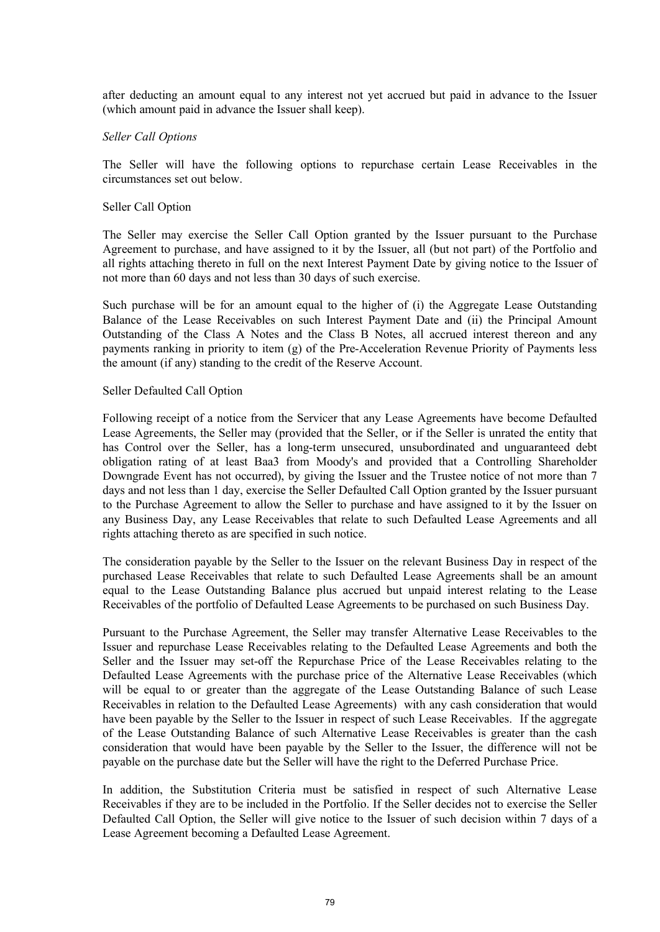after deducting an amount equal to any interest not yet accrued but paid in advance to the Issuer (which amount paid in advance the Issuer shall keep).

#### *Seller Call Options*

The Seller will have the following options to repurchase certain Lease Receivables in the circumstances set out below.

#### Seller Call Option

The Seller may exercise the Seller Call Option granted by the Issuer pursuant to the Purchase Agreement to purchase, and have assigned to it by the Issuer, all (but not part) of the Portfolio and all rights attaching thereto in full on the next Interest Payment Date by giving notice to the Issuer of not more than 60 days and not less than 30 days of such exercise.

Such purchase will be for an amount equal to the higher of (i) the Aggregate Lease Outstanding Balance of the Lease Receivables on such Interest Payment Date and (ii) the Principal Amount Outstanding of the Class A Notes and the Class B Notes, all accrued interest thereon and any payments ranking in priority to item (g) of the Pre-Acceleration Revenue Priority of Payments less the amount (if any) standing to the credit of the Reserve Account.

#### Seller Defaulted Call Option

Following receipt of a notice from the Servicer that any Lease Agreements have become Defaulted Lease Agreements, the Seller may (provided that the Seller, or if the Seller is unrated the entity that has Control over the Seller, has a long-term unsecured, unsubordinated and unguaranteed debt obligation rating of at least Baa3 from Moody's and provided that a Controlling Shareholder Downgrade Event has not occurred), by giving the Issuer and the Trustee notice of not more than 7 days and not less than 1 day, exercise the Seller Defaulted Call Option granted by the Issuer pursuant to the Purchase Agreement to allow the Seller to purchase and have assigned to it by the Issuer on any Business Day, any Lease Receivables that relate to such Defaulted Lease Agreements and all rights attaching thereto as are specified in such notice.

The consideration payable by the Seller to the Issuer on the relevant Business Day in respect of the purchased Lease Receivables that relate to such Defaulted Lease Agreements shall be an amount equal to the Lease Outstanding Balance plus accrued but unpaid interest relating to the Lease Receivables of the portfolio of Defaulted Lease Agreements to be purchased on such Business Day.

Pursuant to the Purchase Agreement, the Seller may transfer Alternative Lease Receivables to the Issuer and repurchase Lease Receivables relating to the Defaulted Lease Agreements and both the Seller and the Issuer may set-off the Repurchase Price of the Lease Receivables relating to the Defaulted Lease Agreements with the purchase price of the Alternative Lease Receivables (which will be equal to or greater than the aggregate of the Lease Outstanding Balance of such Lease Receivables in relation to the Defaulted Lease Agreements) with any cash consideration that would have been payable by the Seller to the Issuer in respect of such Lease Receivables. If the aggregate of the Lease Outstanding Balance of such Alternative Lease Receivables is greater than the cash consideration that would have been payable by the Seller to the Issuer, the difference will not be payable on the purchase date but the Seller will have the right to the Deferred Purchase Price.

In addition, the Substitution Criteria must be satisfied in respect of such Alternative Lease Receivables if they are to be included in the Portfolio. If the Seller decides not to exercise the Seller Defaulted Call Option, the Seller will give notice to the Issuer of such decision within 7 days of a Lease Agreement becoming a Defaulted Lease Agreement.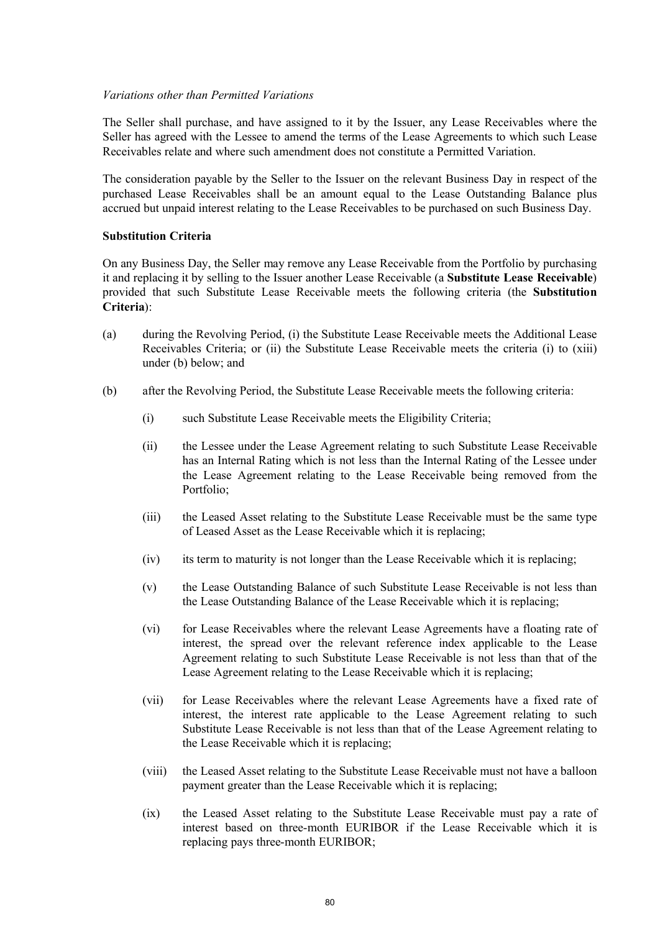## *Variations other than Permitted Variations*

The Seller shall purchase, and have assigned to it by the Issuer, any Lease Receivables where the Seller has agreed with the Lessee to amend the terms of the Lease Agreements to which such Lease Receivables relate and where such amendment does not constitute a Permitted Variation.

The consideration payable by the Seller to the Issuer on the relevant Business Day in respect of the purchased Lease Receivables shall be an amount equal to the Lease Outstanding Balance plus accrued but unpaid interest relating to the Lease Receivables to be purchased on such Business Day.

#### **Substitution Criteria**

On any Business Day, the Seller may remove any Lease Receivable from the Portfolio by purchasing it and replacing it by selling to the Issuer another Lease Receivable (a **Substitute Lease Receivable**) provided that such Substitute Lease Receivable meets the following criteria (the **Substitution Criteria**):

- (a) during the Revolving Period, (i) the Substitute Lease Receivable meets the Additional Lease Receivables Criteria; or (ii) the Substitute Lease Receivable meets the criteria (i) to (xiii) under (b) below; and
- (b) after the Revolving Period, the Substitute Lease Receivable meets the following criteria:
	- (i) such Substitute Lease Receivable meets the Eligibility Criteria;
	- (ii) the Lessee under the Lease Agreement relating to such Substitute Lease Receivable has an Internal Rating which is not less than the Internal Rating of the Lessee under the Lease Agreement relating to the Lease Receivable being removed from the Portfolio;
	- (iii) the Leased Asset relating to the Substitute Lease Receivable must be the same type of Leased Asset as the Lease Receivable which it is replacing;
	- (iv) its term to maturity is not longer than the Lease Receivable which it is replacing;
	- (v) the Lease Outstanding Balance of such Substitute Lease Receivable is not less than the Lease Outstanding Balance of the Lease Receivable which it is replacing;
	- (vi) for Lease Receivables where the relevant Lease Agreements have a floating rate of interest, the spread over the relevant reference index applicable to the Lease Agreement relating to such Substitute Lease Receivable is not less than that of the Lease Agreement relating to the Lease Receivable which it is replacing;
	- (vii) for Lease Receivables where the relevant Lease Agreements have a fixed rate of interest, the interest rate applicable to the Lease Agreement relating to such Substitute Lease Receivable is not less than that of the Lease Agreement relating to the Lease Receivable which it is replacing;
	- (viii) the Leased Asset relating to the Substitute Lease Receivable must not have a balloon payment greater than the Lease Receivable which it is replacing;
	- (ix) the Leased Asset relating to the Substitute Lease Receivable must pay a rate of interest based on three-month EURIBOR if the Lease Receivable which it is replacing pays three-month EURIBOR;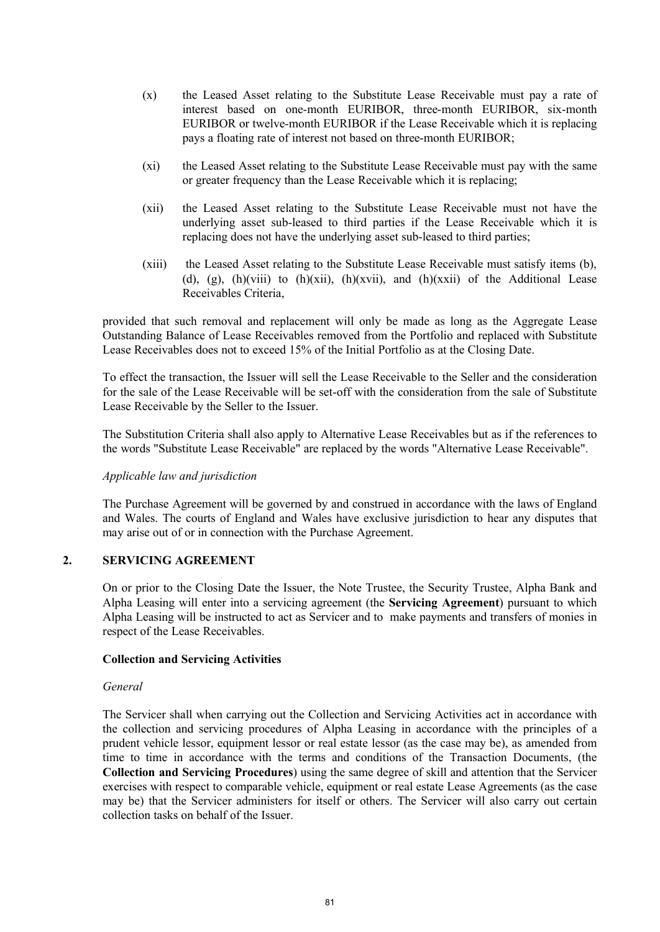- (x) the Leased Asset relating to the Substitute Lease Receivable must pay a rate of interest based on one-month EURIBOR, three-month EURIBOR, six-month EURIBOR or twelve-month EURIBOR if the Lease Receivable which it is replacing pays a floating rate of interest not based on three-month EURIBOR;
- (xi) the Leased Asset relating to the Substitute Lease Receivable must pay with the same or greater frequency than the Lease Receivable which it is replacing;
- (xii) the Leased Asset relating to the Substitute Lease Receivable must not have the underlying asset sub-leased to third parties if the Lease Receivable which it is replacing does not have the underlying asset sub-leased to third parties;
- (xiii) the Leased Asset relating to the Substitute Lease Receivable must satisfy items (b), (d), (g), (h)(viii) to (h)(xii), (h)(xvii), and (h)(xxii) of the Additional Lease Receivables Criteria,

provided that such removal and replacement will only be made as long as the Aggregate Lease Outstanding Balance of Lease Receivables removed from the Portfolio and replaced with Substitute Lease Receivables does not to exceed 15% of the Initial Portfolio as at the Closing Date.

To effect the transaction, the Issuer will sell the Lease Receivable to the Seller and the consideration for the sale of the Lease Receivable will be set-off with the consideration from the sale of Substitute Lease Receivable by the Seller to the Issuer.

The Substitution Criteria shall also apply to Alternative Lease Receivables but as if the references to the words "Substitute Lease Receivable" are replaced by the words "Alternative Lease Receivable".

## *Applicable law and jurisdiction*

The Purchase Agreement will be governed by and construed in accordance with the laws of England and Wales. The courts of England and Wales have exclusive jurisdiction to hear any disputes that may arise out of or in connection with the Purchase Agreement.

# **2. SERVICING AGREEMENT**

On or prior to the Closing Date the Issuer, the Note Trustee, the Security Trustee, Alpha Bank and Alpha Leasing will enter into a servicing agreement (the **Servicing Agreement**) pursuant to which Alpha Leasing will be instructed to act as Servicer and to make payments and transfers of monies in respect of the Lease Receivables.

## **Collection and Servicing Activities**

## *General*

The Servicer shall when carrying out the Collection and Servicing Activities act in accordance with the collection and servicing procedures of Alpha Leasing in accordance with the principles of a prudent vehicle lessor, equipment lessor or real estate lessor (as the case may be), as amended from time to time in accordance with the terms and conditions of the Transaction Documents, (the **Collection and Servicing Procedures**) using the same degree of skill and attention that the Servicer exercises with respect to comparable vehicle, equipment or real estate Lease Agreements (as the case may be) that the Servicer administers for itself or others. The Servicer will also carry out certain collection tasks on behalf of the Issuer.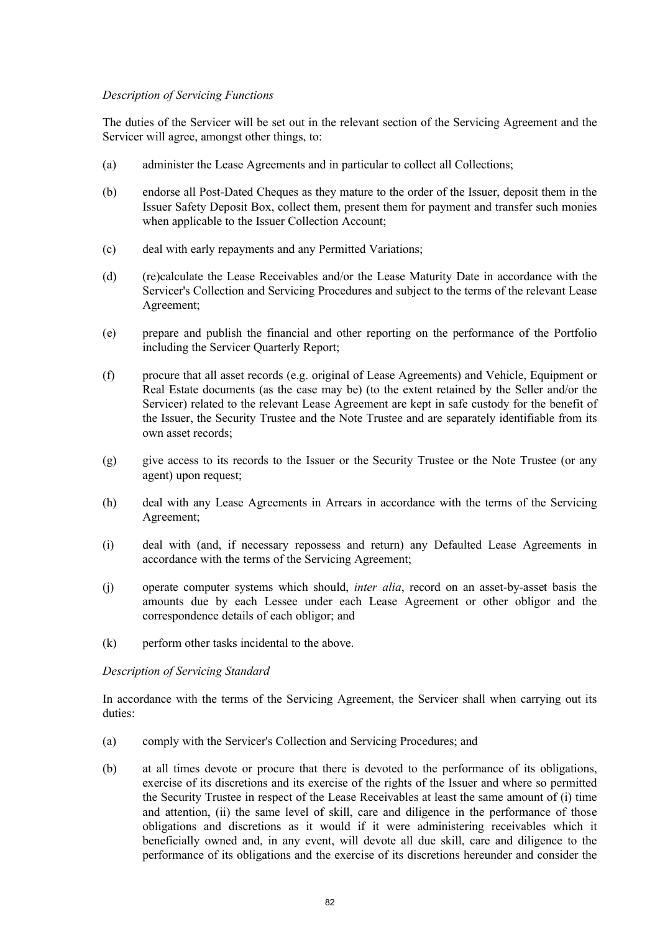# *Description of Servicing Functions*

The duties of the Servicer will be set out in the relevant section of the Servicing Agreement and the Servicer will agree, amongst other things, to:

- (a) administer the Lease Agreements and in particular to collect all Collections;
- (b) endorse all Post-Dated Cheques as they mature to the order of the Issuer, deposit them in the Issuer Safety Deposit Box, collect them, present them for payment and transfer such monies when applicable to the Issuer Collection Account;
- (c) deal with early repayments and any Permitted Variations;
- (d) (re)calculate the Lease Receivables and/or the Lease Maturity Date in accordance with the Servicer's Collection and Servicing Procedures and subject to the terms of the relevant Lease Agreement;
- (e) prepare and publish the financial and other reporting on the performance of the Portfolio including the Servicer Quarterly Report;
- (f) procure that all asset records (e.g. original of Lease Agreements) and Vehicle, Equipment or Real Estate documents (as the case may be) (to the extent retained by the Seller and/or the Servicer) related to the relevant Lease Agreement are kept in safe custody for the benefit of the Issuer, the Security Trustee and the Note Trustee and are separately identifiable from its own asset records;
- (g) give access to its records to the Issuer or the Security Trustee or the Note Trustee (or any agent) upon request;
- (h) deal with any Lease Agreements in Arrears in accordance with the terms of the Servicing Agreement;
- (i) deal with (and, if necessary repossess and return) any Defaulted Lease Agreements in accordance with the terms of the Servicing Agreement;
- (j) operate computer systems which should, *inter alia*, record on an asset-by-asset basis the amounts due by each Lessee under each Lease Agreement or other obligor and the correspondence details of each obligor; and
- (k) perform other tasks incidental to the above.

# *Description of Servicing Standard*

In accordance with the terms of the Servicing Agreement, the Servicer shall when carrying out its duties:

- (a) comply with the Servicer's Collection and Servicing Procedures; and
- (b) at all times devote or procure that there is devoted to the performance of its obligations, exercise of its discretions and its exercise of the rights of the Issuer and where so permitted the Security Trustee in respect of the Lease Receivables at least the same amount of (i) time and attention, (ii) the same level of skill, care and diligence in the performance of those obligations and discretions as it would if it were administering receivables which it beneficially owned and, in any event, will devote all due skill, care and diligence to the performance of its obligations and the exercise of its discretions hereunder and consider the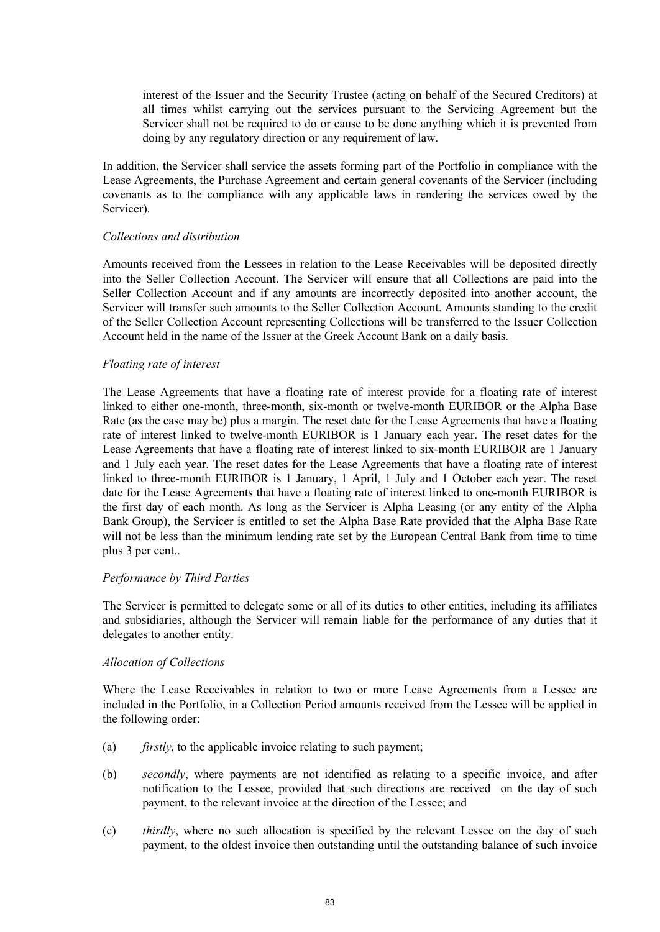interest of the Issuer and the Security Trustee (acting on behalf of the Secured Creditors) at all times whilst carrying out the services pursuant to the Servicing Agreement but the Servicer shall not be required to do or cause to be done anything which it is prevented from doing by any regulatory direction or any requirement of law.

In addition, the Servicer shall service the assets forming part of the Portfolio in compliance with the Lease Agreements, the Purchase Agreement and certain general covenants of the Servicer (including covenants as to the compliance with any applicable laws in rendering the services owed by the Servicer).

#### *Collections and distribution*

Amounts received from the Lessees in relation to the Lease Receivables will be deposited directly into the Seller Collection Account. The Servicer will ensure that all Collections are paid into the Seller Collection Account and if any amounts are incorrectly deposited into another account, the Servicer will transfer such amounts to the Seller Collection Account. Amounts standing to the credit of the Seller Collection Account representing Collections will be transferred to the Issuer Collection Account held in the name of the Issuer at the Greek Account Bank on a daily basis.

#### *Floating rate of interest*

The Lease Agreements that have a floating rate of interest provide for a floating rate of interest linked to either one-month, three-month, six-month or twelve-month EURIBOR or the Alpha Base Rate (as the case may be) plus a margin. The reset date for the Lease Agreements that have a floating rate of interest linked to twelve-month EURIBOR is 1 January each year. The reset dates for the Lease Agreements that have a floating rate of interest linked to six-month EURIBOR are 1 January and 1 July each year. The reset dates for the Lease Agreements that have a floating rate of interest linked to three-month EURIBOR is 1 January, 1 April, 1 July and 1 October each year. The reset date for the Lease Agreements that have a floating rate of interest linked to one-month EURIBOR is the first day of each month. As long as the Servicer is Alpha Leasing (or any entity of the Alpha Bank Group), the Servicer is entitled to set the Alpha Base Rate provided that the Alpha Base Rate will not be less than the minimum lending rate set by the European Central Bank from time to time plus 3 per cent..

## *Performance by Third Parties*

The Servicer is permitted to delegate some or all of its duties to other entities, including its affiliates and subsidiaries, although the Servicer will remain liable for the performance of any duties that it delegates to another entity.

#### *Allocation of Collections*

Where the Lease Receivables in relation to two or more Lease Agreements from a Lessee are included in the Portfolio, in a Collection Period amounts received from the Lessee will be applied in the following order:

- (a) *firstly*, to the applicable invoice relating to such payment;
- (b) *secondly*, where payments are not identified as relating to a specific invoice, and after notification to the Lessee, provided that such directions are received on the day of such payment, to the relevant invoice at the direction of the Lessee; and
- (c) *thirdly*, where no such allocation is specified by the relevant Lessee on the day of such payment, to the oldest invoice then outstanding until the outstanding balance of such invoice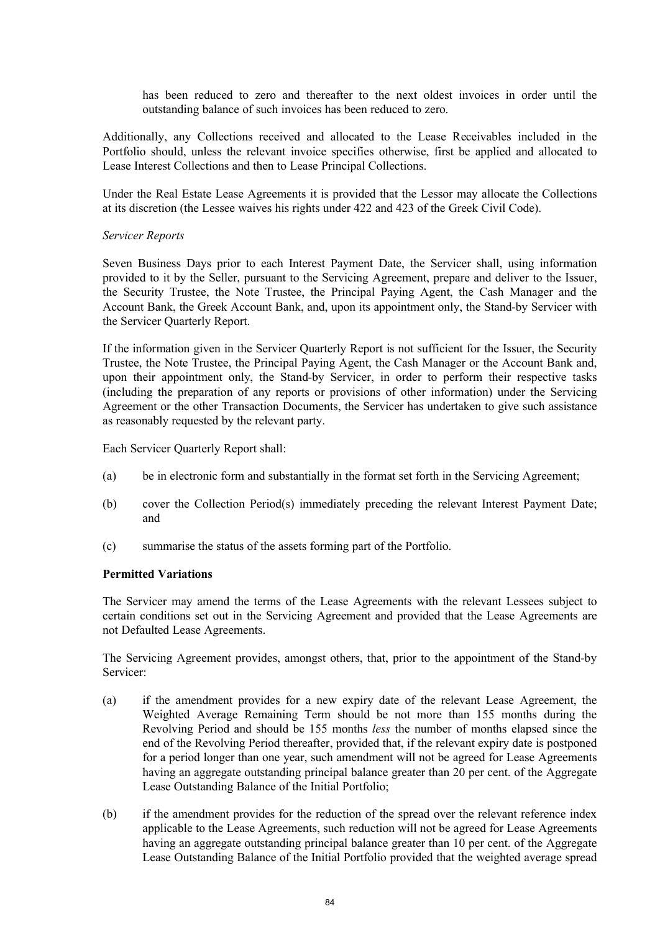has been reduced to zero and thereafter to the next oldest invoices in order until the outstanding balance of such invoices has been reduced to zero.

Additionally, any Collections received and allocated to the Lease Receivables included in the Portfolio should, unless the relevant invoice specifies otherwise, first be applied and allocated to Lease Interest Collections and then to Lease Principal Collections.

Under the Real Estate Lease Agreements it is provided that the Lessor may allocate the Collections at its discretion (the Lessee waives his rights under 422 and 423 of the Greek Civil Code).

#### *Servicer Reports*

Seven Business Days prior to each Interest Payment Date, the Servicer shall, using information provided to it by the Seller, pursuant to the Servicing Agreement, prepare and deliver to the Issuer, the Security Trustee, the Note Trustee, the Principal Paying Agent, the Cash Manager and the Account Bank, the Greek Account Bank, and, upon its appointment only, the Stand-by Servicer with the Servicer Quarterly Report.

If the information given in the Servicer Quarterly Report is not sufficient for the Issuer, the Security Trustee, the Note Trustee, the Principal Paying Agent, the Cash Manager or the Account Bank and, upon their appointment only, the Stand-by Servicer, in order to perform their respective tasks (including the preparation of any reports or provisions of other information) under the Servicing Agreement or the other Transaction Documents, the Servicer has undertaken to give such assistance as reasonably requested by the relevant party.

Each Servicer Quarterly Report shall:

- (a) be in electronic form and substantially in the format set forth in the Servicing Agreement;
- (b) cover the Collection Period(s) immediately preceding the relevant Interest Payment Date; and
- (c) summarise the status of the assets forming part of the Portfolio.

#### **Permitted Variations**

The Servicer may amend the terms of the Lease Agreements with the relevant Lessees subject to certain conditions set out in the Servicing Agreement and provided that the Lease Agreements are not Defaulted Lease Agreements.

The Servicing Agreement provides, amongst others, that, prior to the appointment of the Stand-by Servicer:

- (a) if the amendment provides for a new expiry date of the relevant Lease Agreement, the Weighted Average Remaining Term should be not more than 155 months during the Revolving Period and should be 155 months *less* the number of months elapsed since the end of the Revolving Period thereafter, provided that, if the relevant expiry date is postponed for a period longer than one year, such amendment will not be agreed for Lease Agreements having an aggregate outstanding principal balance greater than 20 per cent. of the Aggregate Lease Outstanding Balance of the Initial Portfolio;
- (b) if the amendment provides for the reduction of the spread over the relevant reference index applicable to the Lease Agreements, such reduction will not be agreed for Lease Agreements having an aggregate outstanding principal balance greater than 10 per cent. of the Aggregate Lease Outstanding Balance of the Initial Portfolio provided that the weighted average spread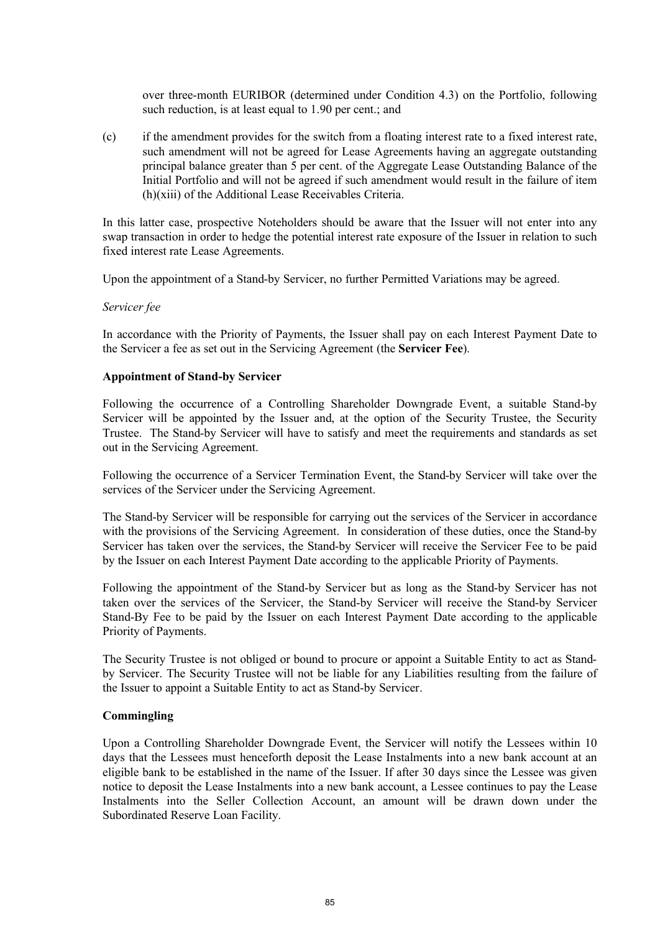over three-month EURIBOR (determined under Condition 4.3) on the Portfolio, following such reduction, is at least equal to 1.90 per cent.; and

(c) if the amendment provides for the switch from a floating interest rate to a fixed interest rate, such amendment will not be agreed for Lease Agreements having an aggregate outstanding principal balance greater than 5 per cent. of the Aggregate Lease Outstanding Balance of the Initial Portfolio and will not be agreed if such amendment would result in the failure of item (h)(xiii) of the Additional Lease Receivables Criteria.

In this latter case, prospective Noteholders should be aware that the Issuer will not enter into any swap transaction in order to hedge the potential interest rate exposure of the Issuer in relation to such fixed interest rate Lease Agreements.

Upon the appointment of a Stand-by Servicer, no further Permitted Variations may be agreed.

#### *Servicer fee*

In accordance with the Priority of Payments, the Issuer shall pay on each Interest Payment Date to the Servicer a fee as set out in the Servicing Agreement (the **Servicer Fee**).

## **Appointment of Stand-by Servicer**

Following the occurrence of a Controlling Shareholder Downgrade Event, a suitable Stand-by Servicer will be appointed by the Issuer and, at the option of the Security Trustee, the Security Trustee. The Stand-by Servicer will have to satisfy and meet the requirements and standards as set out in the Servicing Agreement.

Following the occurrence of a Servicer Termination Event, the Stand-by Servicer will take over the services of the Servicer under the Servicing Agreement.

The Stand-by Servicer will be responsible for carrying out the services of the Servicer in accordance with the provisions of the Servicing Agreement. In consideration of these duties, once the Stand-by Servicer has taken over the services, the Stand-by Servicer will receive the Servicer Fee to be paid by the Issuer on each Interest Payment Date according to the applicable Priority of Payments.

Following the appointment of the Stand-by Servicer but as long as the Stand-by Servicer has not taken over the services of the Servicer, the Stand-by Servicer will receive the Stand-by Servicer Stand-By Fee to be paid by the Issuer on each Interest Payment Date according to the applicable Priority of Payments.

The Security Trustee is not obliged or bound to procure or appoint a Suitable Entity to act as Standby Servicer. The Security Trustee will not be liable for any Liabilities resulting from the failure of the Issuer to appoint a Suitable Entity to act as Stand-by Servicer.

## **Commingling**

Upon a Controlling Shareholder Downgrade Event, the Servicer will notify the Lessees within 10 days that the Lessees must henceforth deposit the Lease Instalments into a new bank account at an eligible bank to be established in the name of the Issuer. If after 30 days since the Lessee was given notice to deposit the Lease Instalments into a new bank account, a Lessee continues to pay the Lease Instalments into the Seller Collection Account, an amount will be drawn down under the Subordinated Reserve Loan Facility.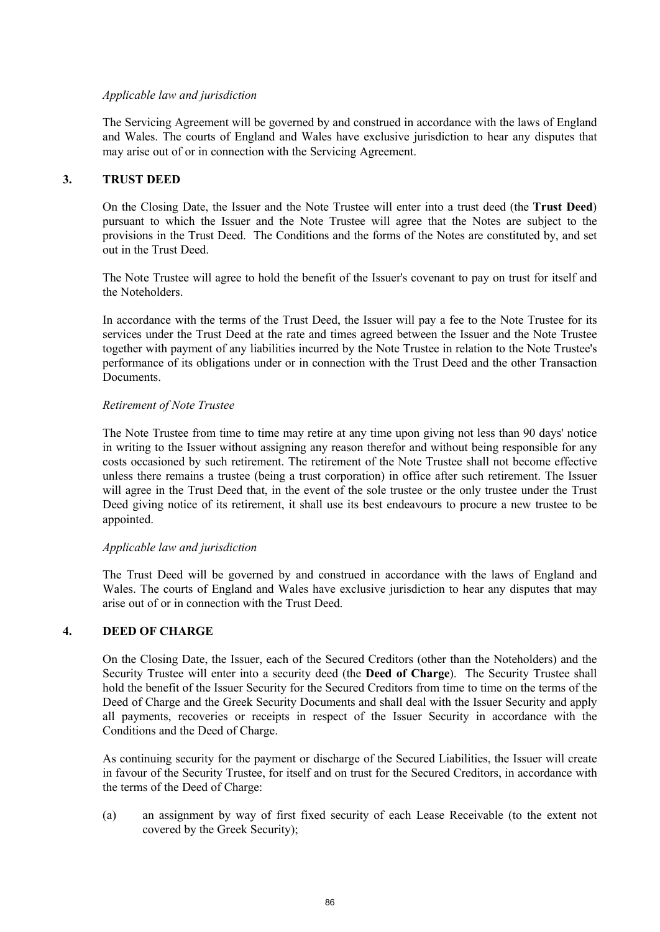## *Applicable law and jurisdiction*

The Servicing Agreement will be governed by and construed in accordance with the laws of England and Wales. The courts of England and Wales have exclusive jurisdiction to hear any disputes that may arise out of or in connection with the Servicing Agreement.

# **3. TRUST DEED**

On the Closing Date, the Issuer and the Note Trustee will enter into a trust deed (the **Trust Deed**) pursuant to which the Issuer and the Note Trustee will agree that the Notes are subject to the provisions in the Trust Deed. The Conditions and the forms of the Notes are constituted by, and set out in the Trust Deed.

The Note Trustee will agree to hold the benefit of the Issuer's covenant to pay on trust for itself and the Noteholders.

In accordance with the terms of the Trust Deed, the Issuer will pay a fee to the Note Trustee for its services under the Trust Deed at the rate and times agreed between the Issuer and the Note Trustee together with payment of any liabilities incurred by the Note Trustee in relation to the Note Trustee's performance of its obligations under or in connection with the Trust Deed and the other Transaction Documents.

#### *Retirement of Note Trustee*

The Note Trustee from time to time may retire at any time upon giving not less than 90 days' notice in writing to the Issuer without assigning any reason therefor and without being responsible for any costs occasioned by such retirement. The retirement of the Note Trustee shall not become effective unless there remains a trustee (being a trust corporation) in office after such retirement. The Issuer will agree in the Trust Deed that, in the event of the sole trustee or the only trustee under the Trust Deed giving notice of its retirement, it shall use its best endeavours to procure a new trustee to be appointed.

## *Applicable law and jurisdiction*

The Trust Deed will be governed by and construed in accordance with the laws of England and Wales. The courts of England and Wales have exclusive jurisdiction to hear any disputes that may arise out of or in connection with the Trust Deed.

# **4. DEED OF CHARGE**

On the Closing Date, the Issuer, each of the Secured Creditors (other than the Noteholders) and the Security Trustee will enter into a security deed (the **Deed of Charge**). The Security Trustee shall hold the benefit of the Issuer Security for the Secured Creditors from time to time on the terms of the Deed of Charge and the Greek Security Documents and shall deal with the Issuer Security and apply all payments, recoveries or receipts in respect of the Issuer Security in accordance with the Conditions and the Deed of Charge.

As continuing security for the payment or discharge of the Secured Liabilities, the Issuer will create in favour of the Security Trustee, for itself and on trust for the Secured Creditors, in accordance with the terms of the Deed of Charge:

(a) an assignment by way of first fixed security of each Lease Receivable (to the extent not covered by the Greek Security);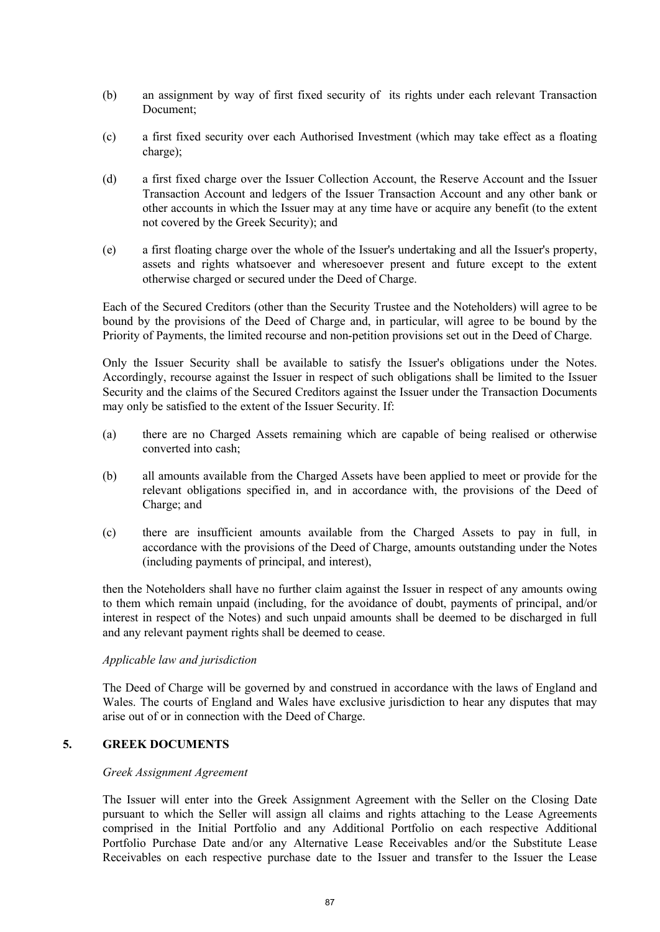- (b) an assignment by way of first fixed security of its rights under each relevant Transaction Document<sup>:</sup>
- (c) a first fixed security over each Authorised Investment (which may take effect as a floating charge);
- (d) a first fixed charge over the Issuer Collection Account, the Reserve Account and the Issuer Transaction Account and ledgers of the Issuer Transaction Account and any other bank or other accounts in which the Issuer may at any time have or acquire any benefit (to the extent not covered by the Greek Security); and
- (e) a first floating charge over the whole of the Issuer's undertaking and all the Issuer's property, assets and rights whatsoever and wheresoever present and future except to the extent otherwise charged or secured under the Deed of Charge.

Each of the Secured Creditors (other than the Security Trustee and the Noteholders) will agree to be bound by the provisions of the Deed of Charge and, in particular, will agree to be bound by the Priority of Payments, the limited recourse and non-petition provisions set out in the Deed of Charge.

Only the Issuer Security shall be available to satisfy the Issuer's obligations under the Notes. Accordingly, recourse against the Issuer in respect of such obligations shall be limited to the Issuer Security and the claims of the Secured Creditors against the Issuer under the Transaction Documents may only be satisfied to the extent of the Issuer Security. If:

- (a) there are no Charged Assets remaining which are capable of being realised or otherwise converted into cash;
- (b) all amounts available from the Charged Assets have been applied to meet or provide for the relevant obligations specified in, and in accordance with, the provisions of the Deed of Charge; and
- (c) there are insufficient amounts available from the Charged Assets to pay in full, in accordance with the provisions of the Deed of Charge, amounts outstanding under the Notes (including payments of principal, and interest),

then the Noteholders shall have no further claim against the Issuer in respect of any amounts owing to them which remain unpaid (including, for the avoidance of doubt, payments of principal, and/or interest in respect of the Notes) and such unpaid amounts shall be deemed to be discharged in full and any relevant payment rights shall be deemed to cease.

## *Applicable law and jurisdiction*

The Deed of Charge will be governed by and construed in accordance with the laws of England and Wales. The courts of England and Wales have exclusive jurisdiction to hear any disputes that may arise out of or in connection with the Deed of Charge.

# **5. GREEK DOCUMENTS**

## *Greek Assignment Agreement*

The Issuer will enter into the Greek Assignment Agreement with the Seller on the Closing Date pursuant to which the Seller will assign all claims and rights attaching to the Lease Agreements comprised in the Initial Portfolio and any Additional Portfolio on each respective Additional Portfolio Purchase Date and/or any Alternative Lease Receivables and/or the Substitute Lease Receivables on each respective purchase date to the Issuer and transfer to the Issuer the Lease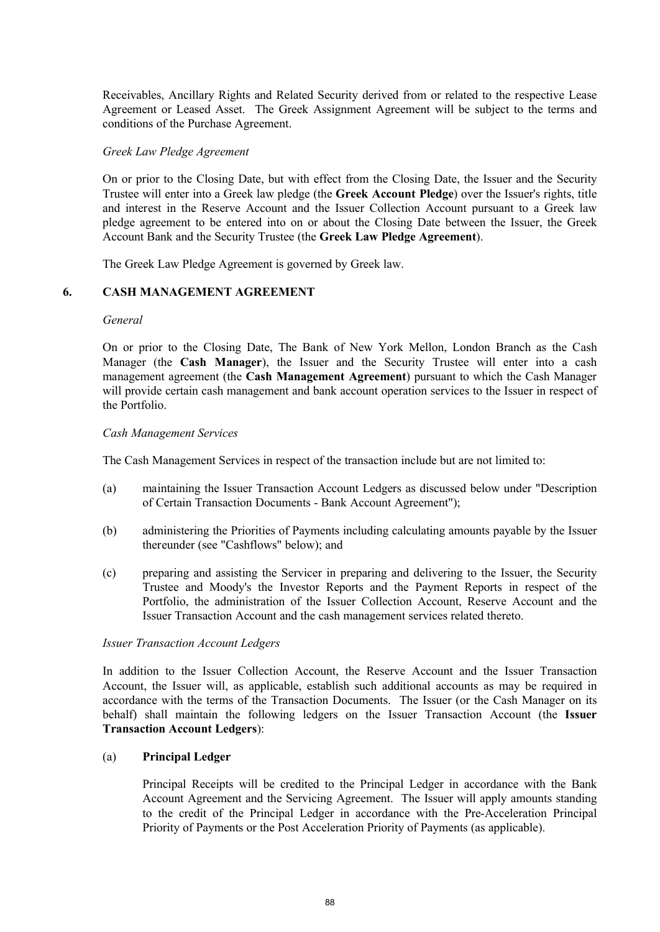Receivables, Ancillary Rights and Related Security derived from or related to the respective Lease Agreement or Leased Asset. The Greek Assignment Agreement will be subject to the terms and conditions of the Purchase Agreement.

#### *Greek Law Pledge Agreement*

On or prior to the Closing Date, but with effect from the Closing Date, the Issuer and the Security Trustee will enter into a Greek law pledge (the **Greek Account Pledge**) over the Issuer's rights, title and interest in the Reserve Account and the Issuer Collection Account pursuant to a Greek law pledge agreement to be entered into on or about the Closing Date between the Issuer, the Greek Account Bank and the Security Trustee (the **Greek Law Pledge Agreement**).

The Greek Law Pledge Agreement is governed by Greek law.

## **6. CASH MANAGEMENT AGREEMENT**

#### *General*

On or prior to the Closing Date, The Bank of New York Mellon, London Branch as the Cash Manager (the **Cash Manager**), the Issuer and the Security Trustee will enter into a cash management agreement (the **Cash Management Agreement**) pursuant to which the Cash Manager will provide certain cash management and bank account operation services to the Issuer in respect of the Portfolio.

#### *Cash Management Services*

The Cash Management Services in respect of the transaction include but are not limited to:

- (a) maintaining the Issuer Transaction Account Ledgers as discussed below under "Description of Certain Transaction Documents - Bank Account Agreement");
- (b) administering the Priorities of Payments including calculating amounts payable by the Issuer thereunder (see "Cashflows" below); and
- (c) preparing and assisting the Servicer in preparing and delivering to the Issuer, the Security Trustee and Moody's the Investor Reports and the Payment Reports in respect of the Portfolio, the administration of the Issuer Collection Account, Reserve Account and the Issuer Transaction Account and the cash management services related thereto.

#### *Issuer Transaction Account Ledgers*

In addition to the Issuer Collection Account, the Reserve Account and the Issuer Transaction Account, the Issuer will, as applicable, establish such additional accounts as may be required in accordance with the terms of the Transaction Documents. The Issuer (or the Cash Manager on its behalf) shall maintain the following ledgers on the Issuer Transaction Account (the **Issuer Transaction Account Ledgers**):

#### (a) **Principal Ledger**

Principal Receipts will be credited to the Principal Ledger in accordance with the Bank Account Agreement and the Servicing Agreement. The Issuer will apply amounts standing to the credit of the Principal Ledger in accordance with the Pre-Acceleration Principal Priority of Payments or the Post Acceleration Priority of Payments (as applicable).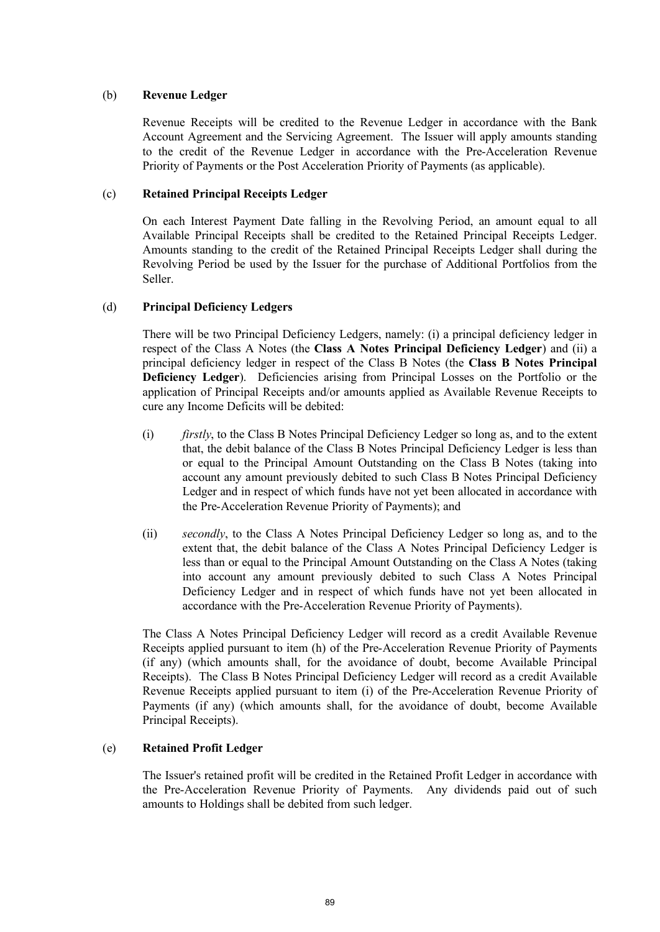# (b) **Revenue Ledger**

Revenue Receipts will be credited to the Revenue Ledger in accordance with the Bank Account Agreement and the Servicing Agreement. The Issuer will apply amounts standing to the credit of the Revenue Ledger in accordance with the Pre-Acceleration Revenue Priority of Payments or the Post Acceleration Priority of Payments (as applicable).

# (c) **Retained Principal Receipts Ledger**

On each Interest Payment Date falling in the Revolving Period, an amount equal to all Available Principal Receipts shall be credited to the Retained Principal Receipts Ledger. Amounts standing to the credit of the Retained Principal Receipts Ledger shall during the Revolving Period be used by the Issuer for the purchase of Additional Portfolios from the Seller.

# (d) **Principal Deficiency Ledgers**

There will be two Principal Deficiency Ledgers, namely: (i) a principal deficiency ledger in respect of the Class A Notes (the **Class A Notes Principal Deficiency Ledger**) and (ii) a principal deficiency ledger in respect of the Class B Notes (the **Class B Notes Principal Deficiency Ledger**). Deficiencies arising from Principal Losses on the Portfolio or the application of Principal Receipts and/or amounts applied as Available Revenue Receipts to cure any Income Deficits will be debited:

- (i) *firstly*, to the Class B Notes Principal Deficiency Ledger so long as, and to the extent that, the debit balance of the Class B Notes Principal Deficiency Ledger is less than or equal to the Principal Amount Outstanding on the Class B Notes (taking into account any amount previously debited to such Class B Notes Principal Deficiency Ledger and in respect of which funds have not yet been allocated in accordance with the Pre-Acceleration Revenue Priority of Payments); and
- (ii) *secondly*, to the Class A Notes Principal Deficiency Ledger so long as, and to the extent that, the debit balance of the Class A Notes Principal Deficiency Ledger is less than or equal to the Principal Amount Outstanding on the Class A Notes (taking into account any amount previously debited to such Class A Notes Principal Deficiency Ledger and in respect of which funds have not yet been allocated in accordance with the Pre-Acceleration Revenue Priority of Payments).

The Class A Notes Principal Deficiency Ledger will record as a credit Available Revenue Receipts applied pursuant to item (h) of the Pre-Acceleration Revenue Priority of Payments (if any) (which amounts shall, for the avoidance of doubt, become Available Principal Receipts). The Class B Notes Principal Deficiency Ledger will record as a credit Available Revenue Receipts applied pursuant to item (i) of the Pre-Acceleration Revenue Priority of Payments (if any) (which amounts shall, for the avoidance of doubt, become Available Principal Receipts).

## (e) **Retained Profit Ledger**

The Issuer's retained profit will be credited in the Retained Profit Ledger in accordance with the Pre-Acceleration Revenue Priority of Payments. Any dividends paid out of such amounts to Holdings shall be debited from such ledger.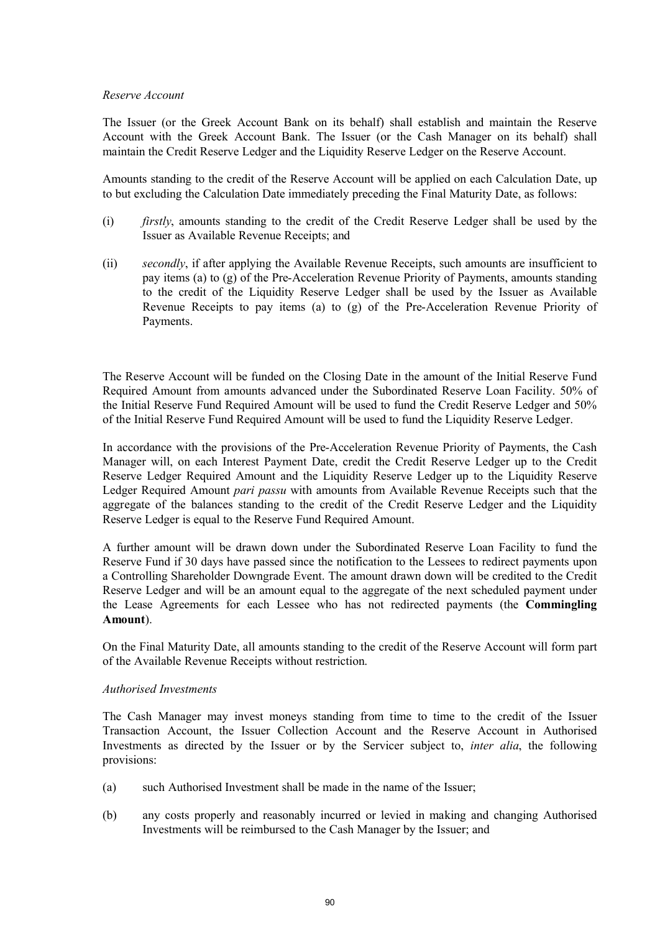# *Reserve Account*

The Issuer (or the Greek Account Bank on its behalf) shall establish and maintain the Reserve Account with the Greek Account Bank. The Issuer (or the Cash Manager on its behalf) shall maintain the Credit Reserve Ledger and the Liquidity Reserve Ledger on the Reserve Account.

Amounts standing to the credit of the Reserve Account will be applied on each Calculation Date, up to but excluding the Calculation Date immediately preceding the Final Maturity Date, as follows:

- (i) *firstly*, amounts standing to the credit of the Credit Reserve Ledger shall be used by the Issuer as Available Revenue Receipts; and
- (ii) *secondly*, if after applying the Available Revenue Receipts, such amounts are insufficient to pay items (a) to (g) of the Pre-Acceleration Revenue Priority of Payments, amounts standing to the credit of the Liquidity Reserve Ledger shall be used by the Issuer as Available Revenue Receipts to pay items (a) to (g) of the Pre-Acceleration Revenue Priority of Payments.

The Reserve Account will be funded on the Closing Date in the amount of the Initial Reserve Fund Required Amount from amounts advanced under the Subordinated Reserve Loan Facility. 50% of the Initial Reserve Fund Required Amount will be used to fund the Credit Reserve Ledger and 50% of the Initial Reserve Fund Required Amount will be used to fund the Liquidity Reserve Ledger.

In accordance with the provisions of the Pre-Acceleration Revenue Priority of Payments, the Cash Manager will, on each Interest Payment Date, credit the Credit Reserve Ledger up to the Credit Reserve Ledger Required Amount and the Liquidity Reserve Ledger up to the Liquidity Reserve Ledger Required Amount *pari passu* with amounts from Available Revenue Receipts such that the aggregate of the balances standing to the credit of the Credit Reserve Ledger and the Liquidity Reserve Ledger is equal to the Reserve Fund Required Amount.

A further amount will be drawn down under the Subordinated Reserve Loan Facility to fund the Reserve Fund if 30 days have passed since the notification to the Lessees to redirect payments upon a Controlling Shareholder Downgrade Event. The amount drawn down will be credited to the Credit Reserve Ledger and will be an amount equal to the aggregate of the next scheduled payment under the Lease Agreements for each Lessee who has not redirected payments (the **Commingling Amount**).

On the Final Maturity Date, all amounts standing to the credit of the Reserve Account will form part of the Available Revenue Receipts without restriction.

## *Authorised Investments*

The Cash Manager may invest moneys standing from time to time to the credit of the Issuer Transaction Account, the Issuer Collection Account and the Reserve Account in Authorised Investments as directed by the Issuer or by the Servicer subject to, *inter alia*, the following provisions:

- (a) such Authorised Investment shall be made in the name of the Issuer;
- (b) any costs properly and reasonably incurred or levied in making and changing Authorised Investments will be reimbursed to the Cash Manager by the Issuer; and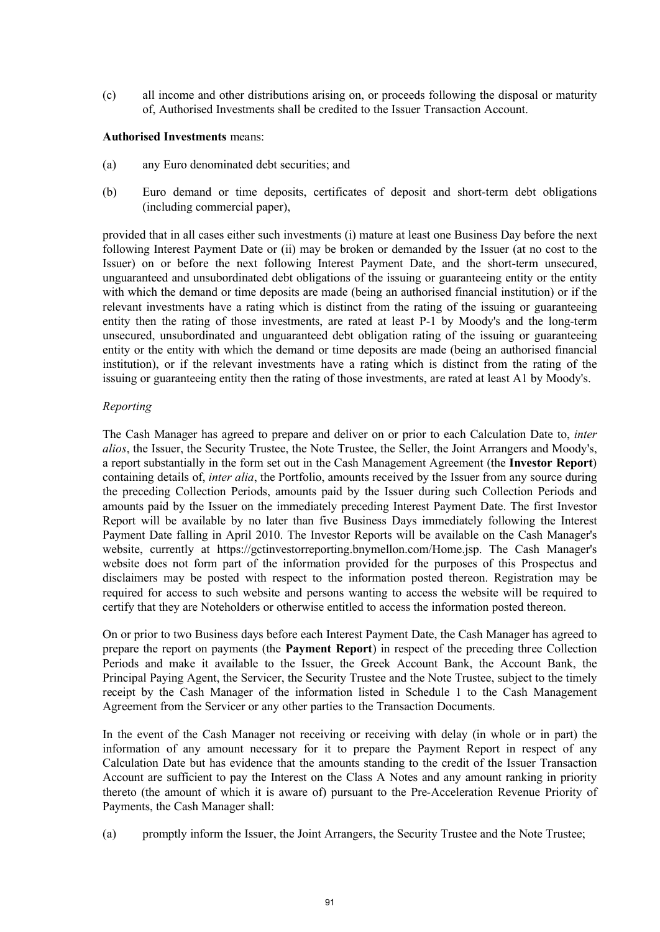(c) all income and other distributions arising on, or proceeds following the disposal or maturity of, Authorised Investments shall be credited to the Issuer Transaction Account.

**Authorised Investments** means:

- (a) any Euro denominated debt securities; and
- (b) Euro demand or time deposits, certificates of deposit and short-term debt obligations (including commercial paper),

provided that in all cases either such investments (i) mature at least one Business Day before the next following Interest Payment Date or (ii) may be broken or demanded by the Issuer (at no cost to the Issuer) on or before the next following Interest Payment Date, and the short-term unsecured, unguaranteed and unsubordinated debt obligations of the issuing or guaranteeing entity or the entity with which the demand or time deposits are made (being an authorised financial institution) or if the relevant investments have a rating which is distinct from the rating of the issuing or guaranteeing entity then the rating of those investments, are rated at least P-1 by Moody's and the long-term unsecured, unsubordinated and unguaranteed debt obligation rating of the issuing or guaranteeing entity or the entity with which the demand or time deposits are made (being an authorised financial institution), or if the relevant investments have a rating which is distinct from the rating of the issuing or guaranteeing entity then the rating of those investments, are rated at least A1 by Moody's.

## *Reporting*

The Cash Manager has agreed to prepare and deliver on or prior to each Calculation Date to, *inter alios*, the Issuer, the Security Trustee, the Note Trustee, the Seller, the Joint Arrangers and Moody's, a report substantially in the form set out in the Cash Management Agreement (the **Investor Report**) containing details of, *inter alia*, the Portfolio, amounts received by the Issuer from any source during the preceding Collection Periods, amounts paid by the Issuer during such Collection Periods and amounts paid by the Issuer on the immediately preceding Interest Payment Date. The first Investor Report will be available by no later than five Business Days immediately following the Interest Payment Date falling in April 2010. The Investor Reports will be available on the Cash Manager's website, currently at <https://gctinvestorreporting.bnymellon.com/Home.jsp.>The Cash Manager's website does not form part of the information provided for the purposes of this Prospectus and disclaimers may be posted with respect to the information posted thereon. Registration may be required for access to such website and persons wanting to access the website will be required to certify that they are Noteholders or otherwise entitled to access the information posted thereon.

On or prior to two Business days before each Interest Payment Date, the Cash Manager has agreed to prepare the report on payments (the **Payment Report**) in respect of the preceding three Collection Periods and make it available to the Issuer, the Greek Account Bank, the Account Bank, the Principal Paying Agent, the Servicer, the Security Trustee and the Note Trustee, subject to the timely receipt by the Cash Manager of the information listed in Schedule 1 to the Cash Management Agreement from the Servicer or any other parties to the Transaction Documents.

In the event of the Cash Manager not receiving or receiving with delay (in whole or in part) the information of any amount necessary for it to prepare the Payment Report in respect of any Calculation Date but has evidence that the amounts standing to the credit of the Issuer Transaction Account are sufficient to pay the Interest on the Class A Notes and any amount ranking in priority thereto (the amount of which it is aware of) pursuant to the Pre-Acceleration Revenue Priority of Payments, the Cash Manager shall:

(a) promptly inform the Issuer, the Joint Arrangers, the Security Trustee and the Note Trustee;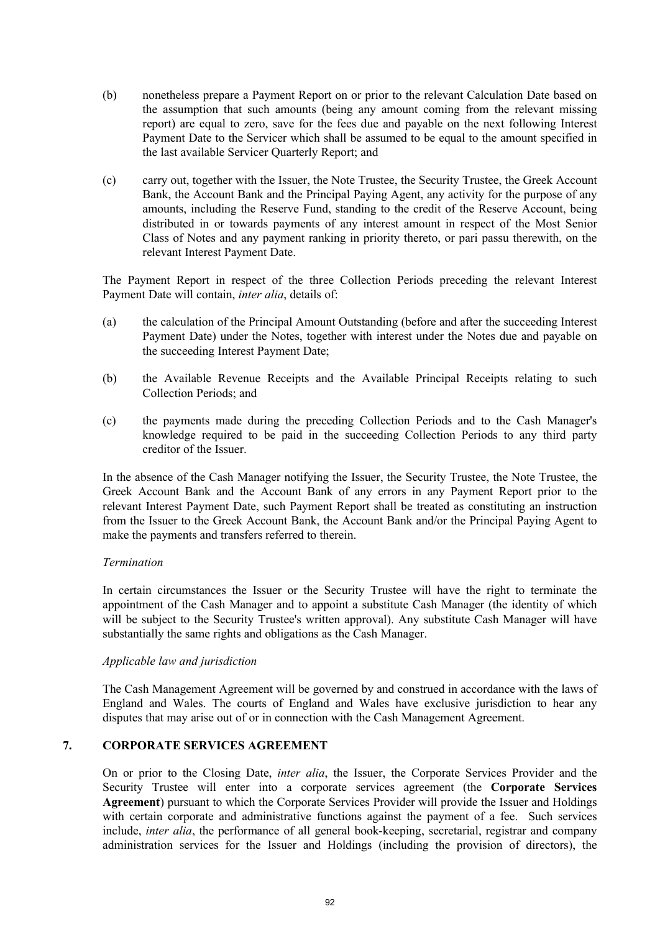- (b) nonetheless prepare a Payment Report on or prior to the relevant Calculation Date based on the assumption that such amounts (being any amount coming from the relevant missing report) are equal to zero, save for the fees due and payable on the next following Interest Payment Date to the Servicer which shall be assumed to be equal to the amount specified in the last available Servicer Quarterly Report; and
- (c) carry out, together with the Issuer, the Note Trustee, the Security Trustee, the Greek Account Bank, the Account Bank and the Principal Paying Agent, any activity for the purpose of any amounts, including the Reserve Fund, standing to the credit of the Reserve Account, being distributed in or towards payments of any interest amount in respect of the Most Senior Class of Notes and any payment ranking in priority thereto, or pari passu therewith, on the relevant Interest Payment Date.

The Payment Report in respect of the three Collection Periods preceding the relevant Interest Payment Date will contain, *inter alia*, details of:

- (a) the calculation of the Principal Amount Outstanding (before and after the succeeding Interest Payment Date) under the Notes, together with interest under the Notes due and payable on the succeeding Interest Payment Date;
- (b) the Available Revenue Receipts and the Available Principal Receipts relating to such Collection Periods; and
- (c) the payments made during the preceding Collection Periods and to the Cash Manager's knowledge required to be paid in the succeeding Collection Periods to any third party creditor of the Issuer.

In the absence of the Cash Manager notifying the Issuer, the Security Trustee, the Note Trustee, the Greek Account Bank and the Account Bank of any errors in any Payment Report prior to the relevant Interest Payment Date, such Payment Report shall be treated as constituting an instruction from the Issuer to the Greek Account Bank, the Account Bank and/or the Principal Paying Agent to make the payments and transfers referred to therein.

## *Termination*

In certain circumstances the Issuer or the Security Trustee will have the right to terminate the appointment of the Cash Manager and to appoint a substitute Cash Manager (the identity of which will be subject to the Security Trustee's written approval). Any substitute Cash Manager will have substantially the same rights and obligations as the Cash Manager.

## *Applicable law and jurisdiction*

The Cash Management Agreement will be governed by and construed in accordance with the laws of England and Wales. The courts of England and Wales have exclusive jurisdiction to hear any disputes that may arise out of or in connection with the Cash Management Agreement.

# **7. CORPORATE SERVICES AGREEMENT**

On or prior to the Closing Date, *inter alia*, the Issuer, the Corporate Services Provider and the Security Trustee will enter into a corporate services agreement (the **Corporate Services Agreement**) pursuant to which the Corporate Services Provider will provide the Issuer and Holdings with certain corporate and administrative functions against the payment of a fee. Such services include, *inter alia*, the performance of all general book-keeping, secretarial, registrar and company administration services for the Issuer and Holdings (including the provision of directors), the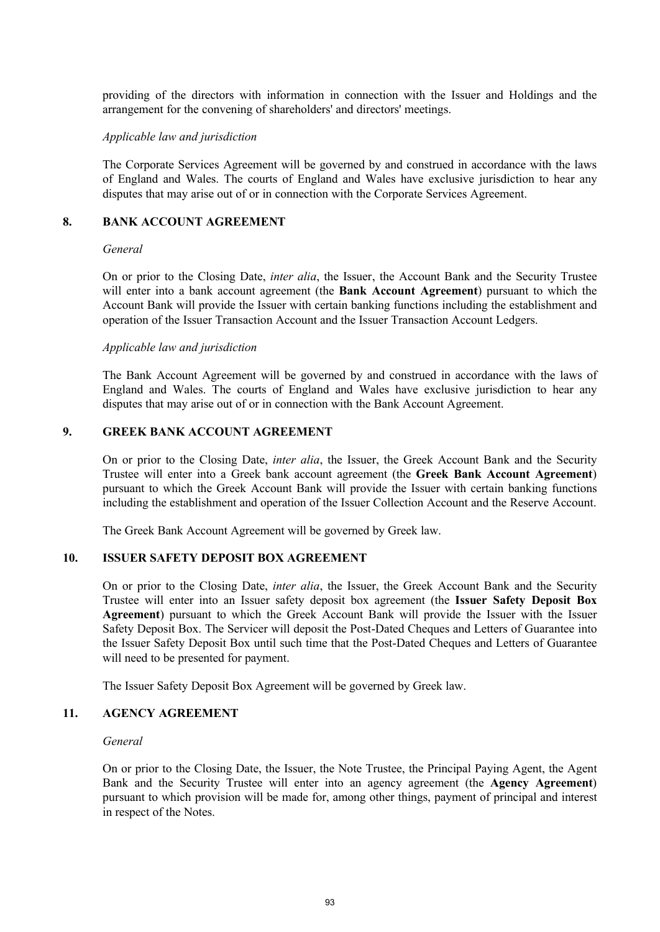providing of the directors with information in connection with the Issuer and Holdings and the arrangement for the convening of shareholders' and directors' meetings.

#### *Applicable law and jurisdiction*

The Corporate Services Agreement will be governed by and construed in accordance with the laws of England and Wales. The courts of England and Wales have exclusive jurisdiction to hear any disputes that may arise out of or in connection with the Corporate Services Agreement.

# **8. BANK ACCOUNT AGREEMENT**

#### *General*

On or prior to the Closing Date, *inter alia*, the Issuer, the Account Bank and the Security Trustee will enter into a bank account agreement (the **Bank Account Agreement**) pursuant to which the Account Bank will provide the Issuer with certain banking functions including the establishment and operation of the Issuer Transaction Account and the Issuer Transaction Account Ledgers.

#### *Applicable law and jurisdiction*

The Bank Account Agreement will be governed by and construed in accordance with the laws of England and Wales. The courts of England and Wales have exclusive jurisdiction to hear any disputes that may arise out of or in connection with the Bank Account Agreement.

#### **9. GREEK BANK ACCOUNT AGREEMENT**

On or prior to the Closing Date, *inter alia*, the Issuer, the Greek Account Bank and the Security Trustee will enter into a Greek bank account agreement (the **Greek Bank Account Agreement**) pursuant to which the Greek Account Bank will provide the Issuer with certain banking functions including the establishment and operation of the Issuer Collection Account and the Reserve Account.

The Greek Bank Account Agreement will be governed by Greek law.

## **10. ISSUER SAFETY DEPOSIT BOX AGREEMENT**

On or prior to the Closing Date, *inter alia*, the Issuer, the Greek Account Bank and the Security Trustee will enter into an Issuer safety deposit box agreement (the **Issuer Safety Deposit Box Agreement**) pursuant to which the Greek Account Bank will provide the Issuer with the Issuer Safety Deposit Box. The Servicer will deposit the Post-Dated Cheques and Letters of Guarantee into the Issuer Safety Deposit Box until such time that the Post-Dated Cheques and Letters of Guarantee will need to be presented for payment.

The Issuer Safety Deposit Box Agreement will be governed by Greek law.

## **11. AGENCY AGREEMENT**

#### *General*

On or prior to the Closing Date, the Issuer, the Note Trustee, the Principal Paying Agent, the Agent Bank and the Security Trustee will enter into an agency agreement (the **Agency Agreement**) pursuant to which provision will be made for, among other things, payment of principal and interest in respect of the Notes.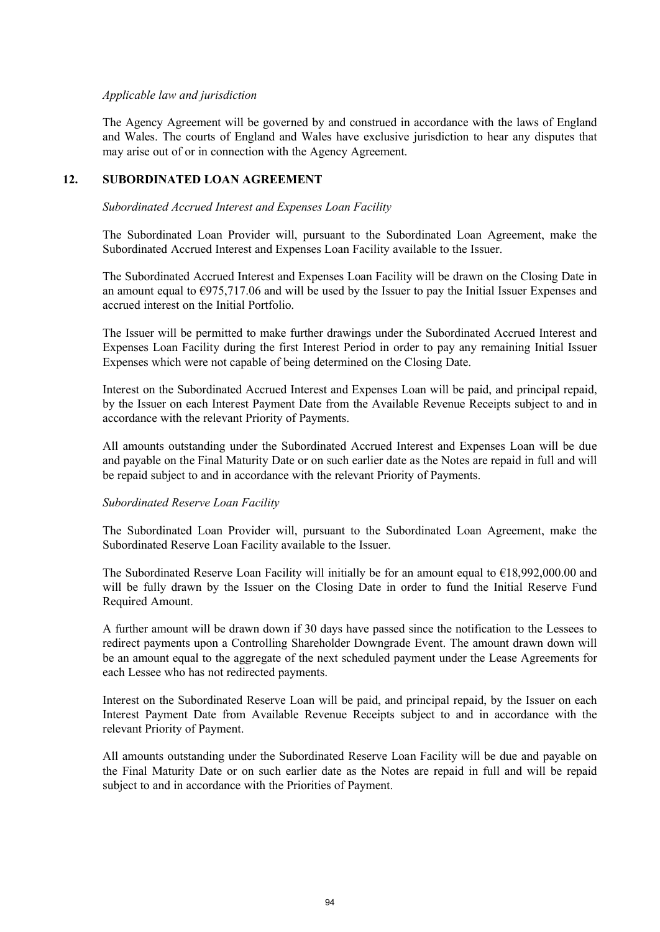## *Applicable law and jurisdiction*

The Agency Agreement will be governed by and construed in accordance with the laws of England and Wales. The courts of England and Wales have exclusive jurisdiction to hear any disputes that may arise out of or in connection with the Agency Agreement.

## **12. SUBORDINATED LOAN AGREEMENT**

#### *Subordinated Accrued Interest and Expenses Loan Facility*

The Subordinated Loan Provider will, pursuant to the Subordinated Loan Agreement, make the Subordinated Accrued Interest and Expenses Loan Facility available to the Issuer.

The Subordinated Accrued Interest and Expenses Loan Facility will be drawn on the Closing Date in an amount equal to  $\epsilon$ 975,717.06 and will be used by the Issuer to pay the Initial Issuer Expenses and accrued interest on the Initial Portfolio.

The Issuer will be permitted to make further drawings under the Subordinated Accrued Interest and Expenses Loan Facility during the first Interest Period in order to pay any remaining Initial Issuer Expenses which were not capable of being determined on the Closing Date.

Interest on the Subordinated Accrued Interest and Expenses Loan will be paid, and principal repaid, by the Issuer on each Interest Payment Date from the Available Revenue Receipts subject to and in accordance with the relevant Priority of Payments.

All amounts outstanding under the Subordinated Accrued Interest and Expenses Loan will be due and payable on the Final Maturity Date or on such earlier date as the Notes are repaid in full and will be repaid subject to and in accordance with the relevant Priority of Payments.

## *Subordinated Reserve Loan Facility*

The Subordinated Loan Provider will, pursuant to the Subordinated Loan Agreement, make the Subordinated Reserve Loan Facility available to the Issuer.

The Subordinated Reserve Loan Facility will initially be for an amount equal to €18,992,000.00 and will be fully drawn by the Issuer on the Closing Date in order to fund the Initial Reserve Fund Required Amount.

A further amount will be drawn down if 30 days have passed since the notification to the Lessees to redirect payments upon a Controlling Shareholder Downgrade Event. The amount drawn down will be an amount equal to the aggregate of the next scheduled payment under the Lease Agreements for each Lessee who has not redirected payments.

Interest on the Subordinated Reserve Loan will be paid, and principal repaid, by the Issuer on each Interest Payment Date from Available Revenue Receipts subject to and in accordance with the relevant Priority of Payment.

All amounts outstanding under the Subordinated Reserve Loan Facility will be due and payable on the Final Maturity Date or on such earlier date as the Notes are repaid in full and will be repaid subject to and in accordance with the Priorities of Payment.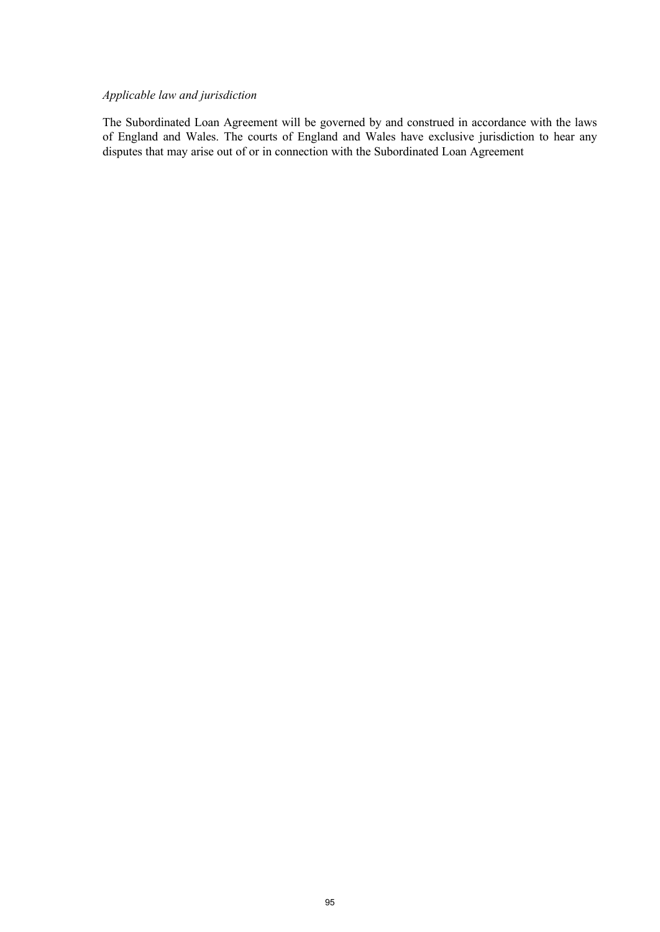# *Applicable law and jurisdiction*

The Subordinated Loan Agreement will be governed by and construed in accordance with the laws of England and Wales. The courts of England and Wales have exclusive jurisdiction to hear any disputes that may arise out of or in connection with the Subordinated Loan Agreement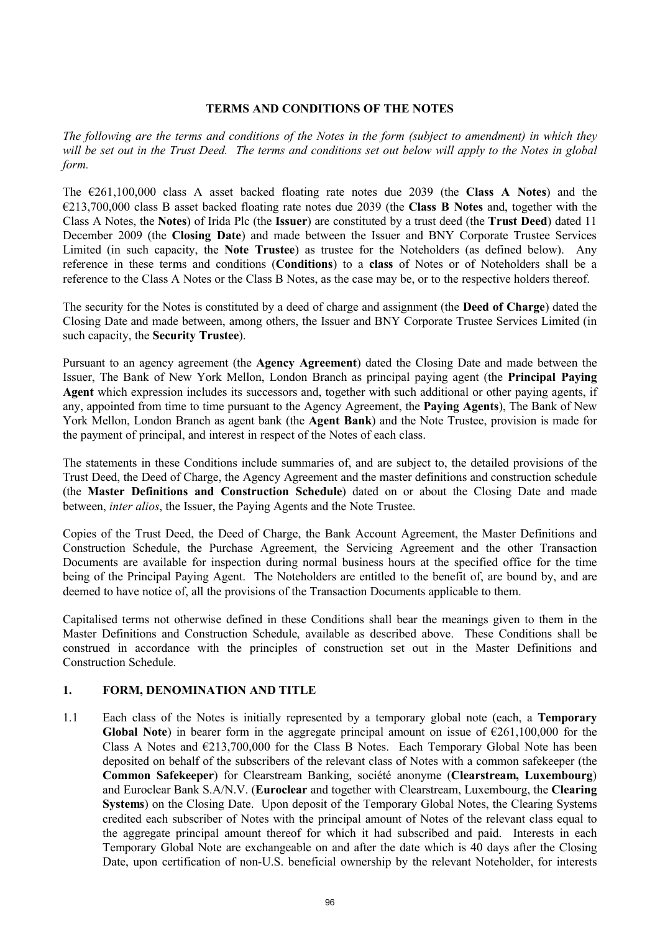## **TERMS AND CONDITIONS OF THE NOTES**

*The following are the terms and conditions of the Notes in the form (subject to amendment) in which they will be set out in the Trust Deed. The terms and conditions set out below will apply to the Notes in global form.*

The €261,100,000 class A asset backed floating rate notes due 2039 (the **Class A Notes**) and the €213,700,000 class B asset backed floating rate notes due 2039 (the **Class B Notes** and, together with the Class A Notes, the **Notes**) of Irida Plc (the **Issuer**) are constituted by a trust deed (the **Trust Deed**) dated 11 December 2009 (the **Closing Date**) and made between the Issuer and BNY Corporate Trustee Services Limited (in such capacity, the **Note Trustee**) as trustee for the Noteholders (as defined below). Any reference in these terms and conditions (**Conditions**) to a **class** of Notes or of Noteholders shall be a reference to the Class A Notes or the Class B Notes, as the case may be, or to the respective holders thereof.

The security for the Notes is constituted by a deed of charge and assignment (the **Deed of Charge**) dated the Closing Date and made between, among others, the Issuer and BNY Corporate Trustee Services Limited (in such capacity, the **Security Trustee**).

Pursuant to an agency agreement (the **Agency Agreement**) dated the Closing Date and made between the Issuer, The Bank of New York Mellon, London Branch as principal paying agent (the **Principal Paying Agent** which expression includes its successors and, together with such additional or other paying agents, if any, appointed from time to time pursuant to the Agency Agreement, the **Paying Agents**), The Bank of New York Mellon, London Branch as agent bank (the **Agent Bank**) and the Note Trustee, provision is made for the payment of principal, and interest in respect of the Notes of each class.

The statements in these Conditions include summaries of, and are subject to, the detailed provisions of the Trust Deed, the Deed of Charge, the Agency Agreement and the master definitions and construction schedule (the **Master Definitions and Construction Schedule**) dated on or about the Closing Date and made between, *inter alios*, the Issuer, the Paying Agents and the Note Trustee.

Copies of the Trust Deed, the Deed of Charge, the Bank Account Agreement, the Master Definitions and Construction Schedule, the Purchase Agreement, the Servicing Agreement and the other Transaction Documents are available for inspection during normal business hours at the specified office for the time being of the Principal Paying Agent. The Noteholders are entitled to the benefit of, are bound by, and are deemed to have notice of, all the provisions of the Transaction Documents applicable to them.

Capitalised terms not otherwise defined in these Conditions shall bear the meanings given to them in the Master Definitions and Construction Schedule, available as described above. These Conditions shall be construed in accordance with the principles of construction set out in the Master Definitions and Construction Schedule.

## **1. FORM, DENOMINATION AND TITLE**

1.1 Each class of the Notes is initially represented by a temporary global note (each, a **Temporary Global Note**) in bearer form in the aggregate principal amount on issue of  $\epsilon$ 261,100,000 for the Class A Notes and  $\epsilon$ 213,700,000 for the Class B Notes. Each Temporary Global Note has been deposited on behalf of the subscribers of the relevant class of Notes with a common safekeeper (the **Common Safekeeper**) for Clearstream Banking, société anonyme (**Clearstream, Luxembourg**) and Euroclear Bank S.A/N.V. (**Euroclear** and together with Clearstream, Luxembourg, the **Clearing Systems**) on the Closing Date. Upon deposit of the Temporary Global Notes, the Clearing Systems credited each subscriber of Notes with the principal amount of Notes of the relevant class equal to the aggregate principal amount thereof for which it had subscribed and paid. Interests in each Temporary Global Note are exchangeable on and after the date which is 40 days after the Closing Date, upon certification of non-U.S. beneficial ownership by the relevant Noteholder, for interests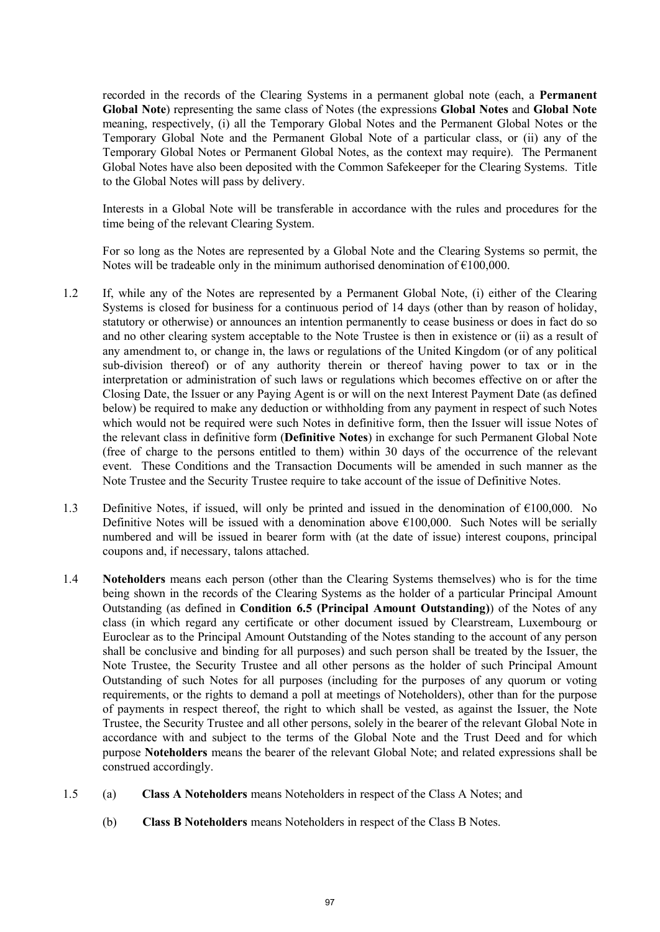recorded in the records of the Clearing Systems in a permanent global note (each, a **Permanent Global Note**) representing the same class of Notes (the expressions **Global Notes** and **Global Note** meaning, respectively, (i) all the Temporary Global Notes and the Permanent Global Notes or the Temporary Global Note and the Permanent Global Note of a particular class, or (ii) any of the Temporary Global Notes or Permanent Global Notes, as the context may require). The Permanent Global Notes have also been deposited with the Common Safekeeper for the Clearing Systems. Title to the Global Notes will pass by delivery.

Interests in a Global Note will be transferable in accordance with the rules and procedures for the time being of the relevant Clearing System.

For so long as the Notes are represented by a Global Note and the Clearing Systems so permit, the Notes will be tradeable only in the minimum authorised denomination of  $\epsilon$ 100,000.

- 1.2 If, while any of the Notes are represented by a Permanent Global Note, (i) either of the Clearing Systems is closed for business for a continuous period of 14 days (other than by reason of holiday, statutory or otherwise) or announces an intention permanently to cease business or does in fact do so and no other clearing system acceptable to the Note Trustee is then in existence or (ii) as a result of any amendment to, or change in, the laws or regulations of the United Kingdom (or of any political sub-division thereof) or of any authority therein or thereof having power to tax or in the interpretation or administration of such laws or regulations which becomes effective on or after the Closing Date, the Issuer or any Paying Agent is or will on the next Interest Payment Date (as defined below) be required to make any deduction or withholding from any payment in respect of such Notes which would not be required were such Notes in definitive form, then the Issuer will issue Notes of the relevant class in definitive form (**Definitive Notes**) in exchange for such Permanent Global Note (free of charge to the persons entitled to them) within 30 days of the occurrence of the relevant event. These Conditions and the Transaction Documents will be amended in such manner as the Note Trustee and the Security Trustee require to take account of the issue of Definitive Notes.
- 1.3 Definitive Notes, if issued, will only be printed and issued in the denomination of  $\epsilon$ 100,000. No Definitive Notes will be issued with a denomination above  $\epsilon$ 100,000. Such Notes will be serially numbered and will be issued in bearer form with (at the date of issue) interest coupons, principal coupons and, if necessary, talons attached.
- 1.4 **Noteholders** means each person (other than the Clearing Systems themselves) who is for the time being shown in the records of the Clearing Systems as the holder of a particular Principal Amount Outstanding (as defined in **Condition 6.5 (Principal Amount Outstanding)**) of the Notes of any class (in which regard any certificate or other document issued by Clearstream, Luxembourg or Euroclear as to the Principal Amount Outstanding of the Notes standing to the account of any person shall be conclusive and binding for all purposes) and such person shall be treated by the Issuer, the Note Trustee, the Security Trustee and all other persons as the holder of such Principal Amount Outstanding of such Notes for all purposes (including for the purposes of any quorum or voting requirements, or the rights to demand a poll at meetings of Noteholders), other than for the purpose of payments in respect thereof, the right to which shall be vested, as against the Issuer, the Note Trustee, the Security Trustee and all other persons, solely in the bearer of the relevant Global Note in accordance with and subject to the terms of the Global Note and the Trust Deed and for which purpose **Noteholders** means the bearer of the relevant Global Note; and related expressions shall be construed accordingly.
- 1.5 (a) **Class A Noteholders** means Noteholders in respect of the Class A Notes; and
	- (b) **Class B Noteholders** means Noteholders in respect of the Class B Notes.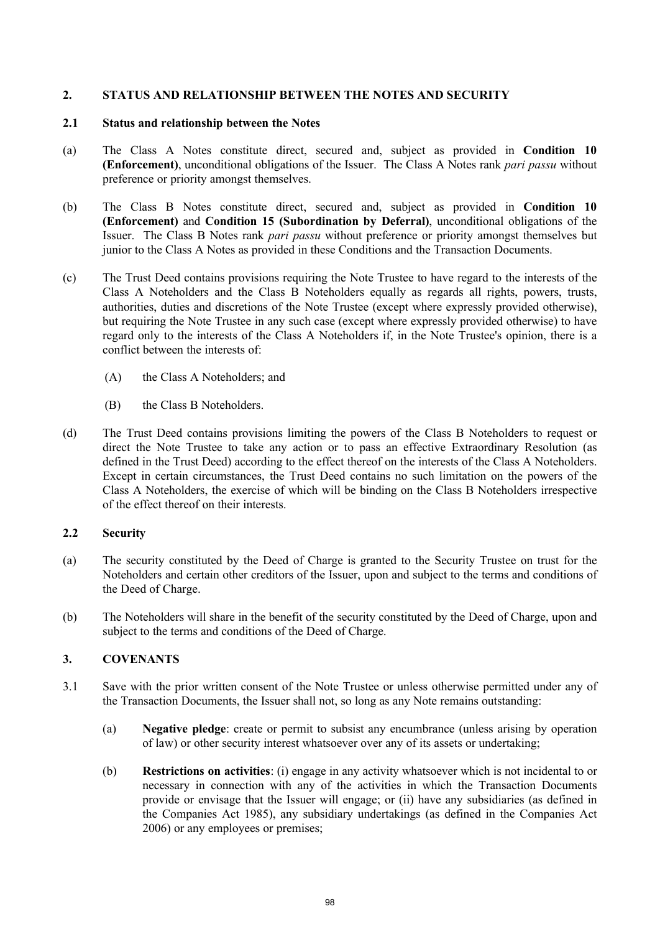# **2. STATUS AND RELATIONSHIP BETWEEN THE NOTES AND SECURITY**

#### **2.1 Status and relationship between the Notes**

- (a) The Class A Notes constitute direct, secured and, subject as provided in **Condition 10 (Enforcement)**, unconditional obligations of the Issuer. The Class A Notes rank *pari passu* without preference or priority amongst themselves.
- (b) The Class B Notes constitute direct, secured and, subject as provided in **Condition 10 (Enforcement)** and **Condition 15 (Subordination by Deferral)**, unconditional obligations of the Issuer. The Class B Notes rank *pari passu* without preference or priority amongst themselves but junior to the Class A Notes as provided in these Conditions and the Transaction Documents.
- (c) The Trust Deed contains provisions requiring the Note Trustee to have regard to the interests of the Class A Noteholders and the Class B Noteholders equally as regards all rights, powers, trusts, authorities, duties and discretions of the Note Trustee (except where expressly provided otherwise), but requiring the Note Trustee in any such case (except where expressly provided otherwise) to have regard only to the interests of the Class A Noteholders if, in the Note Trustee's opinion, there is a conflict between the interests of:
	- (A) the Class A Noteholders; and
	- (B) the Class B Noteholders.
- (d) The Trust Deed contains provisions limiting the powers of the Class B Noteholders to request or direct the Note Trustee to take any action or to pass an effective Extraordinary Resolution (as defined in the Trust Deed) according to the effect thereof on the interests of the Class A Noteholders. Except in certain circumstances, the Trust Deed contains no such limitation on the powers of the Class A Noteholders, the exercise of which will be binding on the Class B Noteholders irrespective of the effect thereof on their interests.

## **2.2 Security**

- (a) The security constituted by the Deed of Charge is granted to the Security Trustee on trust for the Noteholders and certain other creditors of the Issuer, upon and subject to the terms and conditions of the Deed of Charge.
- (b) The Noteholders will share in the benefit of the security constituted by the Deed of Charge, upon and subject to the terms and conditions of the Deed of Charge.

# **3. COVENANTS**

- 3.1 Save with the prior written consent of the Note Trustee or unless otherwise permitted under any of the Transaction Documents, the Issuer shall not, so long as any Note remains outstanding:
	- (a) **Negative pledge**: create or permit to subsist any encumbrance (unless arising by operation of law) or other security interest whatsoever over any of its assets or undertaking;
	- (b) **Restrictions on activities**: (i) engage in any activity whatsoever which is not incidental to or necessary in connection with any of the activities in which the Transaction Documents provide or envisage that the Issuer will engage; or (ii) have any subsidiaries (as defined in the Companies Act 1985), any subsidiary undertakings (as defined in the Companies Act 2006) or any employees or premises;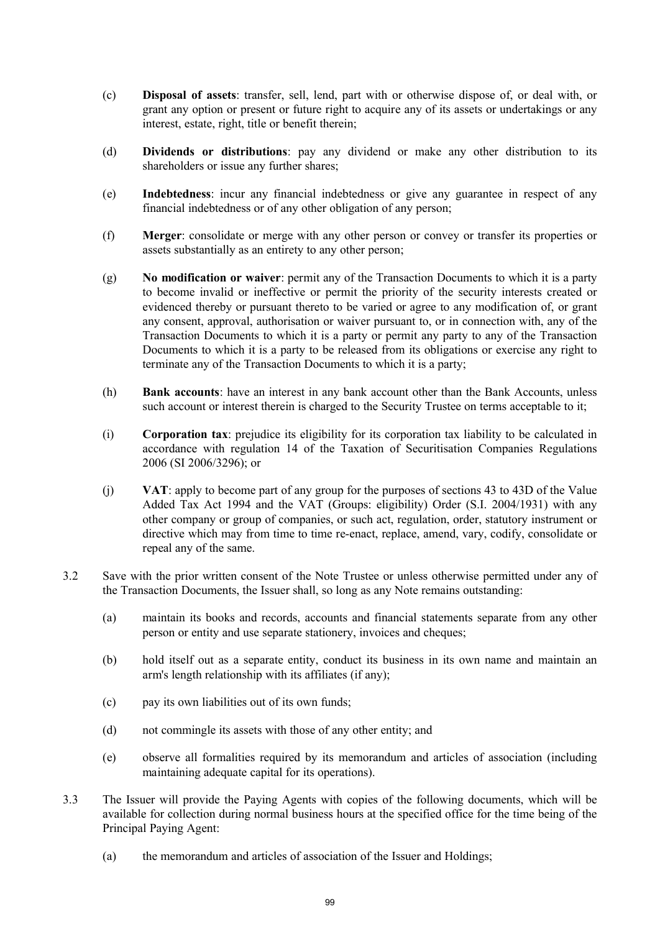- (c) **Disposal of assets**: transfer, sell, lend, part with or otherwise dispose of, or deal with, or grant any option or present or future right to acquire any of its assets or undertakings or any interest, estate, right, title or benefit therein;
- (d) **Dividends or distributions**: pay any dividend or make any other distribution to its shareholders or issue any further shares;
- (e) **Indebtedness**: incur any financial indebtedness or give any guarantee in respect of any financial indebtedness or of any other obligation of any person;
- (f) **Merger**: consolidate or merge with any other person or convey or transfer its properties or assets substantially as an entirety to any other person;
- (g) **No modification or waiver**: permit any of the Transaction Documents to which it is a party to become invalid or ineffective or permit the priority of the security interests created or evidenced thereby or pursuant thereto to be varied or agree to any modification of, or grant any consent, approval, authorisation or waiver pursuant to, or in connection with, any of the Transaction Documents to which it is a party or permit any party to any of the Transaction Documents to which it is a party to be released from its obligations or exercise any right to terminate any of the Transaction Documents to which it is a party;
- (h) **Bank accounts**: have an interest in any bank account other than the Bank Accounts, unless such account or interest therein is charged to the Security Trustee on terms acceptable to it;
- (i) **Corporation tax**: prejudice its eligibility for its corporation tax liability to be calculated in accordance with regulation 14 of the Taxation of Securitisation Companies Regulations 2006 (SI 2006/3296); or
- (j) **VAT**: apply to become part of any group for the purposes of sections 43 to 43D of the Value Added Tax Act 1994 and the VAT (Groups: eligibility) Order (S.I. 2004/1931) with any other company or group of companies, or such act, regulation, order, statutory instrument or directive which may from time to time re-enact, replace, amend, vary, codify, consolidate or repeal any of the same.
- 3.2 Save with the prior written consent of the Note Trustee or unless otherwise permitted under any of the Transaction Documents, the Issuer shall, so long as any Note remains outstanding:
	- (a) maintain its books and records, accounts and financial statements separate from any other person or entity and use separate stationery, invoices and cheques;
	- (b) hold itself out as a separate entity, conduct its business in its own name and maintain an arm's length relationship with its affiliates (if any);
	- (c) pay its own liabilities out of its own funds;
	- (d) not commingle its assets with those of any other entity; and
	- (e) observe all formalities required by its memorandum and articles of association (including maintaining adequate capital for its operations).
- 3.3 The Issuer will provide the Paying Agents with copies of the following documents, which will be available for collection during normal business hours at the specified office for the time being of the Principal Paying Agent:
	- (a) the memorandum and articles of association of the Issuer and Holdings;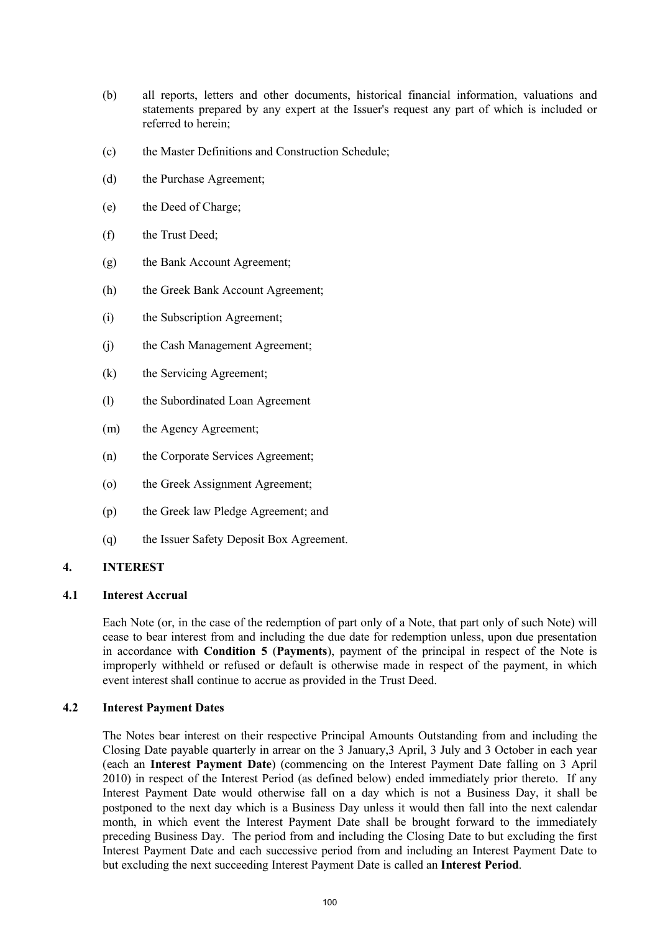- (b) all reports, letters and other documents, historical financial information, valuations and statements prepared by any expert at the Issuer's request any part of which is included or referred to herein;
- (c) the Master Definitions and Construction Schedule;
- (d) the Purchase Agreement;
- (e) the Deed of Charge;
- (f) the Trust Deed;
- (g) the Bank Account Agreement;
- (h) the Greek Bank Account Agreement;
- (i) the Subscription Agreement;
- (j) the Cash Management Agreement;
- (k) the Servicing Agreement;
- (l) the Subordinated Loan Agreement
- (m) the Agency Agreement;
- (n) the Corporate Services Agreement;
- (o) the Greek Assignment Agreement;
- (p) the Greek law Pledge Agreement; and
- (q) the Issuer Safety Deposit Box Agreement.

# **4. INTEREST**

# **4.1 Interest Accrual**

Each Note (or, in the case of the redemption of part only of a Note, that part only of such Note) will cease to bear interest from and including the due date for redemption unless, upon due presentation in accordance with **Condition 5** (**Payments**), payment of the principal in respect of the Note is improperly withheld or refused or default is otherwise made in respect of the payment, in which event interest shall continue to accrue as provided in the Trust Deed.

## **4.2 Interest Payment Dates**

The Notes bear interest on their respective Principal Amounts Outstanding from and including the Closing Date payable quarterly in arrear on the 3 January,3 April, 3 July and 3 October in each year (each an **Interest Payment Date**) (commencing on the Interest Payment Date falling on 3 April 2010) in respect of the Interest Period (as defined below) ended immediately prior thereto. If any Interest Payment Date would otherwise fall on a day which is not a Business Day, it shall be postponed to the next day which is a Business Day unless it would then fall into the next calendar month, in which event the Interest Payment Date shall be brought forward to the immediately preceding Business Day. The period from and including the Closing Date to but excluding the first Interest Payment Date and each successive period from and including an Interest Payment Date to but excluding the next succeeding Interest Payment Date is called an **Interest Period**.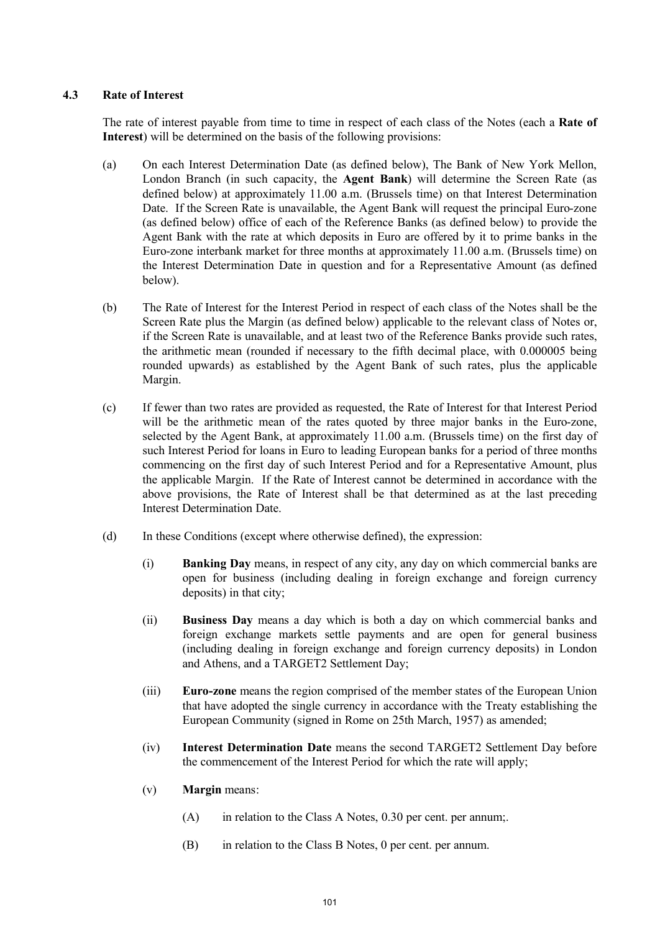# **4.3 Rate of Interest**

The rate of interest payable from time to time in respect of each class of the Notes (each a **Rate of Interest**) will be determined on the basis of the following provisions:

- (a) On each Interest Determination Date (as defined below), The Bank of New York Mellon, London Branch (in such capacity, the **Agent Bank**) will determine the Screen Rate (as defined below) at approximately 11.00 a.m. (Brussels time) on that Interest Determination Date. If the Screen Rate is unavailable, the Agent Bank will request the principal Euro-zone (as defined below) office of each of the Reference Banks (as defined below) to provide the Agent Bank with the rate at which deposits in Euro are offered by it to prime banks in the Euro-zone interbank market for three months at approximately 11.00 a.m. (Brussels time) on the Interest Determination Date in question and for a Representative Amount (as defined below).
- (b) The Rate of Interest for the Interest Period in respect of each class of the Notes shall be the Screen Rate plus the Margin (as defined below) applicable to the relevant class of Notes or, if the Screen Rate is unavailable, and at least two of the Reference Banks provide such rates, the arithmetic mean (rounded if necessary to the fifth decimal place, with 0.000005 being rounded upwards) as established by the Agent Bank of such rates, plus the applicable Margin.
- (c) If fewer than two rates are provided as requested, the Rate of Interest for that Interest Period will be the arithmetic mean of the rates quoted by three major banks in the Euro-zone, selected by the Agent Bank, at approximately 11.00 a.m. (Brussels time) on the first day of such Interest Period for loans in Euro to leading European banks for a period of three months commencing on the first day of such Interest Period and for a Representative Amount, plus the applicable Margin. If the Rate of Interest cannot be determined in accordance with the above provisions, the Rate of Interest shall be that determined as at the last preceding Interest Determination Date.
- (d) In these Conditions (except where otherwise defined), the expression:
	- (i) **Banking Day** means, in respect of any city, any day on which commercial banks are open for business (including dealing in foreign exchange and foreign currency deposits) in that city;
	- (ii) **Business Day** means a day which is both a day on which commercial banks and foreign exchange markets settle payments and are open for general business (including dealing in foreign exchange and foreign currency deposits) in London and Athens, and a TARGET2 Settlement Day;
	- (iii) **Euro-zone** means the region comprised of the member states of the European Union that have adopted the single currency in accordance with the Treaty establishing the European Community (signed in Rome on 25th March, 1957) as amended;
	- (iv) **Interest Determination Date** means the second TARGET2 Settlement Day before the commencement of the Interest Period for which the rate will apply;
	- (v) **Margin** means:
		- $(A)$  in relation to the Class A Notes, 0.30 per cent. per annum;.
		- (B) in relation to the Class B Notes, 0 per cent. per annum.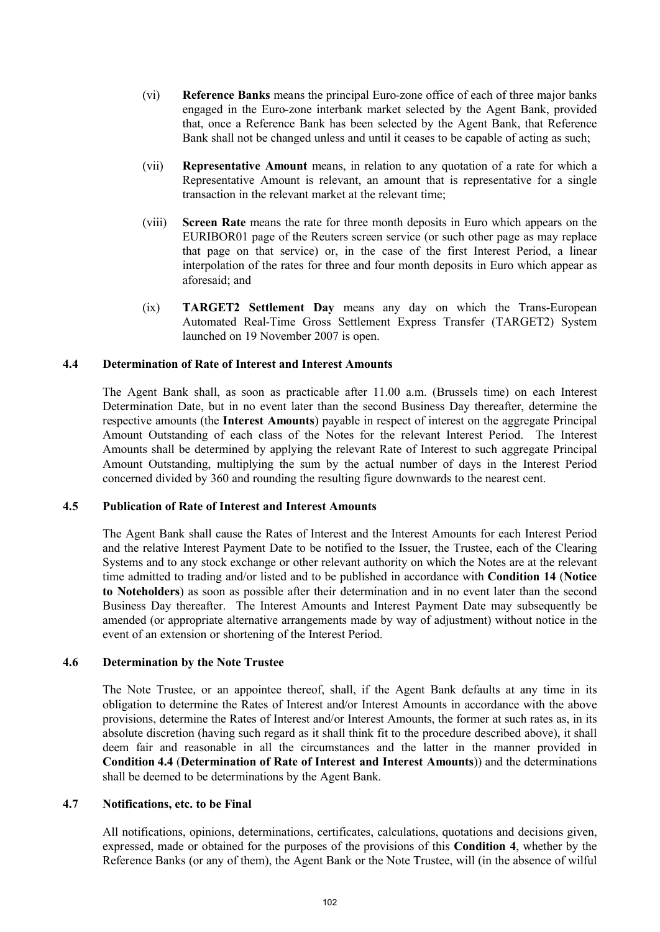- (vi) **Reference Banks** means the principal Euro-zone office of each of three major banks engaged in the Euro-zone interbank market selected by the Agent Bank, provided that, once a Reference Bank has been selected by the Agent Bank, that Reference Bank shall not be changed unless and until it ceases to be capable of acting as such;
- (vii) **Representative Amount** means, in relation to any quotation of a rate for which a Representative Amount is relevant, an amount that is representative for a single transaction in the relevant market at the relevant time;
- (viii) **Screen Rate** means the rate for three month deposits in Euro which appears on the EURIBOR01 page of the Reuters screen service (or such other page as may replace that page on that service) or, in the case of the first Interest Period, a linear interpolation of the rates for three and four month deposits in Euro which appear as aforesaid; and
- (ix) **TARGET2 Settlement Day** means any day on which the Trans-European Automated Real-Time Gross Settlement Express Transfer (TARGET2) System launched on 19 November 2007 is open.

## **4.4 Determination of Rate of Interest and Interest Amounts**

The Agent Bank shall, as soon as practicable after 11.00 a.m. (Brussels time) on each Interest Determination Date, but in no event later than the second Business Day thereafter, determine the respective amounts (the **Interest Amounts**) payable in respect of interest on the aggregate Principal Amount Outstanding of each class of the Notes for the relevant Interest Period. The Interest Amounts shall be determined by applying the relevant Rate of Interest to such aggregate Principal Amount Outstanding, multiplying the sum by the actual number of days in the Interest Period concerned divided by 360 and rounding the resulting figure downwards to the nearest cent.

#### **4.5 Publication of Rate of Interest and Interest Amounts**

The Agent Bank shall cause the Rates of Interest and the Interest Amounts for each Interest Period and the relative Interest Payment Date to be notified to the Issuer, the Trustee, each of the Clearing Systems and to any stock exchange or other relevant authority on which the Notes are at the relevant time admitted to trading and/or listed and to be published in accordance with **Condition 14** (**Notice to Noteholders**) as soon as possible after their determination and in no event later than the second Business Day thereafter. The Interest Amounts and Interest Payment Date may subsequently be amended (or appropriate alternative arrangements made by way of adjustment) without notice in the event of an extension or shortening of the Interest Period.

#### **4.6 Determination by the Note Trustee**

The Note Trustee, or an appointee thereof, shall, if the Agent Bank defaults at any time in its obligation to determine the Rates of Interest and/or Interest Amounts in accordance with the above provisions, determine the Rates of Interest and/or Interest Amounts, the former at such rates as, in its absolute discretion (having such regard as it shall think fit to the procedure described above), it shall deem fair and reasonable in all the circumstances and the latter in the manner provided in **Condition 4.4** (**Determination of Rate of Interest and Interest Amounts**)) and the determinations shall be deemed to be determinations by the Agent Bank.

## **4.7 Notifications, etc. to be Final**

All notifications, opinions, determinations, certificates, calculations, quotations and decisions given, expressed, made or obtained for the purposes of the provisions of this **Condition 4**, whether by the Reference Banks (or any of them), the Agent Bank or the Note Trustee, will (in the absence of wilful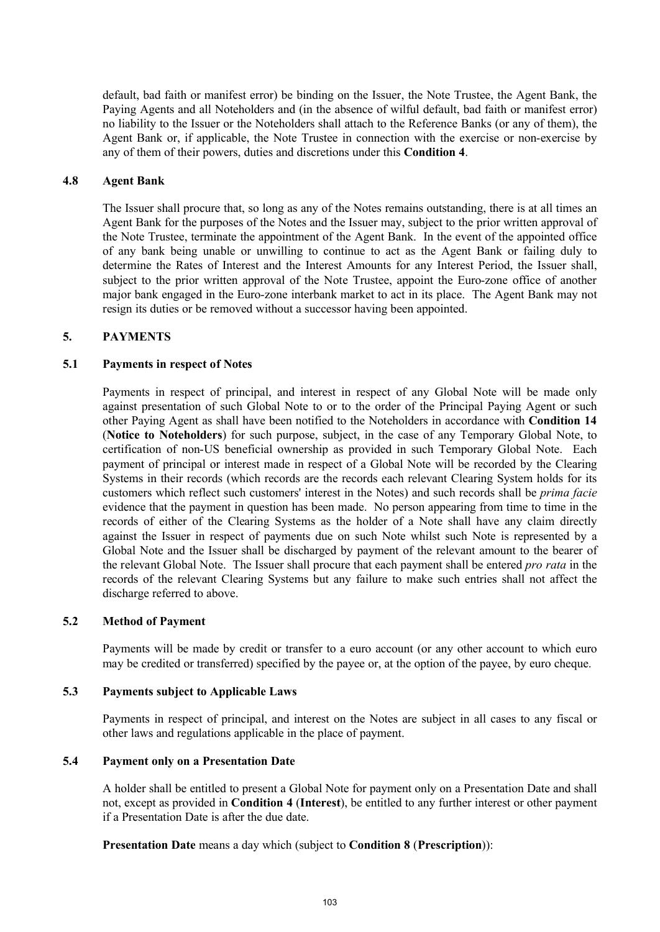default, bad faith or manifest error) be binding on the Issuer, the Note Trustee, the Agent Bank, the Paying Agents and all Noteholders and (in the absence of wilful default, bad faith or manifest error) no liability to the Issuer or the Noteholders shall attach to the Reference Banks (or any of them), the Agent Bank or, if applicable, the Note Trustee in connection with the exercise or non-exercise by any of them of their powers, duties and discretions under this **Condition 4**.

#### **4.8 Agent Bank**

The Issuer shall procure that, so long as any of the Notes remains outstanding, there is at all times an Agent Bank for the purposes of the Notes and the Issuer may, subject to the prior written approval of the Note Trustee, terminate the appointment of the Agent Bank. In the event of the appointed office of any bank being unable or unwilling to continue to act as the Agent Bank or failing duly to determine the Rates of Interest and the Interest Amounts for any Interest Period, the Issuer shall, subject to the prior written approval of the Note Trustee, appoint the Euro-zone office of another major bank engaged in the Euro-zone interbank market to act in its place. The Agent Bank may not resign its duties or be removed without a successor having been appointed.

#### **5. PAYMENTS**

#### **5.1 Payments in respect of Notes**

Payments in respect of principal, and interest in respect of any Global Note will be made only against presentation of such Global Note to or to the order of the Principal Paying Agent or such other Paying Agent as shall have been notified to the Noteholders in accordance with **Condition 14** (**Notice to Noteholders**) for such purpose, subject, in the case of any Temporary Global Note, to certification of non-US beneficial ownership as provided in such Temporary Global Note. Each payment of principal or interest made in respect of a Global Note will be recorded by the Clearing Systems in their records (which records are the records each relevant Clearing System holds for its customers which reflect such customers' interest in the Notes) and such records shall be *prima facie* evidence that the payment in question has been made. No person appearing from time to time in the records of either of the Clearing Systems as the holder of a Note shall have any claim directly against the Issuer in respect of payments due on such Note whilst such Note is represented by a Global Note and the Issuer shall be discharged by payment of the relevant amount to the bearer of the relevant Global Note. The Issuer shall procure that each payment shall be entered *pro rata* in the records of the relevant Clearing Systems but any failure to make such entries shall not affect the discharge referred to above.

#### **5.2 Method of Payment**

Payments will be made by credit or transfer to a euro account (or any other account to which euro may be credited or transferred) specified by the payee or, at the option of the payee, by euro cheque.

#### **5.3 Payments subject to Applicable Laws**

Payments in respect of principal, and interest on the Notes are subject in all cases to any fiscal or other laws and regulations applicable in the place of payment.

## **5.4 Payment only on a Presentation Date**

A holder shall be entitled to present a Global Note for payment only on a Presentation Date and shall not, except as provided in **Condition 4** (**Interest**), be entitled to any further interest or other payment if a Presentation Date is after the due date.

## **Presentation Date** means a day which (subject to **Condition 8** (**Prescription**)):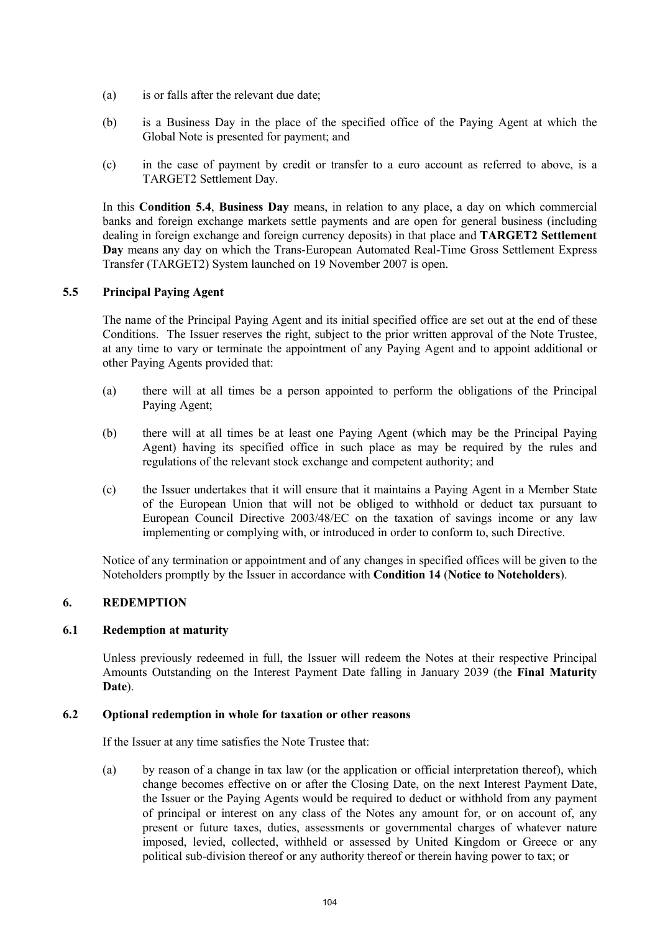- (a) is or falls after the relevant due date;
- (b) is a Business Day in the place of the specified office of the Paying Agent at which the Global Note is presented for payment; and
- (c) in the case of payment by credit or transfer to a euro account as referred to above, is a TARGET2 Settlement Day.

In this **Condition 5.4**, **Business Day** means, in relation to any place, a day on which commercial banks and foreign exchange markets settle payments and are open for general business (including dealing in foreign exchange and foreign currency deposits) in that place and **TARGET2 Settlement Day** means any day on which the Trans-European Automated Real-Time Gross Settlement Express Transfer (TARGET2) System launched on 19 November 2007 is open.

# **5.5 Principal Paying Agent**

The name of the Principal Paying Agent and its initial specified office are set out at the end of these Conditions. The Issuer reserves the right, subject to the prior written approval of the Note Trustee, at any time to vary or terminate the appointment of any Paying Agent and to appoint additional or other Paying Agents provided that:

- (a) there will at all times be a person appointed to perform the obligations of the Principal Paying Agent;
- (b) there will at all times be at least one Paying Agent (which may be the Principal Paying Agent) having its specified office in such place as may be required by the rules and regulations of the relevant stock exchange and competent authority; and
- (c) the Issuer undertakes that it will ensure that it maintains a Paying Agent in a Member State of the European Union that will not be obliged to withhold or deduct tax pursuant to European Council Directive 2003/48/EC on the taxation of savings income or any law implementing or complying with, or introduced in order to conform to, such Directive.

Notice of any termination or appointment and of any changes in specified offices will be given to the Noteholders promptly by the Issuer in accordance with **Condition 14** (**Notice to Noteholders**).

## **6. REDEMPTION**

## **6.1 Redemption at maturity**

Unless previously redeemed in full, the Issuer will redeem the Notes at their respective Principal Amounts Outstanding on the Interest Payment Date falling in January 2039 (the **Final Maturity Date**).

## **6.2 Optional redemption in whole for taxation or other reasons**

If the Issuer at any time satisfies the Note Trustee that:

(a) by reason of a change in tax law (or the application or official interpretation thereof), which change becomes effective on or after the Closing Date, on the next Interest Payment Date, the Issuer or the Paying Agents would be required to deduct or withhold from any payment of principal or interest on any class of the Notes any amount for, or on account of, any present or future taxes, duties, assessments or governmental charges of whatever nature imposed, levied, collected, withheld or assessed by United Kingdom or Greece or any political sub-division thereof or any authority thereof or therein having power to tax; or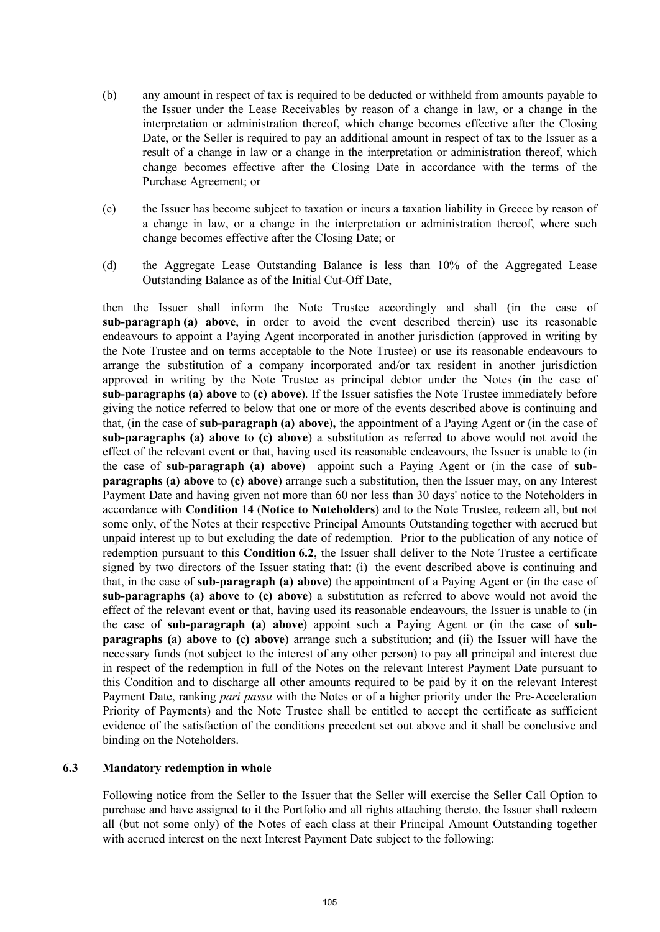- (b) any amount in respect of tax is required to be deducted or withheld from amounts payable to the Issuer under the Lease Receivables by reason of a change in law, or a change in the interpretation or administration thereof, which change becomes effective after the Closing Date, or the Seller is required to pay an additional amount in respect of tax to the Issuer as a result of a change in law or a change in the interpretation or administration thereof, which change becomes effective after the Closing Date in accordance with the terms of the Purchase Agreement; or
- (c) the Issuer has become subject to taxation or incurs a taxation liability in Greece by reason of a change in law, or a change in the interpretation or administration thereof, where such change becomes effective after the Closing Date; or
- (d) the Aggregate Lease Outstanding Balance is less than 10% of the Aggregated Lease Outstanding Balance as of the Initial Cut-Off Date,

then the Issuer shall inform the Note Trustee accordingly and shall (in the case of **sub-paragraph (a) above**, in order to avoid the event described therein) use its reasonable endeavours to appoint a Paying Agent incorporated in another jurisdiction (approved in writing by the Note Trustee and on terms acceptable to the Note Trustee) or use its reasonable endeavours to arrange the substitution of a company incorporated and/or tax resident in another jurisdiction approved in writing by the Note Trustee as principal debtor under the Notes (in the case of **sub-paragraphs (a) above** to **(c) above**). If the Issuer satisfies the Note Trustee immediately before giving the notice referred to below that one or more of the events described above is continuing and that, (in the case of **sub-paragraph (a) above**)**,** the appointment of a Paying Agent or (in the case of **sub-paragraphs (a) above** to **(c) above**) a substitution as referred to above would not avoid the effect of the relevant event or that, having used its reasonable endeavours, the Issuer is unable to (in the case of **sub-paragraph (a) above**) appoint such a Paying Agent or (in the case of **subparagraphs (a) above** to **(c) above**) arrange such a substitution, then the Issuer may, on any Interest Payment Date and having given not more than 60 nor less than 30 days' notice to the Noteholders in accordance with **Condition 14** (**Notice to Noteholders**) and to the Note Trustee, redeem all, but not some only, of the Notes at their respective Principal Amounts Outstanding together with accrued but unpaid interest up to but excluding the date of redemption. Prior to the publication of any notice of redemption pursuant to this **Condition 6.2**, the Issuer shall deliver to the Note Trustee a certificate signed by two directors of the Issuer stating that: (i) the event described above is continuing and that, in the case of **sub-paragraph (a) above**) the appointment of a Paying Agent or (in the case of **sub-paragraphs (a) above** to **(c) above**) a substitution as referred to above would not avoid the effect of the relevant event or that, having used its reasonable endeavours, the Issuer is unable to (in the case of **sub-paragraph (a) above**) appoint such a Paying Agent or (in the case of **subparagraphs (a) above** to **(c) above**) arrange such a substitution; and (ii) the Issuer will have the necessary funds (not subject to the interest of any other person) to pay all principal and interest due in respect of the redemption in full of the Notes on the relevant Interest Payment Date pursuant to this Condition and to discharge all other amounts required to be paid by it on the relevant Interest Payment Date, ranking *pari passu* with the Notes or of a higher priority under the Pre-Acceleration Priority of Payments) and the Note Trustee shall be entitled to accept the certificate as sufficient evidence of the satisfaction of the conditions precedent set out above and it shall be conclusive and binding on the Noteholders.

## **6.3 Mandatory redemption in whole**

Following notice from the Seller to the Issuer that the Seller will exercise the Seller Call Option to purchase and have assigned to it the Portfolio and all rights attaching thereto, the Issuer shall redeem all (but not some only) of the Notes of each class at their Principal Amount Outstanding together with accrued interest on the next Interest Payment Date subject to the following: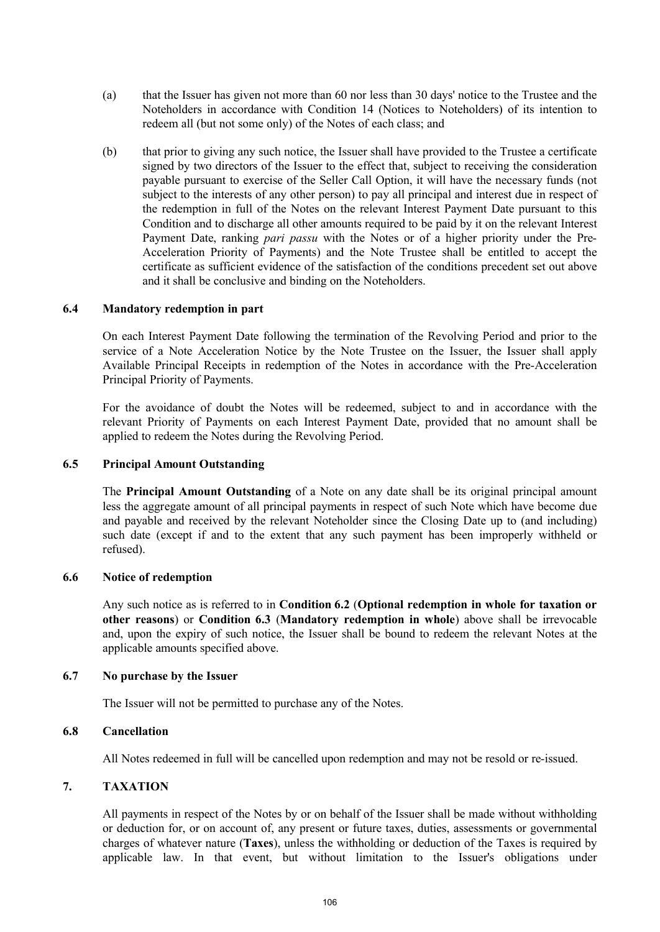- (a) that the Issuer has given not more than 60 nor less than 30 days' notice to the Trustee and the Noteholders in accordance with Condition 14 (Notices to Noteholders) of its intention to redeem all (but not some only) of the Notes of each class; and
- (b) that prior to giving any such notice, the Issuer shall have provided to the Trustee a certificate signed by two directors of the Issuer to the effect that, subject to receiving the consideration payable pursuant to exercise of the Seller Call Option, it will have the necessary funds (not subject to the interests of any other person) to pay all principal and interest due in respect of the redemption in full of the Notes on the relevant Interest Payment Date pursuant to this Condition and to discharge all other amounts required to be paid by it on the relevant Interest Payment Date, ranking *pari passu* with the Notes or of a higher priority under the Pre-Acceleration Priority of Payments) and the Note Trustee shall be entitled to accept the certificate as sufficient evidence of the satisfaction of the conditions precedent set out above and it shall be conclusive and binding on the Noteholders.

#### **6.4 Mandatory redemption in part**

On each Interest Payment Date following the termination of the Revolving Period and prior to the service of a Note Acceleration Notice by the Note Trustee on the Issuer, the Issuer shall apply Available Principal Receipts in redemption of the Notes in accordance with the Pre-Acceleration Principal Priority of Payments.

For the avoidance of doubt the Notes will be redeemed, subject to and in accordance with the relevant Priority of Payments on each Interest Payment Date, provided that no amount shall be applied to redeem the Notes during the Revolving Period.

#### **6.5 Principal Amount Outstanding**

The **Principal Amount Outstanding** of a Note on any date shall be its original principal amount less the aggregate amount of all principal payments in respect of such Note which have become due and payable and received by the relevant Noteholder since the Closing Date up to (and including) such date (except if and to the extent that any such payment has been improperly withheld or refused).

#### **6.6 Notice of redemption**

Any such notice as is referred to in **Condition 6.2** (**Optional redemption in whole for taxation or other reasons**) or **Condition 6.3** (**Mandatory redemption in whole**) above shall be irrevocable and, upon the expiry of such notice, the Issuer shall be bound to redeem the relevant Notes at the applicable amounts specified above.

## **6.7 No purchase by the Issuer**

The Issuer will not be permitted to purchase any of the Notes.

## **6.8 Cancellation**

All Notes redeemed in full will be cancelled upon redemption and may not be resold or re-issued.

## **7. TAXATION**

All payments in respect of the Notes by or on behalf of the Issuer shall be made without withholding or deduction for, or on account of, any present or future taxes, duties, assessments or governmental charges of whatever nature (**Taxes**), unless the withholding or deduction of the Taxes is required by applicable law. In that event, but without limitation to the Issuer's obligations under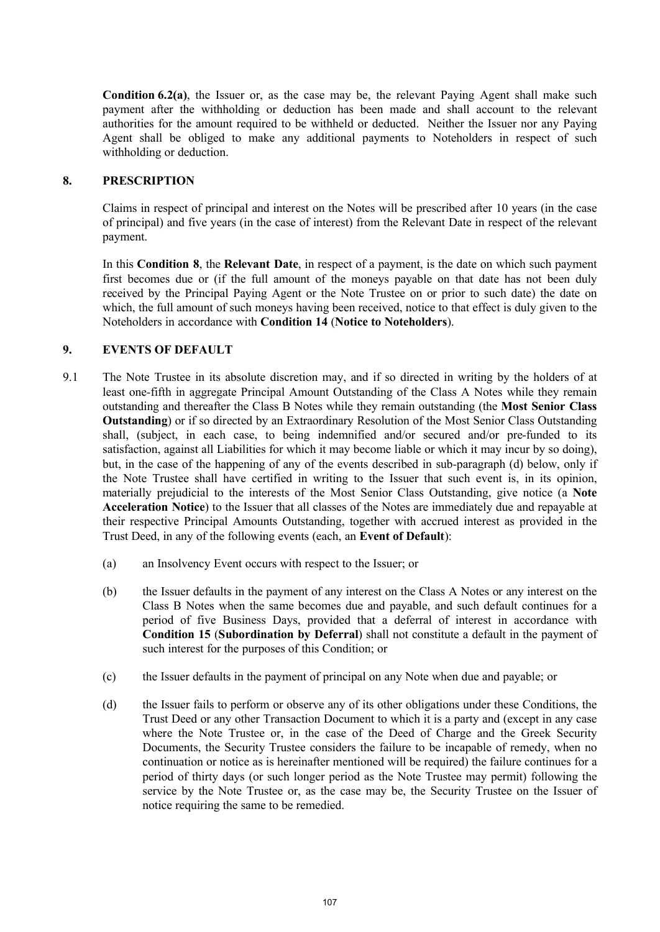**Condition 6.2(a)**, the Issuer or, as the case may be, the relevant Paying Agent shall make such payment after the withholding or deduction has been made and shall account to the relevant authorities for the amount required to be withheld or deducted. Neither the Issuer nor any Paying Agent shall be obliged to make any additional payments to Noteholders in respect of such withholding or deduction.

## **8. PRESCRIPTION**

Claims in respect of principal and interest on the Notes will be prescribed after 10 years (in the case of principal) and five years (in the case of interest) from the Relevant Date in respect of the relevant payment.

In this **Condition 8**, the **Relevant Date**, in respect of a payment, is the date on which such payment first becomes due or (if the full amount of the moneys payable on that date has not been duly received by the Principal Paying Agent or the Note Trustee on or prior to such date) the date on which, the full amount of such moneys having been received, notice to that effect is duly given to the Noteholders in accordance with **Condition 14** (**Notice to Noteholders**).

## **9. EVENTS OF DEFAULT**

- 9.1 The Note Trustee in its absolute discretion may, and if so directed in writing by the holders of at least one-fifth in aggregate Principal Amount Outstanding of the Class A Notes while they remain outstanding and thereafter the Class B Notes while they remain outstanding (the **Most Senior Class Outstanding**) or if so directed by an Extraordinary Resolution of the Most Senior Class Outstanding shall, (subject, in each case, to being indemnified and/or secured and/or pre-funded to its satisfaction, against all Liabilities for which it may become liable or which it may incur by so doing), but, in the case of the happening of any of the events described in sub-paragraph (d) below, only if the Note Trustee shall have certified in writing to the Issuer that such event is, in its opinion, materially prejudicial to the interests of the Most Senior Class Outstanding, give notice (a **Note Acceleration Notice**) to the Issuer that all classes of the Notes are immediately due and repayable at their respective Principal Amounts Outstanding, together with accrued interest as provided in the Trust Deed, in any of the following events (each, an **Event of Default**):
	- (a) an Insolvency Event occurs with respect to the Issuer; or
	- (b) the Issuer defaults in the payment of any interest on the Class A Notes or any interest on the Class B Notes when the same becomes due and payable, and such default continues for a period of five Business Days, provided that a deferral of interest in accordance with **Condition 15** (**Subordination by Deferral**) shall not constitute a default in the payment of such interest for the purposes of this Condition; or
	- (c) the Issuer defaults in the payment of principal on any Note when due and payable; or
	- (d) the Issuer fails to perform or observe any of its other obligations under these Conditions, the Trust Deed or any other Transaction Document to which it is a party and (except in any case where the Note Trustee or, in the case of the Deed of Charge and the Greek Security Documents, the Security Trustee considers the failure to be incapable of remedy, when no continuation or notice as is hereinafter mentioned will be required) the failure continues for a period of thirty days (or such longer period as the Note Trustee may permit) following the service by the Note Trustee or, as the case may be, the Security Trustee on the Issuer of notice requiring the same to be remedied.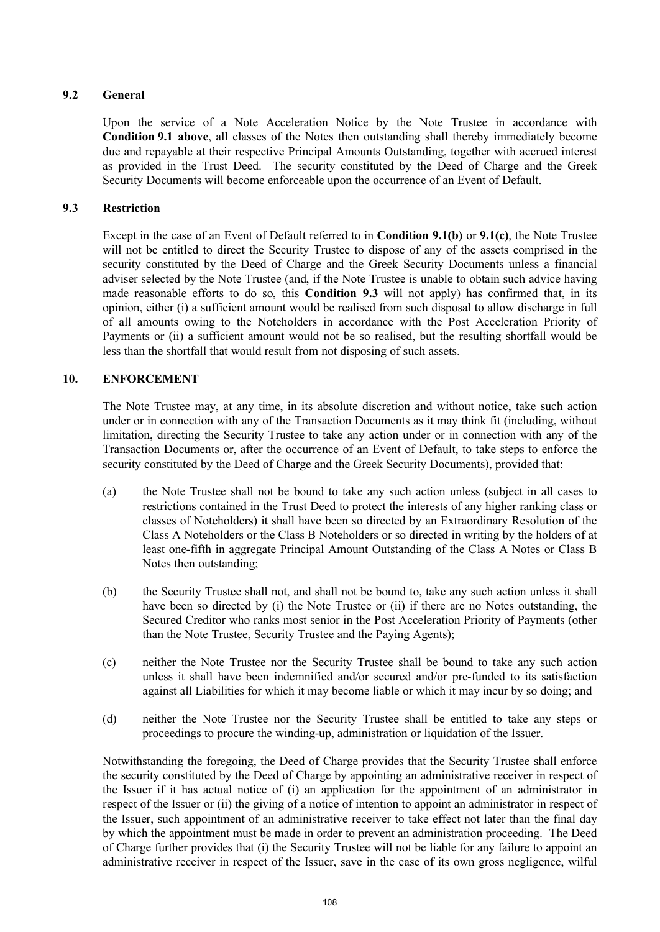# **9.2 General**

Upon the service of a Note Acceleration Notice by the Note Trustee in accordance with **Condition 9.1 above**, all classes of the Notes then outstanding shall thereby immediately become due and repayable at their respective Principal Amounts Outstanding, together with accrued interest as provided in the Trust Deed. The security constituted by the Deed of Charge and the Greek Security Documents will become enforceable upon the occurrence of an Event of Default.

# **9.3 Restriction**

Except in the case of an Event of Default referred to in **Condition 9.1(b)** or **9.1(c)**, the Note Trustee will not be entitled to direct the Security Trustee to dispose of any of the assets comprised in the security constituted by the Deed of Charge and the Greek Security Documents unless a financial adviser selected by the Note Trustee (and, if the Note Trustee is unable to obtain such advice having made reasonable efforts to do so, this **Condition 9.3** will not apply) has confirmed that, in its opinion, either (i) a sufficient amount would be realised from such disposal to allow discharge in full of all amounts owing to the Noteholders in accordance with the Post Acceleration Priority of Payments or (ii) a sufficient amount would not be so realised, but the resulting shortfall would be less than the shortfall that would result from not disposing of such assets.

# **10. ENFORCEMENT**

The Note Trustee may, at any time, in its absolute discretion and without notice, take such action under or in connection with any of the Transaction Documents as it may think fit (including, without limitation, directing the Security Trustee to take any action under or in connection with any of the Transaction Documents or, after the occurrence of an Event of Default, to take steps to enforce the security constituted by the Deed of Charge and the Greek Security Documents), provided that:

- (a) the Note Trustee shall not be bound to take any such action unless (subject in all cases to restrictions contained in the Trust Deed to protect the interests of any higher ranking class or classes of Noteholders) it shall have been so directed by an Extraordinary Resolution of the Class A Noteholders or the Class B Noteholders or so directed in writing by the holders of at least one-fifth in aggregate Principal Amount Outstanding of the Class A Notes or Class B Notes then outstanding;
- (b) the Security Trustee shall not, and shall not be bound to, take any such action unless it shall have been so directed by (i) the Note Trustee or (ii) if there are no Notes outstanding, the Secured Creditor who ranks most senior in the Post Acceleration Priority of Payments (other than the Note Trustee, Security Trustee and the Paying Agents);
- (c) neither the Note Trustee nor the Security Trustee shall be bound to take any such action unless it shall have been indemnified and/or secured and/or pre-funded to its satisfaction against all Liabilities for which it may become liable or which it may incur by so doing; and
- (d) neither the Note Trustee nor the Security Trustee shall be entitled to take any steps or proceedings to procure the winding-up, administration or liquidation of the Issuer.

Notwithstanding the foregoing, the Deed of Charge provides that the Security Trustee shall enforce the security constituted by the Deed of Charge by appointing an administrative receiver in respect of the Issuer if it has actual notice of (i) an application for the appointment of an administrator in respect of the Issuer or (ii) the giving of a notice of intention to appoint an administrator in respect of the Issuer, such appointment of an administrative receiver to take effect not later than the final day by which the appointment must be made in order to prevent an administration proceeding. The Deed of Charge further provides that (i) the Security Trustee will not be liable for any failure to appoint an administrative receiver in respect of the Issuer, save in the case of its own gross negligence, wilful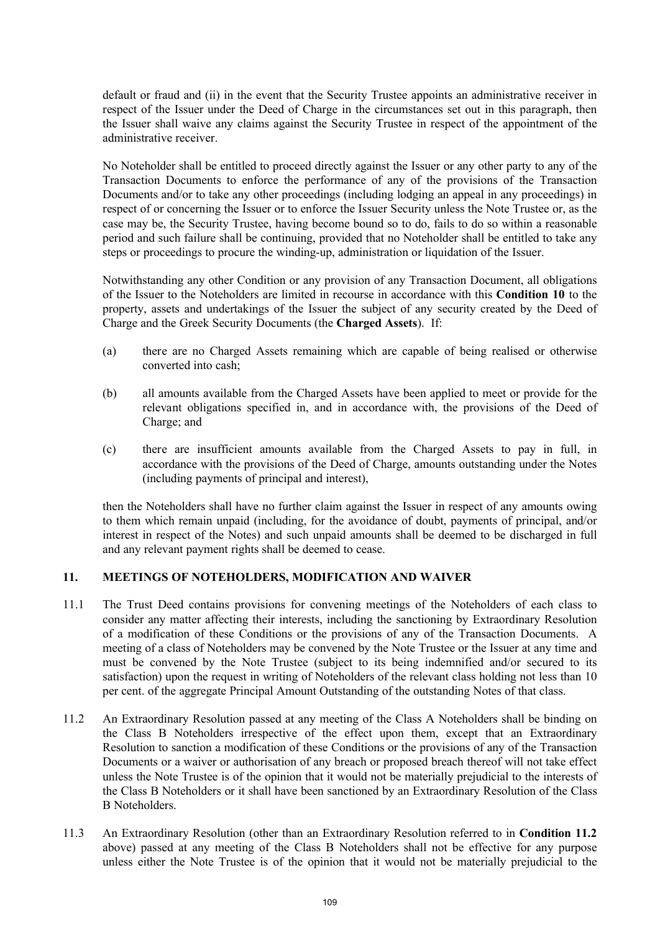default or fraud and (ii) in the event that the Security Trustee appoints an administrative receiver in respect of the Issuer under the Deed of Charge in the circumstances set out in this paragraph, then the Issuer shall waive any claims against the Security Trustee in respect of the appointment of the administrative receiver.

No Noteholder shall be entitled to proceed directly against the Issuer or any other party to any of the Transaction Documents to enforce the performance of any of the provisions of the Transaction Documents and/or to take any other proceedings (including lodging an appeal in any proceedings) in respect of or concerning the Issuer or to enforce the Issuer Security unless the Note Trustee or, as the case may be, the Security Trustee, having become bound so to do, fails to do so within a reasonable period and such failure shall be continuing, provided that no Noteholder shall be entitled to take any steps or proceedings to procure the winding-up, administration or liquidation of the Issuer.

Notwithstanding any other Condition or any provision of any Transaction Document, all obligations of the Issuer to the Noteholders are limited in recourse in accordance with this **Condition 10** to the property, assets and undertakings of the Issuer the subject of any security created by the Deed of Charge and the Greek Security Documents (the **Charged Assets**). If:

- (a) there are no Charged Assets remaining which are capable of being realised or otherwise converted into cash;
- (b) all amounts available from the Charged Assets have been applied to meet or provide for the relevant obligations specified in, and in accordance with, the provisions of the Deed of Charge; and
- (c) there are insufficient amounts available from the Charged Assets to pay in full, in accordance with the provisions of the Deed of Charge, amounts outstanding under the Notes (including payments of principal and interest),

then the Noteholders shall have no further claim against the Issuer in respect of any amounts owing to them which remain unpaid (including, for the avoidance of doubt, payments of principal, and/or interest in respect of the Notes) and such unpaid amounts shall be deemed to be discharged in full and any relevant payment rights shall be deemed to cease.

## **11. MEETINGS OF NOTEHOLDERS, MODIFICATION AND WAIVER**

- 11.1 The Trust Deed contains provisions for convening meetings of the Noteholders of each class to consider any matter affecting their interests, including the sanctioning by Extraordinary Resolution of a modification of these Conditions or the provisions of any of the Transaction Documents. A meeting of a class of Noteholders may be convened by the Note Trustee or the Issuer at any time and must be convened by the Note Trustee (subject to its being indemnified and/or secured to its satisfaction) upon the request in writing of Noteholders of the relevant class holding not less than 10 per cent. of the aggregate Principal Amount Outstanding of the outstanding Notes of that class.
- 11.2 An Extraordinary Resolution passed at any meeting of the Class A Noteholders shall be binding on the Class B Noteholders irrespective of the effect upon them, except that an Extraordinary Resolution to sanction a modification of these Conditions or the provisions of any of the Transaction Documents or a waiver or authorisation of any breach or proposed breach thereof will not take effect unless the Note Trustee is of the opinion that it would not be materially prejudicial to the interests of the Class B Noteholders or it shall have been sanctioned by an Extraordinary Resolution of the Class B Noteholders.
- 11.3 An Extraordinary Resolution (other than an Extraordinary Resolution referred to in **Condition 11.2** above) passed at any meeting of the Class B Noteholders shall not be effective for any purpose unless either the Note Trustee is of the opinion that it would not be materially prejudicial to the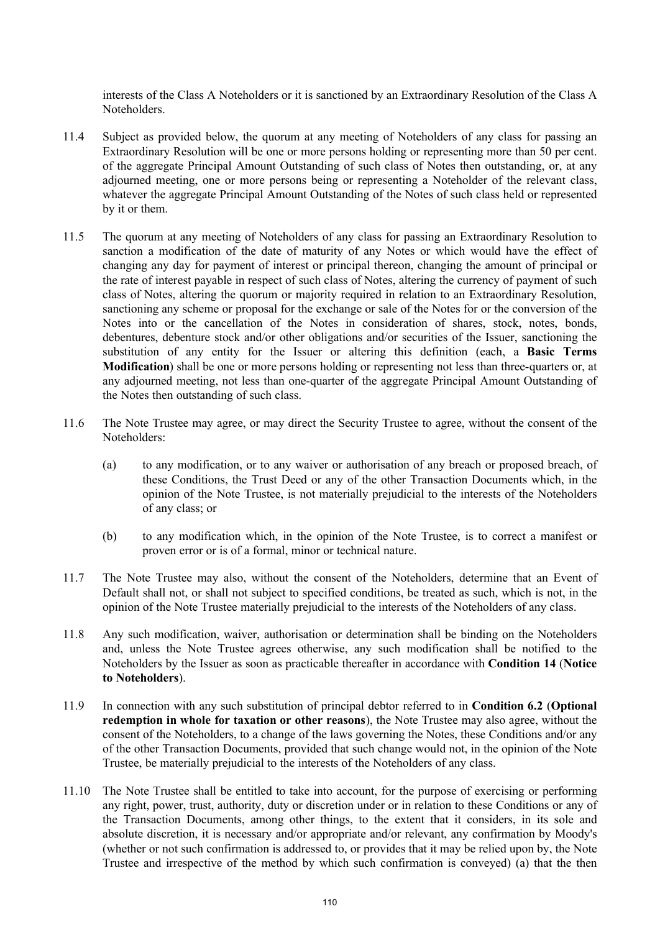interests of the Class A Noteholders or it is sanctioned by an Extraordinary Resolution of the Class A Noteholders.

- 11.4 Subject as provided below, the quorum at any meeting of Noteholders of any class for passing an Extraordinary Resolution will be one or more persons holding or representing more than 50 per cent. of the aggregate Principal Amount Outstanding of such class of Notes then outstanding, or, at any adjourned meeting, one or more persons being or representing a Noteholder of the relevant class, whatever the aggregate Principal Amount Outstanding of the Notes of such class held or represented by it or them.
- 11.5 The quorum at any meeting of Noteholders of any class for passing an Extraordinary Resolution to sanction a modification of the date of maturity of any Notes or which would have the effect of changing any day for payment of interest or principal thereon, changing the amount of principal or the rate of interest payable in respect of such class of Notes, altering the currency of payment of such class of Notes, altering the quorum or majority required in relation to an Extraordinary Resolution, sanctioning any scheme or proposal for the exchange or sale of the Notes for or the conversion of the Notes into or the cancellation of the Notes in consideration of shares, stock, notes, bonds, debentures, debenture stock and/or other obligations and/or securities of the Issuer, sanctioning the substitution of any entity for the Issuer or altering this definition (each, a **Basic Terms Modification**) shall be one or more persons holding or representing not less than three-quarters or, at any adjourned meeting, not less than one-quarter of the aggregate Principal Amount Outstanding of the Notes then outstanding of such class.
- 11.6 The Note Trustee may agree, or may direct the Security Trustee to agree, without the consent of the Noteholders:
	- (a) to any modification, or to any waiver or authorisation of any breach or proposed breach, of these Conditions, the Trust Deed or any of the other Transaction Documents which, in the opinion of the Note Trustee, is not materially prejudicial to the interests of the Noteholders of any class; or
	- (b) to any modification which, in the opinion of the Note Trustee, is to correct a manifest or proven error or is of a formal, minor or technical nature.
- 11.7 The Note Trustee may also, without the consent of the Noteholders, determine that an Event of Default shall not, or shall not subject to specified conditions, be treated as such, which is not, in the opinion of the Note Trustee materially prejudicial to the interests of the Noteholders of any class.
- 11.8 Any such modification, waiver, authorisation or determination shall be binding on the Noteholders and, unless the Note Trustee agrees otherwise, any such modification shall be notified to the Noteholders by the Issuer as soon as practicable thereafter in accordance with **Condition 14** (**Notice to Noteholders**).
- 11.9 In connection with any such substitution of principal debtor referred to in **Condition 6.2** (**Optional redemption in whole for taxation or other reasons**), the Note Trustee may also agree, without the consent of the Noteholders, to a change of the laws governing the Notes, these Conditions and/or any of the other Transaction Documents, provided that such change would not, in the opinion of the Note Trustee, be materially prejudicial to the interests of the Noteholders of any class.
- 11.10 The Note Trustee shall be entitled to take into account, for the purpose of exercising or performing any right, power, trust, authority, duty or discretion under or in relation to these Conditions or any of the Transaction Documents, among other things, to the extent that it considers, in its sole and absolute discretion, it is necessary and/or appropriate and/or relevant, any confirmation by Moody's (whether or not such confirmation is addressed to, or provides that it may be relied upon by, the Note Trustee and irrespective of the method by which such confirmation is conveyed) (a) that the then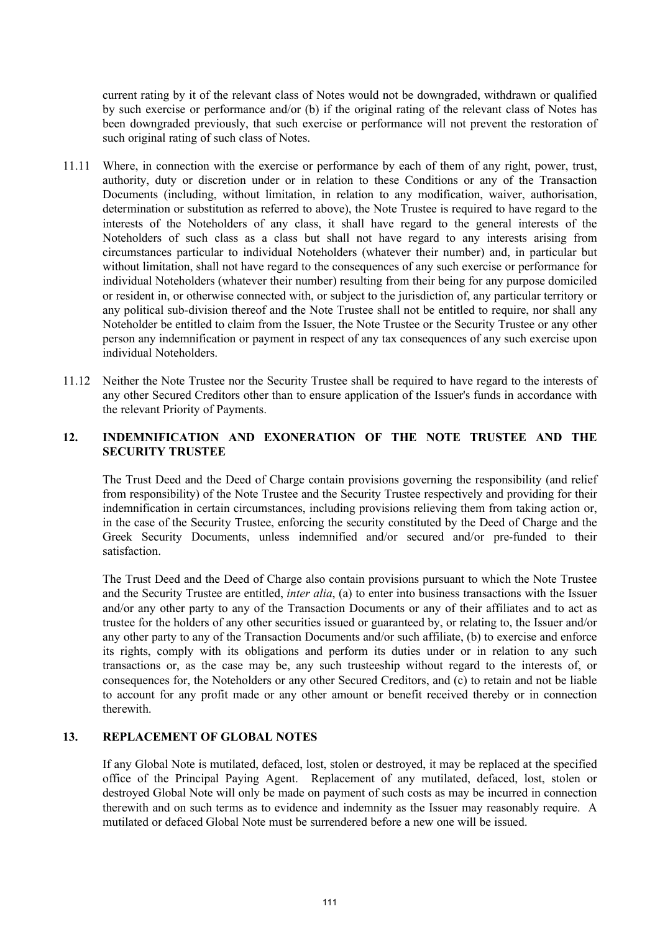current rating by it of the relevant class of Notes would not be downgraded, withdrawn or qualified by such exercise or performance and/or (b) if the original rating of the relevant class of Notes has been downgraded previously, that such exercise or performance will not prevent the restoration of such original rating of such class of Notes.

- 11.11 Where, in connection with the exercise or performance by each of them of any right, power, trust, authority, duty or discretion under or in relation to these Conditions or any of the Transaction Documents (including, without limitation, in relation to any modification, waiver, authorisation, determination or substitution as referred to above), the Note Trustee is required to have regard to the interests of the Noteholders of any class, it shall have regard to the general interests of the Noteholders of such class as a class but shall not have regard to any interests arising from circumstances particular to individual Noteholders (whatever their number) and, in particular but without limitation, shall not have regard to the consequences of any such exercise or performance for individual Noteholders (whatever their number) resulting from their being for any purpose domiciled or resident in, or otherwise connected with, or subject to the jurisdiction of, any particular territory or any political sub-division thereof and the Note Trustee shall not be entitled to require, nor shall any Noteholder be entitled to claim from the Issuer, the Note Trustee or the Security Trustee or any other person any indemnification or payment in respect of any tax consequences of any such exercise upon individual Noteholders.
- 11.12 Neither the Note Trustee nor the Security Trustee shall be required to have regard to the interests of any other Secured Creditors other than to ensure application of the Issuer's funds in accordance with the relevant Priority of Payments.

## **12. INDEMNIFICATION AND EXONERATION OF THE NOTE TRUSTEE AND THE SECURITY TRUSTEE**

The Trust Deed and the Deed of Charge contain provisions governing the responsibility (and relief from responsibility) of the Note Trustee and the Security Trustee respectively and providing for their indemnification in certain circumstances, including provisions relieving them from taking action or, in the case of the Security Trustee, enforcing the security constituted by the Deed of Charge and the Greek Security Documents, unless indemnified and/or secured and/or pre-funded to their satisfaction.

The Trust Deed and the Deed of Charge also contain provisions pursuant to which the Note Trustee and the Security Trustee are entitled, *inter alia*, (a) to enter into business transactions with the Issuer and/or any other party to any of the Transaction Documents or any of their affiliates and to act as trustee for the holders of any other securities issued or guaranteed by, or relating to, the Issuer and/or any other party to any of the Transaction Documents and/or such affiliate, (b) to exercise and enforce its rights, comply with its obligations and perform its duties under or in relation to any such transactions or, as the case may be, any such trusteeship without regard to the interests of, or consequences for, the Noteholders or any other Secured Creditors, and (c) to retain and not be liable to account for any profit made or any other amount or benefit received thereby or in connection therewith.

# **13. REPLACEMENT OF GLOBAL NOTES**

If any Global Note is mutilated, defaced, lost, stolen or destroyed, it may be replaced at the specified office of the Principal Paying Agent. Replacement of any mutilated, defaced, lost, stolen or destroyed Global Note will only be made on payment of such costs as may be incurred in connection therewith and on such terms as to evidence and indemnity as the Issuer may reasonably require. A mutilated or defaced Global Note must be surrendered before a new one will be issued.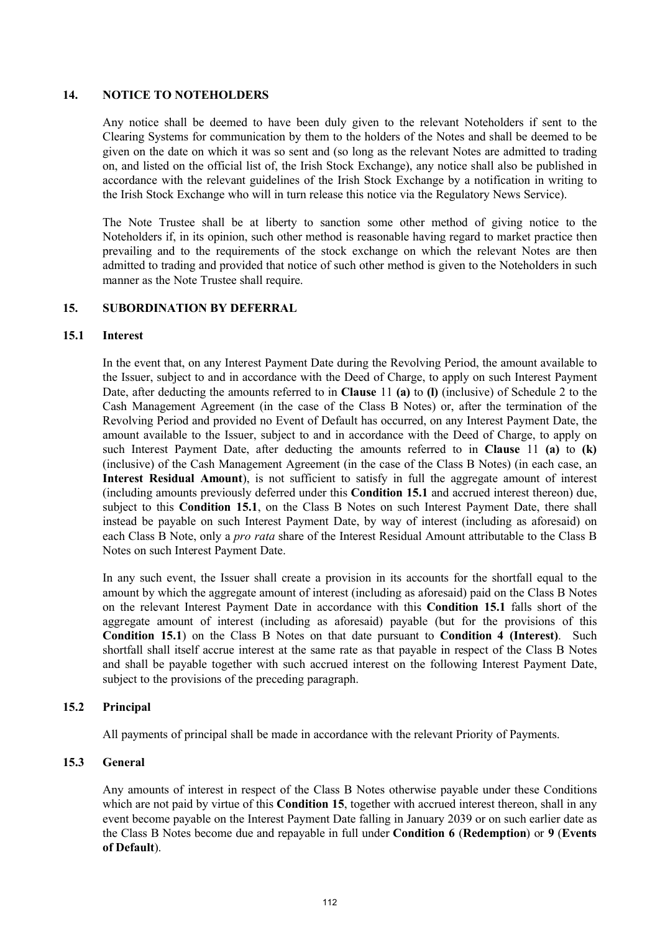#### **14. NOTICE TO NOTEHOLDERS**

Any notice shall be deemed to have been duly given to the relevant Noteholders if sent to the Clearing Systems for communication by them to the holders of the Notes and shall be deemed to be given on the date on which it was so sent and (so long as the relevant Notes are admitted to trading on, and listed on the official list of, the Irish Stock Exchange), any notice shall also be published in accordance with the relevant guidelines of the Irish Stock Exchange by a notification in writing to the Irish Stock Exchange who will in turn release this notice via the Regulatory News Service).

The Note Trustee shall be at liberty to sanction some other method of giving notice to the Noteholders if, in its opinion, such other method is reasonable having regard to market practice then prevailing and to the requirements of the stock exchange on which the relevant Notes are then admitted to trading and provided that notice of such other method is given to the Noteholders in such manner as the Note Trustee shall require.

#### **15. SUBORDINATION BY DEFERRAL**

#### **15.1 Interest**

In the event that, on any Interest Payment Date during the Revolving Period, the amount available to the Issuer, subject to and in accordance with the Deed of Charge, to apply on such Interest Payment Date, after deducting the amounts referred to in **Clause** 11 **(a)** to **(l)** (inclusive) of Schedule 2 to the Cash Management Agreement (in the case of the Class B Notes) or, after the termination of the Revolving Period and provided no Event of Default has occurred, on any Interest Payment Date, the amount available to the Issuer, subject to and in accordance with the Deed of Charge, to apply on such Interest Payment Date, after deducting the amounts referred to in **Clause** 11 **(a)** to **(k)** (inclusive) of the Cash Management Agreement (in the case of the Class B Notes) (in each case, an **Interest Residual Amount**), is not sufficient to satisfy in full the aggregate amount of interest (including amounts previously deferred under this **Condition 15.1** and accrued interest thereon) due, subject to this **Condition 15.1**, on the Class B Notes on such Interest Payment Date, there shall instead be payable on such Interest Payment Date, by way of interest (including as aforesaid) on each Class B Note, only a *pro rata* share of the Interest Residual Amount attributable to the Class B Notes on such Interest Payment Date.

In any such event, the Issuer shall create a provision in its accounts for the shortfall equal to the amount by which the aggregate amount of interest (including as aforesaid) paid on the Class B Notes on the relevant Interest Payment Date in accordance with this **Condition 15.1** falls short of the aggregate amount of interest (including as aforesaid) payable (but for the provisions of this **Condition 15.1**) on the Class B Notes on that date pursuant to **Condition 4 (Interest)**. Such shortfall shall itself accrue interest at the same rate as that payable in respect of the Class B Notes and shall be payable together with such accrued interest on the following Interest Payment Date, subject to the provisions of the preceding paragraph.

## **15.2 Principal**

All payments of principal shall be made in accordance with the relevant Priority of Payments.

# **15.3 General**

Any amounts of interest in respect of the Class B Notes otherwise payable under these Conditions which are not paid by virtue of this **Condition 15**, together with accrued interest thereon, shall in any event become payable on the Interest Payment Date falling in January 2039 or on such earlier date as the Class B Notes become due and repayable in full under **Condition 6** (**Redemption**) or **9** (**Events of Default**).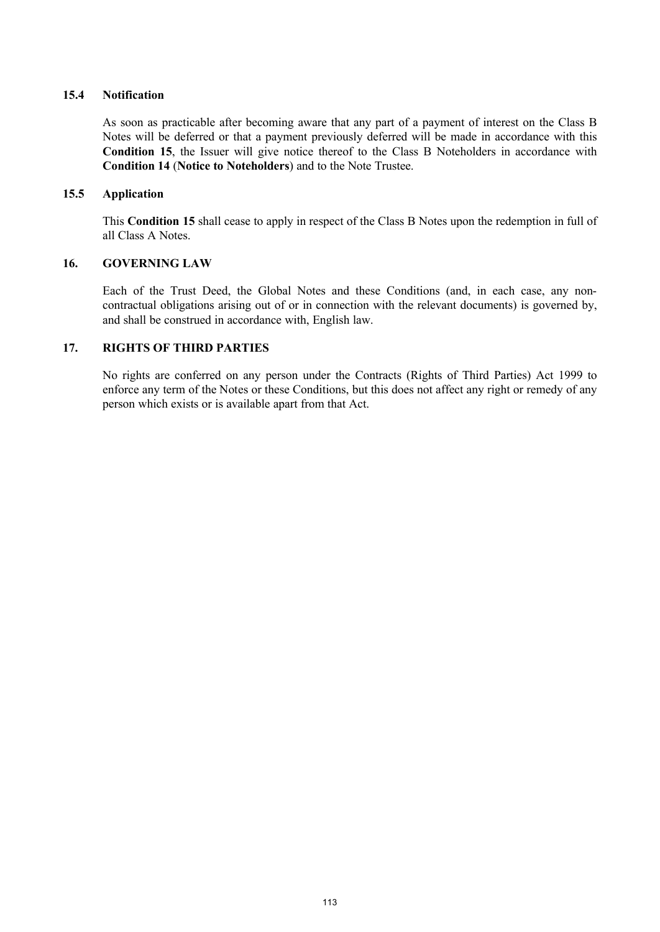# **15.4 Notification**

As soon as practicable after becoming aware that any part of a payment of interest on the Class B Notes will be deferred or that a payment previously deferred will be made in accordance with this **Condition 15**, the Issuer will give notice thereof to the Class B Noteholders in accordance with **Condition 14** (**Notice to Noteholders**) and to the Note Trustee.

#### **15.5 Application**

This **Condition 15** shall cease to apply in respect of the Class B Notes upon the redemption in full of all Class A Notes.

# **16. GOVERNING LAW**

Each of the Trust Deed, the Global Notes and these Conditions (and, in each case, any noncontractual obligations arising out of or in connection with the relevant documents) is governed by, and shall be construed in accordance with, English law.

# **17. RIGHTS OF THIRD PARTIES**

No rights are conferred on any person under the Contracts (Rights of Third Parties) Act 1999 to enforce any term of the Notes or these Conditions, but this does not affect any right or remedy of any person which exists or is available apart from that Act.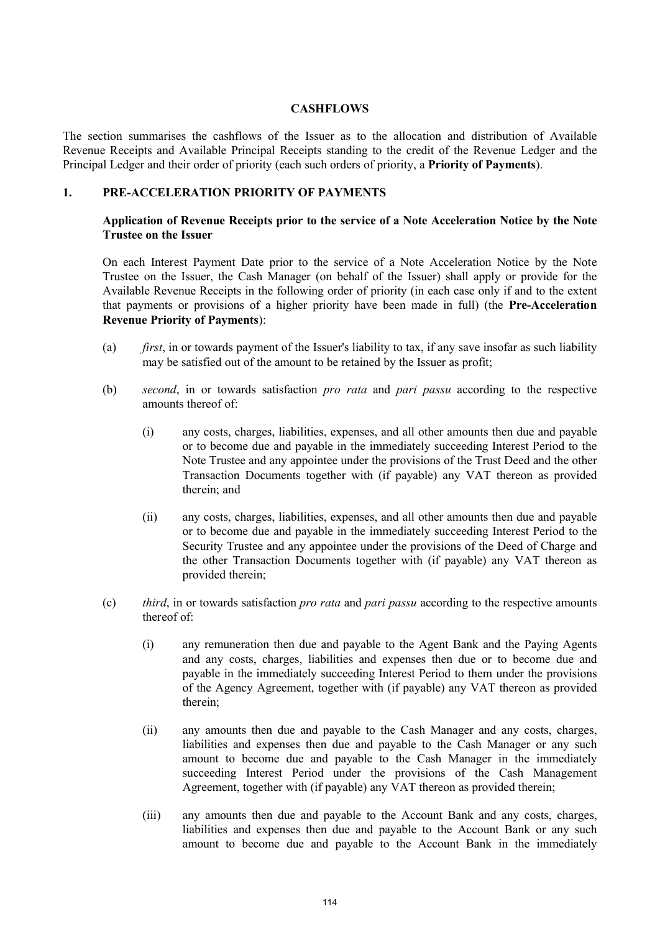#### **CASHFLOWS**

The section summarises the cashflows of the Issuer as to the allocation and distribution of Available Revenue Receipts and Available Principal Receipts standing to the credit of the Revenue Ledger and the Principal Ledger and their order of priority (each such orders of priority, a **Priority of Payments**).

#### **1. PRE-ACCELERATION PRIORITY OF PAYMENTS**

## **Application of Revenue Receipts prior to the service of a Note Acceleration Notice by the Note Trustee on the Issuer**

On each Interest Payment Date prior to the service of a Note Acceleration Notice by the Note Trustee on the Issuer, the Cash Manager (on behalf of the Issuer) shall apply or provide for the Available Revenue Receipts in the following order of priority (in each case only if and to the extent that payments or provisions of a higher priority have been made in full) (the **Pre-Acceleration Revenue Priority of Payments**):

- (a) *first*, in or towards payment of the Issuer's liability to tax, if any save insofar as such liability may be satisfied out of the amount to be retained by the Issuer as profit;
- (b) *second*, in or towards satisfaction *pro rata* and *pari passu* according to the respective amounts thereof of:
	- (i) any costs, charges, liabilities, expenses, and all other amounts then due and payable or to become due and payable in the immediately succeeding Interest Period to the Note Trustee and any appointee under the provisions of the Trust Deed and the other Transaction Documents together with (if payable) any VAT thereon as provided therein; and
	- (ii) any costs, charges, liabilities, expenses, and all other amounts then due and payable or to become due and payable in the immediately succeeding Interest Period to the Security Trustee and any appointee under the provisions of the Deed of Charge and the other Transaction Documents together with (if payable) any VAT thereon as provided therein;
- (c) *third*, in or towards satisfaction *pro rata* and *pari passu* according to the respective amounts thereof of:
	- (i) any remuneration then due and payable to the Agent Bank and the Paying Agents and any costs, charges, liabilities and expenses then due or to become due and payable in the immediately succeeding Interest Period to them under the provisions of the Agency Agreement, together with (if payable) any VAT thereon as provided therein;
	- (ii) any amounts then due and payable to the Cash Manager and any costs, charges, liabilities and expenses then due and payable to the Cash Manager or any such amount to become due and payable to the Cash Manager in the immediately succeeding Interest Period under the provisions of the Cash Management Agreement, together with (if payable) any VAT thereon as provided therein;
	- (iii) any amounts then due and payable to the Account Bank and any costs, charges, liabilities and expenses then due and payable to the Account Bank or any such amount to become due and payable to the Account Bank in the immediately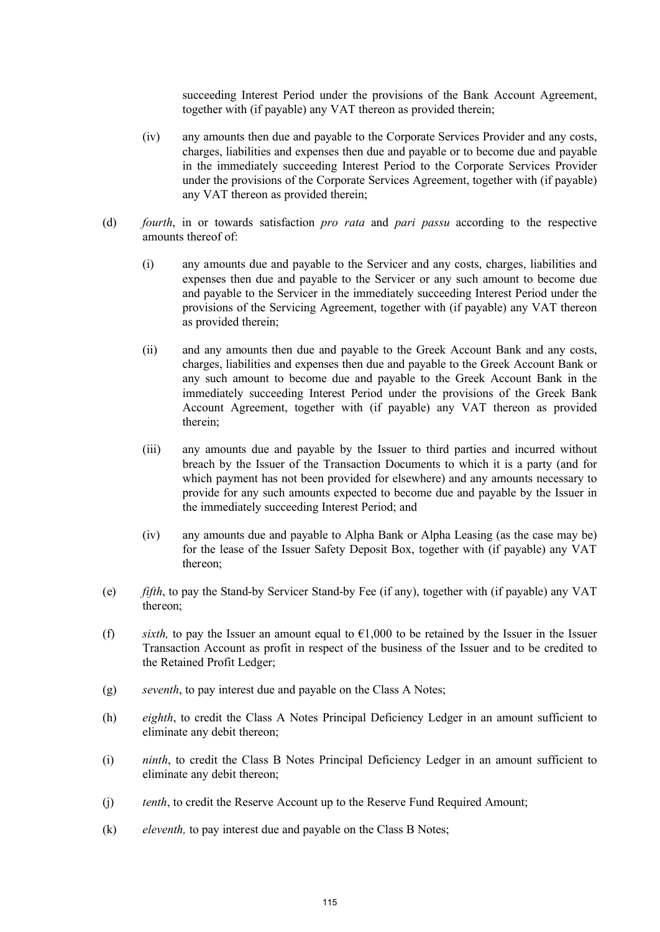succeeding Interest Period under the provisions of the Bank Account Agreement, together with (if payable) any VAT thereon as provided therein;

- (iv) any amounts then due and payable to the Corporate Services Provider and any costs, charges, liabilities and expenses then due and payable or to become due and payable in the immediately succeeding Interest Period to the Corporate Services Provider under the provisions of the Corporate Services Agreement, together with (if payable) any VAT thereon as provided therein;
- (d) *fourth*, in or towards satisfaction *pro rata* and *pari passu* according to the respective amounts thereof of:
	- (i) any amounts due and payable to the Servicer and any costs, charges, liabilities and expenses then due and payable to the Servicer or any such amount to become due and payable to the Servicer in the immediately succeeding Interest Period under the provisions of the Servicing Agreement, together with (if payable) any VAT thereon as provided therein;
	- (ii) and any amounts then due and payable to the Greek Account Bank and any costs, charges, liabilities and expenses then due and payable to the Greek Account Bank or any such amount to become due and payable to the Greek Account Bank in the immediately succeeding Interest Period under the provisions of the Greek Bank Account Agreement, together with (if payable) any VAT thereon as provided therein;
	- (iii) any amounts due and payable by the Issuer to third parties and incurred without breach by the Issuer of the Transaction Documents to which it is a party (and for which payment has not been provided for elsewhere) and any amounts necessary to provide for any such amounts expected to become due and payable by the Issuer in the immediately succeeding Interest Period; and
	- (iv) any amounts due and payable to Alpha Bank or Alpha Leasing (as the case may be) for the lease of the Issuer Safety Deposit Box, together with (if payable) any VAT thereon;
- (e) *fifth*, to pay the Stand-by Servicer Stand-by Fee (if any), together with (if payable) any VAT thereon;
- (f) *sixth*, to pay the Issuer an amount equal to  $\epsilon 1,000$  to be retained by the Issuer in the Issuer Transaction Account as profit in respect of the business of the Issuer and to be credited to the Retained Profit Ledger;
- (g) *seventh*, to pay interest due and payable on the Class A Notes;
- (h) *eighth*, to credit the Class A Notes Principal Deficiency Ledger in an amount sufficient to eliminate any debit thereon;
- (i) *ninth*, to credit the Class B Notes Principal Deficiency Ledger in an amount sufficient to eliminate any debit thereon;
- (j) *tenth*, to credit the Reserve Account up to the Reserve Fund Required Amount;
- (k) *eleventh,* to pay interest due and payable on the Class B Notes;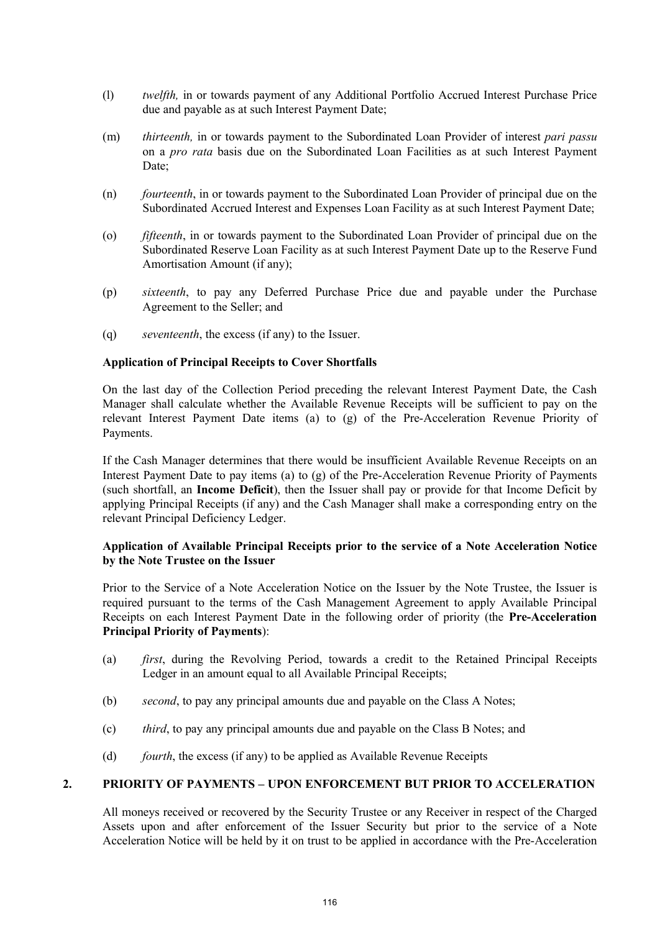- (l) *twelfth,* in or towards payment of any Additional Portfolio Accrued Interest Purchase Price due and payable as at such Interest Payment Date;
- (m) *thirteenth,* in or towards payment to the Subordinated Loan Provider of interest *pari passu* on a *pro rata* basis due on the Subordinated Loan Facilities as at such Interest Payment Date:
- (n) *fourteenth*, in or towards payment to the Subordinated Loan Provider of principal due on the Subordinated Accrued Interest and Expenses Loan Facility as at such Interest Payment Date;
- (o) *fifteenth*, in or towards payment to the Subordinated Loan Provider of principal due on the Subordinated Reserve Loan Facility as at such Interest Payment Date up to the Reserve Fund Amortisation Amount (if any);
- (p) *sixteenth*, to pay any Deferred Purchase Price due and payable under the Purchase Agreement to the Seller; and
- (q) *seventeenth*, the excess (if any) to the Issuer.

#### **Application of Principal Receipts to Cover Shortfalls**

On the last day of the Collection Period preceding the relevant Interest Payment Date, the Cash Manager shall calculate whether the Available Revenue Receipts will be sufficient to pay on the relevant Interest Payment Date items (a) to (g) of the Pre-Acceleration Revenue Priority of Payments.

If the Cash Manager determines that there would be insufficient Available Revenue Receipts on an Interest Payment Date to pay items (a) to (g) of the Pre-Acceleration Revenue Priority of Payments (such shortfall, an **Income Deficit**), then the Issuer shall pay or provide for that Income Deficit by applying Principal Receipts (if any) and the Cash Manager shall make a corresponding entry on the relevant Principal Deficiency Ledger.

#### **Application of Available Principal Receipts prior to the service of a Note Acceleration Notice by the Note Trustee on the Issuer**

Prior to the Service of a Note Acceleration Notice on the Issuer by the Note Trustee, the Issuer is required pursuant to the terms of the Cash Management Agreement to apply Available Principal Receipts on each Interest Payment Date in the following order of priority (the **Pre-Acceleration Principal Priority of Payments**):

- (a) *first*, during the Revolving Period, towards a credit to the Retained Principal Receipts Ledger in an amount equal to all Available Principal Receipts;
- (b) *second*, to pay any principal amounts due and payable on the Class A Notes;
- (c) *third*, to pay any principal amounts due and payable on the Class B Notes; and
- (d) *fourth*, the excess (if any) to be applied as Available Revenue Receipts

# **2. PRIORITY OF PAYMENTS – UPON ENFORCEMENT BUT PRIOR TO ACCELERATION**

All moneys received or recovered by the Security Trustee or any Receiver in respect of the Charged Assets upon and after enforcement of the Issuer Security but prior to the service of a Note Acceleration Notice will be held by it on trust to be applied in accordance with the Pre-Acceleration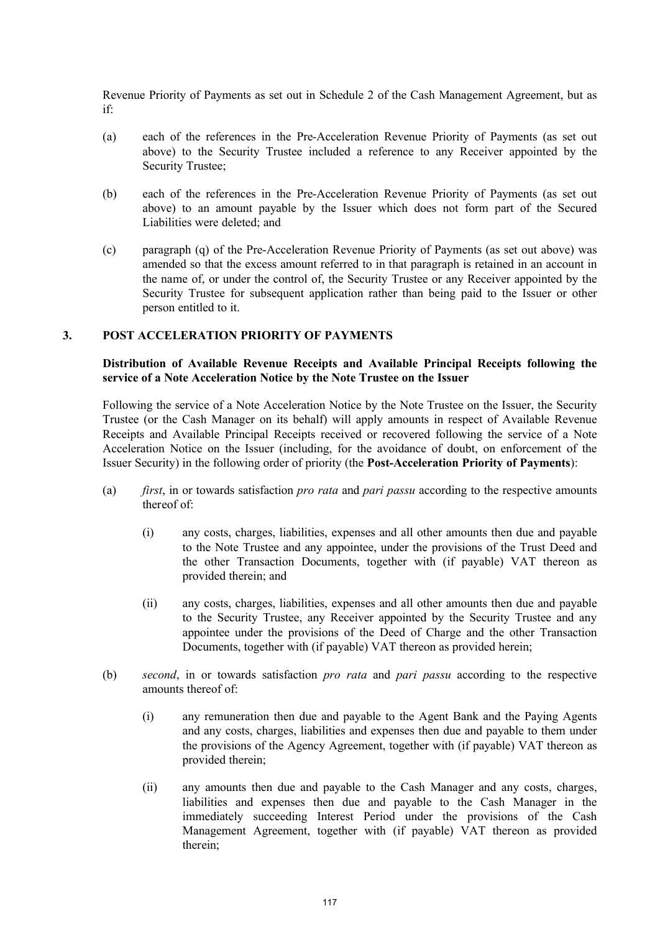Revenue Priority of Payments as set out in Schedule 2 of the Cash Management Agreement, but as if:

- (a) each of the references in the Pre-Acceleration Revenue Priority of Payments (as set out above) to the Security Trustee included a reference to any Receiver appointed by the Security Trustee;
- (b) each of the references in the Pre-Acceleration Revenue Priority of Payments (as set out above) to an amount payable by the Issuer which does not form part of the Secured Liabilities were deleted; and
- (c) paragraph (q) of the Pre-Acceleration Revenue Priority of Payments (as set out above) was amended so that the excess amount referred to in that paragraph is retained in an account in the name of, or under the control of, the Security Trustee or any Receiver appointed by the Security Trustee for subsequent application rather than being paid to the Issuer or other person entitled to it.

#### **3. POST ACCELERATION PRIORITY OF PAYMENTS**

#### **Distribution of Available Revenue Receipts and Available Principal Receipts following the service of a Note Acceleration Notice by the Note Trustee on the Issuer**

Following the service of a Note Acceleration Notice by the Note Trustee on the Issuer, the Security Trustee (or the Cash Manager on its behalf) will apply amounts in respect of Available Revenue Receipts and Available Principal Receipts received or recovered following the service of a Note Acceleration Notice on the Issuer (including, for the avoidance of doubt, on enforcement of the Issuer Security) in the following order of priority (the **Post-Acceleration Priority of Payments**):

- (a) *first*, in or towards satisfaction *pro rata* and *pari passu* according to the respective amounts thereof of:
	- (i) any costs, charges, liabilities, expenses and all other amounts then due and payable to the Note Trustee and any appointee, under the provisions of the Trust Deed and the other Transaction Documents, together with (if payable) VAT thereon as provided therein; and
	- (ii) any costs, charges, liabilities, expenses and all other amounts then due and payable to the Security Trustee, any Receiver appointed by the Security Trustee and any appointee under the provisions of the Deed of Charge and the other Transaction Documents, together with (if payable) VAT thereon as provided herein;
- (b) *second*, in or towards satisfaction *pro rata* and *pari passu* according to the respective amounts thereof of:
	- (i) any remuneration then due and payable to the Agent Bank and the Paying Agents and any costs, charges, liabilities and expenses then due and payable to them under the provisions of the Agency Agreement, together with (if payable) VAT thereon as provided therein;
	- (ii) any amounts then due and payable to the Cash Manager and any costs, charges, liabilities and expenses then due and payable to the Cash Manager in the immediately succeeding Interest Period under the provisions of the Cash Management Agreement, together with (if payable) VAT thereon as provided therein;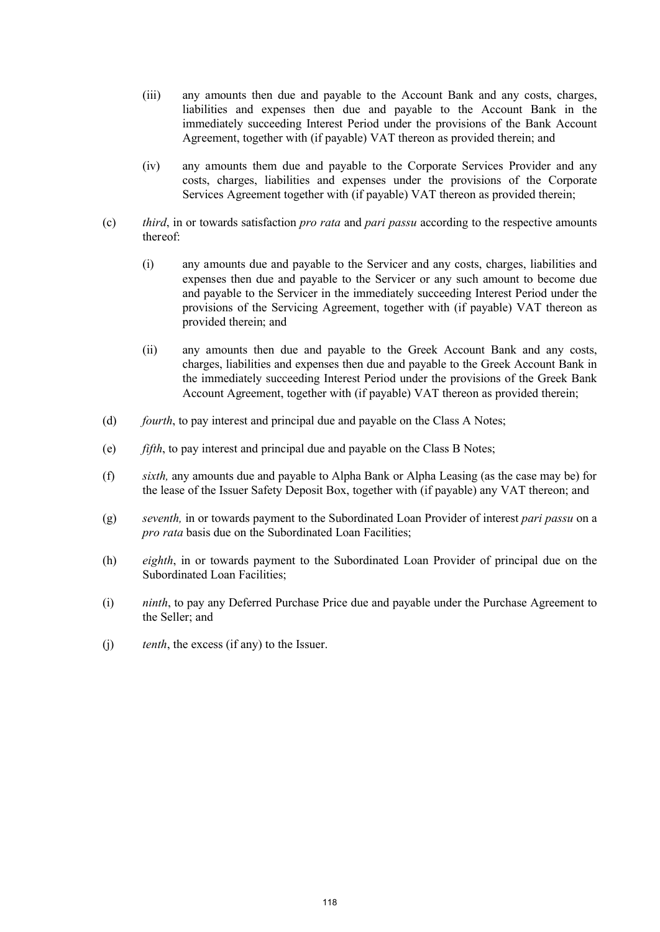- (iii) any amounts then due and payable to the Account Bank and any costs, charges, liabilities and expenses then due and payable to the Account Bank in the immediately succeeding Interest Period under the provisions of the Bank Account Agreement, together with (if payable) VAT thereon as provided therein; and
- (iv) any amounts them due and payable to the Corporate Services Provider and any costs, charges, liabilities and expenses under the provisions of the Corporate Services Agreement together with (if payable) VAT thereon as provided therein;
- (c) *third*, in or towards satisfaction *pro rata* and *pari passu* according to the respective amounts thereof:
	- (i) any amounts due and payable to the Servicer and any costs, charges, liabilities and expenses then due and payable to the Servicer or any such amount to become due and payable to the Servicer in the immediately succeeding Interest Period under the provisions of the Servicing Agreement, together with (if payable) VAT thereon as provided therein; and
	- (ii) any amounts then due and payable to the Greek Account Bank and any costs, charges, liabilities and expenses then due and payable to the Greek Account Bank in the immediately succeeding Interest Period under the provisions of the Greek Bank Account Agreement, together with (if payable) VAT thereon as provided therein;
- (d) *fourth*, to pay interest and principal due and payable on the Class A Notes;
- (e) *fifth*, to pay interest and principal due and payable on the Class B Notes;
- (f) *sixth,* any amounts due and payable to Alpha Bank or Alpha Leasing (as the case may be) for the lease of the Issuer Safety Deposit Box, together with (if payable) any VAT thereon; and
- (g) *seventh,* in or towards payment to the Subordinated Loan Provider of interest *pari passu* on a *pro rata* basis due on the Subordinated Loan Facilities;
- (h) *eighth*, in or towards payment to the Subordinated Loan Provider of principal due on the Subordinated Loan Facilities;
- (i) *ninth*, to pay any Deferred Purchase Price due and payable under the Purchase Agreement to the Seller; and
- (j) *tenth*, the excess (if any) to the Issuer.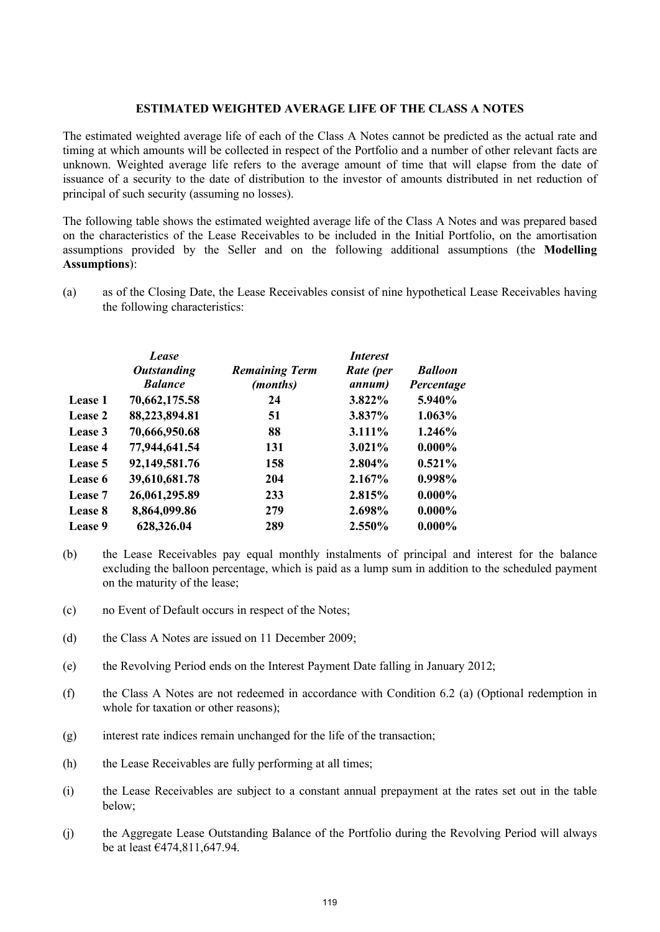#### **ESTIMATED WEIGHTED AVERAGE LIFE OF THE CLASS A NOTES**

The estimated weighted average life of each of the Class A Notes cannot be predicted as the actual rate and timing at which amounts will be collected in respect of the Portfolio and a number of other relevant facts are unknown. Weighted average life refers to the average amount of time that will elapse from the date of issuance of a security to the date of distribution to the investor of amounts distributed in net reduction of principal of such security (assuming no losses).

The following table shows the estimated weighted average life of the Class A Notes and was prepared based on the characteristics of the Lease Receivables to be included in the Initial Portfolio, on the amortisation assumptions provided by the Seller and on the following additional assumptions (the **Modelling Assumptions**):

(a) as of the Closing Date, the Lease Receivables consist of nine hypothetical Lease Receivables having the following characteristics:

|         | Lease<br><b>Outstanding</b><br><b>Balance</b> | <b>Remaining Term</b><br>(months) | <i>Interest</i><br>Rate (per<br>annum) | <b>Balloon</b><br>Percentage |
|---------|-----------------------------------------------|-----------------------------------|----------------------------------------|------------------------------|
| Lease 1 | 70,662,175.58                                 | 24                                | 3.822%                                 | 5.940%                       |
| Lease 2 | 88,223,894.81                                 | 51                                | 3.837%                                 | 1.063%                       |
| Lease 3 | 70,666,950.68                                 | 88                                | 3.111%                                 | 1.246%                       |
| Lease 4 | 77,944,641.54                                 | 131                               | $3.021\%$                              | $0.000\%$                    |
| Lease 5 | 92,149,581.76                                 | 158                               | 2.804%                                 | $0.521\%$                    |
| Lease 6 | 39,610,681.78                                 | 204                               | 2.167%                                 | 0.998%                       |
| Lease 7 | 26,061,295.89                                 | 233                               | 2.815%                                 | $0.000\%$                    |
| Lease 8 | 8,864,099.86                                  | 279                               | 2.698%                                 | $0.000\%$                    |
| Lease 9 | 628,326.04                                    | 289                               | 2.550%                                 | $0.000\%$                    |

- (b) the Lease Receivables pay equal monthly instalments of principal and interest for the balance excluding the balloon percentage, which is paid as a lump sum in addition to the scheduled payment on the maturity of the lease;
- (c) no Event of Default occurs in respect of the Notes;
- (d) the Class A Notes are issued on 11 December 2009;
- (e) the Revolving Period ends on the Interest Payment Date falling in January 2012;
- (f) the Class A Notes are not redeemed in accordance with Condition 6.2 (a) (Optional redemption in whole for taxation or other reasons);
- (g) interest rate indices remain unchanged for the life of the transaction;
- (h) the Lease Receivables are fully performing at all times;
- (i) the Lease Receivables are subject to a constant annual prepayment at the rates set out in the table below;
- (j) the Aggregate Lease Outstanding Balance of the Portfolio during the Revolving Period will always be at least €474,811,647.94.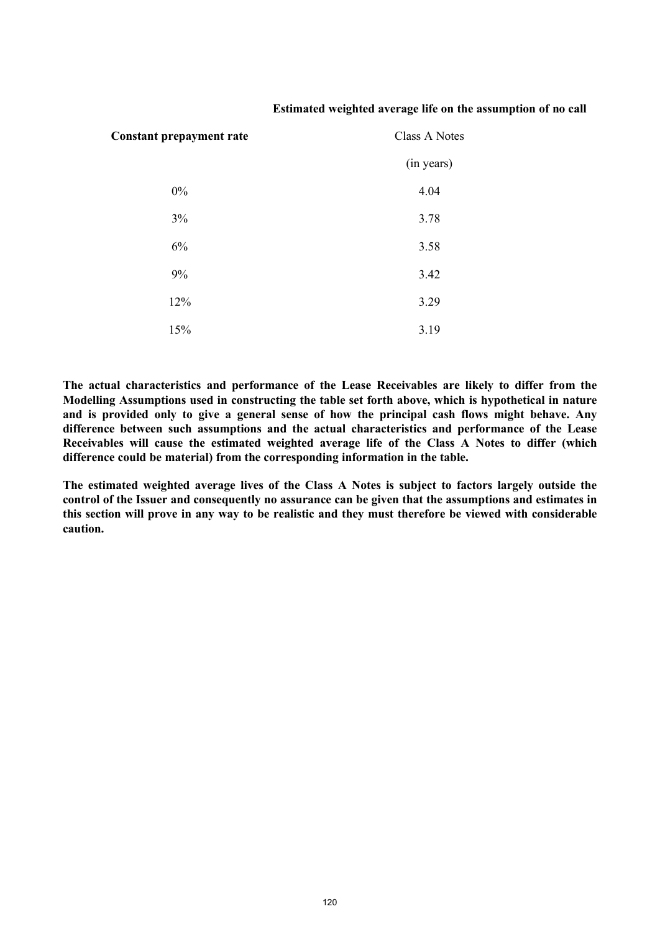#### **Estimated weighted average life on the assumption of no call**

| <b>Constant prepayment rate</b> | Class A Notes |  |
|---------------------------------|---------------|--|
|                                 | (in years)    |  |
| $0\%$                           | 4.04          |  |
| $3\%$                           | 3.78          |  |
| 6%                              | 3.58          |  |
| 9%                              | 3.42          |  |
| 12%                             | 3.29          |  |
| 15%                             | 3.19          |  |

**The actual characteristics and performance of the Lease Receivables are likely to differ from the Modelling Assumptions used in constructing the table set forth above, which is hypothetical in nature and is provided only to give a general sense of how the principal cash flows might behave. Any difference between such assumptions and the actual characteristics and performance of the Lease Receivables will cause the estimated weighted average life of the Class A Notes to differ (which difference could be material) from the corresponding information in the table.**

**The estimated weighted average lives of the Class A Notes is subject to factors largely outside the control of the Issuer and consequently no assurance can be given that the assumptions and estimates in this section will prove in any way to be realistic and they must therefore be viewed with considerable caution.**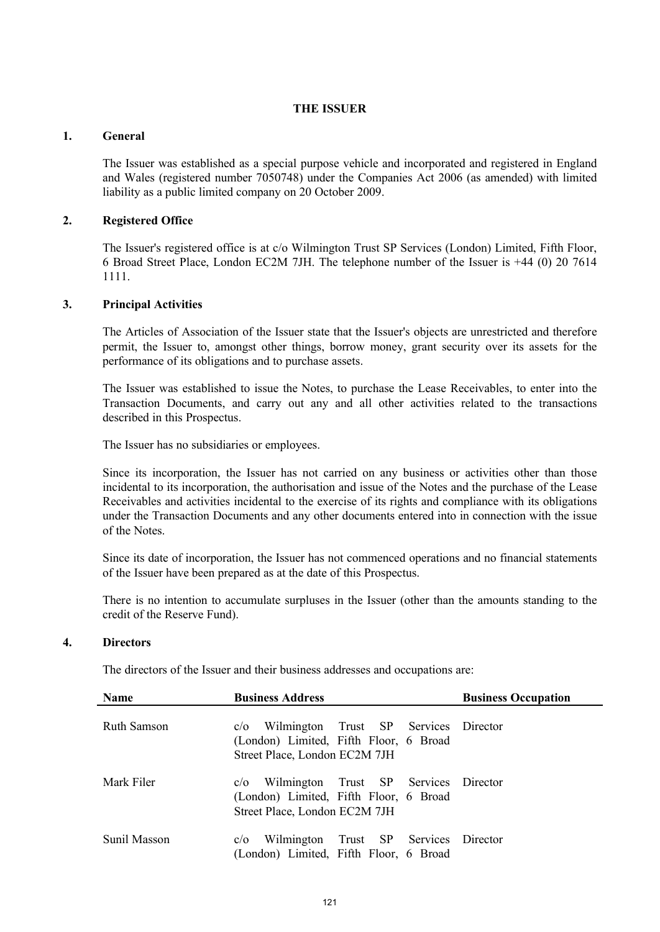## **THE ISSUER**

## **1. General**

The Issuer was established as a special purpose vehicle and incorporated and registered in England and Wales (registered number 7050748) under the Companies Act 2006 (as amended) with limited liability as a public limited company on 20 October 2009.

# **2. Registered Office**

The Issuer's registered office is at c/o Wilmington Trust SP Services (London) Limited, Fifth Floor, 6 Broad Street Place, London EC2M 7JH. The telephone number of the Issuer is +44 (0) 20 7614 1111.

# **3. Principal Activities**

The Articles of Association of the Issuer state that the Issuer's objects are unrestricted and therefore permit, the Issuer to, amongst other things, borrow money, grant security over its assets for the performance of its obligations and to purchase assets.

The Issuer was established to issue the Notes, to purchase the Lease Receivables, to enter into the Transaction Documents, and carry out any and all other activities related to the transactions described in this Prospectus.

The Issuer has no subsidiaries or employees.

Since its incorporation, the Issuer has not carried on any business or activities other than those incidental to its incorporation, the authorisation and issue of the Notes and the purchase of the Lease Receivables and activities incidental to the exercise of its rights and compliance with its obligations under the Transaction Documents and any other documents entered into in connection with the issue of the Notes.

Since its date of incorporation, the Issuer has not commenced operations and no financial statements of the Issuer have been prepared as at the date of this Prospectus.

There is no intention to accumulate surpluses in the Issuer (other than the amounts standing to the credit of the Reserve Fund).

# **4. Directors**

The directors of the Issuer and their business addresses and occupations are:

| <b>Name</b>        | <b>Business Address</b>                                                                                                 | <b>Business Occupation</b> |
|--------------------|-------------------------------------------------------------------------------------------------------------------------|----------------------------|
| <b>Ruth Samson</b> | Wilmington Trust SP Services Director<br>c/O<br>(London) Limited, Fifth Floor, 6 Broad<br>Street Place, London EC2M 7JH |                            |
| Mark Filer         | Wilmington Trust SP Services Director<br>c/O<br>(London) Limited, Fifth Floor, 6 Broad<br>Street Place, London EC2M 7JH |                            |
| Sunil Masson       | Wilmington Trust SP Services Director<br>c/O<br>(London) Limited, Fifth Floor, 6 Broad                                  |                            |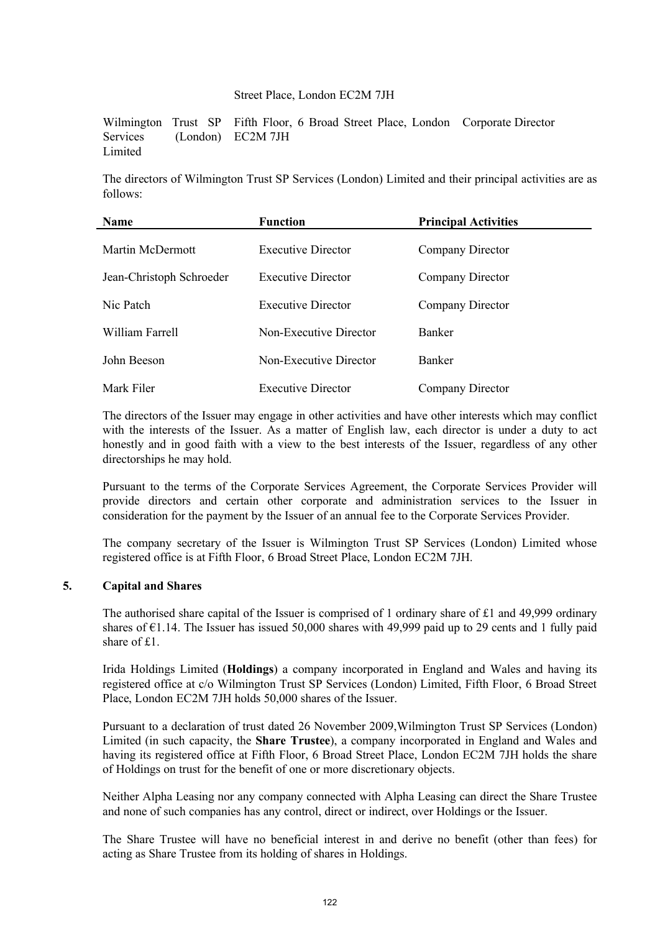#### Street Place, London EC2M 7JH

Wilmington Trust SP Services (London) **Limited** Fifth Floor, 6 Broad Street Place, London Corporate Director EC2M 7JH

The directors of Wilmington Trust SP Services (London) Limited and their principal activities are as follows:

| <b>Name</b>              | <b>Function</b>           | <b>Principal Activities</b> |  |
|--------------------------|---------------------------|-----------------------------|--|
| Martin McDermott         | <b>Executive Director</b> | Company Director            |  |
| Jean-Christoph Schroeder | <b>Executive Director</b> | Company Director            |  |
| Nic Patch                | <b>Executive Director</b> | Company Director            |  |
| William Farrell          | Non-Executive Director    | <b>Banker</b>               |  |
| John Beeson              | Non-Executive Director    | <b>Banker</b>               |  |
| Mark Filer               | <b>Executive Director</b> | Company Director            |  |

The directors of the Issuer may engage in other activities and have other interests which may conflict with the interests of the Issuer. As a matter of English law, each director is under a duty to act honestly and in good faith with a view to the best interests of the Issuer, regardless of any other directorships he may hold.

Pursuant to the terms of the Corporate Services Agreement, the Corporate Services Provider will provide directors and certain other corporate and administration services to the Issuer in consideration for the payment by the Issuer of an annual fee to the Corporate Services Provider.

The company secretary of the Issuer is Wilmington Trust SP Services (London) Limited whose registered office is at Fifth Floor, 6 Broad Street Place, London EC2M 7JH.

# **5. Capital and Shares**

The authorised share capital of the Issuer is comprised of 1 ordinary share of £1 and 49,999 ordinary shares of  $E1.14$ . The Issuer has issued 50,000 shares with 49,999 paid up to 29 cents and 1 fully paid share of  $f1$ .

Irida Holdings Limited (**Holdings**) a company incorporated in England and Wales and having its registered office at c/o Wilmington Trust SP Services (London) Limited, Fifth Floor, 6 Broad Street Place, London EC2M 7JH holds 50,000 shares of the Issuer.

Pursuant to a declaration of trust dated 26 November 2009,Wilmington Trust SP Services (London) Limited (in such capacity, the **Share Trustee**), a company incorporated in England and Wales and having its registered office at Fifth Floor, 6 Broad Street Place, London EC2M 7JH holds the share of Holdings on trust for the benefit of one or more discretionary objects.

Neither Alpha Leasing nor any company connected with Alpha Leasing can direct the Share Trustee and none of such companies has any control, direct or indirect, over Holdings or the Issuer.

The Share Trustee will have no beneficial interest in and derive no benefit (other than fees) for acting as Share Trustee from its holding of shares in Holdings.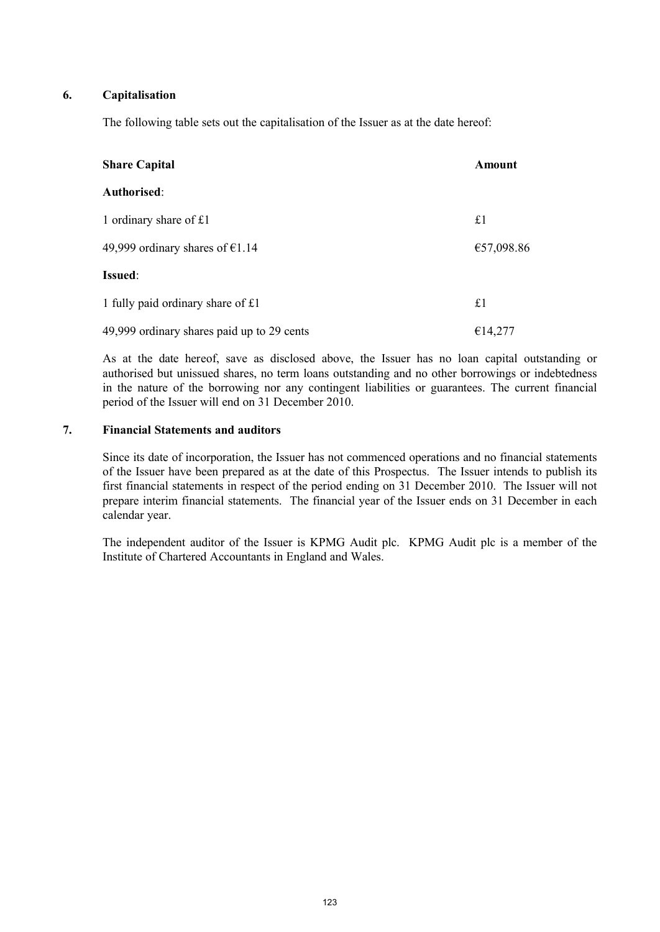## **6. Capitalisation**

The following table sets out the capitalisation of the Issuer as at the date hereof:

| <b>Share Capital</b>                       | Amount     |
|--------------------------------------------|------------|
| Authorised:                                |            |
| 1 ordinary share of £1                     | £1         |
| 49,999 ordinary shares of $\epsilon$ 1.14  | €57,098.86 |
| <b>Issued:</b>                             |            |
| 1 fully paid ordinary share of £1          | £1         |
| 49,999 ordinary shares paid up to 29 cents | €14,277    |

As at the date hereof, save as disclosed above, the Issuer has no loan capital outstanding or authorised but unissued shares, no term loans outstanding and no other borrowings or indebtedness in the nature of the borrowing nor any contingent liabilities or guarantees. The current financial period of the Issuer will end on 31 December 2010.

# **7. Financial Statements and auditors**

Since its date of incorporation, the Issuer has not commenced operations and no financial statements of the Issuer have been prepared as at the date of this Prospectus. The Issuer intends to publish its first financial statements in respect of the period ending on 31 December 2010. The Issuer will not prepare interim financial statements. The financial year of the Issuer ends on 31 December in each calendar year.

The independent auditor of the Issuer is KPMG Audit plc. KPMG Audit plc is a member of the Institute of Chartered Accountants in England and Wales.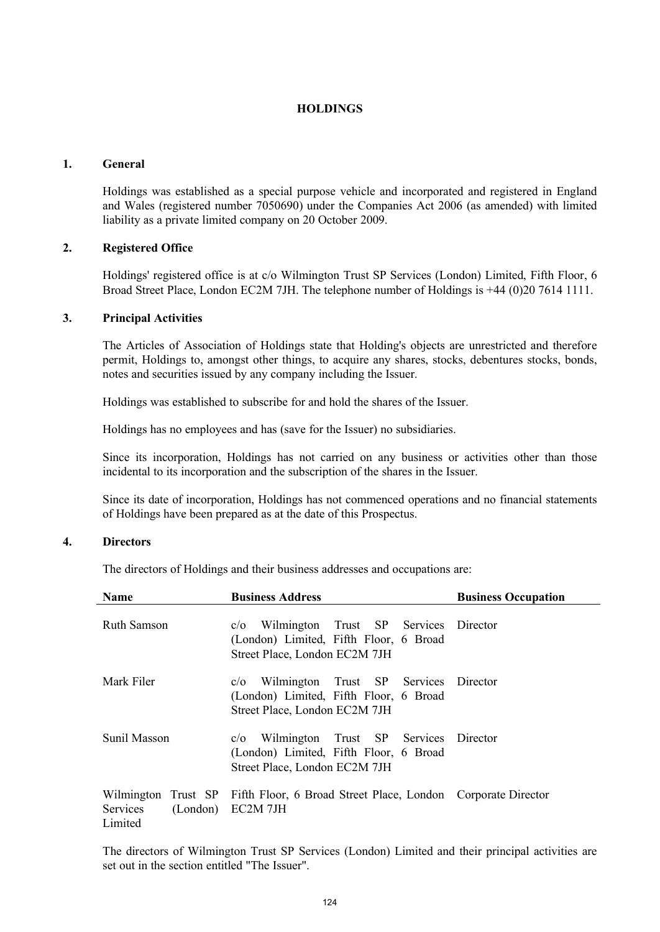## **HOLDINGS**

#### **1. General**

Holdings was established as a special purpose vehicle and incorporated and registered in England and Wales (registered number 7050690) under the Companies Act 2006 (as amended) with limited liability as a private limited company on 20 October 2009.

## **2. Registered Office**

Holdings' registered office is at c/o Wilmington Trust SP Services (London) Limited, Fifth Floor, 6 Broad Street Place, London EC2M 7JH. The telephone number of Holdings is +44 (0)20 7614 1111.

#### **3. Principal Activities**

The Articles of Association of Holdings state that Holding's objects are unrestricted and therefore permit, Holdings to, amongst other things, to acquire any shares, stocks, debentures stocks, bonds, notes and securities issued by any company including the Issuer.

Holdings was established to subscribe for and hold the shares of the Issuer.

Holdings has no employees and has (save for the Issuer) no subsidiaries.

Since its incorporation, Holdings has not carried on any business or activities other than those incidental to its incorporation and the subscription of the shares in the Issuer.

Since its date of incorporation, Holdings has not commenced operations and no financial statements of Holdings have been prepared as at the date of this Prospectus.

## **4. Directors**

The directors of Holdings and their business addresses and occupations are:

| Name                | <b>Business Address</b>                                                                                                 | <b>Business Occupation</b> |
|---------------------|-------------------------------------------------------------------------------------------------------------------------|----------------------------|
| <b>Ruth Samson</b>  | Wilmington Trust SP Services Director<br>c/O<br>(London) Limited, Fifth Floor, 6 Broad<br>Street Place, London EC2M 7JH |                            |
| Mark Filer          | Wilmington Trust SP Services Director<br>c/O<br>(London) Limited, Fifth Floor, 6 Broad<br>Street Place, London EC2M 7JH |                            |
| Sunil Masson        | Wilmington Trust SP Services<br>c/O<br>(London) Limited, Fifth Floor, 6 Broad<br>Street Place, London EC2M 7JH          | Director                   |
| Services<br>Limited | Wilmington Trust SP Fifth Floor, 6 Broad Street Place, London Corporate Director<br>(London) EC2M 7JH                   |                            |

The directors of Wilmington Trust SP Services (London) Limited and their principal activities are set out in the section entitled "The Issuer".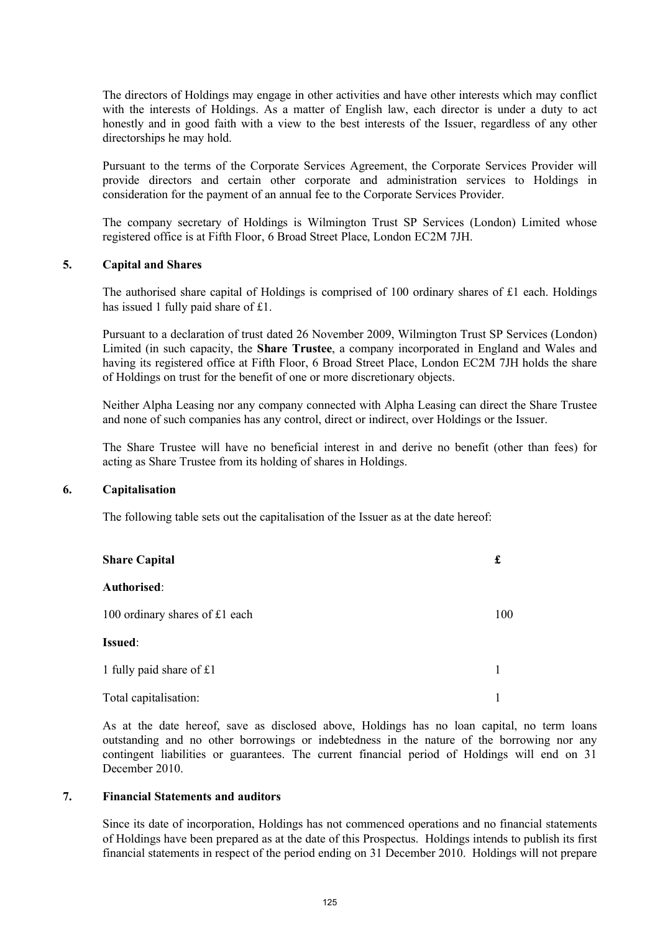The directors of Holdings may engage in other activities and have other interests which may conflict with the interests of Holdings. As a matter of English law, each director is under a duty to act honestly and in good faith with a view to the best interests of the Issuer, regardless of any other directorships he may hold.

Pursuant to the terms of the Corporate Services Agreement, the Corporate Services Provider will provide directors and certain other corporate and administration services to Holdings in consideration for the payment of an annual fee to the Corporate Services Provider.

The company secretary of Holdings is Wilmington Trust SP Services (London) Limited whose registered office is at Fifth Floor, 6 Broad Street Place, London EC2M 7JH.

#### **5. Capital and Shares**

The authorised share capital of Holdings is comprised of 100 ordinary shares of £1 each. Holdings has issued 1 fully paid share of £1.

Pursuant to a declaration of trust dated 26 November 2009, Wilmington Trust SP Services (London) Limited (in such capacity, the **Share Trustee**, a company incorporated in England and Wales and having its registered office at Fifth Floor, 6 Broad Street Place, London EC2M 7JH holds the share of Holdings on trust for the benefit of one or more discretionary objects.

Neither Alpha Leasing nor any company connected with Alpha Leasing can direct the Share Trustee and none of such companies has any control, direct or indirect, over Holdings or the Issuer.

The Share Trustee will have no beneficial interest in and derive no benefit (other than fees) for acting as Share Trustee from its holding of shares in Holdings.

## **6. Capitalisation**

The following table sets out the capitalisation of the Issuer as at the date hereof:

| <b>Share Capital</b>           |     |
|--------------------------------|-----|
| Authorised:                    |     |
| 100 ordinary shares of £1 each | 100 |
| Issued:                        |     |
| 1 fully paid share of £1       | 1   |
| Total capitalisation:          |     |

As at the date hereof, save as disclosed above, Holdings has no loan capital, no term loans outstanding and no other borrowings or indebtedness in the nature of the borrowing nor any contingent liabilities or guarantees. The current financial period of Holdings will end on 31 December 2010.

#### **7. Financial Statements and auditors**

Since its date of incorporation, Holdings has not commenced operations and no financial statements of Holdings have been prepared as at the date of this Prospectus. Holdings intends to publish its first financial statements in respect of the period ending on 31 December 2010. Holdings will not prepare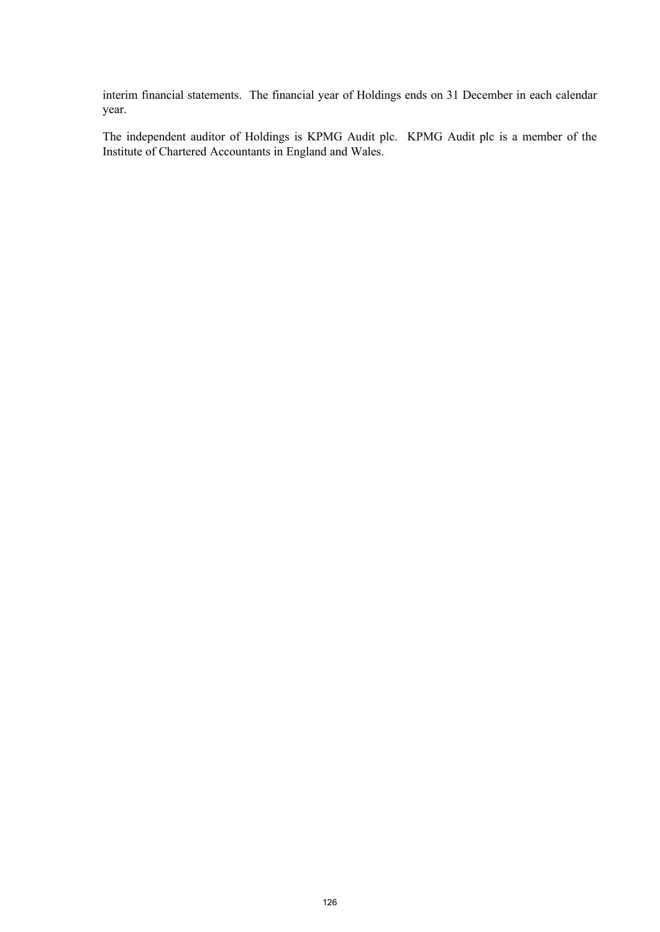interim financial statements. The financial year of Holdings ends on 31 December in each calendar year.

The independent auditor of Holdings is KPMG Audit plc. KPMG Audit plc is a member of the Institute of Chartered Accountants in England and Wales.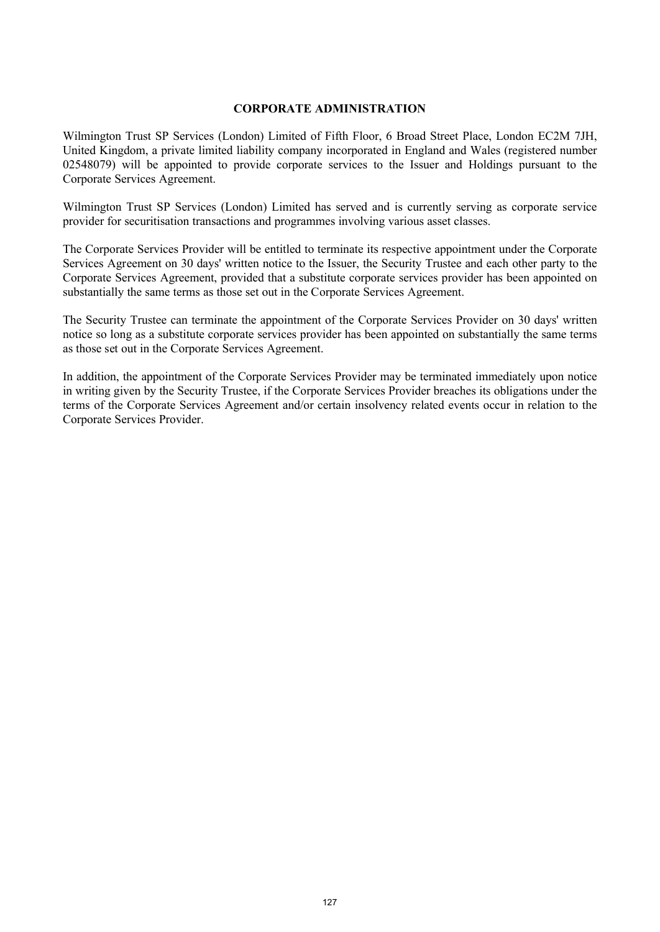#### **CORPORATE ADMINISTRATION**

Wilmington Trust SP Services (London) Limited of Fifth Floor, 6 Broad Street Place, London EC2M 7JH, United Kingdom, a private limited liability company incorporated in England and Wales (registered number 02548079) will be appointed to provide corporate services to the Issuer and Holdings pursuant to the Corporate Services Agreement.

Wilmington Trust SP Services (London) Limited has served and is currently serving as corporate service provider for securitisation transactions and programmes involving various asset classes.

The Corporate Services Provider will be entitled to terminate its respective appointment under the Corporate Services Agreement on 30 days' written notice to the Issuer, the Security Trustee and each other party to the Corporate Services Agreement, provided that a substitute corporate services provider has been appointed on substantially the same terms as those set out in the Corporate Services Agreement.

The Security Trustee can terminate the appointment of the Corporate Services Provider on 30 days' written notice so long as a substitute corporate services provider has been appointed on substantially the same terms as those set out in the Corporate Services Agreement.

In addition, the appointment of the Corporate Services Provider may be terminated immediately upon notice in writing given by the Security Trustee, if the Corporate Services Provider breaches its obligations under the terms of the Corporate Services Agreement and/or certain insolvency related events occur in relation to the Corporate Services Provider.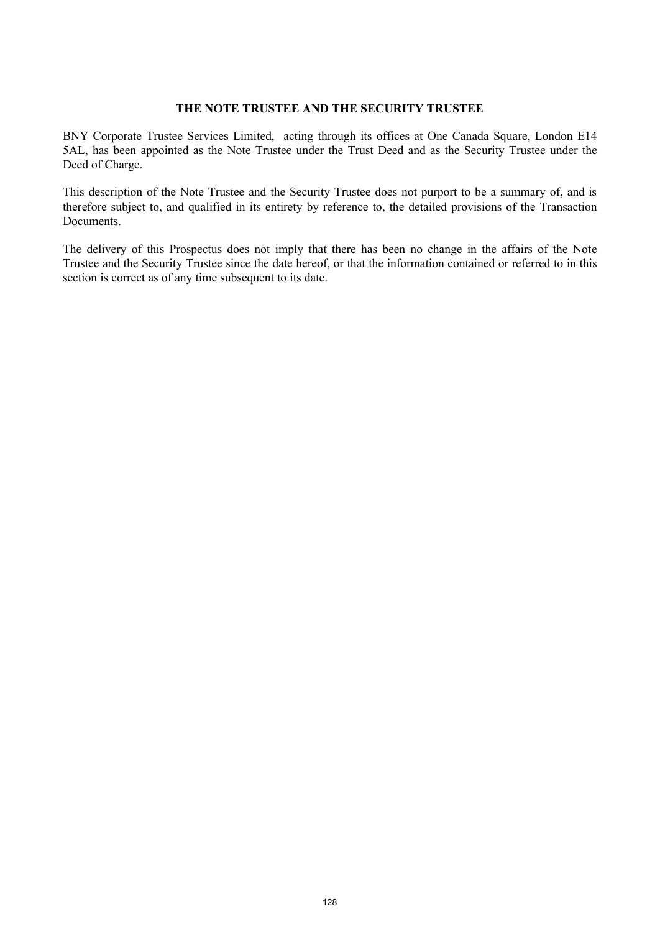# **THE NOTE TRUSTEE AND THE SECURITY TRUSTEE**

BNY Corporate Trustee Services Limited, acting through its offices at One Canada Square, London E14 5AL, has been appointed as the Note Trustee under the Trust Deed and as the Security Trustee under the Deed of Charge.

This description of the Note Trustee and the Security Trustee does not purport to be a summary of, and is therefore subject to, and qualified in its entirety by reference to, the detailed provisions of the Transaction Documents.

The delivery of this Prospectus does not imply that there has been no change in the affairs of the Note Trustee and the Security Trustee since the date hereof, or that the information contained or referred to in this section is correct as of any time subsequent to its date.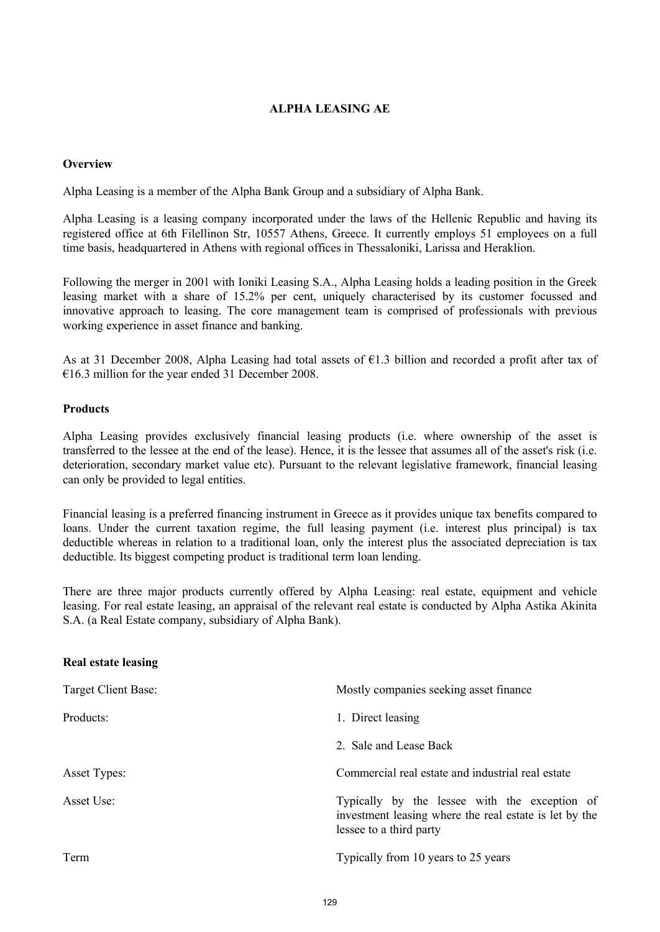# **ALPHA LEASING AE**

## **Overview**

Alpha Leasing is a member of the Alpha Bank Group and a subsidiary of Alpha Bank.

Alpha Leasing is a leasing company incorporated under the laws of the Hellenic Republic and having its registered office at 6th Filellinon Str, 10557 Athens, Greece. It currently employs 51 employees on a full time basis, headquartered in Athens with regional offices in Thessaloniki, Larissa and Heraklion.

Following the merger in 2001 with Ioniki Leasing S.A., Alpha Leasing holds a leading position in the Greek leasing market with a share of 15.2% per cent, uniquely characterised by its customer focussed and innovative approach to leasing. The core management team is comprised of professionals with previous working experience in asset finance and banking.

As at 31 December 2008, Alpha Leasing had total assets of €1.3 billion and recorded a profit after tax of €16.3 million for the year ended 31 December 2008.

#### **Products**

**Real estate leasing**

Alpha Leasing provides exclusively financial leasing products (i.e. where ownership of the asset is transferred to the lessee at the end of the lease). Hence, it is the lessee that assumes all of the asset's risk (i.e. deterioration, secondary market value etc). Pursuant to the relevant legislative framework, financial leasing can only be provided to legal entities.

Financial leasing is a preferred financing instrument in Greece as it provides unique tax benefits compared to loans. Under the current taxation regime, the full leasing payment (i.e. interest plus principal) is tax deductible whereas in relation to a traditional loan, only the interest plus the associated depreciation is tax deductible. Its biggest competing product is traditional term loan lending.

There are three major products currently offered by Alpha Leasing: real estate, equipment and vehicle leasing. For real estate leasing, an appraisal of the relevant real estate is conducted by Alpha Astika Akinita S.A. (a Real Estate company, subsidiary of Alpha Bank).

| Mostly companies seeking asset finance                                                                                             |
|------------------------------------------------------------------------------------------------------------------------------------|
| 1. Direct leasing                                                                                                                  |
| 2. Sale and Lease Back                                                                                                             |
| Commercial real estate and industrial real estate                                                                                  |
| Typically by the lessee with the exception of<br>investment leasing where the real estate is let by the<br>lessee to a third party |
| Typically from 10 years to 25 years                                                                                                |
|                                                                                                                                    |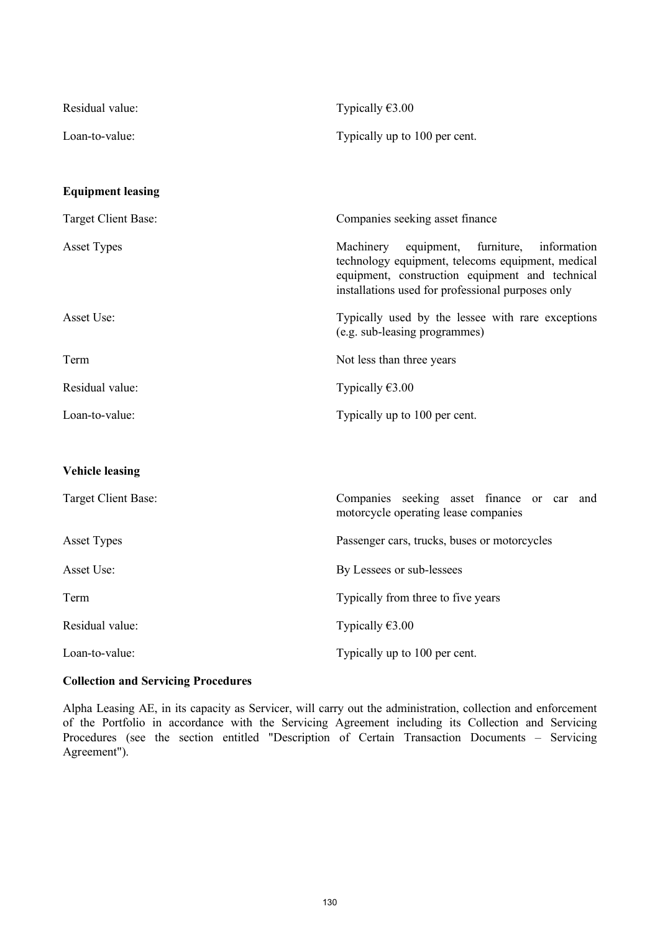| Residual value:          | Typically $€3.00$                                                                                                                                                                                                 |
|--------------------------|-------------------------------------------------------------------------------------------------------------------------------------------------------------------------------------------------------------------|
| Loan-to-value:           | Typically up to 100 per cent.                                                                                                                                                                                     |
|                          |                                                                                                                                                                                                                   |
| <b>Equipment leasing</b> |                                                                                                                                                                                                                   |
| Target Client Base:      | Companies seeking asset finance                                                                                                                                                                                   |
| <b>Asset Types</b>       | information<br>equipment,<br>furniture,<br>Machinery<br>technology equipment, telecoms equipment, medical<br>equipment, construction equipment and technical<br>installations used for professional purposes only |
| Asset Use:               | Typically used by the lessee with rare exceptions<br>(e.g. sub-leasing programmes)                                                                                                                                |
| Term                     | Not less than three years                                                                                                                                                                                         |
| Residual value:          | Typically $€3.00$                                                                                                                                                                                                 |
| Loan-to-value:           | Typically up to 100 per cent.                                                                                                                                                                                     |
|                          |                                                                                                                                                                                                                   |
| <b>Vehicle leasing</b>   |                                                                                                                                                                                                                   |
| Target Client Base:      | Companies seeking asset finance or car<br>and<br>motorcycle operating lease companies                                                                                                                             |
| <b>Asset Types</b>       | Passenger cars, trucks, buses or motorcycles                                                                                                                                                                      |
| Asset Use:               | By Lessees or sub-lessees                                                                                                                                                                                         |
| Term                     | Typically from three to five years                                                                                                                                                                                |

Residual value: Typically €3.00

Loan-to-value: Typically up to 100 per cent.

# **Collection and Servicing Procedures**

Alpha Leasing AE, in its capacity as Servicer, will carry out the administration, collection and enforcement of the Portfolio in accordance with the Servicing Agreement including its Collection and Servicing Procedures (see the section entitled "Description of Certain Transaction Documents – Servicing Agreement").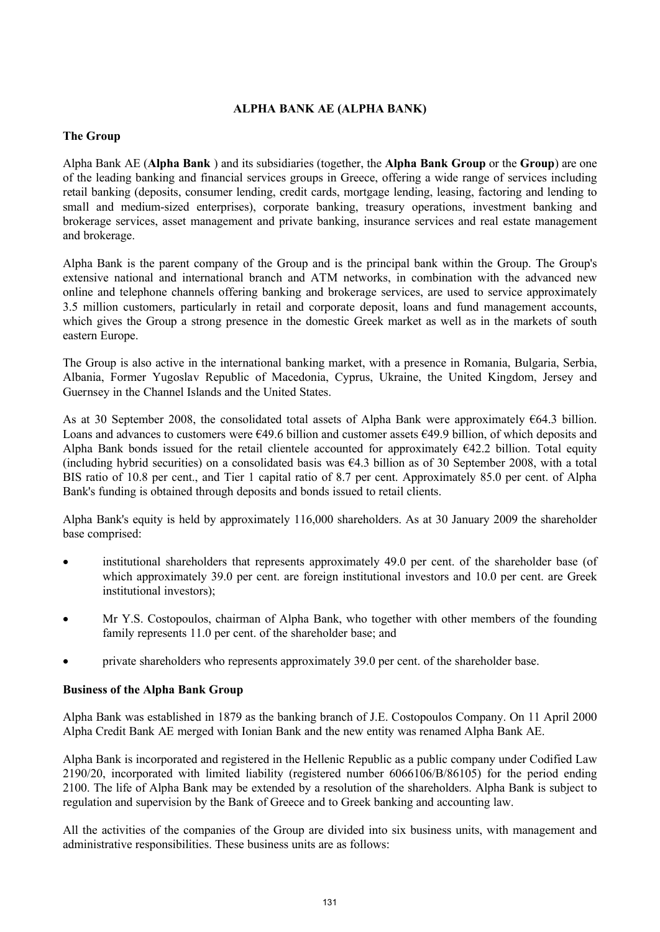# **ALPHA BANK AE (ALPHA BANK)**

# **The Group**

Alpha Bank AE (**Alpha Bank** ) and its subsidiaries (together, the **Alpha Bank Group** or the **Group**) are one of the leading banking and financial services groups in Greece, offering a wide range of services including retail banking (deposits, consumer lending, credit cards, mortgage lending, leasing, factoring and lending to small and medium-sized enterprises), corporate banking, treasury operations, investment banking and brokerage services, asset management and private banking, insurance services and real estate management and brokerage.

Alpha Bank is the parent company of the Group and is the principal bank within the Group. The Group's extensive national and international branch and ATM networks, in combination with the advanced new online and telephone channels offering banking and brokerage services, are used to service approximately 3.5 million customers, particularly in retail and corporate deposit, loans and fund management accounts, which gives the Group a strong presence in the domestic Greek market as well as in the markets of south eastern Europe.

The Group is also active in the international banking market, with a presence in Romania, Bulgaria, Serbia, Albania, Former Yugoslav Republic of Macedonia, Cyprus, Ukraine, the United Kingdom, Jersey and Guernsey in the Channel Islands and the United States.

As at 30 September 2008, the consolidated total assets of Alpha Bank were approximately €64.3 billion. Loans and advances to customers were €49.6 billion and customer assets €49.9 billion, of which deposits and Alpha Bank bonds issued for the retail clientele accounted for approximately  $642.2$  billion. Total equity (including hybrid securities) on a consolidated basis was  $64.3$  billion as of 30 September 2008, with a total BIS ratio of 10.8 per cent., and Tier 1 capital ratio of 8.7 per cent. Approximately 85.0 per cent. of Alpha Bank's funding is obtained through deposits and bonds issued to retail clients.

Alpha Bank's equity is held by approximately 116,000 shareholders. As at 30 January 2009 the shareholder base comprised:

- institutional shareholders that represents approximately 49.0 per cent. of the shareholder base (of which approximately 39.0 per cent. are foreign institutional investors and 10.0 per cent. are Greek institutional investors);
- · Mr Y.S. Costopoulos, chairman of Alpha Bank, who together with other members of the founding family represents 11.0 per cent. of the shareholder base; and
- · private shareholders who represents approximately 39.0 per cent. of the shareholder base.

#### **Business of the Alpha Bank Group**

Alpha Bank was established in 1879 as the banking branch of J.E. Costopoulos Company. On 11 April 2000 Alpha Credit Bank AE merged with Ionian Bank and the new entity was renamed Alpha Bank AE.

Alpha Bank is incorporated and registered in the Hellenic Republic as a public company under Codified Law 2190/20, incorporated with limited liability (registered number 6066106/B/86105) for the period ending 2100. The life of Alpha Bank may be extended by a resolution of the shareholders. Alpha Bank is subject to regulation and supervision by the Bank of Greece and to Greek banking and accounting law.

All the activities of the companies of the Group are divided into six business units, with management and administrative responsibilities. These business units are as follows: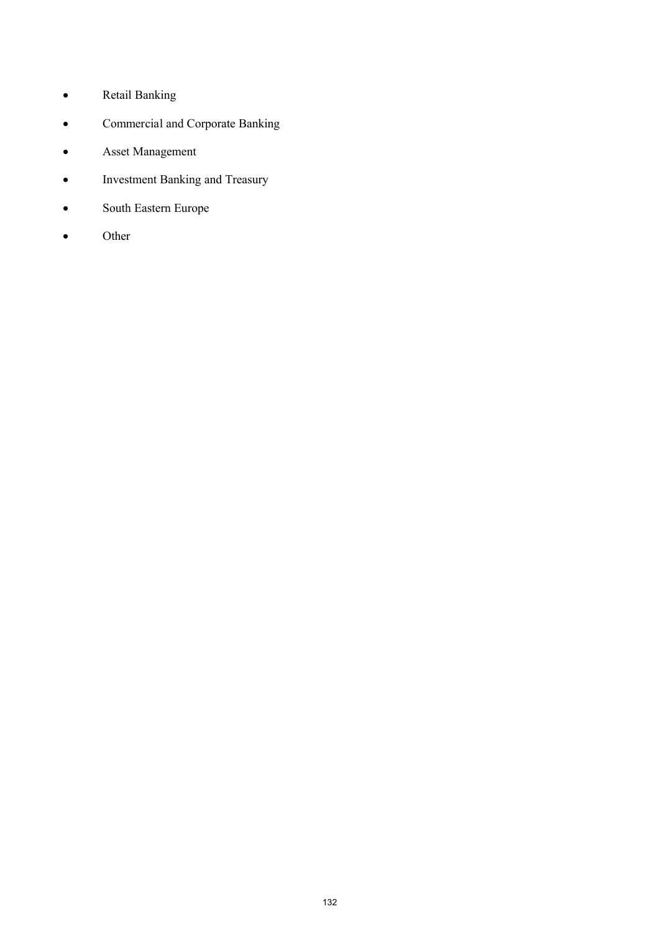- · Retail Banking
- · Commercial and Corporate Banking
- · Asset Management
- · Investment Banking and Treasury
- · South Eastern Europe
- · Other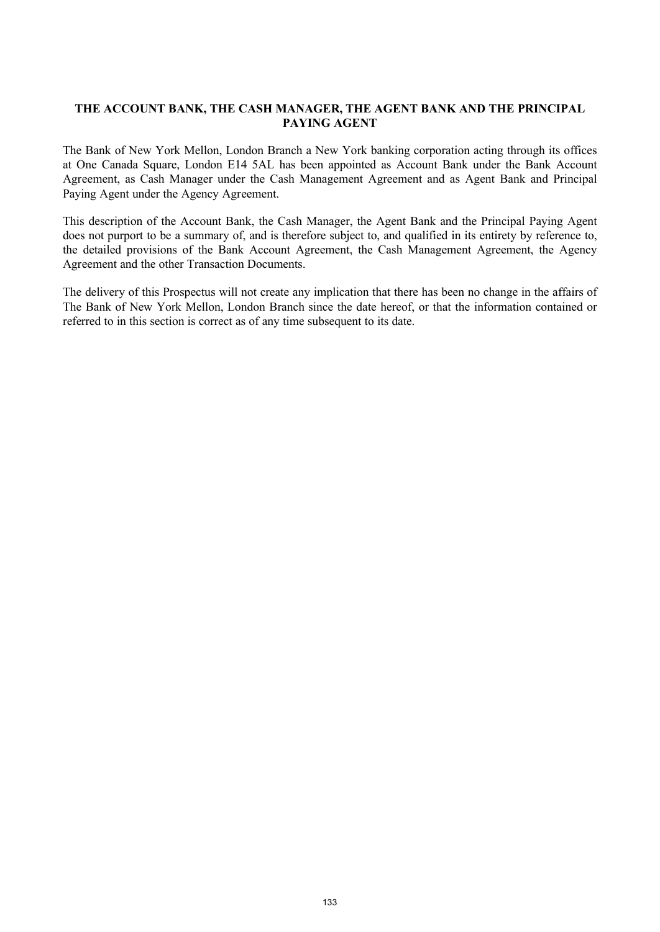# **THE ACCOUNT BANK, THE CASH MANAGER, THE AGENT BANK AND THE PRINCIPAL PAYING AGENT**

The Bank of New York Mellon, London Branch a New York banking corporation acting through its offices at One Canada Square, London E14 5AL has been appointed as Account Bank under the Bank Account Agreement, as Cash Manager under the Cash Management Agreement and as Agent Bank and Principal Paying Agent under the Agency Agreement.

This description of the Account Bank, the Cash Manager, the Agent Bank and the Principal Paying Agent does not purport to be a summary of, and is therefore subject to, and qualified in its entirety by reference to, the detailed provisions of the Bank Account Agreement, the Cash Management Agreement, the Agency Agreement and the other Transaction Documents.

The delivery of this Prospectus will not create any implication that there has been no change in the affairs of The Bank of New York Mellon, London Branch since the date hereof, or that the information contained or referred to in this section is correct as of any time subsequent to its date.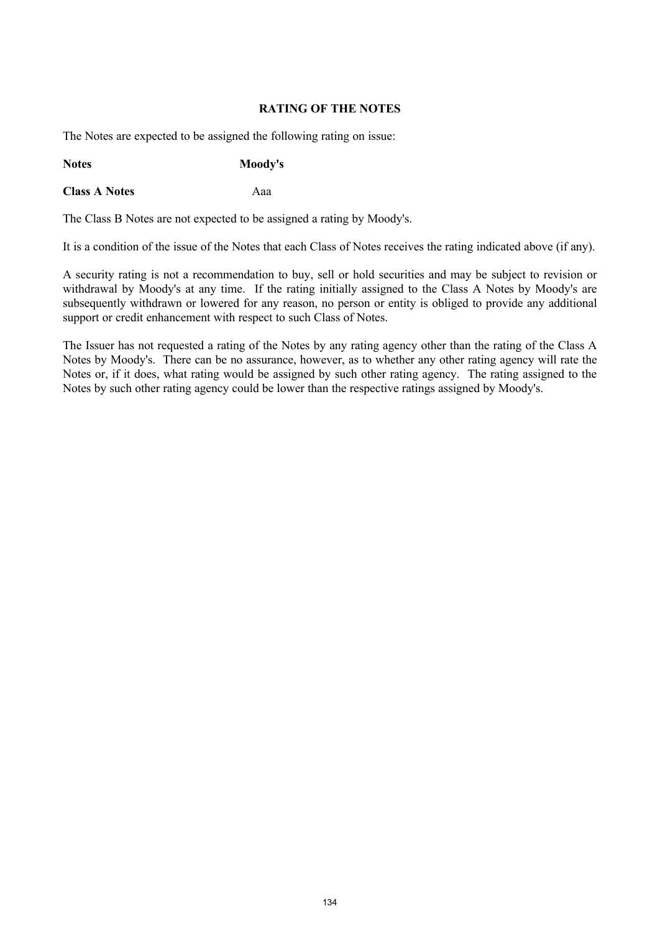## **RATING OF THE NOTES**

The Notes are expected to be assigned the following rating on issue:

**Notes Moody's**

**Class A Notes** Aaa

The Class B Notes are not expected to be assigned a rating by Moody's.

It is a condition of the issue of the Notes that each Class of Notes receives the rating indicated above (if any).

A security rating is not a recommendation to buy, sell or hold securities and may be subject to revision or withdrawal by Moody's at any time. If the rating initially assigned to the Class A Notes by Moody's are subsequently withdrawn or lowered for any reason, no person or entity is obliged to provide any additional support or credit enhancement with respect to such Class of Notes.

The Issuer has not requested a rating of the Notes by any rating agency other than the rating of the Class A Notes by Moody's. There can be no assurance, however, as to whether any other rating agency will rate the Notes or, if it does, what rating would be assigned by such other rating agency. The rating assigned to the Notes by such other rating agency could be lower than the respective ratings assigned by Moody's.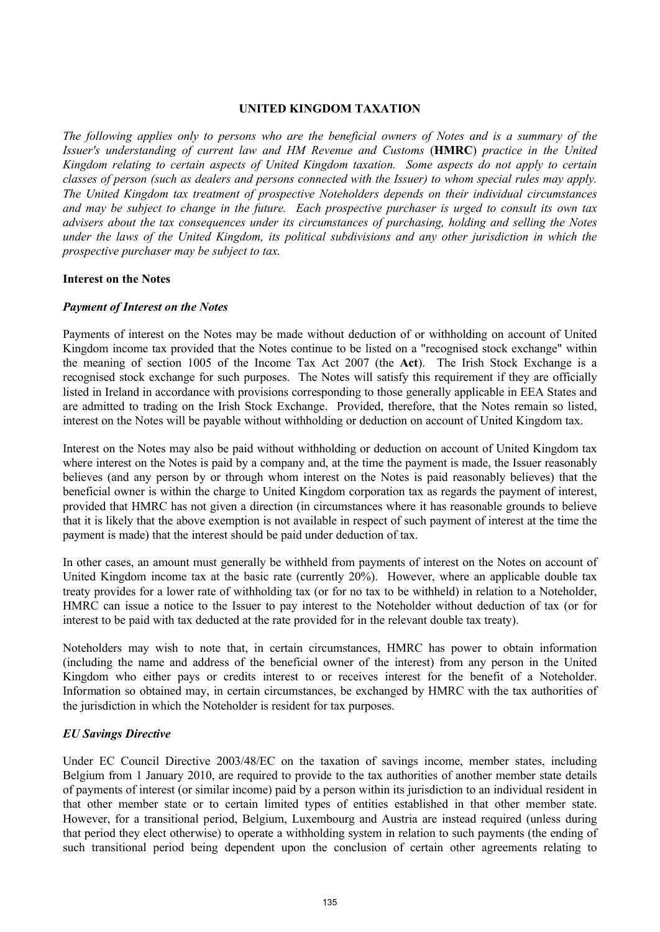## **UNITED KINGDOM TAXATION**

*The following applies only to persons who are the beneficial owners of Notes and is a summary of the Issuer's understanding of current law and HM Revenue and Customs* (**HMRC**) *practice in the United Kingdom relating to certain aspects of United Kingdom taxation. Some aspects do not apply to certain classes of person (such as dealers and persons connected with the Issuer) to whom special rules may apply. The United Kingdom tax treatment of prospective Noteholders depends on their individual circumstances and may be subject to change in the future. Each prospective purchaser is urged to consult its own tax advisers about the tax consequences under its circumstances of purchasing, holding and selling the Notes under the laws of the United Kingdom, its political subdivisions and any other jurisdiction in which the prospective purchaser may be subject to tax.*

#### **Interest on the Notes**

#### *Payment of Interest on the Notes*

Payments of interest on the Notes may be made without deduction of or withholding on account of United Kingdom income tax provided that the Notes continue to be listed on a "recognised stock exchange" within the meaning of section 1005 of the Income Tax Act 2007 (the **Act**). The Irish Stock Exchange is a recognised stock exchange for such purposes. The Notes will satisfy this requirement if they are officially listed in Ireland in accordance with provisions corresponding to those generally applicable in EEA States and are admitted to trading on the Irish Stock Exchange. Provided, therefore, that the Notes remain so listed, interest on the Notes will be payable without withholding or deduction on account of United Kingdom tax.

Interest on the Notes may also be paid without withholding or deduction on account of United Kingdom tax where interest on the Notes is paid by a company and, at the time the payment is made, the Issuer reasonably believes (and any person by or through whom interest on the Notes is paid reasonably believes) that the beneficial owner is within the charge to United Kingdom corporation tax as regards the payment of interest, provided that HMRC has not given a direction (in circumstances where it has reasonable grounds to believe that it is likely that the above exemption is not available in respect of such payment of interest at the time the payment is made) that the interest should be paid under deduction of tax.

In other cases, an amount must generally be withheld from payments of interest on the Notes on account of United Kingdom income tax at the basic rate (currently 20%). However, where an applicable double tax treaty provides for a lower rate of withholding tax (or for no tax to be withheld) in relation to a Noteholder, HMRC can issue a notice to the Issuer to pay interest to the Noteholder without deduction of tax (or for interest to be paid with tax deducted at the rate provided for in the relevant double tax treaty).

Noteholders may wish to note that, in certain circumstances, HMRC has power to obtain information (including the name and address of the beneficial owner of the interest) from any person in the United Kingdom who either pays or credits interest to or receives interest for the benefit of a Noteholder. Information so obtained may, in certain circumstances, be exchanged by HMRC with the tax authorities of the jurisdiction in which the Noteholder is resident for tax purposes.

#### *EU Savings Directive*

Under EC Council Directive 2003/48/EC on the taxation of savings income, member states, including Belgium from 1 January 2010, are required to provide to the tax authorities of another member state details of payments of interest (or similar income) paid by a person within its jurisdiction to an individual resident in that other member state or to certain limited types of entities established in that other member state. However, for a transitional period, Belgium, Luxembourg and Austria are instead required (unless during that period they elect otherwise) to operate a withholding system in relation to such payments (the ending of such transitional period being dependent upon the conclusion of certain other agreements relating to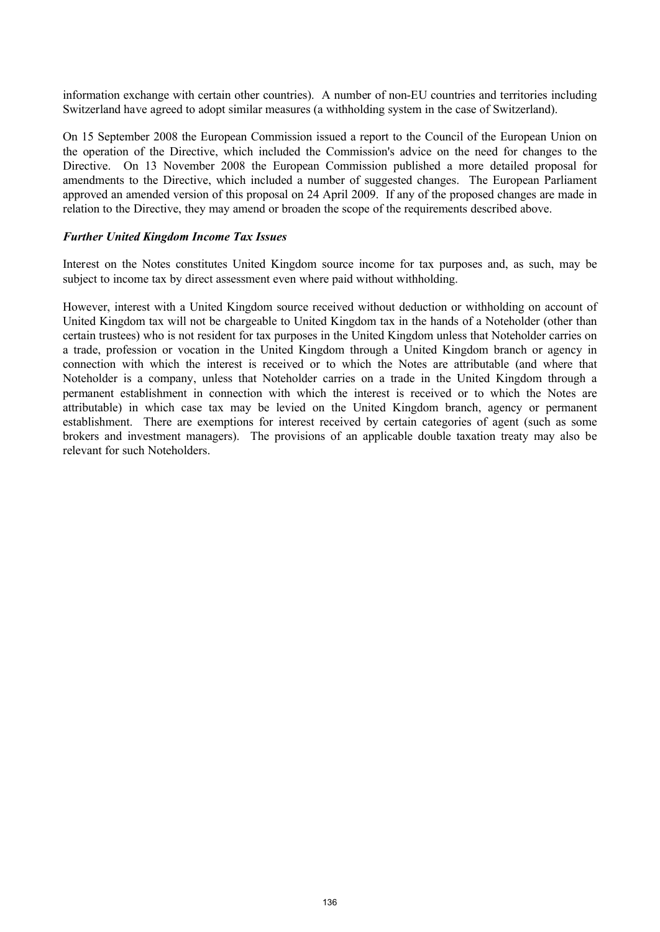information exchange with certain other countries). A number of non-EU countries and territories including Switzerland have agreed to adopt similar measures (a withholding system in the case of Switzerland).

On 15 September 2008 the European Commission issued a report to the Council of the European Union on the operation of the Directive, which included the Commission's advice on the need for changes to the Directive. On 13 November 2008 the European Commission published a more detailed proposal for amendments to the Directive, which included a number of suggested changes. The European Parliament approved an amended version of this proposal on 24 April 2009. If any of the proposed changes are made in relation to the Directive, they may amend or broaden the scope of the requirements described above.

#### *Further United Kingdom Income Tax Issues*

Interest on the Notes constitutes United Kingdom source income for tax purposes and, as such, may be subject to income tax by direct assessment even where paid without withholding.

However, interest with a United Kingdom source received without deduction or withholding on account of United Kingdom tax will not be chargeable to United Kingdom tax in the hands of a Noteholder (other than certain trustees) who is not resident for tax purposes in the United Kingdom unless that Noteholder carries on a trade, profession or vocation in the United Kingdom through a United Kingdom branch or agency in connection with which the interest is received or to which the Notes are attributable (and where that Noteholder is a company, unless that Noteholder carries on a trade in the United Kingdom through a permanent establishment in connection with which the interest is received or to which the Notes are attributable) in which case tax may be levied on the United Kingdom branch, agency or permanent establishment. There are exemptions for interest received by certain categories of agent (such as some brokers and investment managers). The provisions of an applicable double taxation treaty may also be relevant for such Noteholders.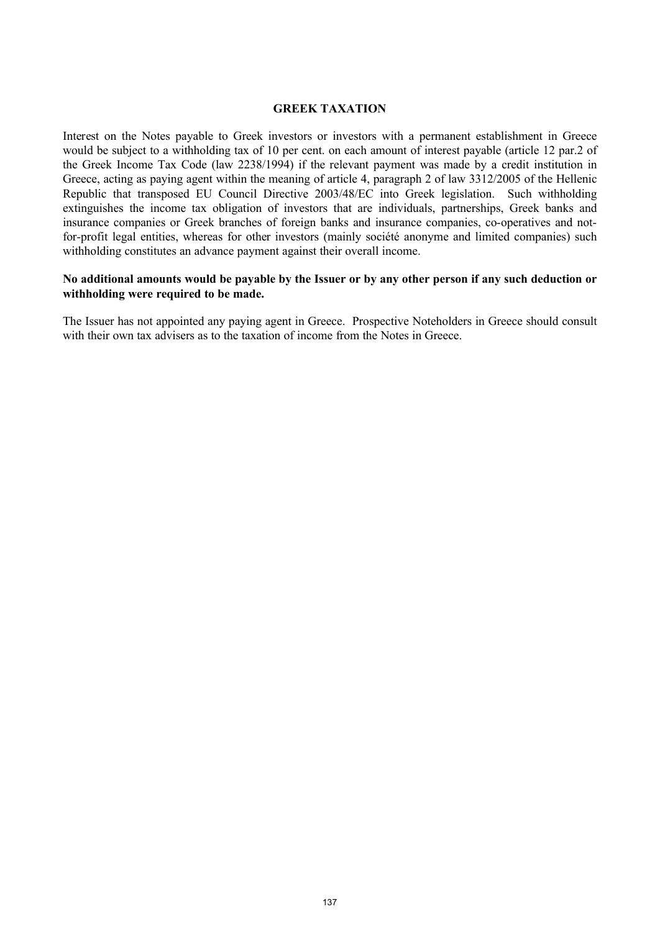#### **GREEK TAXATION**

Interest on the Notes payable to Greek investors or investors with a permanent establishment in Greece would be subject to a withholding tax of 10 per cent. on each amount of interest payable (article 12 par.2 of the Greek Income Tax Code (law 2238/1994) if the relevant payment was made by a credit institution in Greece, acting as paying agent within the meaning of article 4, paragraph 2 of law 3312/2005 of the Hellenic Republic that transposed EU Council Directive 2003/48/EC into Greek legislation. Such withholding extinguishes the income tax obligation of investors that are individuals, partnerships, Greek banks and insurance companies or Greek branches of foreign banks and insurance companies, co-operatives and notfor-profit legal entities, whereas for other investors (mainly société anonyme and limited companies) such withholding constitutes an advance payment against their overall income.

#### **No additional amounts would be payable by the Issuer or by any other person if any such deduction or withholding were required to be made.**

The Issuer has not appointed any paying agent in Greece. Prospective Noteholders in Greece should consult with their own tax advisers as to the taxation of income from the Notes in Greece.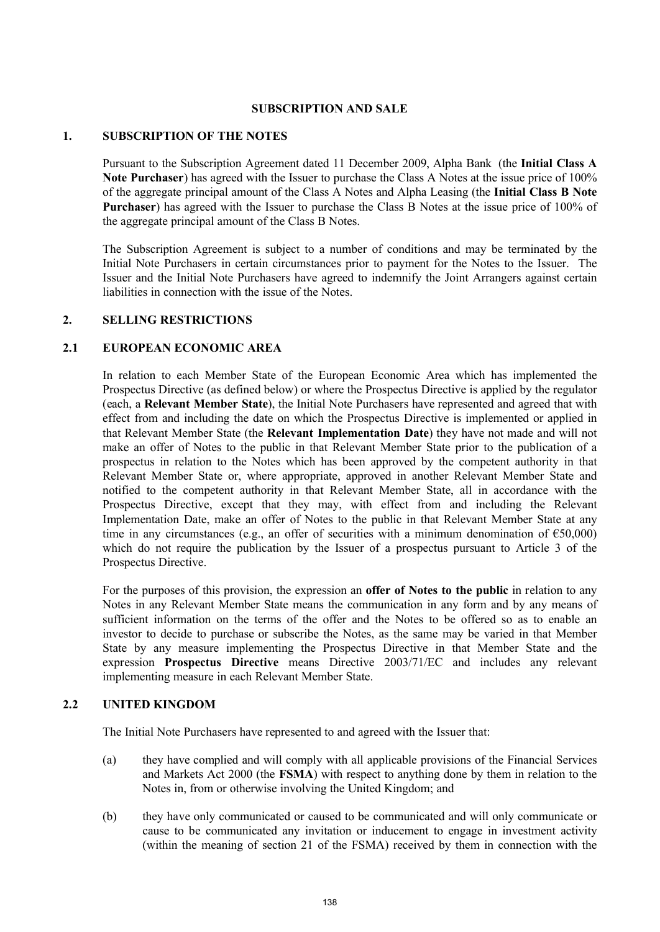#### **SUBSCRIPTION AND SALE**

#### **1. SUBSCRIPTION OF THE NOTES**

Pursuant to the Subscription Agreement dated 11 December 2009, Alpha Bank (the **Initial Class A Note Purchaser**) has agreed with the Issuer to purchase the Class A Notes at the issue price of 100% of the aggregate principal amount of the Class A Notes and Alpha Leasing (the **Initial Class B Note Purchaser**) has agreed with the Issuer to purchase the Class B Notes at the issue price of 100% of the aggregate principal amount of the Class B Notes.

The Subscription Agreement is subject to a number of conditions and may be terminated by the Initial Note Purchasers in certain circumstances prior to payment for the Notes to the Issuer. The Issuer and the Initial Note Purchasers have agreed to indemnify the Joint Arrangers against certain liabilities in connection with the issue of the Notes.

# **2. SELLING RESTRICTIONS**

#### **2.1 EUROPEAN ECONOMIC AREA**

In relation to each Member State of the European Economic Area which has implemented the Prospectus Directive (as defined below) or where the Prospectus Directive is applied by the regulator (each, a **Relevant Member State**), the Initial Note Purchasers have represented and agreed that with effect from and including the date on which the Prospectus Directive is implemented or applied in that Relevant Member State (the **Relevant Implementation Date**) they have not made and will not make an offer of Notes to the public in that Relevant Member State prior to the publication of a prospectus in relation to the Notes which has been approved by the competent authority in that Relevant Member State or, where appropriate, approved in another Relevant Member State and notified to the competent authority in that Relevant Member State, all in accordance with the Prospectus Directive, except that they may, with effect from and including the Relevant Implementation Date, make an offer of Notes to the public in that Relevant Member State at any time in any circumstances (e.g., an offer of securities with a minimum denomination of  $\epsilon$ 50,000) which do not require the publication by the Issuer of a prospectus pursuant to Article 3 of the Prospectus Directive.

For the purposes of this provision, the expression an **offer of Notes to the public** in relation to any Notes in any Relevant Member State means the communication in any form and by any means of sufficient information on the terms of the offer and the Notes to be offered so as to enable an investor to decide to purchase or subscribe the Notes, as the same may be varied in that Member State by any measure implementing the Prospectus Directive in that Member State and the expression **Prospectus Directive** means Directive 2003/71/EC and includes any relevant implementing measure in each Relevant Member State.

# **2.2 UNITED KINGDOM**

The Initial Note Purchasers have represented to and agreed with the Issuer that:

- (a) they have complied and will comply with all applicable provisions of the Financial Services and Markets Act 2000 (the **FSMA**) with respect to anything done by them in relation to the Notes in, from or otherwise involving the United Kingdom; and
- (b) they have only communicated or caused to be communicated and will only communicate or cause to be communicated any invitation or inducement to engage in investment activity (within the meaning of section 21 of the FSMA) received by them in connection with the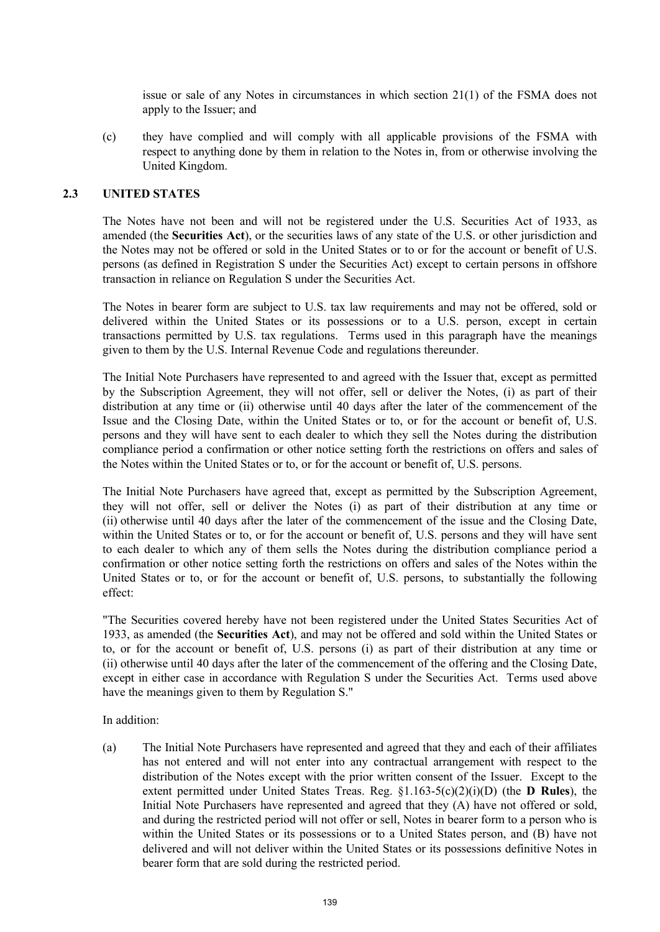issue or sale of any Notes in circumstances in which section 21(1) of the FSMA does not apply to the Issuer; and

(c) they have complied and will comply with all applicable provisions of the FSMA with respect to anything done by them in relation to the Notes in, from or otherwise involving the United Kingdom.

#### **2.3 UNITED STATES**

The Notes have not been and will not be registered under the U.S. Securities Act of 1933, as amended (the **Securities Act**), or the securities laws of any state of the U.S. or other jurisdiction and the Notes may not be offered or sold in the United States or to or for the account or benefit of U.S. persons (as defined in Registration S under the Securities Act) except to certain persons in offshore transaction in reliance on Regulation S under the Securities Act.

The Notes in bearer form are subject to U.S. tax law requirements and may not be offered, sold or delivered within the United States or its possessions or to a U.S. person, except in certain transactions permitted by U.S. tax regulations. Terms used in this paragraph have the meanings given to them by the U.S. Internal Revenue Code and regulations thereunder.

The Initial Note Purchasers have represented to and agreed with the Issuer that, except as permitted by the Subscription Agreement, they will not offer, sell or deliver the Notes, (i) as part of their distribution at any time or (ii) otherwise until 40 days after the later of the commencement of the Issue and the Closing Date, within the United States or to, or for the account or benefit of, U.S. persons and they will have sent to each dealer to which they sell the Notes during the distribution compliance period a confirmation or other notice setting forth the restrictions on offers and sales of the Notes within the United States or to, or for the account or benefit of, U.S. persons.

The Initial Note Purchasers have agreed that, except as permitted by the Subscription Agreement, they will not offer, sell or deliver the Notes (i) as part of their distribution at any time or (ii) otherwise until 40 days after the later of the commencement of the issue and the Closing Date, within the United States or to, or for the account or benefit of, U.S. persons and they will have sent to each dealer to which any of them sells the Notes during the distribution compliance period a confirmation or other notice setting forth the restrictions on offers and sales of the Notes within the United States or to, or for the account or benefit of, U.S. persons, to substantially the following effect:

"The Securities covered hereby have not been registered under the United States Securities Act of 1933, as amended (the **Securities Act**), and may not be offered and sold within the United States or to, or for the account or benefit of, U.S. persons (i) as part of their distribution at any time or (ii) otherwise until 40 days after the later of the commencement of the offering and the Closing Date, except in either case in accordance with Regulation S under the Securities Act. Terms used above have the meanings given to them by Regulation S."

In addition:

(a) The Initial Note Purchasers have represented and agreed that they and each of their affiliates has not entered and will not enter into any contractual arrangement with respect to the distribution of the Notes except with the prior written consent of the Issuer. Except to the extent permitted under United States Treas. Reg. §1.163-5(c)(2)(i)(D) (the **D Rules**), the Initial Note Purchasers have represented and agreed that they (A) have not offered or sold, and during the restricted period will not offer or sell, Notes in bearer form to a person who is within the United States or its possessions or to a United States person, and (B) have not delivered and will not deliver within the United States or its possessions definitive Notes in bearer form that are sold during the restricted period.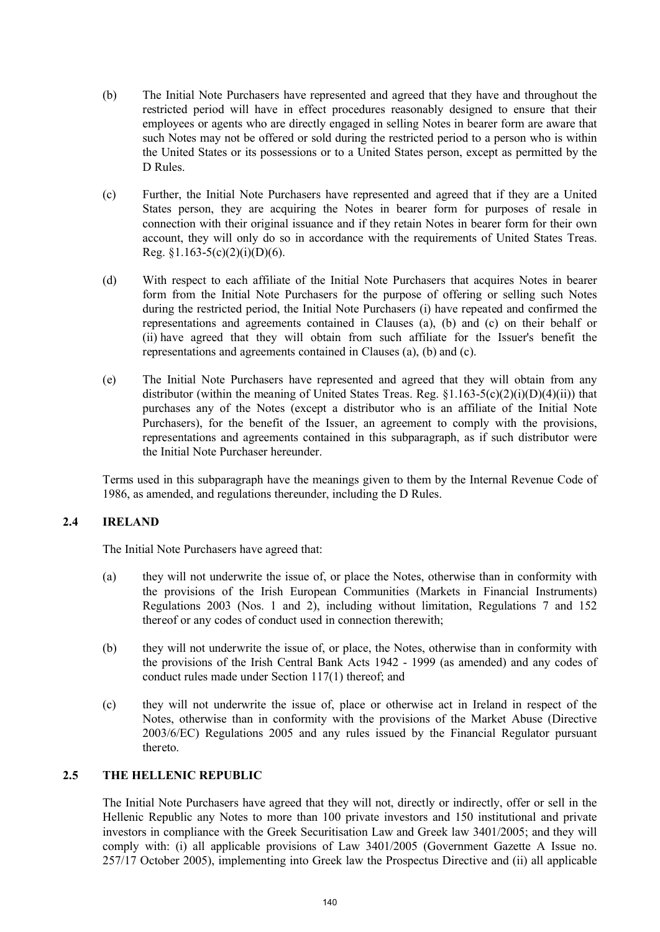- (b) The Initial Note Purchasers have represented and agreed that they have and throughout the restricted period will have in effect procedures reasonably designed to ensure that their employees or agents who are directly engaged in selling Notes in bearer form are aware that such Notes may not be offered or sold during the restricted period to a person who is within the United States or its possessions or to a United States person, except as permitted by the D Rules.
- (c) Further, the Initial Note Purchasers have represented and agreed that if they are a United States person, they are acquiring the Notes in bearer form for purposes of resale in connection with their original issuance and if they retain Notes in bearer form for their own account, they will only do so in accordance with the requirements of United States Treas. Reg.  $§1.163-5(c)(2)(i)(D)(6)$ .
- (d) With respect to each affiliate of the Initial Note Purchasers that acquires Notes in bearer form from the Initial Note Purchasers for the purpose of offering or selling such Notes during the restricted period, the Initial Note Purchasers (i) have repeated and confirmed the representations and agreements contained in Clauses (a), (b) and (c) on their behalf or (ii) have agreed that they will obtain from such affiliate for the Issuer's benefit the representations and agreements contained in Clauses (a), (b) and (c).
- (e) The Initial Note Purchasers have represented and agreed that they will obtain from any distributor (within the meaning of United States Treas. Reg.  $\S1.163-5(c)(2)(i)(D)(4)(ii)$ ) that purchases any of the Notes (except a distributor who is an affiliate of the Initial Note Purchasers), for the benefit of the Issuer, an agreement to comply with the provisions, representations and agreements contained in this subparagraph, as if such distributor were the Initial Note Purchaser hereunder.

Terms used in this subparagraph have the meanings given to them by the Internal Revenue Code of 1986, as amended, and regulations thereunder, including the D Rules.

# **2.4 IRELAND**

The Initial Note Purchasers have agreed that:

- (a) they will not underwrite the issue of, or place the Notes, otherwise than in conformity with the provisions of the Irish European Communities (Markets in Financial Instruments) Regulations 2003 (Nos. 1 and 2), including without limitation, Regulations 7 and 152 thereof or any codes of conduct used in connection therewith;
- (b) they will not underwrite the issue of, or place, the Notes, otherwise than in conformity with the provisions of the Irish Central Bank Acts 1942 - 1999 (as amended) and any codes of conduct rules made under Section 117(1) thereof; and
- (c) they will not underwrite the issue of, place or otherwise act in Ireland in respect of the Notes, otherwise than in conformity with the provisions of the Market Abuse (Directive 2003/6/EC) Regulations 2005 and any rules issued by the Financial Regulator pursuant thereto.

# **2.5 THE HELLENIC REPUBLIC**

The Initial Note Purchasers have agreed that they will not, directly or indirectly, offer or sell in the Hellenic Republic any Notes to more than 100 private investors and 150 institutional and private investors in compliance with the Greek Securitisation Law and Greek law 3401/2005; and they will comply with: (i) all applicable provisions of Law 3401/2005 (Government Gazette A Issue no. 257/17 October 2005), implementing into Greek law the Prospectus Directive and (ii) all applicable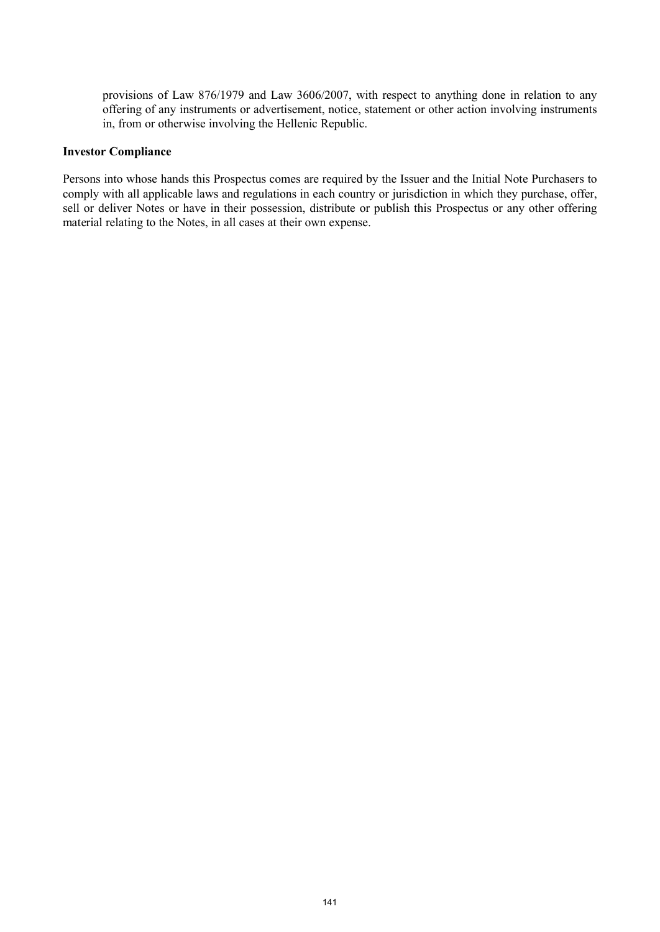provisions of Law 876/1979 and Law 3606/2007, with respect to anything done in relation to any offering of any instruments or advertisement, notice, statement or other action involving instruments in, from or otherwise involving the Hellenic Republic.

#### **Investor Compliance**

Persons into whose hands this Prospectus comes are required by the Issuer and the Initial Note Purchasers to comply with all applicable laws and regulations in each country or jurisdiction in which they purchase, offer, sell or deliver Notes or have in their possession, distribute or publish this Prospectus or any other offering material relating to the Notes, in all cases at their own expense.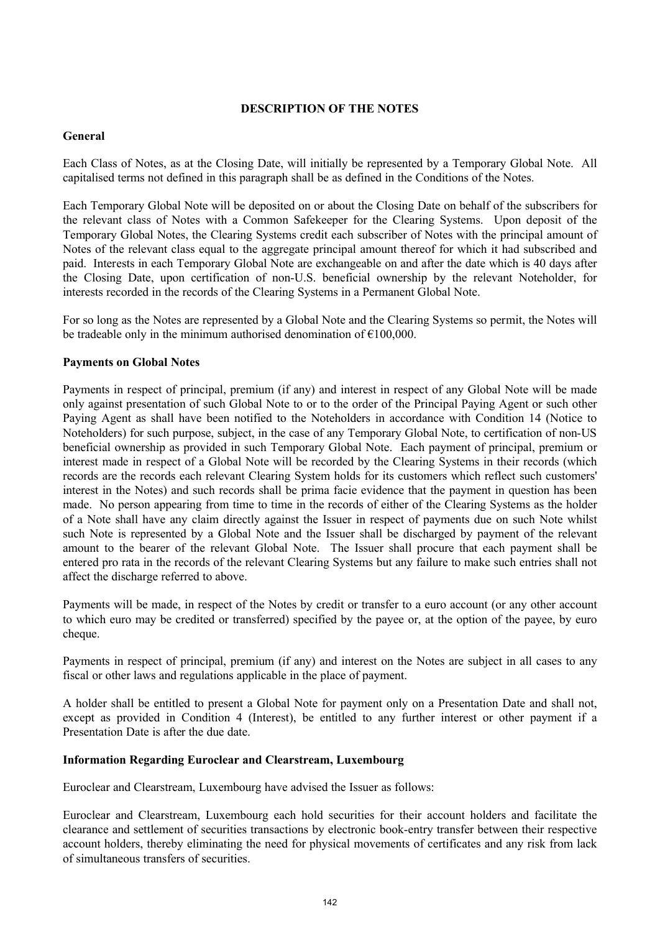# **DESCRIPTION OF THE NOTES**

# **General**

Each Class of Notes, as at the Closing Date, will initially be represented by a Temporary Global Note. All capitalised terms not defined in this paragraph shall be as defined in the Conditions of the Notes.

Each Temporary Global Note will be deposited on or about the Closing Date on behalf of the subscribers for the relevant class of Notes with a Common Safekeeper for the Clearing Systems. Upon deposit of the Temporary Global Notes, the Clearing Systems credit each subscriber of Notes with the principal amount of Notes of the relevant class equal to the aggregate principal amount thereof for which it had subscribed and paid. Interests in each Temporary Global Note are exchangeable on and after the date which is 40 days after the Closing Date, upon certification of non-U.S. beneficial ownership by the relevant Noteholder, for interests recorded in the records of the Clearing Systems in a Permanent Global Note.

For so long as the Notes are represented by a Global Note and the Clearing Systems so permit, the Notes will be tradeable only in the minimum authorised denomination of  $\epsilon$ 100,000.

# **Payments on Global Notes**

Payments in respect of principal, premium (if any) and interest in respect of any Global Note will be made only against presentation of such Global Note to or to the order of the Principal Paying Agent or such other Paying Agent as shall have been notified to the Noteholders in accordance with Condition 14 (Notice to Noteholders) for such purpose, subject, in the case of any Temporary Global Note, to certification of non-US beneficial ownership as provided in such Temporary Global Note. Each payment of principal, premium or interest made in respect of a Global Note will be recorded by the Clearing Systems in their records (which records are the records each relevant Clearing System holds for its customers which reflect such customers' interest in the Notes) and such records shall be prima facie evidence that the payment in question has been made. No person appearing from time to time in the records of either of the Clearing Systems as the holder of a Note shall have any claim directly against the Issuer in respect of payments due on such Note whilst such Note is represented by a Global Note and the Issuer shall be discharged by payment of the relevant amount to the bearer of the relevant Global Note. The Issuer shall procure that each payment shall be entered pro rata in the records of the relevant Clearing Systems but any failure to make such entries shall not affect the discharge referred to above.

Payments will be made, in respect of the Notes by credit or transfer to a euro account (or any other account to which euro may be credited or transferred) specified by the payee or, at the option of the payee, by euro cheque.

Payments in respect of principal, premium (if any) and interest on the Notes are subject in all cases to any fiscal or other laws and regulations applicable in the place of payment.

A holder shall be entitled to present a Global Note for payment only on a Presentation Date and shall not, except as provided in Condition 4 (Interest), be entitled to any further interest or other payment if a Presentation Date is after the due date.

# **Information Regarding Euroclear and Clearstream, Luxembourg**

Euroclear and Clearstream, Luxembourg have advised the Issuer as follows:

Euroclear and Clearstream, Luxembourg each hold securities for their account holders and facilitate the clearance and settlement of securities transactions by electronic book-entry transfer between their respective account holders, thereby eliminating the need for physical movements of certificates and any risk from lack of simultaneous transfers of securities.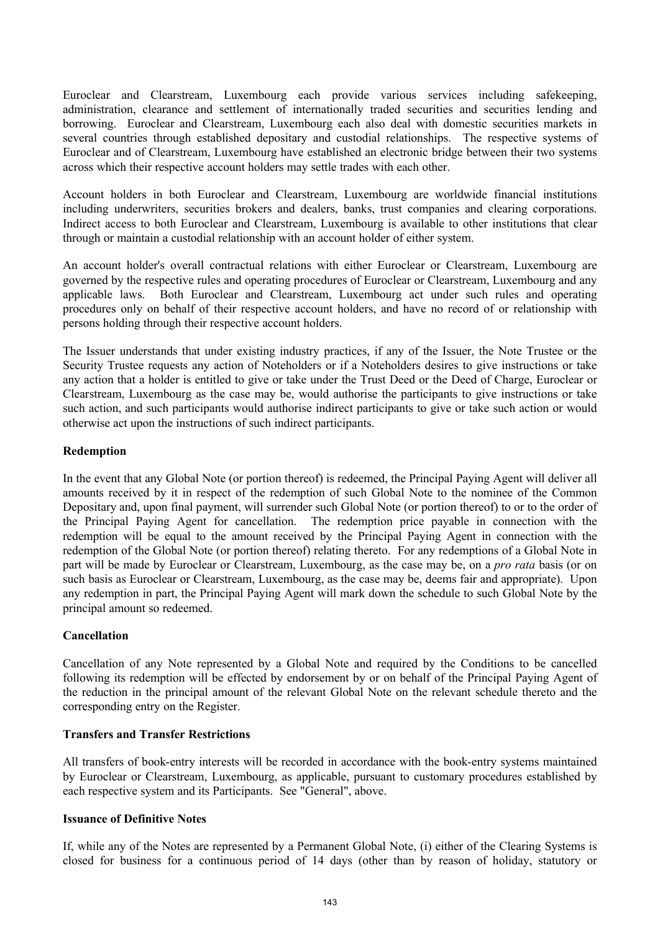Euroclear and Clearstream, Luxembourg each provide various services including safekeeping, administration, clearance and settlement of internationally traded securities and securities lending and borrowing. Euroclear and Clearstream, Luxembourg each also deal with domestic securities markets in several countries through established depositary and custodial relationships. The respective systems of Euroclear and of Clearstream, Luxembourg have established an electronic bridge between their two systems across which their respective account holders may settle trades with each other.

Account holders in both Euroclear and Clearstream, Luxembourg are worldwide financial institutions including underwriters, securities brokers and dealers, banks, trust companies and clearing corporations. Indirect access to both Euroclear and Clearstream, Luxembourg is available to other institutions that clear through or maintain a custodial relationship with an account holder of either system.

An account holder's overall contractual relations with either Euroclear or Clearstream, Luxembourg are governed by the respective rules and operating procedures of Euroclear or Clearstream, Luxembourg and any applicable laws. Both Euroclear and Clearstream, Luxembourg act under such rules and operating procedures only on behalf of their respective account holders, and have no record of or relationship with persons holding through their respective account holders.

The Issuer understands that under existing industry practices, if any of the Issuer, the Note Trustee or the Security Trustee requests any action of Noteholders or if a Noteholders desires to give instructions or take any action that a holder is entitled to give or take under the Trust Deed or the Deed of Charge, Euroclear or Clearstream, Luxembourg as the case may be, would authorise the participants to give instructions or take such action, and such participants would authorise indirect participants to give or take such action or would otherwise act upon the instructions of such indirect participants.

# **Redemption**

In the event that any Global Note (or portion thereof) is redeemed, the Principal Paying Agent will deliver all amounts received by it in respect of the redemption of such Global Note to the nominee of the Common Depositary and, upon final payment, will surrender such Global Note (or portion thereof) to or to the order of the Principal Paying Agent for cancellation. The redemption price payable in connection with the redemption will be equal to the amount received by the Principal Paying Agent in connection with the redemption of the Global Note (or portion thereof) relating thereto. For any redemptions of a Global Note in part will be made by Euroclear or Clearstream, Luxembourg, as the case may be, on a *pro rata* basis (or on such basis as Euroclear or Clearstream, Luxembourg, as the case may be, deems fair and appropriate). Upon any redemption in part, the Principal Paying Agent will mark down the schedule to such Global Note by the principal amount so redeemed.

#### **Cancellation**

Cancellation of any Note represented by a Global Note and required by the Conditions to be cancelled following its redemption will be effected by endorsement by or on behalf of the Principal Paying Agent of the reduction in the principal amount of the relevant Global Note on the relevant schedule thereto and the corresponding entry on the Register.

#### **Transfers and Transfer Restrictions**

All transfers of book-entry interests will be recorded in accordance with the book-entry systems maintained by Euroclear or Clearstream, Luxembourg, as applicable, pursuant to customary procedures established by each respective system and its Participants. See "General", above.

#### **Issuance of Definitive Notes**

If, while any of the Notes are represented by a Permanent Global Note, (i) either of the Clearing Systems is closed for business for a continuous period of 14 days (other than by reason of holiday, statutory or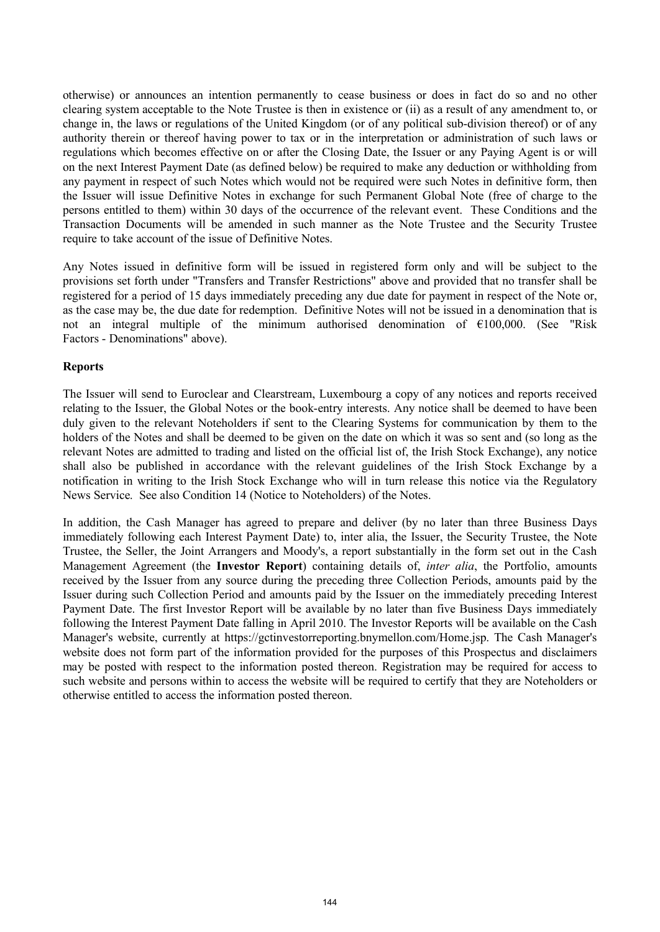otherwise) or announces an intention permanently to cease business or does in fact do so and no other clearing system acceptable to the Note Trustee is then in existence or (ii) as a result of any amendment to, or change in, the laws or regulations of the United Kingdom (or of any political sub-division thereof) or of any authority therein or thereof having power to tax or in the interpretation or administration of such laws or regulations which becomes effective on or after the Closing Date, the Issuer or any Paying Agent is or will on the next Interest Payment Date (as defined below) be required to make any deduction or withholding from any payment in respect of such Notes which would not be required were such Notes in definitive form, then the Issuer will issue Definitive Notes in exchange for such Permanent Global Note (free of charge to the persons entitled to them) within 30 days of the occurrence of the relevant event. These Conditions and the Transaction Documents will be amended in such manner as the Note Trustee and the Security Trustee require to take account of the issue of Definitive Notes.

Any Notes issued in definitive form will be issued in registered form only and will be subject to the provisions set forth under "Transfers and Transfer Restrictions" above and provided that no transfer shall be registered for a period of 15 days immediately preceding any due date for payment in respect of the Note or, as the case may be, the due date for redemption. Definitive Notes will not be issued in a denomination that is not an integral multiple of the minimum authorised denomination of €100,000. (See "Risk Factors - Denominations" above).

#### **Reports**

The Issuer will send to Euroclear and Clearstream, Luxembourg a copy of any notices and reports received relating to the Issuer, the Global Notes or the book-entry interests. Any notice shall be deemed to have been duly given to the relevant Noteholders if sent to the Clearing Systems for communication by them to the holders of the Notes and shall be deemed to be given on the date on which it was so sent and (so long as the relevant Notes are admitted to trading and listed on the official list of, the Irish Stock Exchange), any notice shall also be published in accordance with the relevant guidelines of the Irish Stock Exchange by a notification in writing to the Irish Stock Exchange who will in turn release this notice via the Regulatory News Service. See also Condition 14 (Notice to Noteholders) of the Notes.

In addition, the Cash Manager has agreed to prepare and deliver (by no later than three Business Days immediately following each Interest Payment Date) to, inter alia, the Issuer, the Security Trustee, the Note Trustee, the Seller, the Joint Arrangers and Moody's, a report substantially in the form set out in the Cash Management Agreement (the **Investor Report**) containing details of, *inter alia*, the Portfolio, amounts received by the Issuer from any source during the preceding three Collection Periods, amounts paid by the Issuer during such Collection Period and amounts paid by the Issuer on the immediately preceding Interest Payment Date. The first Investor Report will be available by no later than five Business Days immediately following the Interest Payment Date falling in April 2010. The Investor Reports will be available on the Cash Manager's website, currently at <https://gctinvestorreporting.bnymellon.com/Home.jsp.> The Cash Manager's website does not form part of the information provided for the purposes of this Prospectus and disclaimers may be posted with respect to the information posted thereon. Registration may be required for access to such website and persons within to access the website will be required to certify that they are Noteholders or otherwise entitled to access the information posted thereon.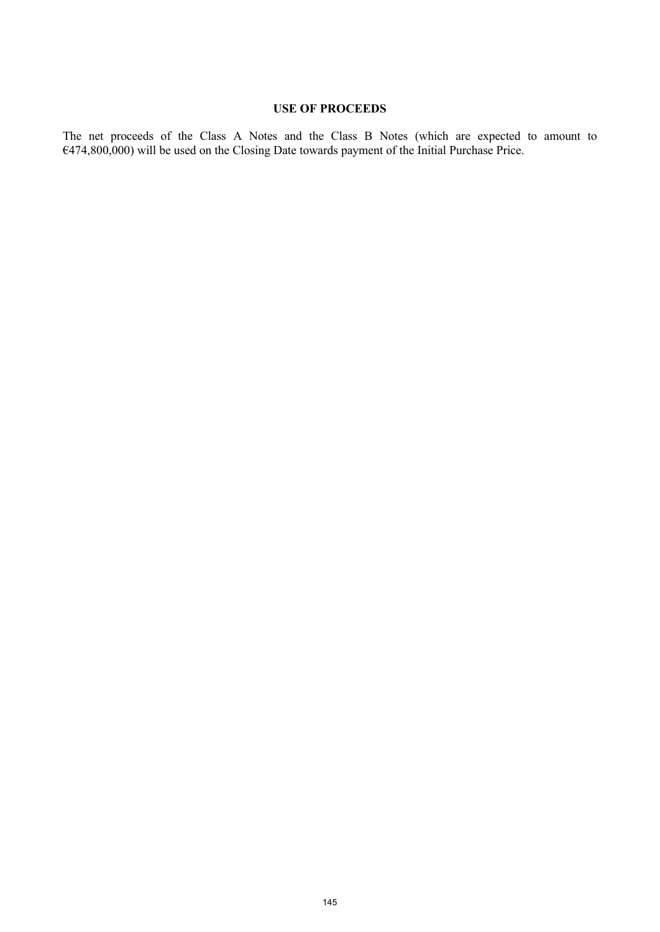# **USE OF PROCEEDS**

The net proceeds of the Class A Notes and the Class B Notes (which are expected to amount to €474,800,000) will be used on the Closing Date towards payment of the Initial Purchase Price.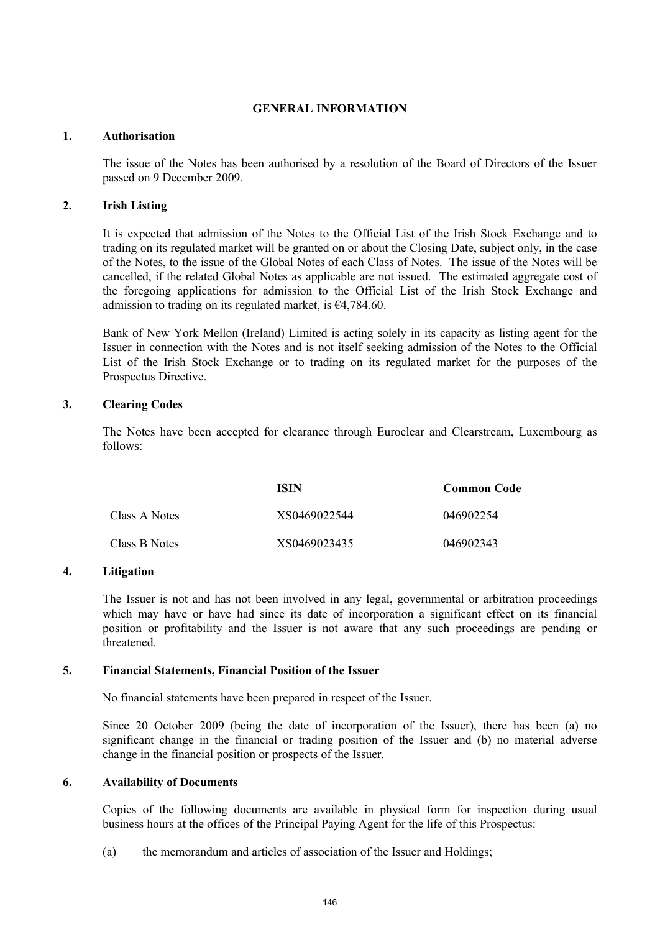## **GENERAL INFORMATION**

### **1. Authorisation**

The issue of the Notes has been authorised by a resolution of the Board of Directors of the Issuer passed on 9 December 2009.

### **2. Irish Listing**

It is expected that admission of the Notes to the Official List of the Irish Stock Exchange and to trading on its regulated market will be granted on or about the Closing Date, subject only, in the case of the Notes, to the issue of the Global Notes of each Class of Notes. The issue of the Notes will be cancelled, if the related Global Notes as applicable are not issued. The estimated aggregate cost of the foregoing applications for admission to the Official List of the Irish Stock Exchange and admission to trading on its regulated market, is  $\epsilon$ 4,784.60.

Bank of New York Mellon (Ireland) Limited is acting solely in its capacity as listing agent for the Issuer in connection with the Notes and is not itself seeking admission of the Notes to the Official List of the Irish Stock Exchange or to trading on its regulated market for the purposes of the Prospectus Directive.

## **3. Clearing Codes**

The Notes have been accepted for clearance through Euroclear and Clearstream, Luxembourg as follows:

|               | ISIN         | <b>Common Code</b> |
|---------------|--------------|--------------------|
| Class A Notes | XS0469022544 | 046902254          |
| Class B Notes | XS0469023435 | 046902343          |

### **4. Litigation**

The Issuer is not and has not been involved in any legal, governmental or arbitration proceedings which may have or have had since its date of incorporation a significant effect on its financial position or profitability and the Issuer is not aware that any such proceedings are pending or threatened.

### **5. Financial Statements, Financial Position of the Issuer**

No financial statements have been prepared in respect of the Issuer.

Since 20 October 2009 (being the date of incorporation of the Issuer), there has been (a) no significant change in the financial or trading position of the Issuer and (b) no material adverse change in the financial position or prospects of the Issuer.

### **6. Availability of Documents**

Copies of the following documents are available in physical form for inspection during usual business hours at the offices of the Principal Paying Agent for the life of this Prospectus:

(a) the memorandum and articles of association of the Issuer and Holdings;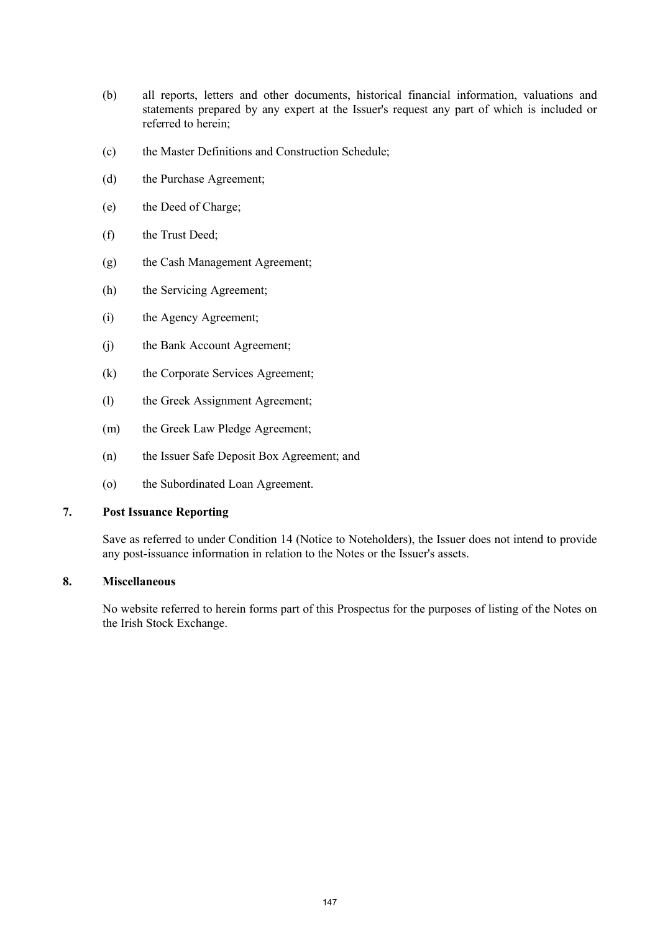- (b) all reports, letters and other documents, historical financial information, valuations and statements prepared by any expert at the Issuer's request any part of which is included or referred to herein;
- (c) the Master Definitions and Construction Schedule;
- (d) the Purchase Agreement;
- (e) the Deed of Charge;
- (f) the Trust Deed;
- (g) the Cash Management Agreement;
- (h) the Servicing Agreement;
- (i) the Agency Agreement;
- (j) the Bank Account Agreement;
- (k) the Corporate Services Agreement;
- (l) the Greek Assignment Agreement;
- (m) the Greek Law Pledge Agreement;
- (n) the Issuer Safe Deposit Box Agreement; and
- (o) the Subordinated Loan Agreement.

# **7. Post Issuance Reporting**

Save as referred to under Condition 14 (Notice to Noteholders), the Issuer does not intend to provide any post-issuance information in relation to the Notes or the Issuer's assets.

# **8. Miscellaneous**

No website referred to herein forms part of this Prospectus for the purposes of listing of the Notes on the Irish Stock Exchange.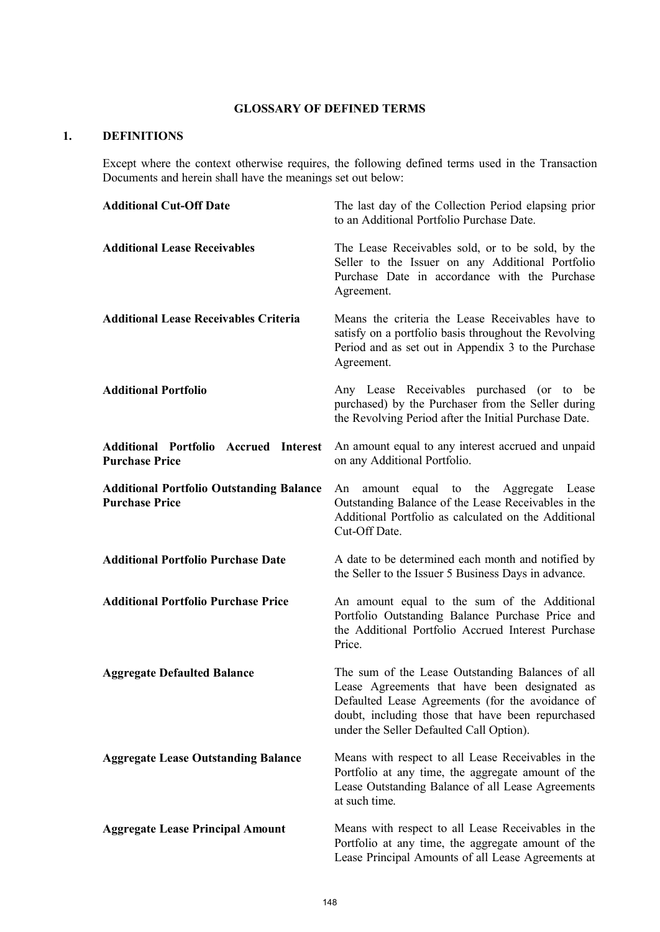# **GLOSSARY OF DEFINED TERMS**

# **1. DEFINITIONS**

Except where the context otherwise requires, the following defined terms used in the Transaction Documents and herein shall have the meanings set out below:

| <b>Additional Cut-Off Date</b>                                           | The last day of the Collection Period elapsing prior<br>to an Additional Portfolio Purchase Date.                                                                                                                                                      |
|--------------------------------------------------------------------------|--------------------------------------------------------------------------------------------------------------------------------------------------------------------------------------------------------------------------------------------------------|
| <b>Additional Lease Receivables</b>                                      | The Lease Receivables sold, or to be sold, by the<br>Seller to the Issuer on any Additional Portfolio<br>Purchase Date in accordance with the Purchase<br>Agreement.                                                                                   |
| <b>Additional Lease Receivables Criteria</b>                             | Means the criteria the Lease Receivables have to<br>satisfy on a portfolio basis throughout the Revolving<br>Period and as set out in Appendix 3 to the Purchase<br>Agreement.                                                                         |
| <b>Additional Portfolio</b>                                              | Any Lease Receivables purchased (or to be<br>purchased) by the Purchaser from the Seller during<br>the Revolving Period after the Initial Purchase Date.                                                                                               |
| <b>Additional Portfolio Accrued Interest</b><br><b>Purchase Price</b>    | An amount equal to any interest accrued and unpaid<br>on any Additional Portfolio.                                                                                                                                                                     |
| <b>Additional Portfolio Outstanding Balance</b><br><b>Purchase Price</b> | equal to the Aggregate Lease<br>amount<br>An<br>Outstanding Balance of the Lease Receivables in the<br>Additional Portfolio as calculated on the Additional<br>Cut-Off Date.                                                                           |
| <b>Additional Portfolio Purchase Date</b>                                | A date to be determined each month and notified by<br>the Seller to the Issuer 5 Business Days in advance.                                                                                                                                             |
| <b>Additional Portfolio Purchase Price</b>                               | An amount equal to the sum of the Additional<br>Portfolio Outstanding Balance Purchase Price and<br>the Additional Portfolio Accrued Interest Purchase<br>Price.                                                                                       |
| <b>Aggregate Defaulted Balance</b>                                       | The sum of the Lease Outstanding Balances of all<br>Lease Agreements that have been designated as<br>Defaulted Lease Agreements (for the avoidance of<br>doubt, including those that have been repurchased<br>under the Seller Defaulted Call Option). |
| <b>Aggregate Lease Outstanding Balance</b>                               | Means with respect to all Lease Receivables in the<br>Portfolio at any time, the aggregate amount of the<br>Lease Outstanding Balance of all Lease Agreements<br>at such time.                                                                         |
| <b>Aggregate Lease Principal Amount</b>                                  | Means with respect to all Lease Receivables in the<br>Portfolio at any time, the aggregate amount of the<br>Lease Principal Amounts of all Lease Agreements at                                                                                         |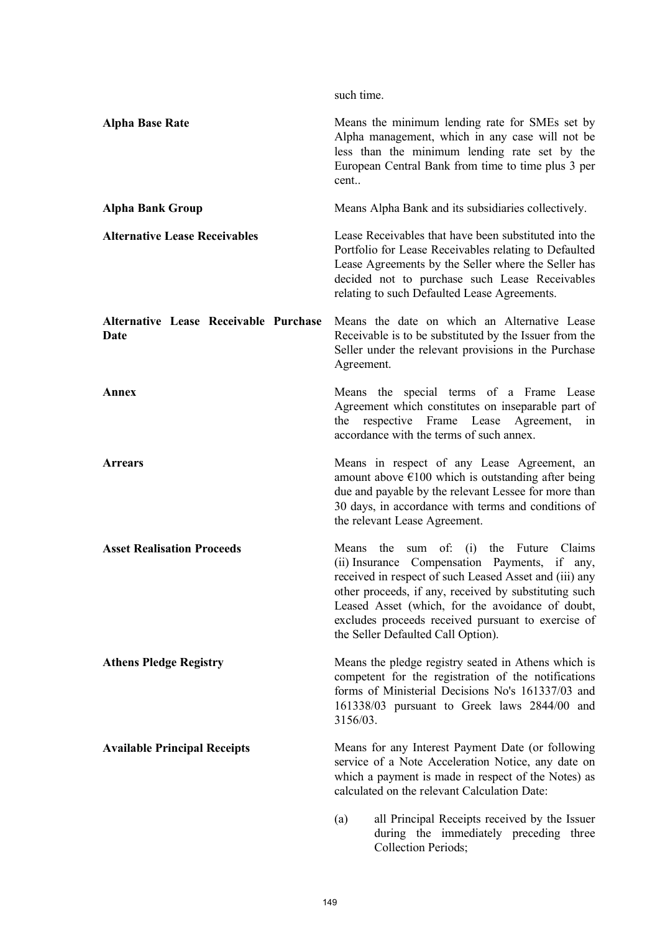|                                               | such time.                                                                                                                                                                                                                                                                                                                                                           |
|-----------------------------------------------|----------------------------------------------------------------------------------------------------------------------------------------------------------------------------------------------------------------------------------------------------------------------------------------------------------------------------------------------------------------------|
| <b>Alpha Base Rate</b>                        | Means the minimum lending rate for SMEs set by<br>Alpha management, which in any case will not be<br>less than the minimum lending rate set by the<br>European Central Bank from time to time plus 3 per<br>cent                                                                                                                                                     |
| <b>Alpha Bank Group</b>                       | Means Alpha Bank and its subsidiaries collectively.                                                                                                                                                                                                                                                                                                                  |
| <b>Alternative Lease Receivables</b>          | Lease Receivables that have been substituted into the<br>Portfolio for Lease Receivables relating to Defaulted<br>Lease Agreements by the Seller where the Seller has<br>decided not to purchase such Lease Receivables<br>relating to such Defaulted Lease Agreements.                                                                                              |
| Alternative Lease Receivable Purchase<br>Date | Means the date on which an Alternative Lease<br>Receivable is to be substituted by the Issuer from the<br>Seller under the relevant provisions in the Purchase<br>Agreement.                                                                                                                                                                                         |
| Annex                                         | Means the special terms of a Frame Lease<br>Agreement which constitutes on inseparable part of<br>the respective Frame Lease<br>Agreement,<br>in<br>accordance with the terms of such annex.                                                                                                                                                                         |
| <b>Arrears</b>                                | Means in respect of any Lease Agreement, an<br>amount above $\epsilon$ 100 which is outstanding after being<br>due and payable by the relevant Lessee for more than<br>30 days, in accordance with terms and conditions of<br>the relevant Lease Agreement.                                                                                                          |
| <b>Asset Realisation Proceeds</b>             | Claims<br>the<br>sum of: (i) the Future<br>Means<br>(ii) Insurance Compensation Payments, if any,<br>received in respect of such Leased Asset and (iii) any<br>other proceeds, if any, received by substituting such<br>Leased Asset (which, for the avoidance of doubt,<br>excludes proceeds received pursuant to exercise of<br>the Seller Defaulted Call Option). |
| <b>Athens Pledge Registry</b>                 | Means the pledge registry seated in Athens which is<br>competent for the registration of the notifications<br>forms of Ministerial Decisions No's 161337/03 and<br>161338/03 pursuant to Greek laws 2844/00 and<br>3156/03.                                                                                                                                          |
| <b>Available Principal Receipts</b>           | Means for any Interest Payment Date (or following<br>service of a Note Acceleration Notice, any date on<br>which a payment is made in respect of the Notes) as<br>calculated on the relevant Calculation Date:                                                                                                                                                       |
|                                               | all Principal Receipts received by the Issuer<br>(a)<br>during the immediately preceding three<br>Collection Periods;                                                                                                                                                                                                                                                |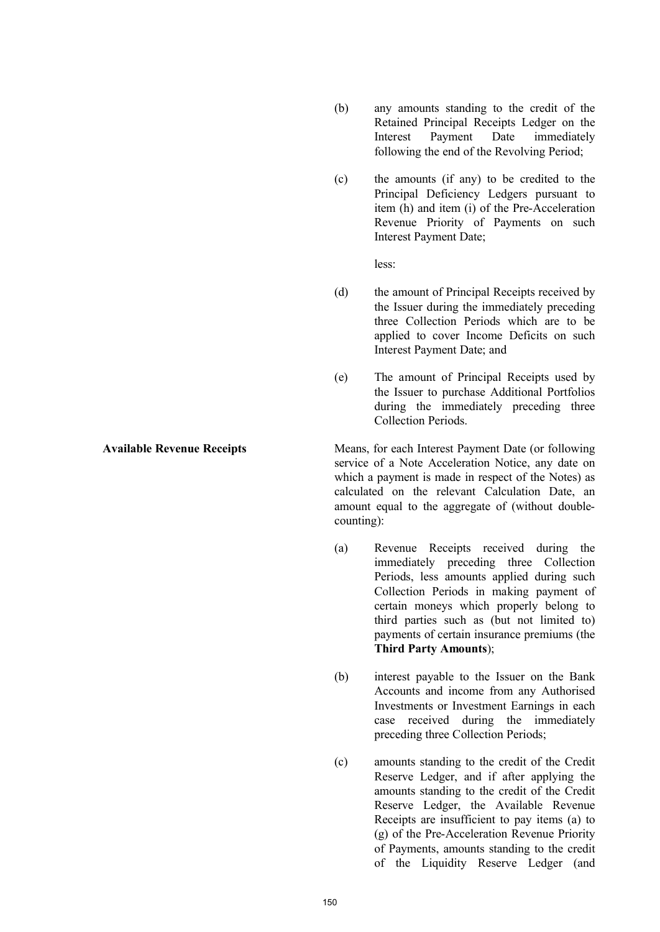- (b) any amounts standing to the credit of the Retained Principal Receipts Ledger on the Interest Payment Date immediately following the end of the Revolving Period;
- (c) the amounts (if any) to be credited to the Principal Deficiency Ledgers pursuant to item (h) and item (i) of the Pre-Acceleration Revenue Priority of Payments on such Interest Payment Date;

less:

- (d) the amount of Principal Receipts received by the Issuer during the immediately preceding three Collection Periods which are to be applied to cover Income Deficits on such Interest Payment Date; and
- (e) The amount of Principal Receipts used by the Issuer to purchase Additional Portfolios during the immediately preceding three Collection Periods.

**Available Revenue Receipts** Means, for each Interest Payment Date (or following service of a Note Acceleration Notice, any date on which a payment is made in respect of the Notes) as calculated on the relevant Calculation Date, an amount equal to the aggregate of (without doublecounting):

- (a) Revenue Receipts received during the immediately preceding three Collection Periods, less amounts applied during such Collection Periods in making payment of certain moneys which properly belong to third parties such as (but not limited to) payments of certain insurance premiums (the **Third Party Amounts**);
- (b) interest payable to the Issuer on the Bank Accounts and income from any Authorised Investments or Investment Earnings in each case received during the immediately preceding three Collection Periods;
- (c) amounts standing to the credit of the Credit Reserve Ledger, and if after applying the amounts standing to the credit of the Credit Reserve Ledger, the Available Revenue Receipts are insufficient to pay items (a) to (g) of the Pre-Acceleration Revenue Priority of Payments, amounts standing to the credit of the Liquidity Reserve Ledger (and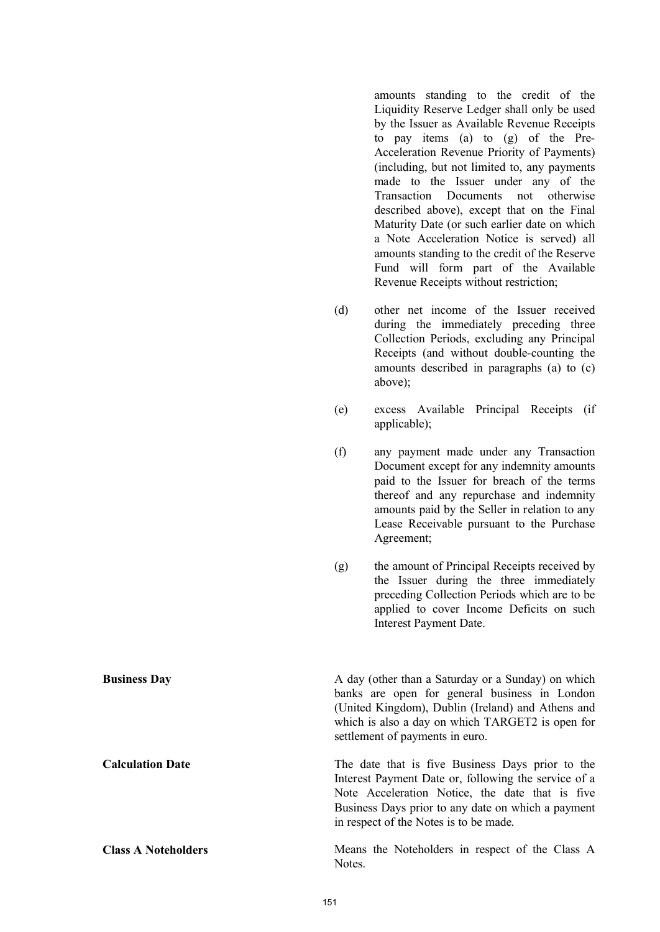amounts standing to the credit of the Liquidity Reserve Ledger shall only be used by the Issuer as Available Revenue Receipts to pay items (a) to (g) of the Pre-Acceleration Revenue Priority of Payments) (including, but not limited to, any payments made to the Issuer under any of the Transaction Documents not otherwise described above), except that on the Final Maturity Date (or such earlier date on which a Note Acceleration Notice is served) all amounts standing to the credit of the Reserve Fund will form part of the Available Revenue Receipts without restriction;

- (d) other net income of the Issuer received during the immediately preceding three Collection Periods, excluding any Principal Receipts (and without double-counting the amounts described in paragraphs (a) to (c) above);
- (e) excess Available Principal Receipts (if applicable);
- (f) any payment made under any Transaction Document except for any indemnity amounts paid to the Issuer for breach of the terms thereof and any repurchase and indemnity amounts paid by the Seller in relation to any Lease Receivable pursuant to the Purchase Agreement;
- (g) the amount of Principal Receipts received by the Issuer during the three immediately preceding Collection Periods which are to be applied to cover Income Deficits on such Interest Payment Date.

**Business Day** A day (other than a Saturday or a Sunday) on which banks are open for general business in London (United Kingdom), Dublin (Ireland) and Athens and which is also a day on which TARGET2 is open for settlement of payments in euro.

**Calculation Date** The date that is five Business Days prior to the Interest Payment Date or, following the service of a Note Acceleration Notice, the date that is five Business Days prior to any date on which a payment in respect of the Notes is to be made.

**Class A Noteholders** Means the Noteholders in respect of the Class A Notes.

151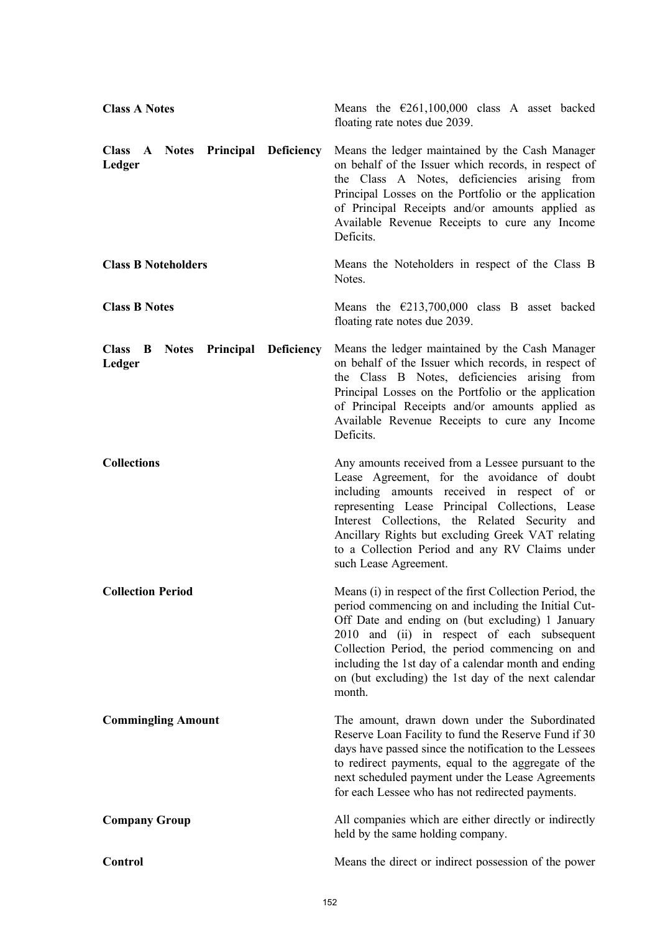| <b>Class A Notes</b>                                   | Means the $\epsilon$ 261,100,000 class A asset backed<br>floating rate notes due 2039.                                                                                                                                                                                                                                                                                                         |
|--------------------------------------------------------|------------------------------------------------------------------------------------------------------------------------------------------------------------------------------------------------------------------------------------------------------------------------------------------------------------------------------------------------------------------------------------------------|
| Class A Notes Principal Deficiency<br>Ledger           | Means the ledger maintained by the Cash Manager<br>on behalf of the Issuer which records, in respect of<br>the Class A Notes, deficiencies arising from<br>Principal Losses on the Portfolio or the application<br>of Principal Receipts and/or amounts applied as<br>Available Revenue Receipts to cure any Income<br>Deficits.                                                               |
| <b>Class B Noteholders</b>                             | Means the Noteholders in respect of the Class B<br>Notes.                                                                                                                                                                                                                                                                                                                                      |
| <b>Class B Notes</b>                                   | Means the $\epsilon$ 213,700,000 class B asset backed<br>floating rate notes due 2039.                                                                                                                                                                                                                                                                                                         |
| <b>Notes Principal Deficiency</b><br>Class B<br>Ledger | Means the ledger maintained by the Cash Manager<br>on behalf of the Issuer which records, in respect of<br>the Class B Notes, deficiencies arising from<br>Principal Losses on the Portfolio or the application<br>of Principal Receipts and/or amounts applied as<br>Available Revenue Receipts to cure any Income<br>Deficits.                                                               |
| <b>Collections</b>                                     | Any amounts received from a Lessee pursuant to the<br>Lease Agreement, for the avoidance of doubt<br>including amounts received in respect of or<br>representing Lease Principal Collections, Lease<br>Interest Collections, the Related Security and<br>Ancillary Rights but excluding Greek VAT relating<br>to a Collection Period and any RV Claims under<br>such Lease Agreement.          |
| <b>Collection Period</b>                               | Means (i) in respect of the first Collection Period, the<br>period commencing on and including the Initial Cut-<br>Off Date and ending on (but excluding) 1 January<br>2010 and (ii) in respect of each subsequent<br>Collection Period, the period commencing on and<br>including the 1st day of a calendar month and ending<br>on (but excluding) the 1st day of the next calendar<br>month. |
| <b>Commingling Amount</b>                              | The amount, drawn down under the Subordinated<br>Reserve Loan Facility to fund the Reserve Fund if 30<br>days have passed since the notification to the Lessees<br>to redirect payments, equal to the aggregate of the<br>next scheduled payment under the Lease Agreements<br>for each Lessee who has not redirected payments.                                                                |
| <b>Company Group</b>                                   | All companies which are either directly or indirectly<br>held by the same holding company.                                                                                                                                                                                                                                                                                                     |
| Control                                                | Means the direct or indirect possession of the power                                                                                                                                                                                                                                                                                                                                           |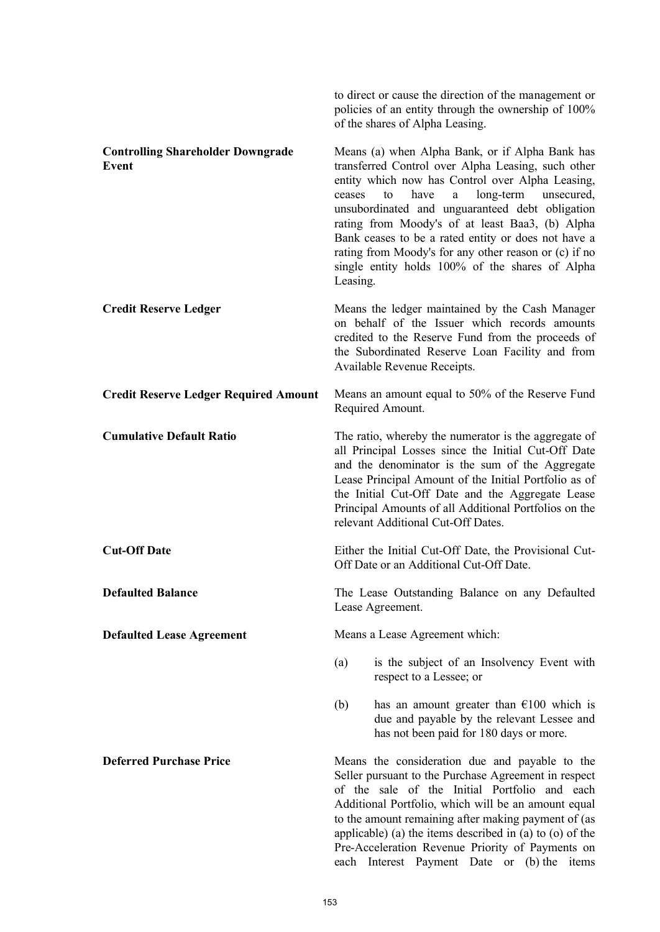to direct or cause the direction of the management or policies of an entity through the ownership of 100% of the shares of Alpha Leasing.

| <b>Controlling Shareholder Downgrade</b><br>Event | ceases<br>Leasing. | Means (a) when Alpha Bank, or if Alpha Bank has<br>transferred Control over Alpha Leasing, such other<br>entity which now has Control over Alpha Leasing,<br>have<br>long-term<br>$\mathbf{a}$<br>unsecured,<br>to<br>unsubordinated and unguaranteed debt obligation<br>rating from Moody's of at least Baa3, (b) Alpha<br>Bank ceases to be a rated entity or does not have a<br>rating from Moody's for any other reason or (c) if no<br>single entity holds 100% of the shares of Alpha |
|---------------------------------------------------|--------------------|---------------------------------------------------------------------------------------------------------------------------------------------------------------------------------------------------------------------------------------------------------------------------------------------------------------------------------------------------------------------------------------------------------------------------------------------------------------------------------------------|
| <b>Credit Reserve Ledger</b>                      |                    | Means the ledger maintained by the Cash Manager<br>on behalf of the Issuer which records amounts<br>credited to the Reserve Fund from the proceeds of<br>the Subordinated Reserve Loan Facility and from<br>Available Revenue Receipts.                                                                                                                                                                                                                                                     |
| <b>Credit Reserve Ledger Required Amount</b>      |                    | Means an amount equal to 50% of the Reserve Fund<br>Required Amount.                                                                                                                                                                                                                                                                                                                                                                                                                        |
| <b>Cumulative Default Ratio</b>                   |                    | The ratio, whereby the numerator is the aggregate of<br>all Principal Losses since the Initial Cut-Off Date<br>and the denominator is the sum of the Aggregate<br>Lease Principal Amount of the Initial Portfolio as of<br>the Initial Cut-Off Date and the Aggregate Lease<br>Principal Amounts of all Additional Portfolios on the<br>relevant Additional Cut-Off Dates.                                                                                                                  |
| <b>Cut-Off Date</b>                               |                    | Either the Initial Cut-Off Date, the Provisional Cut-<br>Off Date or an Additional Cut-Off Date.                                                                                                                                                                                                                                                                                                                                                                                            |
| <b>Defaulted Balance</b>                          |                    | The Lease Outstanding Balance on any Defaulted<br>Lease Agreement.                                                                                                                                                                                                                                                                                                                                                                                                                          |
| <b>Defaulted Lease Agreement</b>                  |                    | Means a Lease Agreement which:                                                                                                                                                                                                                                                                                                                                                                                                                                                              |
|                                                   | (a)                | is the subject of an Insolvency Event with<br>respect to a Lessee; or                                                                                                                                                                                                                                                                                                                                                                                                                       |
|                                                   | (b)                | has an amount greater than $\epsilon$ 100 which is<br>due and payable by the relevant Lessee and<br>has not been paid for 180 days or more.                                                                                                                                                                                                                                                                                                                                                 |
| <b>Deferred Purchase Price</b>                    |                    | Means the consideration due and payable to the<br>Seller pursuant to the Purchase Agreement in respect<br>of the sale of the Initial Portfolio and each<br>Additional Portfolio, which will be an amount equal<br>to the amount remaining after making payment of (as<br>applicable) (a) the items described in (a) to (o) of the                                                                                                                                                           |

Pre-Acceleration Revenue Priority of Payments on each Interest Payment Date or (b) the items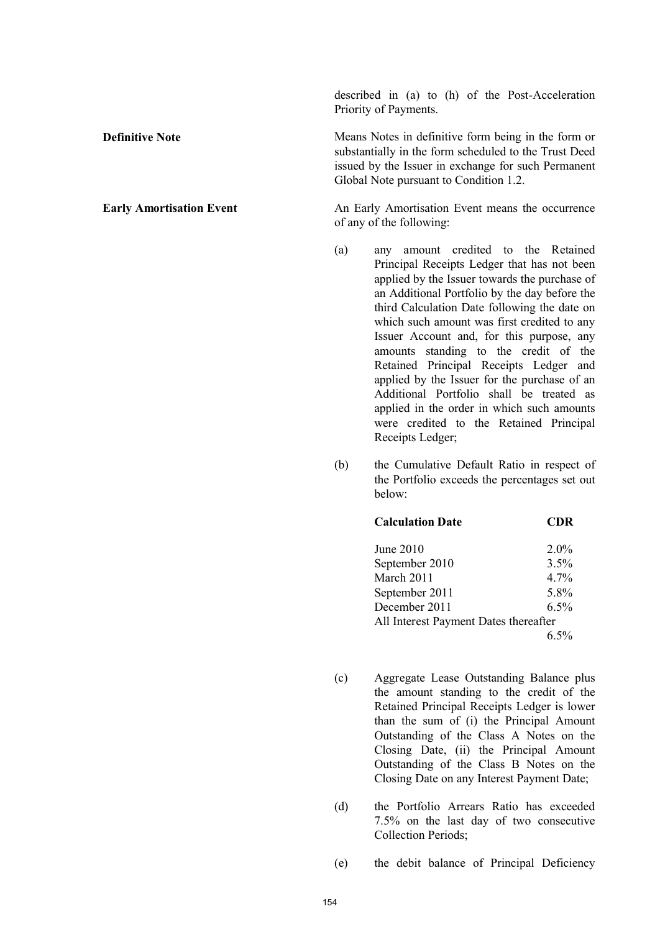described in (a) to (h) of the Post-Acceleration Priority of Payments.

**Definitive Note** Means Notes in definitive form being in the form or substantially in the form scheduled to the Trust Deed issued by the Issuer in exchange for such Permanent Global Note pursuant to Condition 1.2.

**Early Amortisation Event** An Early Amortisation Event means the occurrence of any of the following:

- (a) any amount credited to the Retained Principal Receipts Ledger that has not been applied by the Issuer towards the purchase of an Additional Portfolio by the day before the third Calculation Date following the date on which such amount was first credited to any Issuer Account and, for this purpose, any amounts standing to the credit of the Retained Principal Receipts Ledger and applied by the Issuer for the purchase of an Additional Portfolio shall be treated as applied in the order in which such amounts were credited to the Retained Principal Receipts Ledger;
- (b) the Cumulative Default Ratio in respect of the Portfolio exceeds the percentages set out below:

| <b>Calculation Date</b>               | CDR     |
|---------------------------------------|---------|
| <b>June 2010</b>                      | $2.0\%$ |
| September 2010                        | 3.5%    |
| March 2011                            | $4.7\%$ |
| September 2011                        | 5.8%    |
| December 2011                         | 6.5%    |
| All Interest Payment Dates thereafter |         |
|                                       | 6.5%    |

- (c) Aggregate Lease Outstanding Balance plus the amount standing to the credit of the Retained Principal Receipts Ledger is lower than the sum of (i) the Principal Amount Outstanding of the Class A Notes on the Closing Date, (ii) the Principal Amount Outstanding of the Class B Notes on the Closing Date on any Interest Payment Date;
- (d) the Portfolio Arrears Ratio has exceeded 7.5% on the last day of two consecutive Collection Periods;

(e) the debit balance of Principal Deficiency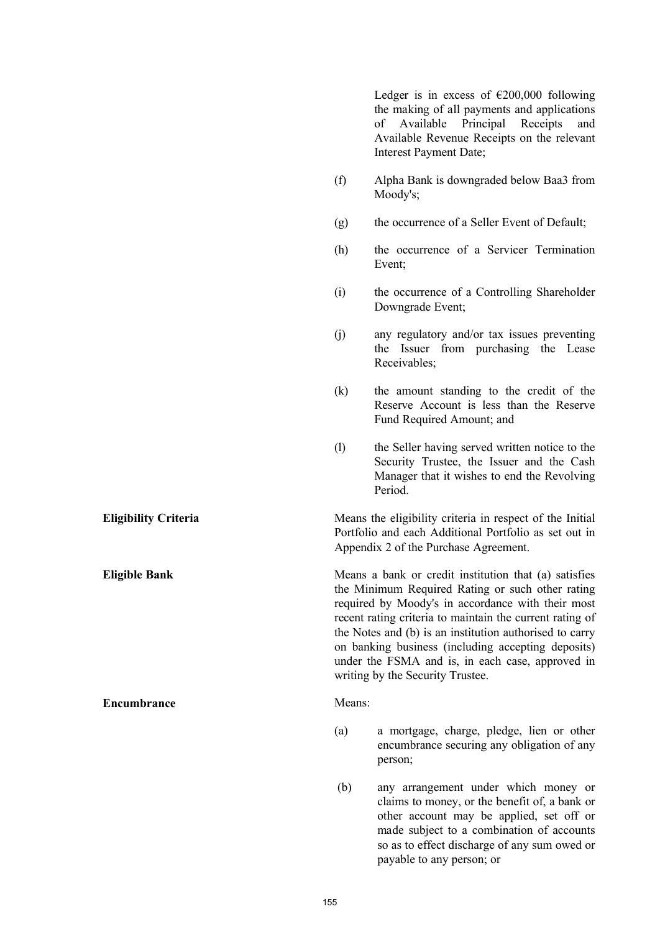Ledger is in excess of  $\epsilon$ 200,000 following the making of all payments and applications of Available Principal Receipts and Available Revenue Receipts on the relevant Interest Payment Date; (f) Alpha Bank is downgraded below Baa3 from Moody's; (g) the occurrence of a Seller Event of Default; (h) the occurrence of a Servicer Termination Event; (i) the occurrence of a Controlling Shareholder Downgrade Event; (j) any regulatory and/or tax issues preventing the Issuer from purchasing the Lease Receivables; (k) the amount standing to the credit of the Reserve Account is less than the Reserve Fund Required Amount; and (l) the Seller having served written notice to the Security Trustee, the Issuer and the Cash Manager that it wishes to end the Revolving Period. **Eligibility Criteria** Means the eligibility criteria in respect of the Initial Portfolio and each Additional Portfolio as set out in Appendix 2 of the Purchase Agreement. **Eligible Bank** Means a bank or credit institution that (a) satisfies the Minimum Required Rating or such other rating required by Moody's in accordance with their most recent rating criteria to maintain the current rating of the Notes and (b) is an institution authorised to carry on banking business (including accepting deposits) under the FSMA and is, in each case, approved in writing by the Security Trustee. **Encumbrance** Means: (a) a mortgage, charge, pledge, lien or other encumbrance securing any obligation of any person; (b) any arrangement under which money or claims to money, or the benefit of, a bank or other account may be applied, set off or made subject to a combination of accounts so as to effect discharge of any sum owed or payable to any person; or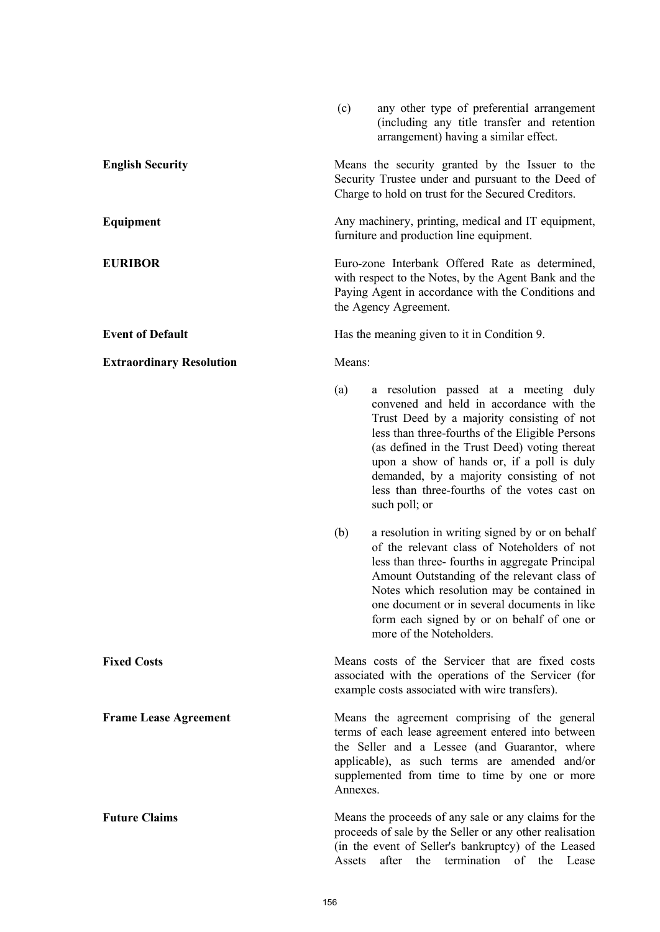|                                 | (c)                                                                                                                                                                                                                                                                | any other type of preferential arrangement<br>(including any title transfer and retention<br>arrangement) having a similar effect.                                                                                                                                                                                                                                                              |
|---------------------------------|--------------------------------------------------------------------------------------------------------------------------------------------------------------------------------------------------------------------------------------------------------------------|-------------------------------------------------------------------------------------------------------------------------------------------------------------------------------------------------------------------------------------------------------------------------------------------------------------------------------------------------------------------------------------------------|
| <b>English Security</b>         |                                                                                                                                                                                                                                                                    | Means the security granted by the Issuer to the<br>Security Trustee under and pursuant to the Deed of<br>Charge to hold on trust for the Secured Creditors.                                                                                                                                                                                                                                     |
| Equipment                       | Any machinery, printing, medical and IT equipment,<br>furniture and production line equipment.                                                                                                                                                                     |                                                                                                                                                                                                                                                                                                                                                                                                 |
| <b>EURIBOR</b>                  | Euro-zone Interbank Offered Rate as determined,<br>with respect to the Notes, by the Agent Bank and the<br>Paying Agent in accordance with the Conditions and<br>the Agency Agreement.                                                                             |                                                                                                                                                                                                                                                                                                                                                                                                 |
| <b>Event of Default</b>         |                                                                                                                                                                                                                                                                    | Has the meaning given to it in Condition 9.                                                                                                                                                                                                                                                                                                                                                     |
| <b>Extraordinary Resolution</b> | Means:                                                                                                                                                                                                                                                             |                                                                                                                                                                                                                                                                                                                                                                                                 |
|                                 | (a)                                                                                                                                                                                                                                                                | a resolution passed at a meeting duly<br>convened and held in accordance with the<br>Trust Deed by a majority consisting of not<br>less than three-fourths of the Eligible Persons<br>(as defined in the Trust Deed) voting thereat<br>upon a show of hands or, if a poll is duly<br>demanded, by a majority consisting of not<br>less than three-fourths of the votes cast on<br>such poll; or |
|                                 | (b)                                                                                                                                                                                                                                                                | a resolution in writing signed by or on behalf<br>of the relevant class of Noteholders of not<br>less than three-fourths in aggregate Principal<br>Amount Outstanding of the relevant class of<br>Notes which resolution may be contained in<br>one document or in several documents in like<br>form each signed by or on behalf of one or<br>more of the Noteholders.                          |
| <b>Fixed Costs</b>              |                                                                                                                                                                                                                                                                    | Means costs of the Servicer that are fixed costs<br>associated with the operations of the Servicer (for<br>example costs associated with wire transfers).                                                                                                                                                                                                                                       |
| <b>Frame Lease Agreement</b>    | Means the agreement comprising of the general<br>terms of each lease agreement entered into between<br>the Seller and a Lessee (and Guarantor, where<br>applicable), as such terms are amended and/or<br>supplemented from time to time by one or more<br>Annexes. |                                                                                                                                                                                                                                                                                                                                                                                                 |
| <b>Future Claims</b>            | Assets                                                                                                                                                                                                                                                             | Means the proceeds of any sale or any claims for the<br>proceeds of sale by the Seller or any other realisation<br>(in the event of Seller's bankruptcy) of the Leased<br>after the termination of the Lease                                                                                                                                                                                    |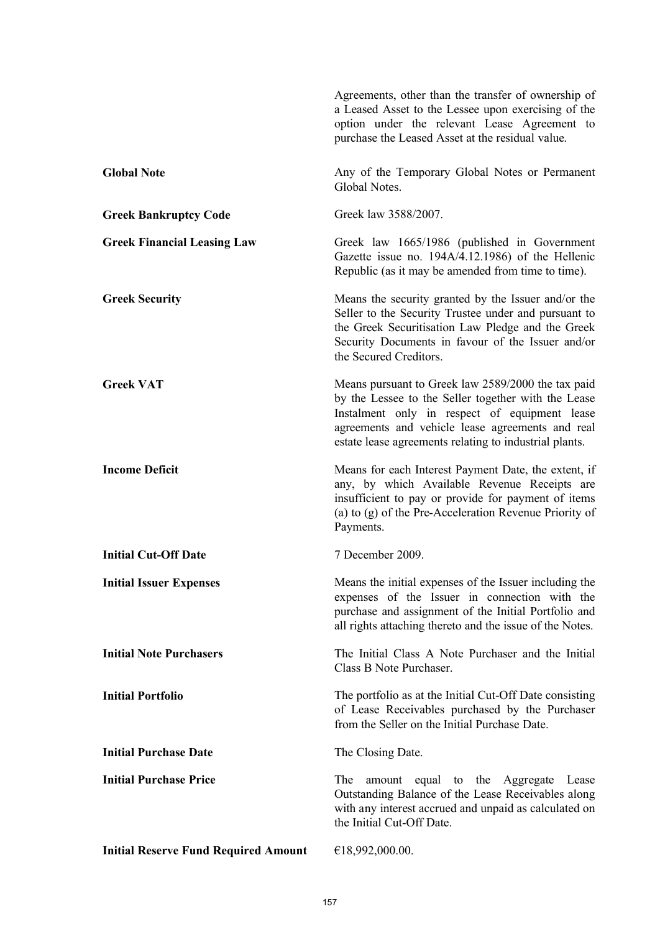|                                             | Agreements, other than the transfer of ownership of<br>a Leased Asset to the Lessee upon exercising of the<br>option under the relevant Lease Agreement to<br>purchase the Leased Asset at the residual value.                                                           |
|---------------------------------------------|--------------------------------------------------------------------------------------------------------------------------------------------------------------------------------------------------------------------------------------------------------------------------|
| <b>Global Note</b>                          | Any of the Temporary Global Notes or Permanent<br>Global Notes.                                                                                                                                                                                                          |
| <b>Greek Bankruptcy Code</b>                | Greek law 3588/2007.                                                                                                                                                                                                                                                     |
| <b>Greek Financial Leasing Law</b>          | Greek law 1665/1986 (published in Government<br>Gazette issue no. 194A/4.12.1986) of the Hellenic<br>Republic (as it may be amended from time to time).                                                                                                                  |
| <b>Greek Security</b>                       | Means the security granted by the Issuer and/or the<br>Seller to the Security Trustee under and pursuant to<br>the Greek Securitisation Law Pledge and the Greek<br>Security Documents in favour of the Issuer and/or<br>the Secured Creditors.                          |
| <b>Greek VAT</b>                            | Means pursuant to Greek law 2589/2000 the tax paid<br>by the Lessee to the Seller together with the Lease<br>Instalment only in respect of equipment lease<br>agreements and vehicle lease agreements and real<br>estate lease agreements relating to industrial plants. |
| <b>Income Deficit</b>                       | Means for each Interest Payment Date, the extent, if<br>any, by which Available Revenue Receipts are<br>insufficient to pay or provide for payment of items<br>(a) to (g) of the Pre-Acceleration Revenue Priority of<br>Payments.                                       |
| <b>Initial Cut-Off Date</b>                 | 7 December 2009.                                                                                                                                                                                                                                                         |
| <b>Initial Issuer Expenses</b>              | Means the initial expenses of the Issuer including the<br>expenses of the Issuer in connection with the<br>purchase and assignment of the Initial Portfolio and<br>all rights attaching thereto and the issue of the Notes.                                              |
| <b>Initial Note Purchasers</b>              | The Initial Class A Note Purchaser and the Initial<br>Class B Note Purchaser.                                                                                                                                                                                            |
| <b>Initial Portfolio</b>                    | The portfolio as at the Initial Cut-Off Date consisting<br>of Lease Receivables purchased by the Purchaser<br>from the Seller on the Initial Purchase Date.                                                                                                              |
| <b>Initial Purchase Date</b>                | The Closing Date.                                                                                                                                                                                                                                                        |
| <b>Initial Purchase Price</b>               | The<br>amount equal to the Aggregate Lease<br>Outstanding Balance of the Lease Receivables along<br>with any interest accrued and unpaid as calculated on<br>the Initial Cut-Off Date.                                                                                   |
| <b>Initial Reserve Fund Required Amount</b> | €18,992,000.00.                                                                                                                                                                                                                                                          |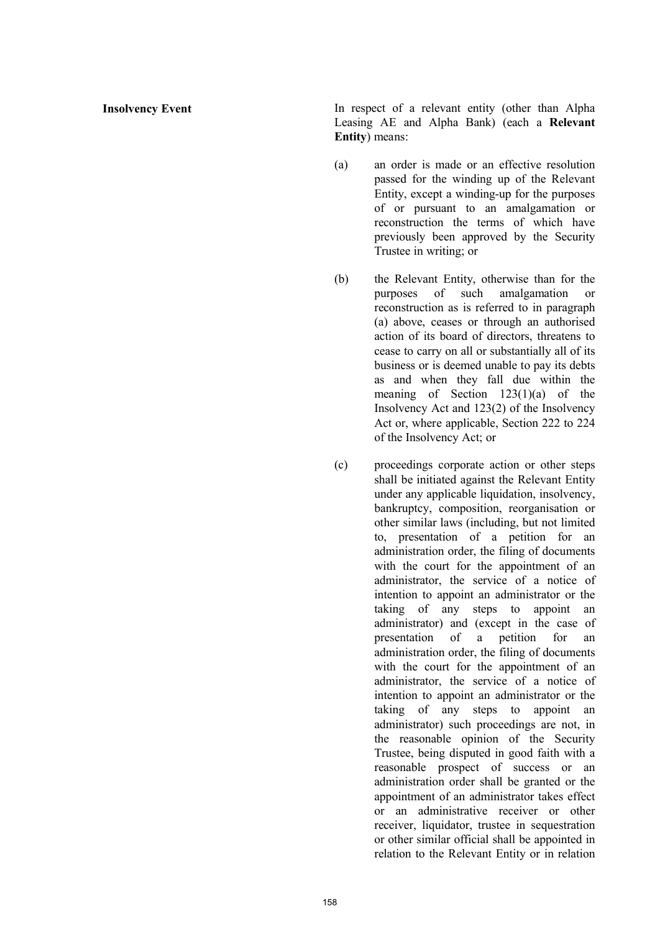**Insolvency Event** In respect of a relevant entity (other than Alpha Leasing AE and Alpha Bank) (each a **Relevant Entity**) means:

- (a) an order is made or an effective resolution passed for the winding up of the Relevant Entity, except a winding-up for the purposes of or pursuant to an amalgamation or reconstruction the terms of which have previously been approved by the Security Trustee in writing; or
- (b) the Relevant Entity, otherwise than for the purposes of such amalgamation or reconstruction as is referred to in paragraph (a) above, ceases or through an authorised action of its board of directors, threatens to cease to carry on all or substantially all of its business or is deemed unable to pay its debts as and when they fall due within the meaning of Section 123(1)(a) of the Insolvency Act and 123(2) of the Insolvency Act or, where applicable, Section 222 to 224 of the Insolvency Act; or
- (c) proceedings corporate action or other steps shall be initiated against the Relevant Entity under any applicable liquidation, insolvency, bankruptcy, composition, reorganisation or other similar laws (including, but not limited to, presentation of a petition for an administration order, the filing of documents with the court for the appointment of an administrator, the service of a notice of intention to appoint an administrator or the taking of any steps to appoint an administrator) and (except in the case of presentation of a petition for an administration order, the filing of documents with the court for the appointment of an administrator, the service of a notice of intention to appoint an administrator or the taking of any steps to appoint an administrator) such proceedings are not, in the reasonable opinion of the Security Trustee, being disputed in good faith with a reasonable prospect of success or an administration order shall be granted or the appointment of an administrator takes effect or an administrative receiver or other receiver, liquidator, trustee in sequestration or other similar official shall be appointed in relation to the Relevant Entity or in relation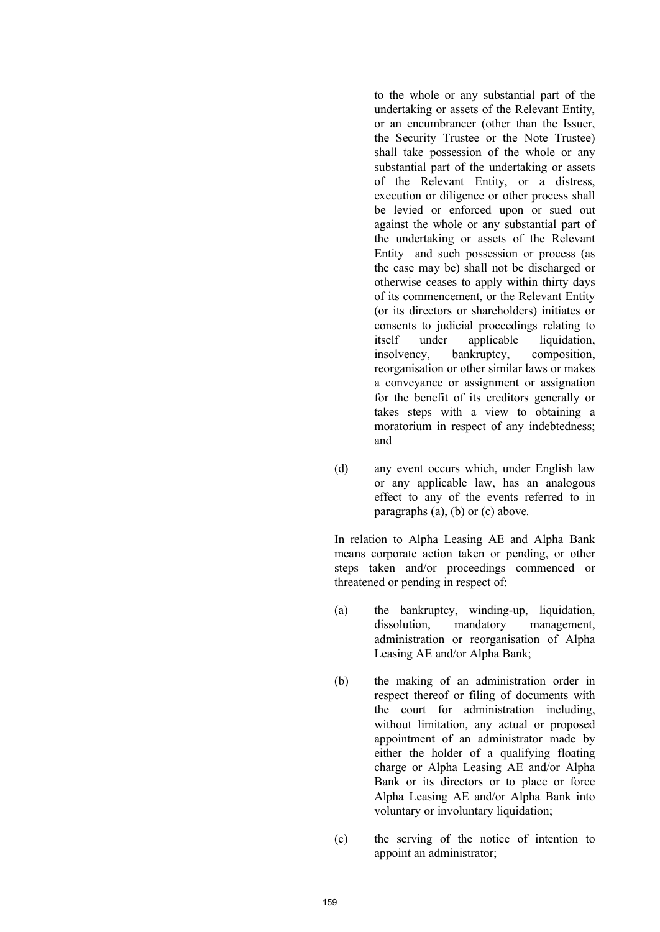to the whole or any substantial part of the undertaking or assets of the Relevant Entity, or an encumbrancer (other than the Issuer, the Security Trustee or the Note Trustee) shall take possession of the whole or any substantial part of the undertaking or assets of the Relevant Entity, or a distress, execution or diligence or other process shall be levied or enforced upon or sued out against the whole or any substantial part of the undertaking or assets of the Relevant Entity and such possession or process (as the case may be) shall not be discharged or otherwise ceases to apply within thirty days of its commencement, or the Relevant Entity (or its directors or shareholders) initiates or consents to judicial proceedings relating to itself under applicable liquidation, insolvency, bankruptcy, composition, reorganisation or other similar laws or makes a conveyance or assignment or assignation for the benefit of its creditors generally or takes steps with a view to obtaining a moratorium in respect of any indebtedness; and

(d) any event occurs which, under English law or any applicable law, has an analogous effect to any of the events referred to in paragraphs (a), (b) or (c) above.

In relation to Alpha Leasing AE and Alpha Bank means corporate action taken or pending, or other steps taken and/or proceedings commenced or threatened or pending in respect of:

- (a) the bankruptcy, winding-up, liquidation, dissolution, mandatory management, administration or reorganisation of Alpha Leasing AE and/or Alpha Bank;
- (b) the making of an administration order in respect thereof or filing of documents with the court for administration including, without limitation, any actual or proposed appointment of an administrator made by either the holder of a qualifying floating charge or Alpha Leasing AE and/or Alpha Bank or its directors or to place or force Alpha Leasing AE and/or Alpha Bank into voluntary or involuntary liquidation;
- (c) the serving of the notice of intention to appoint an administrator;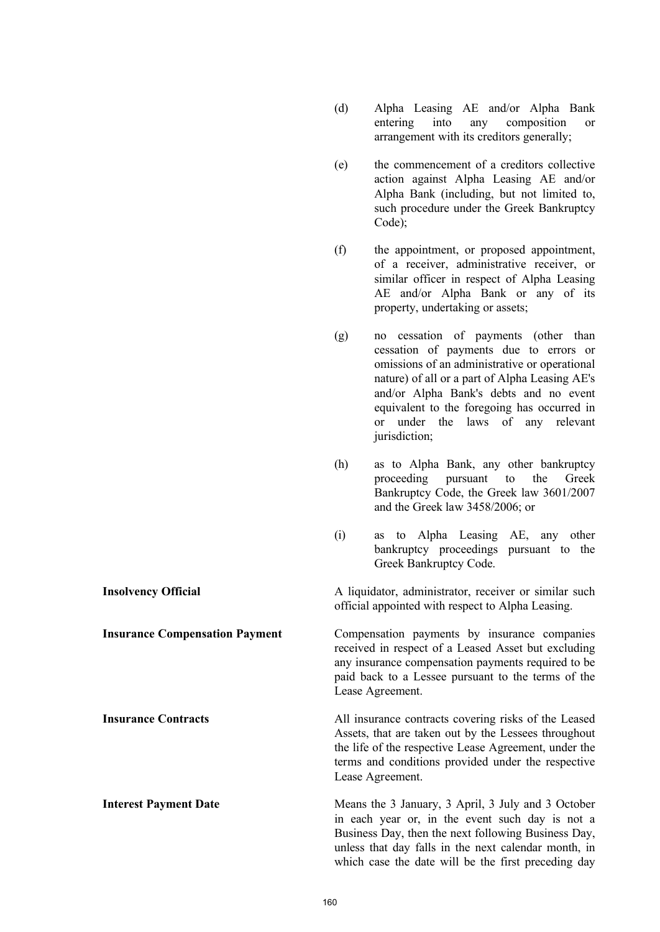(e) the commencement of a creditors collective action against Alpha Leasing AE and/or Alpha Bank (including, but not limited to, such procedure under the Greek Bankruptcy Code); (f) the appointment, or proposed appointment, of a receiver, administrative receiver, or similar officer in respect of Alpha Leasing AE and/or Alpha Bank or any of its property, undertaking or assets; (g) no cessation of payments (other than cessation of payments due to errors or omissions of an administrative or operational nature) of all or a part of Alpha Leasing AE's and/or Alpha Bank's debts and no event equivalent to the foregoing has occurred in or under the laws of any relevant jurisdiction; (h) as to Alpha Bank, any other bankruptcy proceeding pursuant to the Greek Bankruptcy Code, the Greek law 3601/2007 and the Greek law 3458/2006; or (i) as to Alpha Leasing AE, any other bankruptcy proceedings pursuant to the Greek Bankruptcy Code. **Insolvency Official** A liquidator, administrator, receiver or similar such official appointed with respect to Alpha Leasing. **Insurance Compensation Payment** Compensation payments by insurance companies received in respect of a Leased Asset but excluding any insurance compensation payments required to be paid back to a Lessee pursuant to the terms of the Lease Agreement. **Insurance Contracts All insurance contracts covering risks of the Leased** Assets, that are taken out by the Lessees throughout the life of the respective Lease Agreement, under the terms and conditions provided under the respective Lease Agreement. **Interest Payment Date** Means the 3 January, 3 April, 3 July and 3 October in each year or, in the event such day is not a Business Day, then the next following Business Day, unless that day falls in the next calendar month, in which case the date will be the first preceding day

(d) Alpha Leasing AE and/or Alpha Bank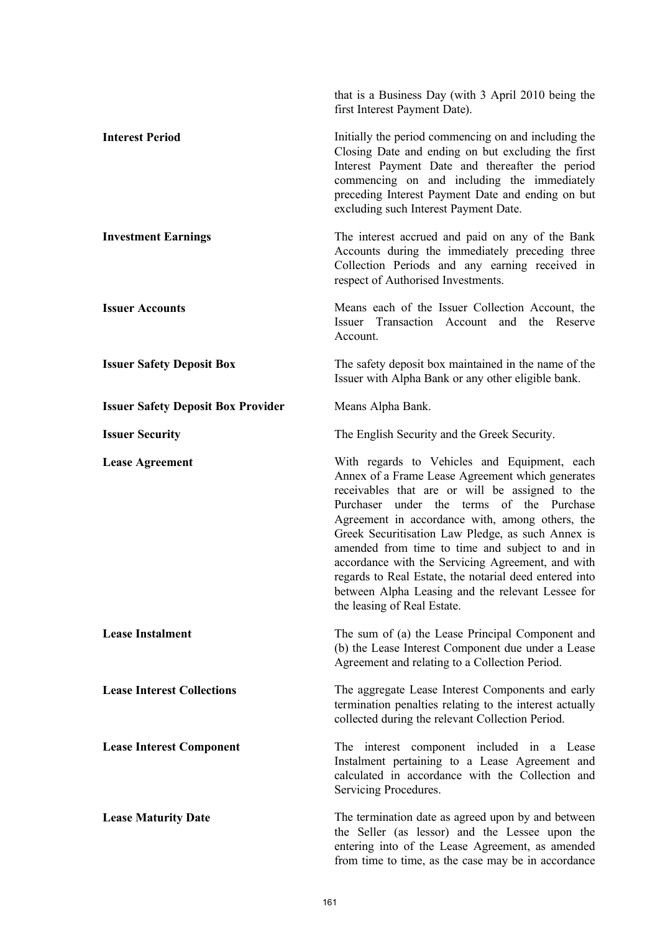|                                           | that is a Business Day (with 3 April 2010 being the<br>first Interest Payment Date).                                                                                                                                                                                                                                                                                                                                                                                                                                                                           |
|-------------------------------------------|----------------------------------------------------------------------------------------------------------------------------------------------------------------------------------------------------------------------------------------------------------------------------------------------------------------------------------------------------------------------------------------------------------------------------------------------------------------------------------------------------------------------------------------------------------------|
| <b>Interest Period</b>                    | Initially the period commencing on and including the<br>Closing Date and ending on but excluding the first<br>Interest Payment Date and thereafter the period<br>commencing on and including the immediately<br>preceding Interest Payment Date and ending on but<br>excluding such Interest Payment Date.                                                                                                                                                                                                                                                     |
| <b>Investment Earnings</b>                | The interest accrued and paid on any of the Bank<br>Accounts during the immediately preceding three<br>Collection Periods and any earning received in<br>respect of Authorised Investments.                                                                                                                                                                                                                                                                                                                                                                    |
| <b>Issuer Accounts</b>                    | Means each of the Issuer Collection Account, the<br>Issuer Transaction Account and<br>the<br>Reserve<br>Account.                                                                                                                                                                                                                                                                                                                                                                                                                                               |
| <b>Issuer Safety Deposit Box</b>          | The safety deposit box maintained in the name of the<br>Issuer with Alpha Bank or any other eligible bank.                                                                                                                                                                                                                                                                                                                                                                                                                                                     |
| <b>Issuer Safety Deposit Box Provider</b> | Means Alpha Bank.                                                                                                                                                                                                                                                                                                                                                                                                                                                                                                                                              |
| <b>Issuer Security</b>                    | The English Security and the Greek Security.                                                                                                                                                                                                                                                                                                                                                                                                                                                                                                                   |
| <b>Lease Agreement</b>                    | With regards to Vehicles and Equipment, each<br>Annex of a Frame Lease Agreement which generates<br>receivables that are or will be assigned to the<br>Purchaser under the terms of the Purchase<br>Agreement in accordance with, among others, the<br>Greek Securitisation Law Pledge, as such Annex is<br>amended from time to time and subject to and in<br>accordance with the Servicing Agreement, and with<br>regards to Real Estate, the notarial deed entered into<br>between Alpha Leasing and the relevant Lessee for<br>the leasing of Real Estate. |
| <b>Lease Instalment</b>                   | The sum of (a) the Lease Principal Component and<br>(b) the Lease Interest Component due under a Lease<br>Agreement and relating to a Collection Period.                                                                                                                                                                                                                                                                                                                                                                                                       |
| <b>Lease Interest Collections</b>         | The aggregate Lease Interest Components and early<br>termination penalties relating to the interest actually<br>collected during the relevant Collection Period.                                                                                                                                                                                                                                                                                                                                                                                               |
| <b>Lease Interest Component</b>           | The interest component included in a Lease<br>Instalment pertaining to a Lease Agreement and<br>calculated in accordance with the Collection and<br>Servicing Procedures.                                                                                                                                                                                                                                                                                                                                                                                      |
| <b>Lease Maturity Date</b>                | The termination date as agreed upon by and between<br>the Seller (as lessor) and the Lessee upon the<br>entering into of the Lease Agreement, as amended<br>from time to time, as the case may be in accordance                                                                                                                                                                                                                                                                                                                                                |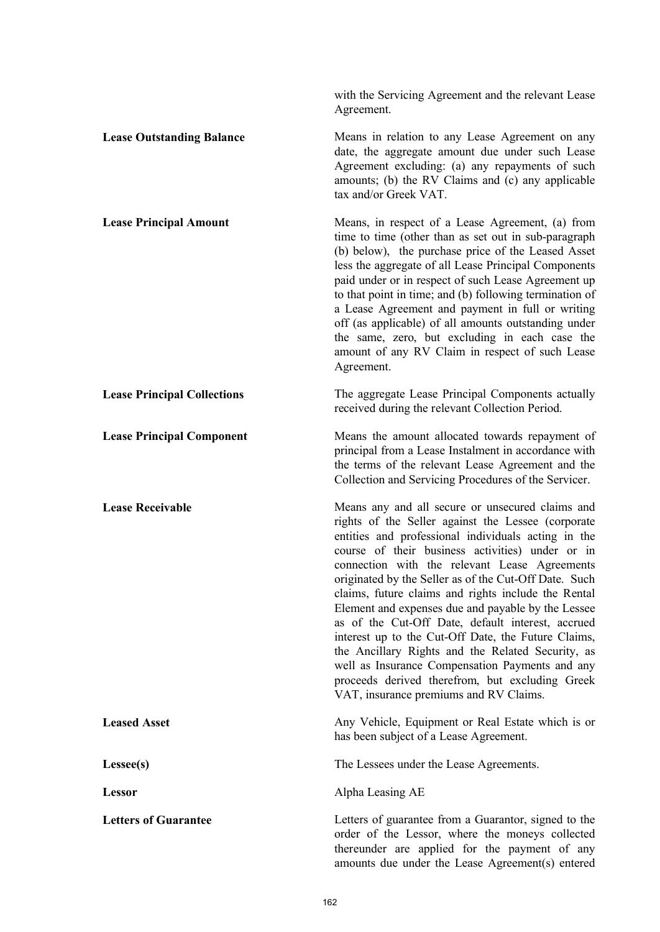with the Servicing Agreement and the relevant Lease Agreement. **Lease Outstanding Balance** Means in relation to any Lease Agreement on any date, the aggregate amount due under such Lease Agreement excluding: (a) any repayments of such amounts; (b) the RV Claims and (c) any applicable tax and/or Greek VAT. **Lease Principal Amount** Means, in respect of a Lease Agreement, (a) from time to time (other than as set out in sub-paragraph (b) below), the purchase price of the Leased Asset less the aggregate of all Lease Principal Components paid under or in respect of such Lease Agreement up to that point in time; and (b) following termination of a Lease Agreement and payment in full or writing off (as applicable) of all amounts outstanding under the same, zero, but excluding in each case the amount of any RV Claim in respect of such Lease Agreement. **Lease Principal Collections** The aggregate Lease Principal Components actually received during the relevant Collection Period. **Lease Principal Component** Means the amount allocated towards repayment of principal from a Lease Instalment in accordance with the terms of the relevant Lease Agreement and the Collection and Servicing Procedures of the Servicer. **Lease Receivable** Means any and all secure or unsecured claims and rights of the Seller against the Lessee (corporate entities and professional individuals acting in the course of their business activities) under or in connection with the relevant Lease Agreements originated by the Seller as of the Cut-Off Date. Such claims, future claims and rights include the Rental Element and expenses due and payable by the Lessee as of the Cut-Off Date, default interest, accrued interest up to the Cut-Off Date, the Future Claims, the Ancillary Rights and the Related Security, as well as Insurance Compensation Payments and any proceeds derived therefrom, but excluding Greek VAT, insurance premiums and RV Claims. **Leased Asset Any Vehicle, Equipment or Real Estate which is or** Any Vehicle, Equipment or Real Estate which is or has been subject of a Lease Agreement. **Lessee(s)** The Lessees under the Lease Agreements. **Lessor** Alpha Leasing AE Letters of Guarantee **Letters** of guarantee from a Guarantor, signed to the order of the Lessor, where the moneys collected thereunder are applied for the payment of any amounts due under the Lease Agreement(s) entered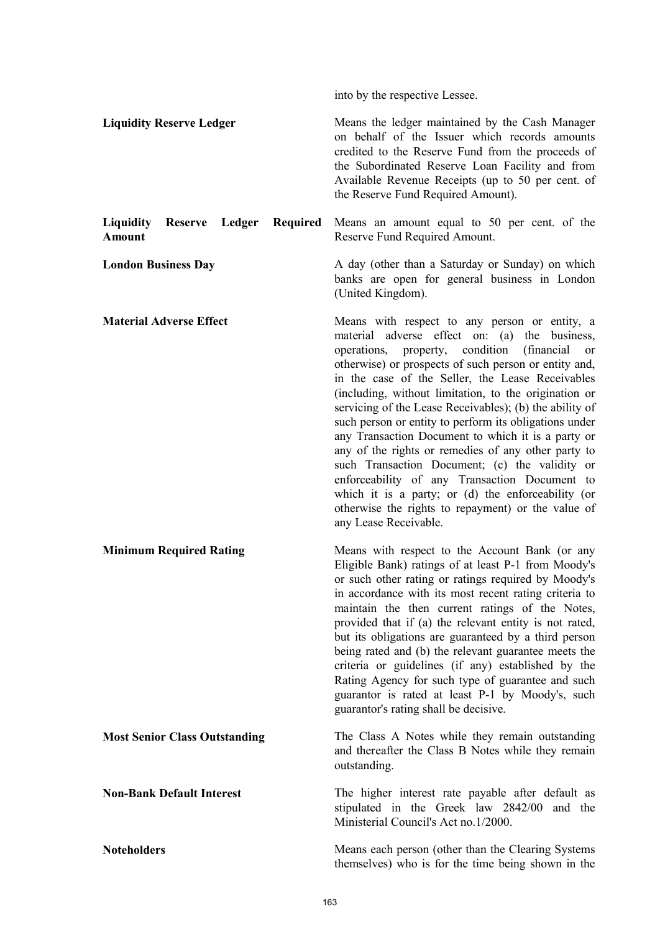into by the respective Lessee.

**Liquidity Reserve Ledger** Means the ledger maintained by the Cash Manager on behalf of the Issuer which records amounts credited to the Reserve Fund from the proceeds of the Subordinated Reserve Loan Facility and from Available Revenue Receipts (up to 50 per cent. of the Reserve Fund Required Amount).

**Liquidity Reserve Ledger Required Amount** Means an amount equal to 50 per cent. of the Reserve Fund Required Amount.

**London Business Day A day (other than a Saturday or Sunday)** on which banks are open for general business in London (United Kingdom).

**Material Adverse Effect** Means with respect to any person or entity, a material adverse effect on: (a) the business, operations, property, condition (financial or otherwise) or prospects of such person or entity and, in the case of the Seller, the Lease Receivables (including, without limitation, to the origination or servicing of the Lease Receivables); (b) the ability of such person or entity to perform its obligations under any Transaction Document to which it is a party or any of the rights or remedies of any other party to such Transaction Document; (c) the validity or enforceability of any Transaction Document to which it is a party; or (d) the enforceability (or otherwise the rights to repayment) or the value of any Lease Receivable.

**Minimum Required Rating Means with respect to the Account Bank (or any** Eligible Bank) ratings of at least P-1 from Moody's or such other rating or ratings required by Moody's in accordance with its most recent rating criteria to maintain the then current ratings of the Notes, provided that if (a) the relevant entity is not rated, but its obligations are guaranteed by a third person being rated and (b) the relevant guarantee meets the criteria or guidelines (if any) established by the Rating Agency for such type of guarantee and such guarantor is rated at least P-1 by Moody's, such guarantor's rating shall be decisive.

**Most Senior Class Outstanding** The Class A Notes while they remain outstanding and thereafter the Class B Notes while they remain outstanding.

**Non-Bank Default Interest** The higher interest rate payable after default as stipulated in the Greek law 2842/00 and the Ministerial Council's Act no.1/2000.

**Noteholders** Means each person (other than the Clearing Systems themselves) who is for the time being shown in the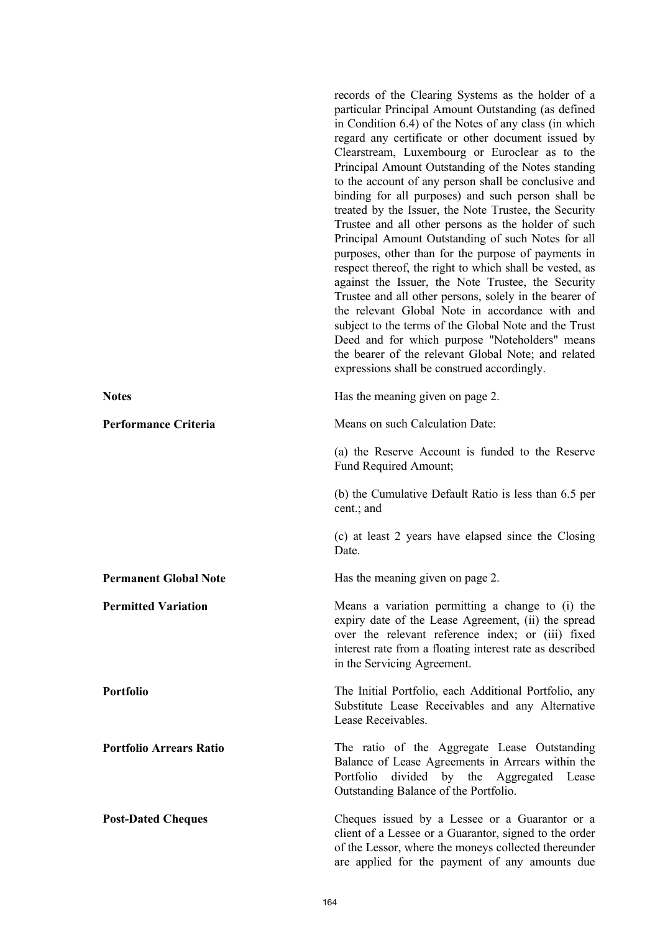records of the Clearing Systems as the holder of a particular Principal Amount Outstanding (as defined in Condition 6.4) of the Notes of any class (in which regard any certificate or other document issued by Clearstream, Luxembourg or Euroclear as to the Principal Amount Outstanding of the Notes standing to the account of any person shall be conclusive and binding for all purposes) and such person shall be treated by the Issuer, the Note Trustee, the Security Trustee and all other persons as the holder of such Principal Amount Outstanding of such Notes for all purposes, other than for the purpose of payments in respect thereof, the right to which shall be vested, as against the Issuer, the Note Trustee, the Security Trustee and all other persons, solely in the bearer of the relevant Global Note in accordance with and subject to the terms of the Global Note and the Trust Deed and for which purpose "Noteholders" means the bearer of the relevant Global Note; and related expressions shall be construed accordingly. Notes Has the meaning given on page 2. **Performance Criteria** Means on such Calculation Date: (a) the Reserve Account is funded to the Reserve Fund Required Amount; (b) the Cumulative Default Ratio is less than 6.5 per cent.; and (c) at least 2 years have elapsed since the Closing Date. **Permanent Global Note** Has the meaning given on page 2. **Permitted Variation Means a variation permitting a change to (i) the Permitted Variation** expiry date of the Lease Agreement, (ii) the spread over the relevant reference index; or (iii) fixed interest rate from a floating interest rate as described in the Servicing Agreement. **Portfolio** The Initial Portfolio, each Additional Portfolio, any Substitute Lease Receivables and any Alternative Lease Receivables. **Portfolio Arrears Ratio** The ratio of the Aggregate Lease Outstanding Balance of Lease Agreements in Arrears within the Portfolio divided by the Aggregated Lease Outstanding Balance of the Portfolio. **Post-Dated Cheques** Cheques issued by a Lessee or a Guarantor or a client of a Lessee or a Guarantor, signed to the order of the Lessor, where the moneys collected thereunder are applied for the payment of any amounts due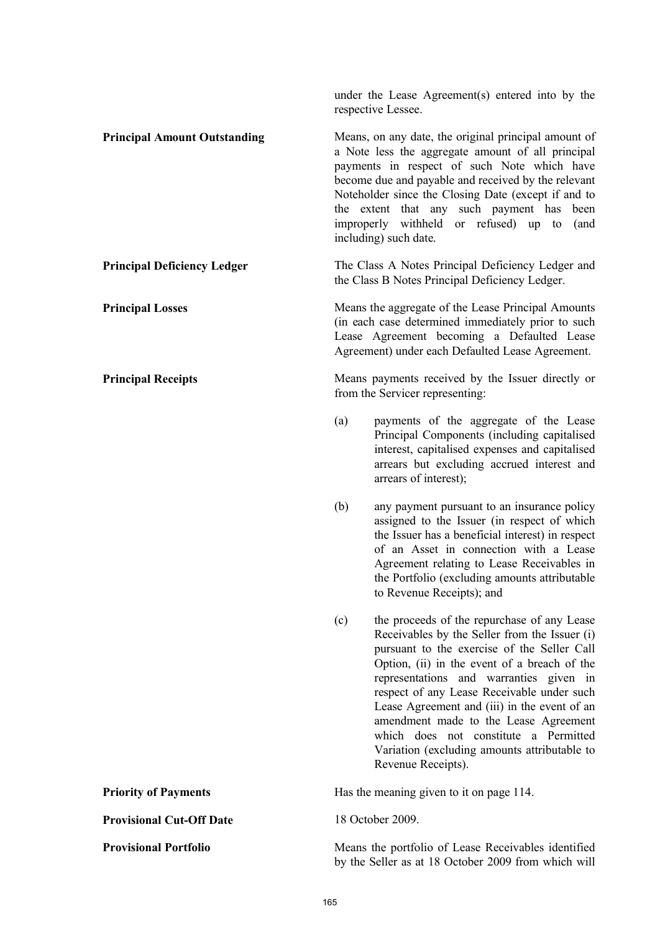|                                     | under the Lease Agreement(s) entered into by the<br>respective Lessee.                                                                                                                                                                                                                                                                                                                                                                                                                              |  |
|-------------------------------------|-----------------------------------------------------------------------------------------------------------------------------------------------------------------------------------------------------------------------------------------------------------------------------------------------------------------------------------------------------------------------------------------------------------------------------------------------------------------------------------------------------|--|
| <b>Principal Amount Outstanding</b> | Means, on any date, the original principal amount of<br>a Note less the aggregate amount of all principal<br>payments in respect of such Note which have<br>become due and payable and received by the relevant<br>Noteholder since the Closing Date (except if and to<br>the extent that any such payment has<br>been<br>improperly withheld or refused) up to<br>(and<br>including) such date.                                                                                                    |  |
| <b>Principal Deficiency Ledger</b>  | The Class A Notes Principal Deficiency Ledger and<br>the Class B Notes Principal Deficiency Ledger.                                                                                                                                                                                                                                                                                                                                                                                                 |  |
| <b>Principal Losses</b>             | Means the aggregate of the Lease Principal Amounts<br>(in each case determined immediately prior to such<br>Lease Agreement becoming a Defaulted Lease<br>Agreement) under each Defaulted Lease Agreement.                                                                                                                                                                                                                                                                                          |  |
| <b>Principal Receipts</b>           | Means payments received by the Issuer directly or<br>from the Servicer representing:                                                                                                                                                                                                                                                                                                                                                                                                                |  |
|                                     | (a)<br>payments of the aggregate of the Lease<br>Principal Components (including capitalised<br>interest, capitalised expenses and capitalised<br>arrears but excluding accrued interest and<br>arrears of interest);                                                                                                                                                                                                                                                                               |  |
|                                     | (b)<br>any payment pursuant to an insurance policy<br>assigned to the Issuer (in respect of which<br>the Issuer has a beneficial interest) in respect<br>of an Asset in connection with a Lease<br>Agreement relating to Lease Receivables in<br>the Portfolio (excluding amounts attributable<br>to Revenue Receipts); and                                                                                                                                                                         |  |
|                                     | (c)<br>the proceeds of the repurchase of any Lease<br>Receivables by the Seller from the Issuer (i)<br>pursuant to the exercise of the Seller Call<br>Option, (ii) in the event of a breach of the<br>representations and warranties given in<br>respect of any Lease Receivable under such<br>Lease Agreement and (iii) in the event of an<br>amendment made to the Lease Agreement<br>which does not constitute a Permitted<br>Variation (excluding amounts attributable to<br>Revenue Receipts). |  |
| <b>Priority of Payments</b>         | Has the meaning given to it on page 114.                                                                                                                                                                                                                                                                                                                                                                                                                                                            |  |
| <b>Provisional Cut-Off Date</b>     | 18 October 2009.                                                                                                                                                                                                                                                                                                                                                                                                                                                                                    |  |
| <b>Provisional Portfolio</b>        | Means the portfolio of Lease Receivables identified<br>by the Seller as at 18 October 2009 from which will                                                                                                                                                                                                                                                                                                                                                                                          |  |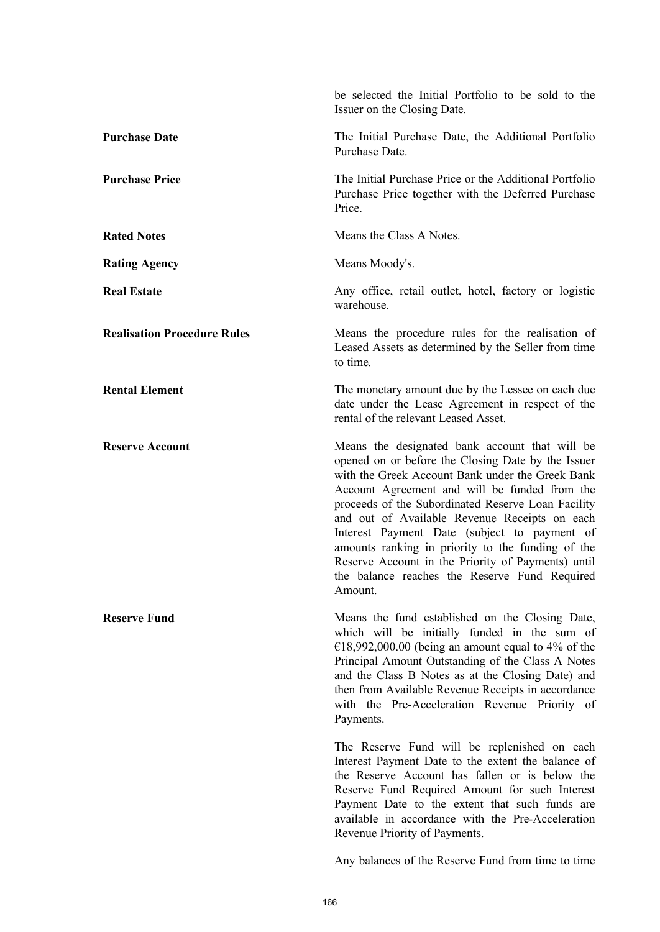|                                    | be selected the Initial Portfolio to be sold to the<br>Issuer on the Closing Date.                                                                                                                                                                                                                                                                                                                                                                                                                                                      |
|------------------------------------|-----------------------------------------------------------------------------------------------------------------------------------------------------------------------------------------------------------------------------------------------------------------------------------------------------------------------------------------------------------------------------------------------------------------------------------------------------------------------------------------------------------------------------------------|
| <b>Purchase Date</b>               | The Initial Purchase Date, the Additional Portfolio<br>Purchase Date.                                                                                                                                                                                                                                                                                                                                                                                                                                                                   |
| <b>Purchase Price</b>              | The Initial Purchase Price or the Additional Portfolio<br>Purchase Price together with the Deferred Purchase<br>Price.                                                                                                                                                                                                                                                                                                                                                                                                                  |
| <b>Rated Notes</b>                 | Means the Class A Notes.                                                                                                                                                                                                                                                                                                                                                                                                                                                                                                                |
| <b>Rating Agency</b>               | Means Moody's.                                                                                                                                                                                                                                                                                                                                                                                                                                                                                                                          |
| <b>Real Estate</b>                 | Any office, retail outlet, hotel, factory or logistic<br>warehouse.                                                                                                                                                                                                                                                                                                                                                                                                                                                                     |
| <b>Realisation Procedure Rules</b> | Means the procedure rules for the realisation of<br>Leased Assets as determined by the Seller from time<br>to time.                                                                                                                                                                                                                                                                                                                                                                                                                     |
| <b>Rental Element</b>              | The monetary amount due by the Lessee on each due<br>date under the Lease Agreement in respect of the<br>rental of the relevant Leased Asset.                                                                                                                                                                                                                                                                                                                                                                                           |
| <b>Reserve Account</b>             | Means the designated bank account that will be<br>opened on or before the Closing Date by the Issuer<br>with the Greek Account Bank under the Greek Bank<br>Account Agreement and will be funded from the<br>proceeds of the Subordinated Reserve Loan Facility<br>and out of Available Revenue Receipts on each<br>Interest Payment Date (subject to payment of<br>amounts ranking in priority to the funding of the<br>Reserve Account in the Priority of Payments) until<br>the balance reaches the Reserve Fund Required<br>Amount. |
| <b>Reserve Fund</b>                | Means the fund established on the Closing Date,<br>which will be initially funded in the sum of<br>€18,992,000.00 (being an amount equal to 4% of the<br>Principal Amount Outstanding of the Class A Notes<br>and the Class B Notes as at the Closing Date) and<br>then from Available Revenue Receipts in accordance<br>with the Pre-Acceleration Revenue Priority of<br>Payments.                                                                                                                                                     |
|                                    | The Reserve Fund will be replenished on each<br>Interest Payment Date to the extent the balance of<br>the Reserve Account has fallen or is below the<br>Reserve Fund Required Amount for such Interest<br>Payment Date to the extent that such funds are<br>available in accordance with the Pre-Acceleration<br>Revenue Priority of Payments.                                                                                                                                                                                          |
|                                    | Any balances of the Reserve Fund from time to time                                                                                                                                                                                                                                                                                                                                                                                                                                                                                      |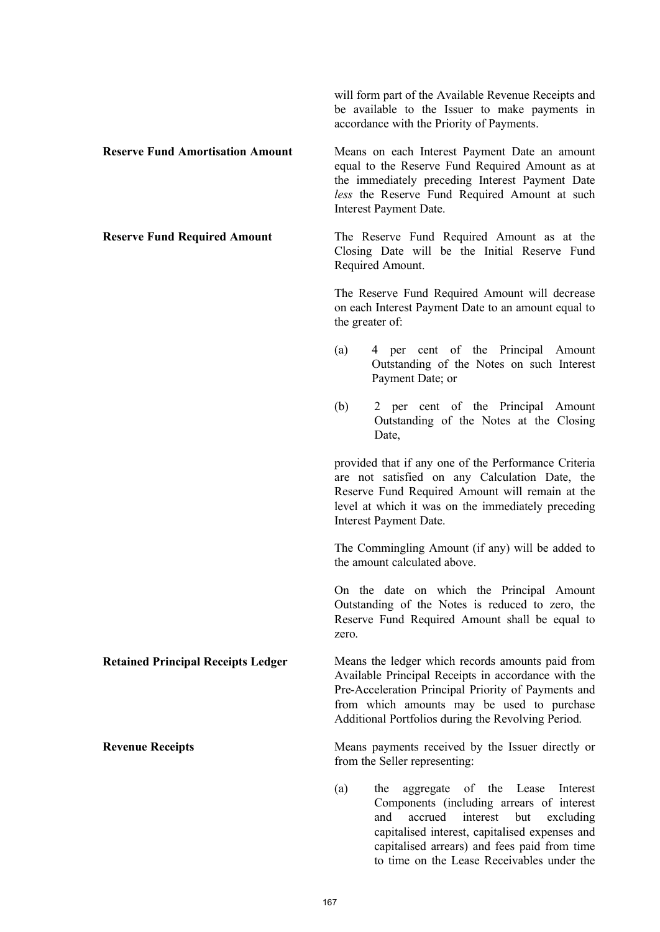will form part of the Available Revenue Receipts and be available to the Issuer to make payments in accordance with the Priority of Payments.

**Reserve Fund Amortisation Amount** Means on each Interest Payment Date an amount equal to the Reserve Fund Required Amount as at the immediately preceding Interest Payment Date *less* the Reserve Fund Required Amount at such Interest Payment Date.

**Reserve Fund Required Amount** The Reserve Fund Required Amount as at the Closing Date will be the Initial Reserve Fund Required Amount.

> The Reserve Fund Required Amount will decrease on each Interest Payment Date to an amount equal to the greater of:

- (a) 4 per cent of the Principal Amount Outstanding of the Notes on such Interest Payment Date; or
- (b) 2 per cent of the Principal Amount Outstanding of the Notes at the Closing Date,

provided that if any one of the Performance Criteria are not satisfied on any Calculation Date, the Reserve Fund Required Amount will remain at the level at which it was on the immediately preceding Interest Payment Date.

The Commingling Amount (if any) will be added to the amount calculated above.

On the date on which the Principal Amount Outstanding of the Notes is reduced to zero, the Reserve Fund Required Amount shall be equal to zero.

**Retained Principal Receipts Ledger** Means the ledger which records amounts paid from Available Principal Receipts in accordance with the Pre-Acceleration Principal Priority of Payments and from which amounts may be used to purchase Additional Portfolios during the Revolving Period.

**Revenue Receipts** Means payments received by the Issuer directly or from the Seller representing:

> (a) the aggregate of the Lease Interest Components (including arrears of interest and accrued interest but excluding capitalised interest, capitalised expenses and capitalised arrears) and fees paid from time to time on the Lease Receivables under the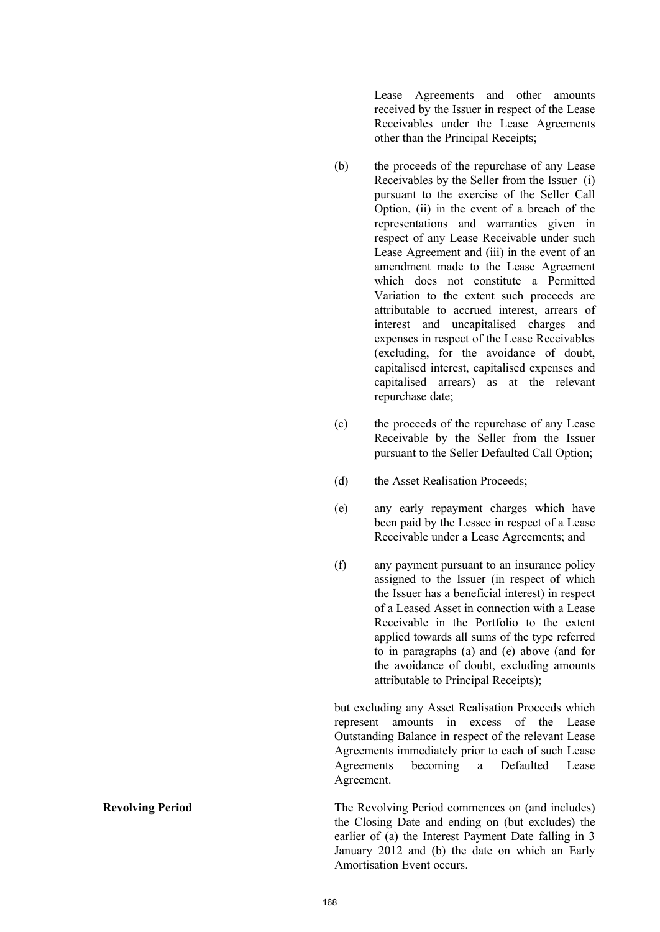Lease Agreements and other amounts received by the Issuer in respect of the Lease Receivables under the Lease Agreements other than the Principal Receipts;

- (b) the proceeds of the repurchase of any Lease Receivables by the Seller from the Issuer (i) pursuant to the exercise of the Seller Call Option, (ii) in the event of a breach of the representations and warranties given in respect of any Lease Receivable under such Lease Agreement and (iii) in the event of an amendment made to the Lease Agreement which does not constitute a Permitted Variation to the extent such proceeds are attributable to accrued interest, arrears of interest and uncapitalised charges and expenses in respect of the Lease Receivables (excluding, for the avoidance of doubt, capitalised interest, capitalised expenses and capitalised arrears) as at the relevant repurchase date;
- (c) the proceeds of the repurchase of any Lease Receivable by the Seller from the Issuer pursuant to the Seller Defaulted Call Option;
- (d) the Asset Realisation Proceeds;
- (e) any early repayment charges which have been paid by the Lessee in respect of a Lease Receivable under a Lease Agreements; and
- (f) any payment pursuant to an insurance policy assigned to the Issuer (in respect of which the Issuer has a beneficial interest) in respect of a Leased Asset in connection with a Lease Receivable in the Portfolio to the extent applied towards all sums of the type referred to in paragraphs (a) and (e) above (and for the avoidance of doubt, excluding amounts attributable to Principal Receipts);

but excluding any Asset Realisation Proceeds which represent amounts in excess of the Lease Outstanding Balance in respect of the relevant Lease Agreements immediately prior to each of such Lease Agreements becoming a Defaulted Lease Agreement.

**Revolving Period** The Revolving Period commences on (and includes) the Closing Date and ending on (but excludes) the earlier of (a) the Interest Payment Date falling in 3 January 2012 and (b) the date on which an Early Amortisation Event occurs.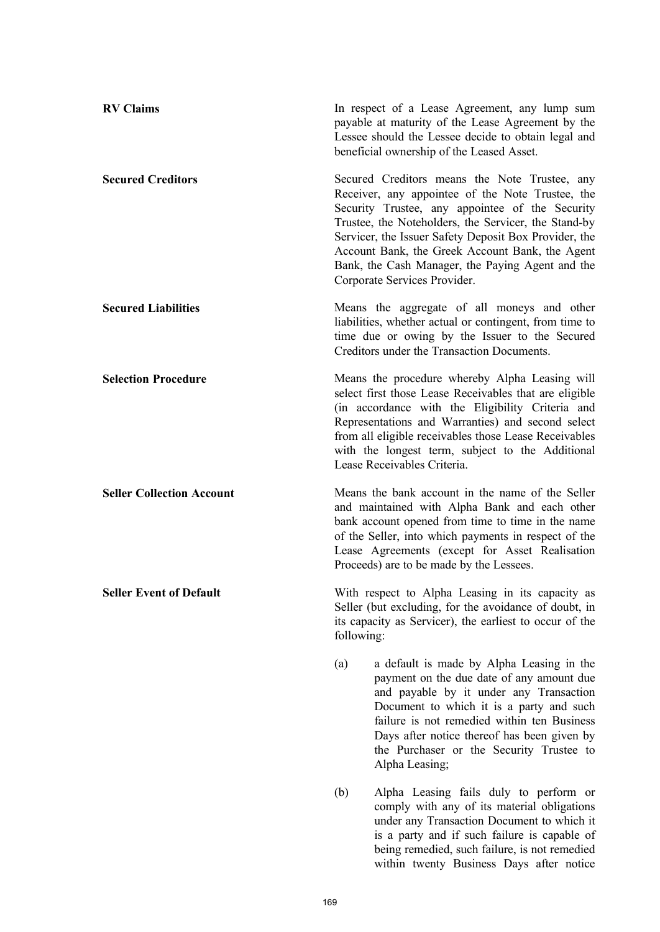| <b>RV Claims</b>                 |                                                                                                                                                                                    | In respect of a Lease Agreement, any lump sum<br>payable at maturity of the Lease Agreement by the<br>Lessee should the Lessee decide to obtain legal and<br>beneficial ownership of the Leased Asset.                                                                                                                                                                                                       |
|----------------------------------|------------------------------------------------------------------------------------------------------------------------------------------------------------------------------------|--------------------------------------------------------------------------------------------------------------------------------------------------------------------------------------------------------------------------------------------------------------------------------------------------------------------------------------------------------------------------------------------------------------|
| <b>Secured Creditors</b>         |                                                                                                                                                                                    | Secured Creditors means the Note Trustee, any<br>Receiver, any appointee of the Note Trustee, the<br>Security Trustee, any appointee of the Security<br>Trustee, the Noteholders, the Servicer, the Stand-by<br>Servicer, the Issuer Safety Deposit Box Provider, the<br>Account Bank, the Greek Account Bank, the Agent<br>Bank, the Cash Manager, the Paying Agent and the<br>Corporate Services Provider. |
| <b>Secured Liabilities</b>       |                                                                                                                                                                                    | Means the aggregate of all moneys and other<br>liabilities, whether actual or contingent, from time to<br>time due or owing by the Issuer to the Secured<br>Creditors under the Transaction Documents.                                                                                                                                                                                                       |
| <b>Selection Procedure</b>       |                                                                                                                                                                                    | Means the procedure whereby Alpha Leasing will<br>select first those Lease Receivables that are eligible<br>(in accordance with the Eligibility Criteria and<br>Representations and Warranties) and second select<br>from all eligible receivables those Lease Receivables<br>with the longest term, subject to the Additional<br>Lease Receivables Criteria.                                                |
| <b>Seller Collection Account</b> |                                                                                                                                                                                    | Means the bank account in the name of the Seller<br>and maintained with Alpha Bank and each other<br>bank account opened from time to time in the name<br>of the Seller, into which payments in respect of the<br>Lease Agreements (except for Asset Realisation<br>Proceeds) are to be made by the Lessees.                                                                                                 |
| <b>Seller Event of Default</b>   | With respect to Alpha Leasing in its capacity as<br>Seller (but excluding, for the avoidance of doubt, in<br>its capacity as Servicer), the earliest to occur of the<br>following: |                                                                                                                                                                                                                                                                                                                                                                                                              |
|                                  | (a)                                                                                                                                                                                | a default is made by Alpha Leasing in the<br>payment on the due date of any amount due<br>and payable by it under any Transaction<br>Document to which it is a party and such<br>failure is not remedied within ten Business<br>Days after notice thereof has been given by<br>the Purchaser or the Security Trustee to<br>Alpha Leasing;                                                                    |
|                                  | (b)                                                                                                                                                                                | Alpha Leasing fails duly to perform or<br>comply with any of its material obligations<br>under any Transaction Document to which it<br>is a party and if such failure is capable of<br>being remedied, such failure, is not remedied<br>within twenty Business Days after notice                                                                                                                             |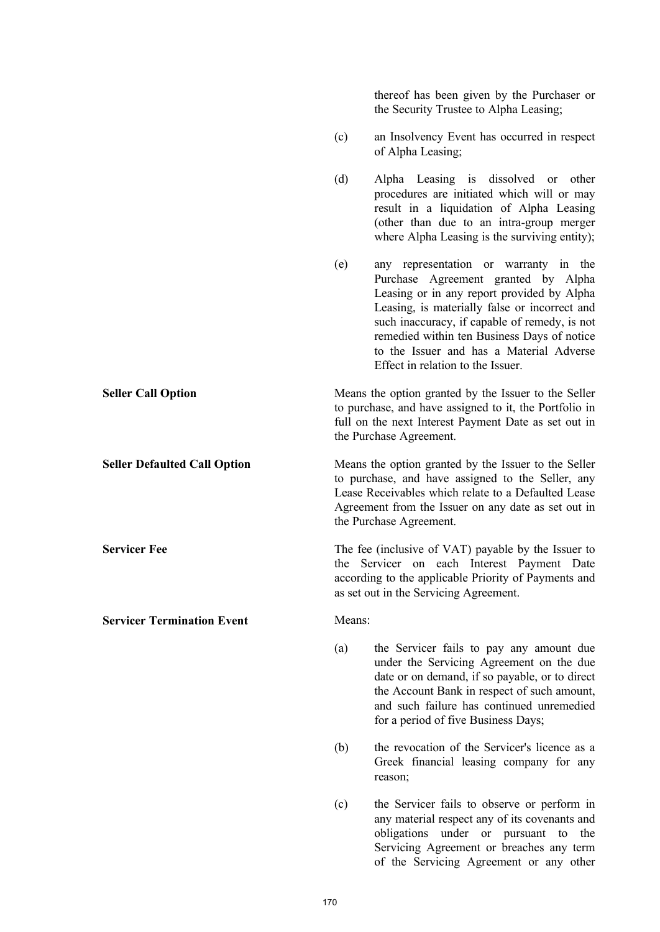|                                     |        | thereof has been given by the Purchaser or<br>the Security Trustee to Alpha Leasing;                                                                                                                                                                                                                                                                         |
|-------------------------------------|--------|--------------------------------------------------------------------------------------------------------------------------------------------------------------------------------------------------------------------------------------------------------------------------------------------------------------------------------------------------------------|
|                                     | (c)    | an Insolvency Event has occurred in respect<br>of Alpha Leasing;                                                                                                                                                                                                                                                                                             |
|                                     | (d)    | Alpha Leasing is dissolved or other<br>procedures are initiated which will or may<br>result in a liquidation of Alpha Leasing<br>(other than due to an intra-group merger<br>where Alpha Leasing is the surviving entity);                                                                                                                                   |
|                                     | (e)    | any representation or warranty in the<br>Purchase Agreement granted by Alpha<br>Leasing or in any report provided by Alpha<br>Leasing, is materially false or incorrect and<br>such inaccuracy, if capable of remedy, is not<br>remedied within ten Business Days of notice<br>to the Issuer and has a Material Adverse<br>Effect in relation to the Issuer. |
| <b>Seller Call Option</b>           |        | Means the option granted by the Issuer to the Seller<br>to purchase, and have assigned to it, the Portfolio in<br>full on the next Interest Payment Date as set out in<br>the Purchase Agreement.                                                                                                                                                            |
| <b>Seller Defaulted Call Option</b> |        | Means the option granted by the Issuer to the Seller<br>to purchase, and have assigned to the Seller, any<br>Lease Receivables which relate to a Defaulted Lease<br>Agreement from the Issuer on any date as set out in<br>the Purchase Agreement.                                                                                                           |
| <b>Servicer Fee</b>                 |        | The fee (inclusive of VAT) payable by the Issuer to<br>the Servicer on each Interest Payment Date<br>according to the applicable Priority of Payments and<br>as set out in the Servicing Agreement.                                                                                                                                                          |
| <b>Servicer Termination Event</b>   | Means: |                                                                                                                                                                                                                                                                                                                                                              |
|                                     | (a)    | the Servicer fails to pay any amount due<br>under the Servicing Agreement on the due<br>date or on demand, if so payable, or to direct<br>the Account Bank in respect of such amount,<br>and such failure has continued unremedied<br>for a period of five Business Days;                                                                                    |
|                                     | (b)    | the revocation of the Servicer's licence as a<br>Greek financial leasing company for any<br>reason;                                                                                                                                                                                                                                                          |
|                                     | (c)    | the Servicer fails to observe or perform in<br>any material respect any of its covenants and<br>obligations under or pursuant<br>the<br>to<br>Servicing Agreement or breaches any term<br>of the Servicing Agreement or any other                                                                                                                            |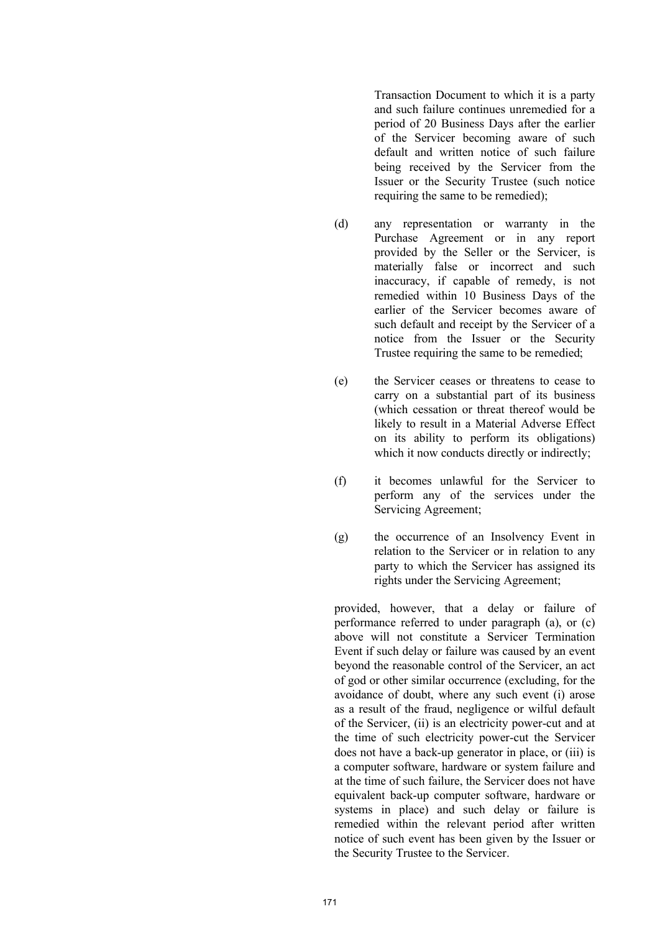Transaction Document to which it is a party and such failure continues unremedied for a period of 20 Business Days after the earlier of the Servicer becoming aware of such default and written notice of such failure being received by the Servicer from the Issuer or the Security Trustee (such notice requiring the same to be remedied);

- (d) any representation or warranty in the Purchase Agreement or in any report provided by the Seller or the Servicer, is materially false or incorrect and such inaccuracy, if capable of remedy, is not remedied within 10 Business Days of the earlier of the Servicer becomes aware of such default and receipt by the Servicer of a notice from the Issuer or the Security Trustee requiring the same to be remedied;
- (e) the Servicer ceases or threatens to cease to carry on a substantial part of its business (which cessation or threat thereof would be likely to result in a Material Adverse Effect on its ability to perform its obligations) which it now conducts directly or indirectly;
- (f) it becomes unlawful for the Servicer to perform any of the services under the Servicing Agreement;
- (g) the occurrence of an Insolvency Event in relation to the Servicer or in relation to any party to which the Servicer has assigned its rights under the Servicing Agreement;

provided, however, that a delay or failure of performance referred to under paragraph (a), or (c) above will not constitute a Servicer Termination Event if such delay or failure was caused by an event beyond the reasonable control of the Servicer, an act of god or other similar occurrence (excluding, for the avoidance of doubt, where any such event (i) arose as a result of the fraud, negligence or wilful default of the Servicer, (ii) is an electricity power-cut and at the time of such electricity power-cut the Servicer does not have a back-up generator in place, or (iii) is a computer software, hardware or system failure and at the time of such failure, the Servicer does not have equivalent back-up computer software, hardware or systems in place) and such delay or failure is remedied within the relevant period after written notice of such event has been given by the Issuer or the Security Trustee to the Servicer.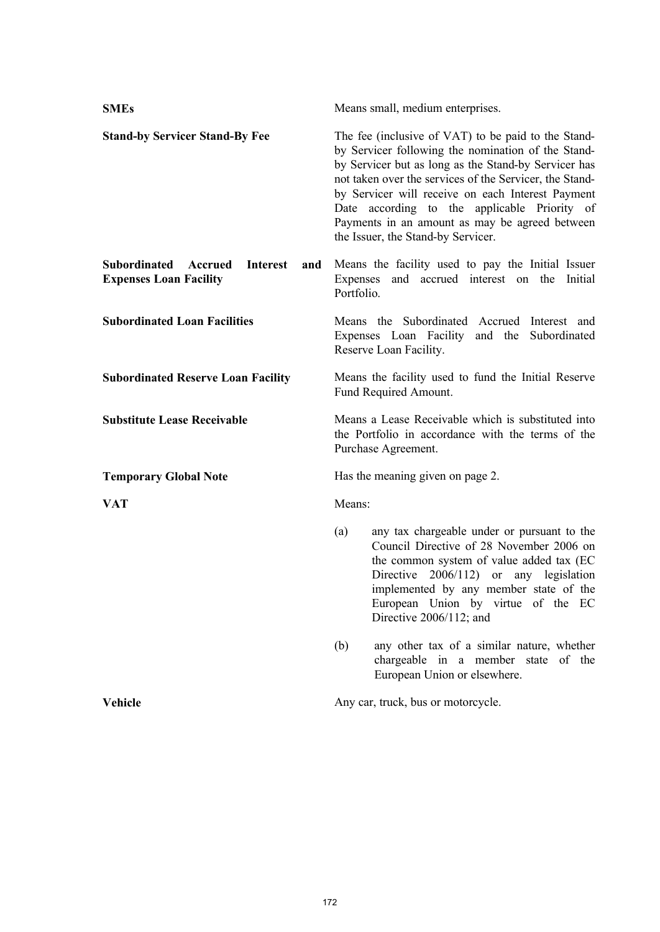| <b>SMEs</b>                                                                               | Means small, medium enterprises.                                                                                                                                                                                                                                                                                                                                                                                          |  |
|-------------------------------------------------------------------------------------------|---------------------------------------------------------------------------------------------------------------------------------------------------------------------------------------------------------------------------------------------------------------------------------------------------------------------------------------------------------------------------------------------------------------------------|--|
| <b>Stand-by Servicer Stand-By Fee</b>                                                     | The fee (inclusive of VAT) to be paid to the Stand-<br>by Servicer following the nomination of the Stand-<br>by Servicer but as long as the Stand-by Servicer has<br>not taken over the services of the Servicer, the Stand-<br>by Servicer will receive on each Interest Payment<br>Date according to the applicable Priority of<br>Payments in an amount as may be agreed between<br>the Issuer, the Stand-by Servicer. |  |
| <b>Subordinated</b><br>Accrued<br><b>Interest</b><br>and<br><b>Expenses Loan Facility</b> | Means the facility used to pay the Initial Issuer<br>Expenses and accrued interest on the<br>Initial<br>Portfolio.                                                                                                                                                                                                                                                                                                        |  |
| <b>Subordinated Loan Facilities</b>                                                       | Means the Subordinated Accrued<br>Interest and<br>Expenses Loan Facility and the Subordinated<br>Reserve Loan Facility.                                                                                                                                                                                                                                                                                                   |  |
| <b>Subordinated Reserve Loan Facility</b>                                                 | Means the facility used to fund the Initial Reserve<br>Fund Required Amount.                                                                                                                                                                                                                                                                                                                                              |  |
| <b>Substitute Lease Receivable</b>                                                        | Means a Lease Receivable which is substituted into<br>the Portfolio in accordance with the terms of the<br>Purchase Agreement.                                                                                                                                                                                                                                                                                            |  |
| <b>Temporary Global Note</b>                                                              | Has the meaning given on page 2.                                                                                                                                                                                                                                                                                                                                                                                          |  |
| <b>VAT</b>                                                                                | Means:                                                                                                                                                                                                                                                                                                                                                                                                                    |  |
|                                                                                           | any tax chargeable under or pursuant to the<br>(a)<br>Council Directive of 28 November 2006 on<br>the common system of value added tax (EC<br>Directive 2006/112) or any legislation<br>implemented by any member state of the<br>European Union by virtue of the EC<br>Directive 2006/112; and                                                                                                                           |  |
|                                                                                           | any other tax of a similar nature, whether<br>(b)<br>chargeable in a member state of the<br>European Union or elsewhere.                                                                                                                                                                                                                                                                                                  |  |
| <b>Vehicle</b>                                                                            | Any car, truck, bus or motorcycle.                                                                                                                                                                                                                                                                                                                                                                                        |  |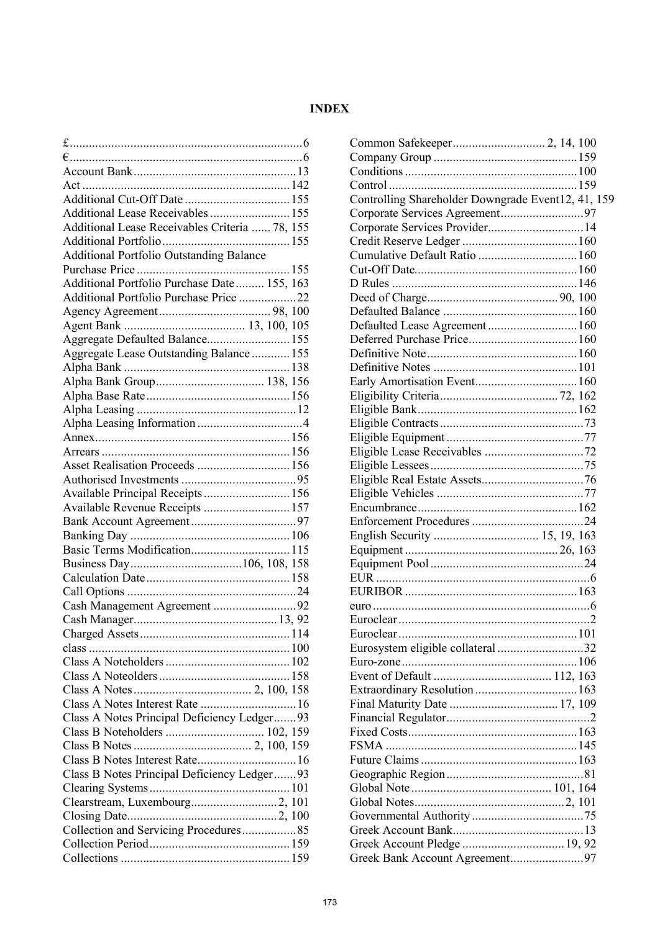# **INDEX**

| Additional Lease Receivables  155               |  |
|-------------------------------------------------|--|
| Additional Lease Receivables Criteria  78, 155  |  |
|                                                 |  |
| <b>Additional Portfolio Outstanding Balance</b> |  |
|                                                 |  |
| Additional Portfolio Purchase Date 155, 163     |  |
| Additional Portfolio Purchase Price 22          |  |
|                                                 |  |
|                                                 |  |
| Aggregate Defaulted Balance 155                 |  |
| Aggregate Lease Outstanding Balance 155         |  |
|                                                 |  |
|                                                 |  |
|                                                 |  |
|                                                 |  |
|                                                 |  |
|                                                 |  |
|                                                 |  |
| Asset Realisation Proceeds  156                 |  |
|                                                 |  |
| Available Principal Receipts 156                |  |
| Available Revenue Receipts  157                 |  |
|                                                 |  |
|                                                 |  |
|                                                 |  |
|                                                 |  |
|                                                 |  |
|                                                 |  |
| Cash Management Agreement 92                    |  |
|                                                 |  |
|                                                 |  |
|                                                 |  |
|                                                 |  |
|                                                 |  |
|                                                 |  |
| Class A Notes Interest Rate  16                 |  |
| Class A Notes Principal Deficiency Ledger93     |  |
|                                                 |  |
|                                                 |  |
|                                                 |  |
| Class B Notes Principal Deficiency Ledger93     |  |
|                                                 |  |
|                                                 |  |
|                                                 |  |
| Collection and Servicing Procedures85           |  |
|                                                 |  |
|                                                 |  |
|                                                 |  |

| Controlling Shareholder Downgrade Event12, 41, 159 |  |
|----------------------------------------------------|--|
|                                                    |  |
| Corporate Services Provider14                      |  |
|                                                    |  |
| Cumulative Default Ratio  160                      |  |
|                                                    |  |
|                                                    |  |
|                                                    |  |
|                                                    |  |
| Defaulted Lease Agreement 160                      |  |
|                                                    |  |
|                                                    |  |
|                                                    |  |
|                                                    |  |
|                                                    |  |
|                                                    |  |
|                                                    |  |
|                                                    |  |
|                                                    |  |
|                                                    |  |
|                                                    |  |
|                                                    |  |
|                                                    |  |
|                                                    |  |
|                                                    |  |
|                                                    |  |
|                                                    |  |
|                                                    |  |
|                                                    |  |
|                                                    |  |
|                                                    |  |
|                                                    |  |
| Eurosystem eligible collateral 32                  |  |
|                                                    |  |
|                                                    |  |
|                                                    |  |
|                                                    |  |
|                                                    |  |
|                                                    |  |
|                                                    |  |
|                                                    |  |
|                                                    |  |
|                                                    |  |
|                                                    |  |
|                                                    |  |
|                                                    |  |
|                                                    |  |
|                                                    |  |
|                                                    |  |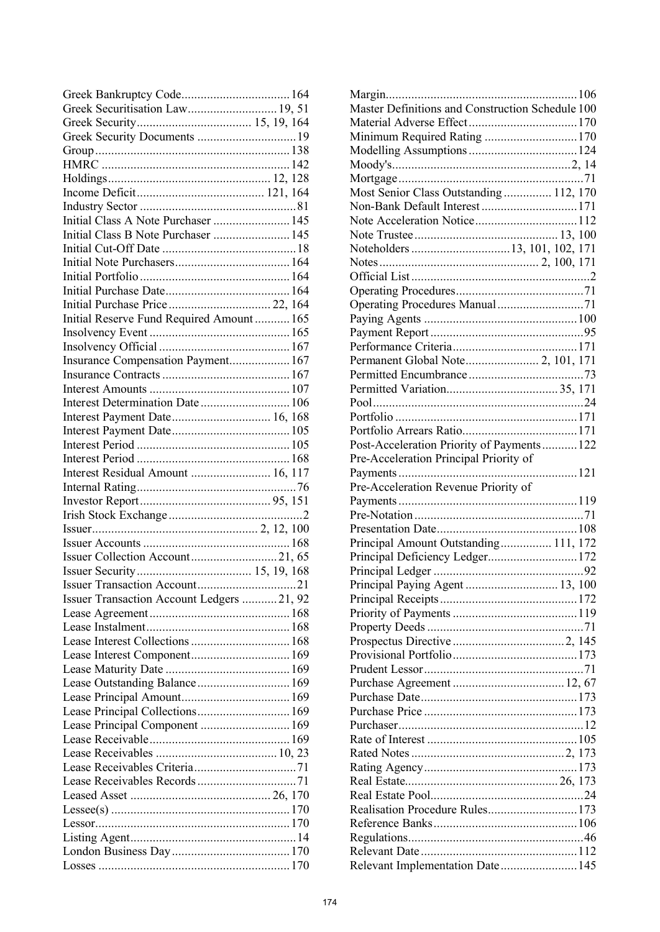| Greek Securitisation Law 19, 51           |
|-------------------------------------------|
|                                           |
|                                           |
|                                           |
|                                           |
|                                           |
|                                           |
|                                           |
| Initial Class A Note Purchaser  145       |
| Initial Class B Note Purchaser  145       |
|                                           |
|                                           |
|                                           |
|                                           |
|                                           |
| Initial Reserve Fund Required Amount  165 |
|                                           |
|                                           |
| Insurance Compensation Payment 167        |
|                                           |
|                                           |
| Interest Determination Date 106           |
| Interest Payment Date 16, 168             |
|                                           |
|                                           |
|                                           |
| Interest Residual Amount  16, 117         |
|                                           |
|                                           |
|                                           |
|                                           |
|                                           |
|                                           |
|                                           |
|                                           |
|                                           |
|                                           |
| Issuer Transaction Account Ledgers 21, 92 |
|                                           |
|                                           |
| Lease Interest Collections  168           |
|                                           |
|                                           |
| Lease Outstanding Balance 169             |
|                                           |
| Lease Principal Collections 169           |
| Lease Principal Component  169            |
|                                           |
|                                           |
|                                           |
|                                           |
|                                           |
|                                           |
|                                           |
|                                           |

| Master Definitions and Construction Schedule 100 |  |
|--------------------------------------------------|--|
|                                                  |  |
|                                                  |  |
|                                                  |  |
|                                                  |  |
|                                                  |  |
| Most Senior Class Outstanding  112, 170          |  |
| Non-Bank Default Interest  171                   |  |
|                                                  |  |
|                                                  |  |
|                                                  |  |
|                                                  |  |
|                                                  |  |
|                                                  |  |
|                                                  |  |
| Operating Procedures Manual71                    |  |
|                                                  |  |
|                                                  |  |
|                                                  |  |
|                                                  |  |
|                                                  |  |
|                                                  |  |
|                                                  |  |
|                                                  |  |
|                                                  |  |
| Post-Acceleration Priority of Payments 122       |  |
| Pre-Acceleration Principal Priority of           |  |
|                                                  |  |
|                                                  |  |
|                                                  |  |
| Pre-Acceleration Revenue Priority of             |  |
|                                                  |  |
|                                                  |  |
|                                                  |  |
| Principal Amount Outstanding 111, 172            |  |
| Principal Deficiency Ledger172                   |  |
|                                                  |  |
| Principal Paying Agent  13, 100                  |  |
|                                                  |  |
|                                                  |  |
|                                                  |  |
|                                                  |  |
|                                                  |  |
|                                                  |  |
|                                                  |  |
|                                                  |  |
|                                                  |  |
|                                                  |  |
|                                                  |  |
|                                                  |  |
|                                                  |  |
|                                                  |  |
|                                                  |  |
|                                                  |  |
| Realisation Procedure Rules173                   |  |
|                                                  |  |
|                                                  |  |
| Relevant Implementation Date 145                 |  |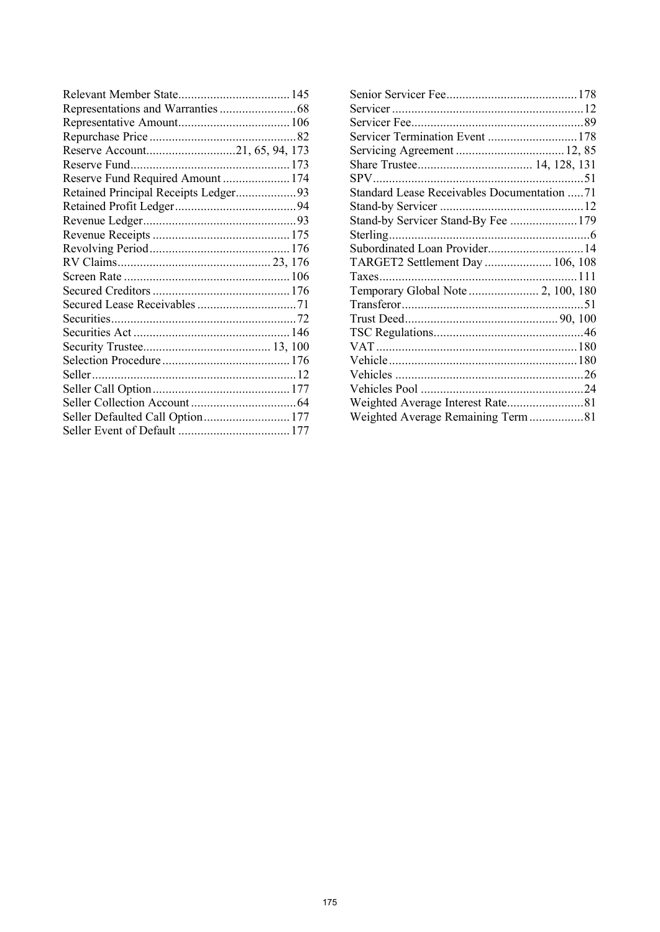| Reserve Fund Required Amount  174    |  |
|--------------------------------------|--|
| Retained Principal Receipts Ledger93 |  |
|                                      |  |
|                                      |  |
|                                      |  |
|                                      |  |
|                                      |  |
|                                      |  |
|                                      |  |
|                                      |  |
|                                      |  |
|                                      |  |
|                                      |  |
|                                      |  |
|                                      |  |
|                                      |  |
|                                      |  |
|                                      |  |
|                                      |  |

| Servicer Termination Event  178                    |  |
|----------------------------------------------------|--|
|                                                    |  |
|                                                    |  |
|                                                    |  |
| <b>Standard Lease Receivables Documentation 71</b> |  |
|                                                    |  |
| Stand-by Servicer Stand-By Fee  179                |  |
|                                                    |  |
| Subordinated Loan Provider 14                      |  |
| TARGET2 Settlement Day  106, 108                   |  |
|                                                    |  |
|                                                    |  |
|                                                    |  |
|                                                    |  |
|                                                    |  |
|                                                    |  |
|                                                    |  |
|                                                    |  |
|                                                    |  |
| Weighted Average Interest Rate81                   |  |
| Weighted Average Remaining Term81                  |  |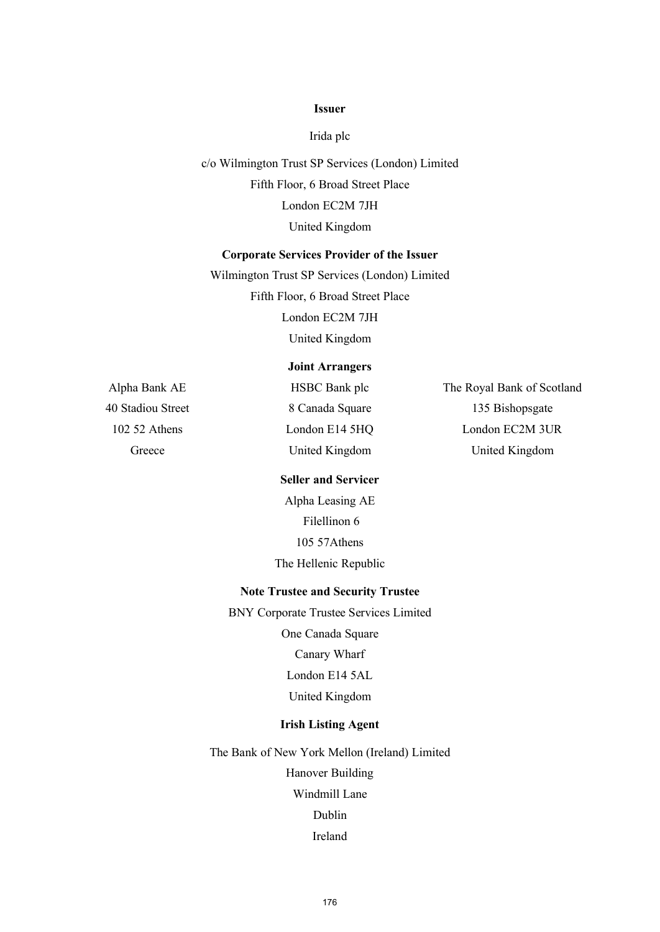### **Issuer**

Irida plc

c/o Wilmington Trust SP Services (London) Limited Fifth Floor, 6 Broad Street Place London EC2M 7JH United Kingdom

### **Corporate Services Provider of the Issuer**

Wilmington Trust SP Services (London) Limited Fifth Floor, 6 Broad Street Place London EC2M 7JH United Kingdom

# **Joint Arrangers**

Alpha Bank AE HSBC Bank plc The Royal Bank of Scotland 40 Stadiou Street 8 Canada Square 135 Bishopsgate 102 52 Athens London E14 5HQ London EC2M 3UR Greece United Kingdom United Kingdom

### **Seller and Servicer**

Alpha Leasing AE Filellinon 6 105 57Athens The Hellenic Republic

## **Note Trustee and Security Trustee**

BNY Corporate Trustee Services Limited

One Canada Square Canary Wharf London E14 5AL United Kingdom

# **Irish Listing Agent**

The Bank of New York Mellon (Ireland) Limited Hanover Building Windmill Lane Dublin Ireland